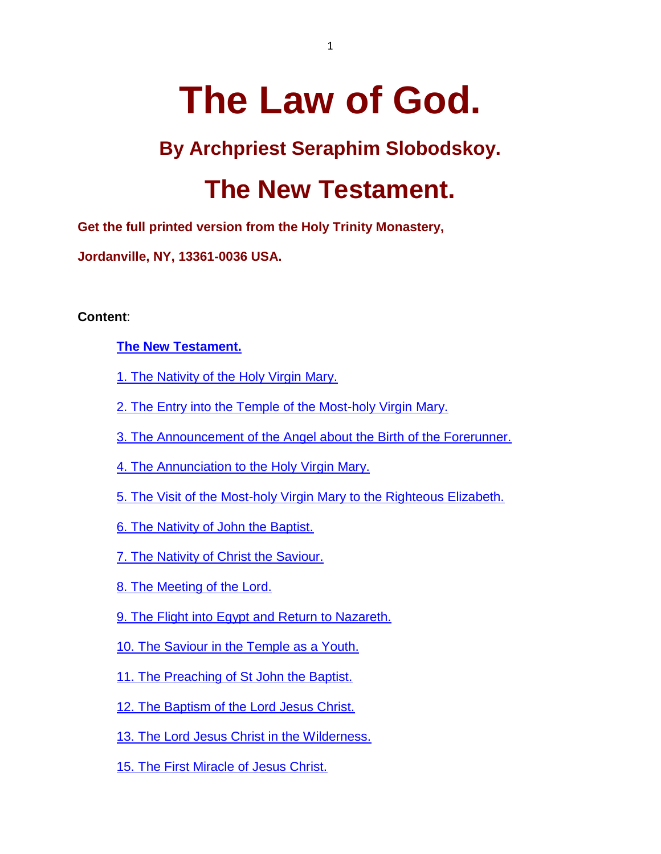# **The Law of God.**

### **By Archpriest Seraphim Slobodskoy.**

## **The New Testament.**

**Get the full printed version from the Holy Trinity Monastery,** 

**Jordanville, NY, 13361-0036 USA.**

**Content**:

#### **[The New Testament.](http://www.fatheralexander.org/booklets/english/law_of_god_slobodskoy_2.htm#_Toc36163783)**

- [1. The Nativity of the Holy Virgin Mary.](http://www.fatheralexander.org/booklets/english/law_of_god_slobodskoy_2.htm#_Toc36163784)
- [2. The Entry into the Temple of the Most-holy Virgin Mary.](http://www.fatheralexander.org/booklets/english/law_of_god_slobodskoy_2.htm#_Toc36163785)
- [3. The Announcement of the Angel about the Birth of the Forerunner.](http://www.fatheralexander.org/booklets/english/law_of_god_slobodskoy_2.htm#_Toc36163786)
- [4. The Annunciation to the Holy](http://www.fatheralexander.org/booklets/english/law_of_god_slobodskoy_2.htm#_Toc36163787) Virgin Mary.
- [5. The Visit of the Most-holy Virgin Mary to the Righteous Elizabeth.](http://www.fatheralexander.org/booklets/english/law_of_god_slobodskoy_2.htm#_Toc36163788)
- [6. The Nativity of John the Baptist.](http://www.fatheralexander.org/booklets/english/law_of_god_slobodskoy_2.htm#_Toc36163789)
- [7. The Nativity of Christ the Saviour.](http://www.fatheralexander.org/booklets/english/law_of_god_slobodskoy_2.htm#_Toc36163790)
- [8. The Meeting of the Lord.](http://www.fatheralexander.org/booklets/english/law_of_god_slobodskoy_2.htm#_Toc36163791)
- [9. The Flight into Egypt and Return to Nazareth.](http://www.fatheralexander.org/booklets/english/law_of_god_slobodskoy_2.htm#_Toc36163792)
- [10. The Saviour in the Temple as a Youth.](http://www.fatheralexander.org/booklets/english/law_of_god_slobodskoy_2.htm#_Toc36163793)
- [11. The Preaching of St John the Baptist.](http://www.fatheralexander.org/booklets/english/law_of_god_slobodskoy_2.htm#_Toc36163794)
- [12. The Baptism of the Lord Jesus Christ.](http://www.fatheralexander.org/booklets/english/law_of_god_slobodskoy_2.htm#_Toc36163795)
- [13. The Lord Jesus Christ in the Wilderness.](http://www.fatheralexander.org/booklets/english/law_of_god_slobodskoy_2.htm#_Toc36163796)
- [15. The First Miracle of Jesus Christ.](http://www.fatheralexander.org/booklets/english/law_of_god_slobodskoy_2.htm#_Toc36163797)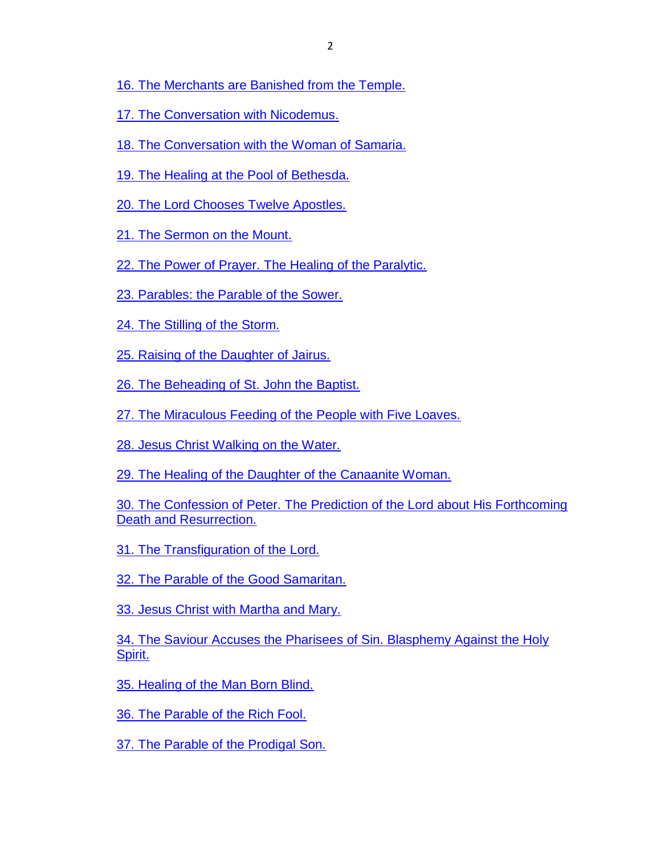- [16. The Merchants are Banished from the Temple.](http://www.fatheralexander.org/booklets/english/law_of_god_slobodskoy_2.htm#_Toc36163798)
- [17. The Conversation with Nicodemus.](http://www.fatheralexander.org/booklets/english/law_of_god_slobodskoy_2.htm#_Toc36163799)
- [18. The Conversation with the Woman of Samaria.](http://www.fatheralexander.org/booklets/english/law_of_god_slobodskoy_2.htm#_Toc36163800)
- [19. The Healing at the Pool of Bethesda.](http://www.fatheralexander.org/booklets/english/law_of_god_slobodskoy_2.htm#_Toc36163801)
- [20. The Lord Chooses Twelve Apostles.](http://www.fatheralexander.org/booklets/english/law_of_god_slobodskoy_2.htm#_Toc36163802)
- [21. The Sermon on the Mount.](http://www.fatheralexander.org/booklets/english/law_of_god_slobodskoy_2.htm#_Toc36163803)
- [22. The Power of Prayer. The Healing of the Paralytic.](http://www.fatheralexander.org/booklets/english/law_of_god_slobodskoy_2.htm#_Toc36163804)
- [23. Parables: the Parable of the Sower.](http://www.fatheralexander.org/booklets/english/law_of_god_slobodskoy_2.htm#_Toc36163805)
- [24. The Stilling of the Storm.](http://www.fatheralexander.org/booklets/english/law_of_god_slobodskoy_2.htm#_Toc36163806)
- [25. Raising of the Daughter of Jairus.](http://www.fatheralexander.org/booklets/english/law_of_god_slobodskoy_2.htm#_Toc36163807)
- [26. The Beheading of St. John the Baptist.](http://www.fatheralexander.org/booklets/english/law_of_god_slobodskoy_2.htm#_Toc36163808)
- [27. The Miraculous Feeding of the People with Five Loaves.](http://www.fatheralexander.org/booklets/english/law_of_god_slobodskoy_2.htm#_Toc36163809)
- [28. Jesus Christ Walking on the Water.](http://www.fatheralexander.org/booklets/english/law_of_god_slobodskoy_2.htm#_Toc36163810)
- [29. The Healing of the Daughter of the Canaanite Woman.](http://www.fatheralexander.org/booklets/english/law_of_god_slobodskoy_2.htm#_Toc36163811)
- [30. The Confession of Peter. The Prediction of the Lord about His Forthcoming](http://www.fatheralexander.org/booklets/english/law_of_god_slobodskoy_2.htm#_Toc36163812)  [Death and Resurrection.](http://www.fatheralexander.org/booklets/english/law_of_god_slobodskoy_2.htm#_Toc36163812)
- [31. The Transfiguration of the Lord.](http://www.fatheralexander.org/booklets/english/law_of_god_slobodskoy_2.htm#_Toc36163813)
- [32. The Parable of the Good Samaritan.](http://www.fatheralexander.org/booklets/english/law_of_god_slobodskoy_2.htm#_Toc36163814)
- [33. Jesus Christ with Martha and Mary.](http://www.fatheralexander.org/booklets/english/law_of_god_slobodskoy_2.htm#_Toc36163815)
- [34. The Saviour Accuses the Pharisees of Sin. Blasphemy Against the Holy](http://www.fatheralexander.org/booklets/english/law_of_god_slobodskoy_2.htm#_Toc36163816)  [Spirit.](http://www.fatheralexander.org/booklets/english/law_of_god_slobodskoy_2.htm#_Toc36163816)
- [35. Healing of the Man Born Blind.](http://www.fatheralexander.org/booklets/english/law_of_god_slobodskoy_2.htm#_Toc36163817)
- [36. The Parable of the Rich Fool.](http://www.fatheralexander.org/booklets/english/law_of_god_slobodskoy_2.htm#_Toc36163818)
- [37. The Parable of the Prodigal Son.](http://www.fatheralexander.org/booklets/english/law_of_god_slobodskoy_2.htm#_Toc36163819)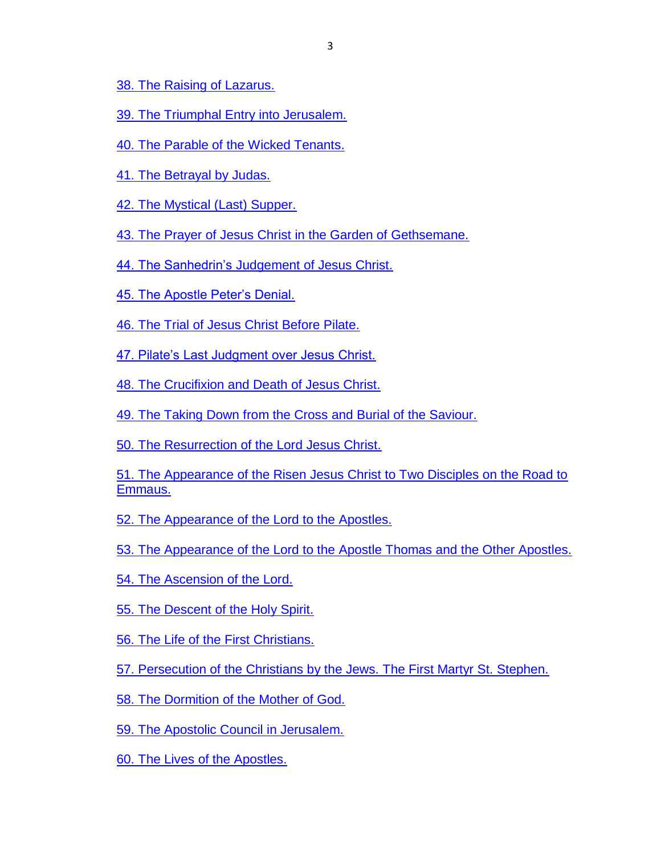[38. The Raising of Lazarus.](http://www.fatheralexander.org/booklets/english/law_of_god_slobodskoy_2.htm#_Toc36163820)

- [39. The Triumphal Entry into Jerusalem.](http://www.fatheralexander.org/booklets/english/law_of_god_slobodskoy_2.htm#_Toc36163821)
- [40. The Parable of the Wicked Tenants.](http://www.fatheralexander.org/booklets/english/law_of_god_slobodskoy_2.htm#_Toc36163822)
- [41. The Betrayal by Judas.](http://www.fatheralexander.org/booklets/english/law_of_god_slobodskoy_2.htm#_Toc36163823)
- [42. The Mystical \(Last\) Supper.](http://www.fatheralexander.org/booklets/english/law_of_god_slobodskoy_2.htm#_Toc36163824)

[43. The Prayer of Jesus Christ in the Garden of Gethsemane.](http://www.fatheralexander.org/booklets/english/law_of_god_slobodskoy_2.htm#_Toc36163825)

- [44. The Sanhedrin's Judgement of Jesus Christ.](http://www.fatheralexander.org/booklets/english/law_of_god_slobodskoy_2.htm#_Toc36163826)
- [45. The Apostle Peter's Denial.](http://www.fatheralexander.org/booklets/english/law_of_god_slobodskoy_2.htm#_Toc36163827)
- [46. The Trial of Jesus Christ Before Pilate.](http://www.fatheralexander.org/booklets/english/law_of_god_slobodskoy_2.htm#_Toc36163828)

[47. Pilate's Last Judgment over Jesus Christ.](http://www.fatheralexander.org/booklets/english/law_of_god_slobodskoy_2.htm#_Toc36163829)

- [48. The Crucifixion and Death of Jesus Christ.](http://www.fatheralexander.org/booklets/english/law_of_god_slobodskoy_2.htm#_Toc36163830)
- [49. The Taking Down from the Cross and Burial of the Saviour.](http://www.fatheralexander.org/booklets/english/law_of_god_slobodskoy_2.htm#_Toc36163831)

[50. The Resurrection of the Lord Jesus Christ.](http://www.fatheralexander.org/booklets/english/law_of_god_slobodskoy_2.htm#_Toc36163832)

[51. The Appearance of the Risen Jesus Christ to Two Disciples on the Road to](http://www.fatheralexander.org/booklets/english/law_of_god_slobodskoy_2.htm#_Toc36163833)  [Emmaus.](http://www.fatheralexander.org/booklets/english/law_of_god_slobodskoy_2.htm#_Toc36163833)

[52. The Appearance of the Lord to the Apostles.](http://www.fatheralexander.org/booklets/english/law_of_god_slobodskoy_2.htm#_Toc36163834)

[53. The Appearance of the Lord to the Apostle Thomas and the Other Apostles.](http://www.fatheralexander.org/booklets/english/law_of_god_slobodskoy_2.htm#_Toc36163835)

- [54. The Ascension of the Lord.](http://www.fatheralexander.org/booklets/english/law_of_god_slobodskoy_2.htm#_Toc36163836)
- [55. The Descent of the Holy Spirit.](http://www.fatheralexander.org/booklets/english/law_of_god_slobodskoy_2.htm#_Toc36163837)
- [56. The Life of the First Christians.](http://www.fatheralexander.org/booklets/english/law_of_god_slobodskoy_2.htm#_Toc36163838)

[57. Persecution of the Christians by the Jews. The First Martyr St. Stephen.](http://www.fatheralexander.org/booklets/english/law_of_god_slobodskoy_2.htm#_Toc36163839)

[58. The Dormition of the Mother of God.](http://www.fatheralexander.org/booklets/english/law_of_god_slobodskoy_2.htm#_Toc36163840)

[59. The Apostolic Council in Jerusalem.](http://www.fatheralexander.org/booklets/english/law_of_god_slobodskoy_2.htm#_Toc36163841)

60. The Lives [of the Apostles.](http://www.fatheralexander.org/booklets/english/law_of_god_slobodskoy_2.htm#_Toc36163842)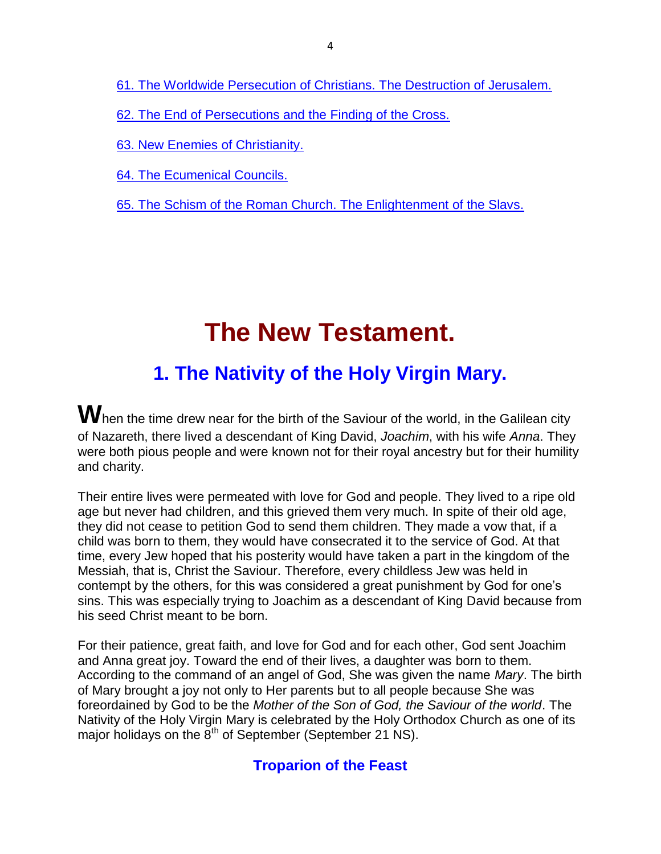[61. The Worldwide Persecution of Christians. The Destruction of Jerusalem.](http://www.fatheralexander.org/booklets/english/law_of_god_slobodskoy_2.htm#_Toc36163843)

[62. The End of Persecutions and the Finding of the Cross.](http://www.fatheralexander.org/booklets/english/law_of_god_slobodskoy_2.htm#_Toc36163844)

[63. New Enemies of Christianity.](http://www.fatheralexander.org/booklets/english/law_of_god_slobodskoy_2.htm#_Toc36163845)

[64. The Ecumenical Councils.](http://www.fatheralexander.org/booklets/english/law_of_god_slobodskoy_2.htm#_Toc36163846)

[65. The Schism of the Roman Church. The Enlightenment of the Slavs.](http://www.fatheralexander.org/booklets/english/law_of_god_slobodskoy_2.htm#_Toc36163847)

# **The New Testament.**

### **1. The Nativity of the Holy Virgin Mary.**

When the time drew near for the birth of the Saviour of the world, in the Galilean city of Nazareth, there lived a descendant of King David, *Joachim*, with his wife *Anna*. They were both pious people and were known not for their royal ancestry but for their humility and charity.

Their entire lives were permeated with love for God and people. They lived to a ripe old age but never had children, and this grieved them very much. In spite of their old age, they did not cease to petition God to send them children. They made a vow that, if a child was born to them, they would have consecrated it to the service of God. At that time, every Jew hoped that his posterity would have taken a part in the kingdom of the Messiah, that is, Christ the Saviour. Therefore, every childless Jew was held in contempt by the others, for this was considered a great punishment by God for one's sins. This was especially trying to Joachim as a descendant of King David because from his seed Christ meant to be born.

For their patience, great faith, and love for God and for each other, God sent Joachim and Anna great joy. Toward the end of their lives, a daughter was born to them. According to the command of an angel of God, She was given the name *Mary*. The birth of Mary brought a joy not only to Her parents but to all people because She was foreordained by God to be the *Mother of the Son of God, the Saviour of the world*. The Nativity of the Holy Virgin Mary is celebrated by the Holy Orthodox Church as one of its major holidays on the  $8<sup>th</sup>$  of September (September 21 NS).

### **Troparion of the Feast**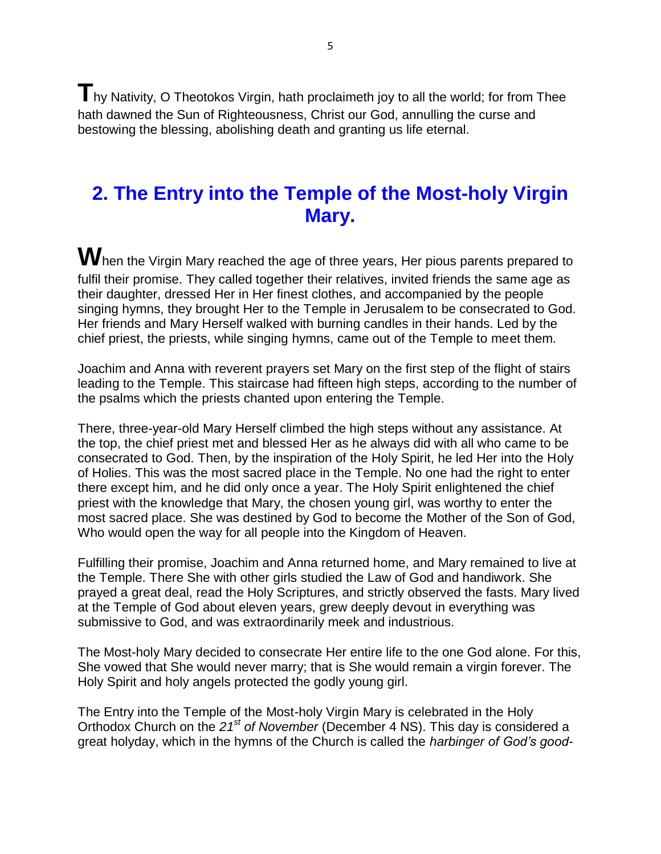**T**hy Nativity, O Theotokos Virgin, hath proclaimeth joy to all the world; for from Thee hath dawned the Sun of Righteousness, Christ our God, annulling the curse and bestowing the blessing, abolishing death and granting us life eternal.

### **2. The Entry into the Temple of the Most-holy Virgin Mary.**

When the Virgin Mary reached the age of three years, Her pious parents prepared to fulfil their promise. They called together their relatives, invited friends the same age as their daughter, dressed Her in Her finest clothes, and accompanied by the people singing hymns, they brought Her to the Temple in Jerusalem to be consecrated to God. Her friends and Mary Herself walked with burning candles in their hands. Led by the chief priest, the priests, while singing hymns, came out of the Temple to meet them.

Joachim and Anna with reverent prayers set Mary on the first step of the flight of stairs leading to the Temple. This staircase had fifteen high steps, according to the number of the psalms which the priests chanted upon entering the Temple.

There, three-year-old Mary Herself climbed the high steps without any assistance. At the top, the chief priest met and blessed Her as he always did with all who came to be consecrated to God. Then, by the inspiration of the Holy Spirit, he led Her into the Holy of Holies. This was the most sacred place in the Temple. No one had the right to enter there except him, and he did only once a year. The Holy Spirit enlightened the chief priest with the knowledge that Mary, the chosen young girl, was worthy to enter the most sacred place. She was destined by God to become the Mother of the Son of God, Who would open the way for all people into the Kingdom of Heaven.

Fulfilling their promise, Joachim and Anna returned home, and Mary remained to live at the Temple. There She with other girls studied the Law of God and handiwork. She prayed a great deal, read the Holy Scriptures, and strictly observed the fasts. Mary lived at the Temple of God about eleven years, grew deeply devout in everything was submissive to God, and was extraordinarily meek and industrious.

The Most-holy Mary decided to consecrate Her entire life to the one God alone. For this, She vowed that She would never marry; that is She would remain a virgin forever. The Holy Spirit and holy angels protected the godly young girl.

The Entry into the Temple of the Most-holy Virgin Mary is celebrated in the Holy Orthodox Church on the *21st of November* (December 4 NS). This day is considered a great holyday, which in the hymns of the Church is called the *harbinger of God's good-*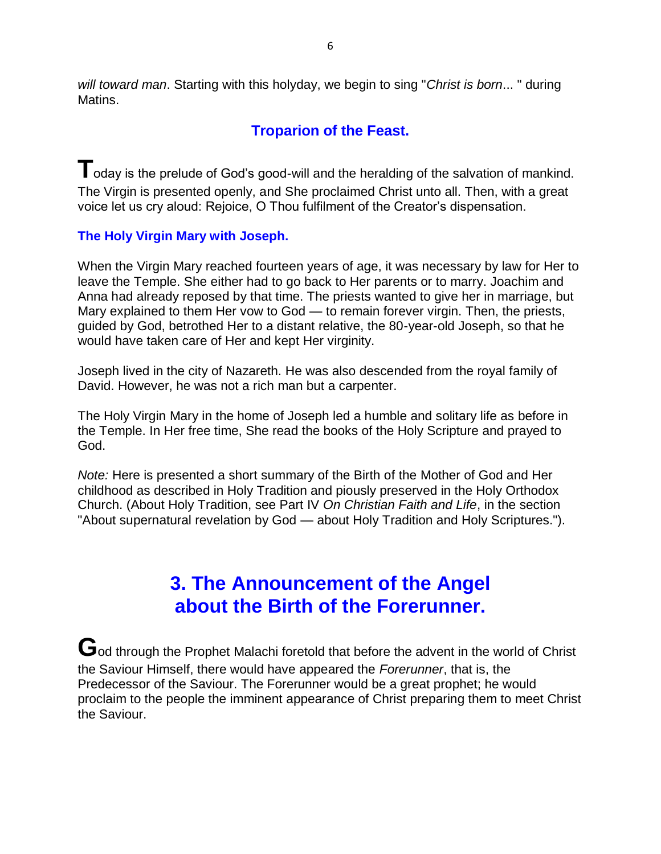*will toward man*. Starting with this holyday, we begin to sing "*Christ is born*... " during Matins.

### **Troparion of the Feast.**

**T**oday is the prelude of God's good-will and the heralding of the salvation of mankind. The Virgin is presented openly, and She proclaimed Christ unto all. Then, with a great voice let us cry aloud: Rejoice, O Thou fulfilment of the Creator's dispensation.

#### **The Holy Virgin Mary with Joseph.**

When the Virgin Mary reached fourteen years of age, it was necessary by law for Her to leave the Temple. She either had to go back to Her parents or to marry. Joachim and Anna had already reposed by that time. The priests wanted to give her in marriage, but Mary explained to them Her vow to God — to remain forever virgin. Then, the priests, guided by God, betrothed Her to a distant relative, the 80-year-old Joseph, so that he would have taken care of Her and kept Her virginity.

Joseph lived in the city of Nazareth. He was also descended from the royal family of David. However, he was not a rich man but a carpenter.

The Holy Virgin Mary in the home of Joseph led a humble and solitary life as before in the Temple. In Her free time, She read the books of the Holy Scripture and prayed to God.

*Note:* Here is presented a short summary of the Birth of the Mother of God and Her childhood as described in Holy Tradition and piously preserved in the Holy Orthodox Church. (About Holy Tradition, see Part IV *On Christian Faith and Life*, in the section "About supernatural revelation by God — about Holy Tradition and Holy Scriptures.").

### **3. The Announcement of the Angel about the Birth of the Forerunner.**

God through the Prophet Malachi foretold that before the advent in the world of Christ the Saviour Himself, there would have appeared the *Forerunner*, that is, the Predecessor of the Saviour. The Forerunner would be a great prophet; he would proclaim to the people the imminent appearance of Christ preparing them to meet Christ the Saviour.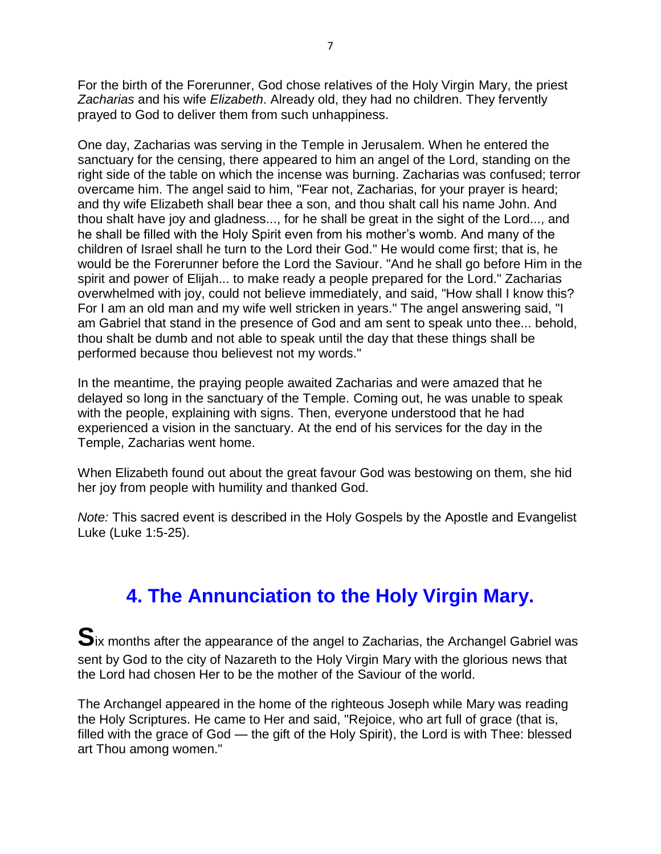For the birth of the Forerunner, God chose relatives of the Holy Virgin Mary, the priest *Zacharias* and his wife *Elizabeth*. Already old, they had no children. They fervently prayed to God to deliver them from such unhappiness.

One day, Zacharias was serving in the Temple in Jerusalem. When he entered the sanctuary for the censing, there appeared to him an angel of the Lord, standing on the right side of the table on which the incense was burning. Zacharias was confused; terror overcame him. The angel said to him, "Fear not, Zacharias, for your prayer is heard; and thy wife Elizabeth shall bear thee a son, and thou shalt call his name John. And thou shalt have joy and gladness..., for he shall be great in the sight of the Lord..., and he shall be filled with the Holy Spirit even from his mother's womb. And many of the children of Israel shall he turn to the Lord their God." He would come first; that is, he would be the Forerunner before the Lord the Saviour. "And he shall go before Him in the spirit and power of Elijah... to make ready a people prepared for the Lord." Zacharias overwhelmed with joy, could not believe immediately, and said, "How shall I know this? For I am an old man and my wife well stricken in years." The angel answering said, "I am Gabriel that stand in the presence of God and am sent to speak unto thee... behold, thou shalt be dumb and not able to speak until the day that these things shall be performed because thou believest not my words."

In the meantime, the praying people awaited Zacharias and were amazed that he delayed so long in the sanctuary of the Temple. Coming out, he was unable to speak with the people, explaining with signs. Then, everyone understood that he had experienced a vision in the sanctuary. At the end of his services for the day in the Temple, Zacharias went home.

When Elizabeth found out about the great favour God was bestowing on them, she hid her joy from people with humility and thanked God.

*Note:* This sacred event is described in the Holy Gospels by the Apostle and Evangelist Luke (Luke 1:5-25).

### **4. The Annunciation to the Holy Virgin Mary.**

**S**ix months after the appearance of the angel to Zacharias, the Archangel Gabriel was sent by God to the city of Nazareth to the Holy Virgin Mary with the glorious news that the Lord had chosen Her to be the mother of the Saviour of the world.

The Archangel appeared in the home of the righteous Joseph while Mary was reading the Holy Scriptures. He came to Her and said, "Rejoice, who art full of grace (that is, filled with the grace of God — the gift of the Holy Spirit), the Lord is with Thee: blessed art Thou among women."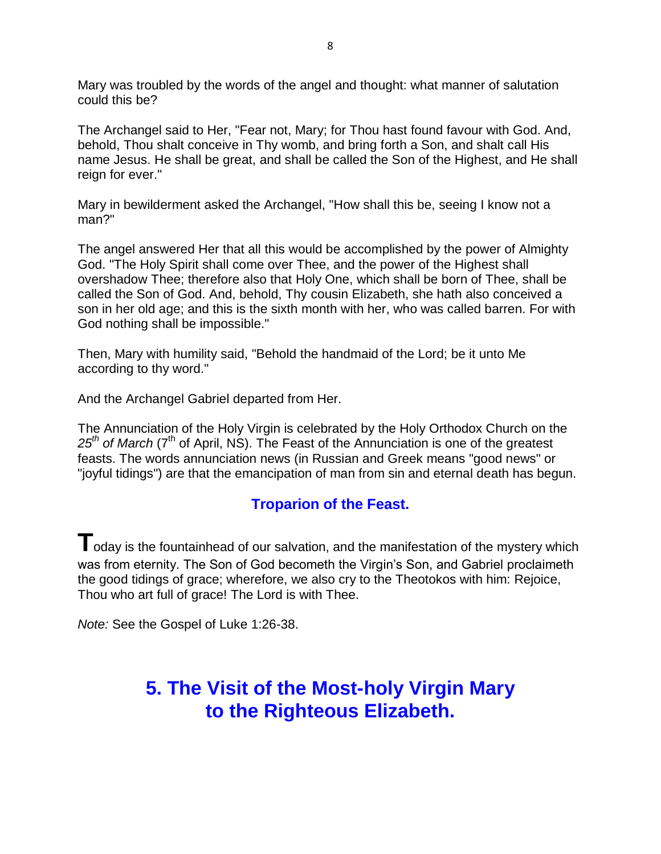Mary was troubled by the words of the angel and thought: what manner of salutation could this be?

The Archangel said to Her, "Fear not, Mary; for Thou hast found favour with God. And, behold, Thou shalt conceive in Thy womb, and bring forth a Son, and shalt call His name Jesus. He shall be great, and shall be called the Son of the Highest, and He shall reign for ever."

Mary in bewilderment asked the Archangel, "How shall this be, seeing I know not a man?"

The angel answered Her that all this would be accomplished by the power of Almighty God. "The Holy Spirit shall come over Thee, and the power of the Highest shall overshadow Thee; therefore also that Holy One, which shall be born of Thee, shall be called the Son of God. And, behold, Thy cousin Elizabeth, she hath also conceived a son in her old age; and this is the sixth month with her, who was called barren. For with God nothing shall be impossible."

Then, Mary with humility said, "Behold the handmaid of the Lord; be it unto Me according to thy word."

And the Archangel Gabriel departed from Her.

The Annunciation of the Holy Virgin is celebrated by the Holy Orthodox Church on the 25<sup>th</sup> of March (7<sup>th</sup> of April, NS). The Feast of the Annunciation is one of the greatest feasts. The words annunciation news (in Russian and Greek means "good news" or "joyful tidings") are that the emancipation of man from sin and eternal death has begun.

### **Troparion of the Feast.**

**T** oday is the fountainhead of our salvation, and the manifestation of the mystery which was from eternity. The Son of God becometh the Virgin's Son, and Gabriel proclaimeth the good tidings of grace; wherefore, we also cry to the Theotokos with him: Rejoice, Thou who art full of grace! The Lord is with Thee.

*Note:* See the Gospel of Luke 1:26-38.

### **5. The Visit of the Most-holy Virgin Mary to the Righteous Elizabeth.**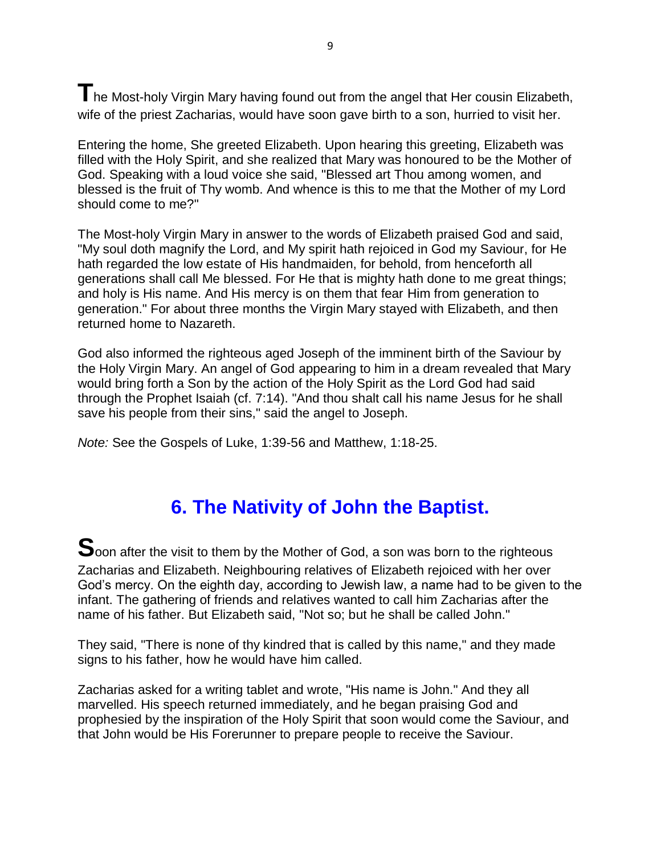**T**he Most-holy Virgin Mary having found out from the angel that Her cousin Elizabeth, wife of the priest Zacharias, would have soon gave birth to a son, hurried to visit her.

Entering the home, She greeted Elizabeth. Upon hearing this greeting, Elizabeth was filled with the Holy Spirit, and she realized that Mary was honoured to be the Mother of God. Speaking with a loud voice she said, "Blessed art Thou among women, and blessed is the fruit of Thy womb. And whence is this to me that the Mother of my Lord should come to me?"

The Most-holy Virgin Mary in answer to the words of Elizabeth praised God and said, "My soul doth magnify the Lord, and My spirit hath rejoiced in God my Saviour, for He hath regarded the low estate of His handmaiden, for behold, from henceforth all generations shall call Me blessed. For He that is mighty hath done to me great things; and holy is His name. And His mercy is on them that fear Him from generation to generation." For about three months the Virgin Mary stayed with Elizabeth, and then returned home to Nazareth.

God also informed the righteous aged Joseph of the imminent birth of the Saviour by the Holy Virgin Mary. An angel of God appearing to him in a dream revealed that Mary would bring forth a Son by the action of the Holy Spirit as the Lord God had said through the Prophet Isaiah (cf. 7:14). "And thou shalt call his name Jesus for he shall save his people from their sins," said the angel to Joseph.

*Note:* See the Gospels of Luke, 1:39-56 and Matthew, 1:18-25.

### **6. The Nativity of John the Baptist.**

**S**oon after the visit to them by the Mother of God, a son was born to the righteous Zacharias and Elizabeth. Neighbouring relatives of Elizabeth rejoiced with her over God's mercy. On the eighth day, according to Jewish law, a name had to be given to the infant. The gathering of friends and relatives wanted to call him Zacharias after the name of his father. But Elizabeth said, "Not so; but he shall be called John."

They said, "There is none of thy kindred that is called by this name," and they made signs to his father, how he would have him called.

Zacharias asked for a writing tablet and wrote, "His name is John." And they all marvelled. His speech returned immediately, and he began praising God and prophesied by the inspiration of the Holy Spirit that soon would come the Saviour, and that John would be His Forerunner to prepare people to receive the Saviour.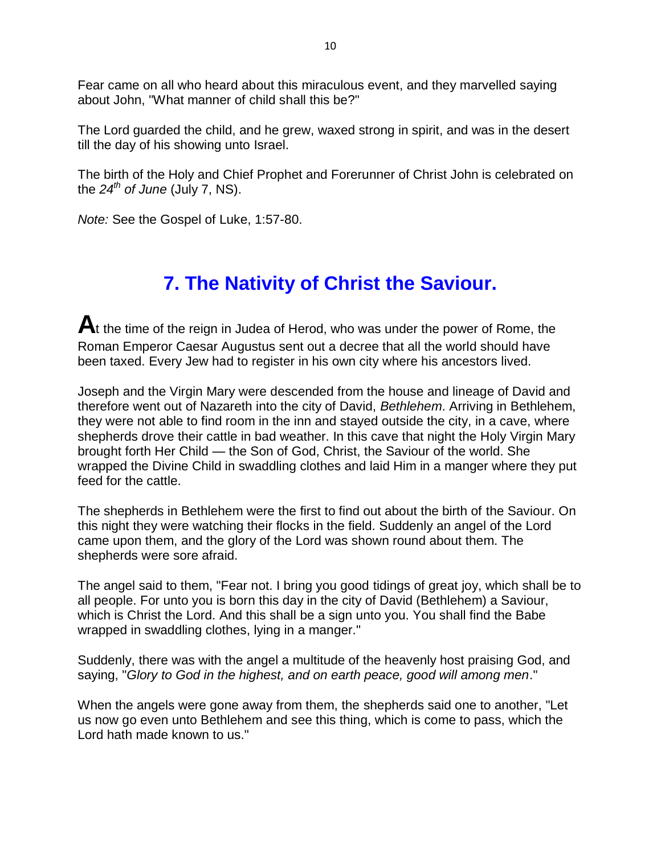Fear came on all who heard about this miraculous event, and they marvelled saying about John, "What manner of child shall this be?"

The Lord guarded the child, and he grew, waxed strong in spirit, and was in the desert till the day of his showing unto Israel.

The birth of the Holy and Chief Prophet and Forerunner of Christ John is celebrated on the  $24^{th}$  *of June* (July 7, NS).

*Note:* See the Gospel of Luke, 1:57-80.

### **7. The Nativity of Christ the Saviour.**

At the time of the reign in Judea of Herod, who was under the power of Rome, the Roman Emperor Caesar Augustus sent out a decree that all the world should have been taxed. Every Jew had to register in his own city where his ancestors lived.

Joseph and the Virgin Mary were descended from the house and lineage of David and therefore went out of Nazareth into the city of David, *Bethlehem*. Arriving in Bethlehem, they were not able to find room in the inn and stayed outside the city, in a cave, where shepherds drove their cattle in bad weather. In this cave that night the Holy Virgin Mary brought forth Her Child — the Son of God, Christ, the Saviour of the world. She wrapped the Divine Child in swaddling clothes and laid Him in a manger where they put feed for the cattle.

The shepherds in Bethlehem were the first to find out about the birth of the Saviour. On this night they were watching their flocks in the field. Suddenly an angel of the Lord came upon them, and the glory of the Lord was shown round about them. The shepherds were sore afraid.

The angel said to them, "Fear not. I bring you good tidings of great joy, which shall be to all people. For unto you is born this day in the city of David (Bethlehem) a Saviour, which is Christ the Lord. And this shall be a sign unto you. You shall find the Babe wrapped in swaddling clothes, lying in a manger."

Suddenly, there was with the angel a multitude of the heavenly host praising God, and saying, "*Glory to God in the highest, and on earth peace, good will among men*."

When the angels were gone away from them, the shepherds said one to another, "Let us now go even unto Bethlehem and see this thing, which is come to pass, which the Lord hath made known to us."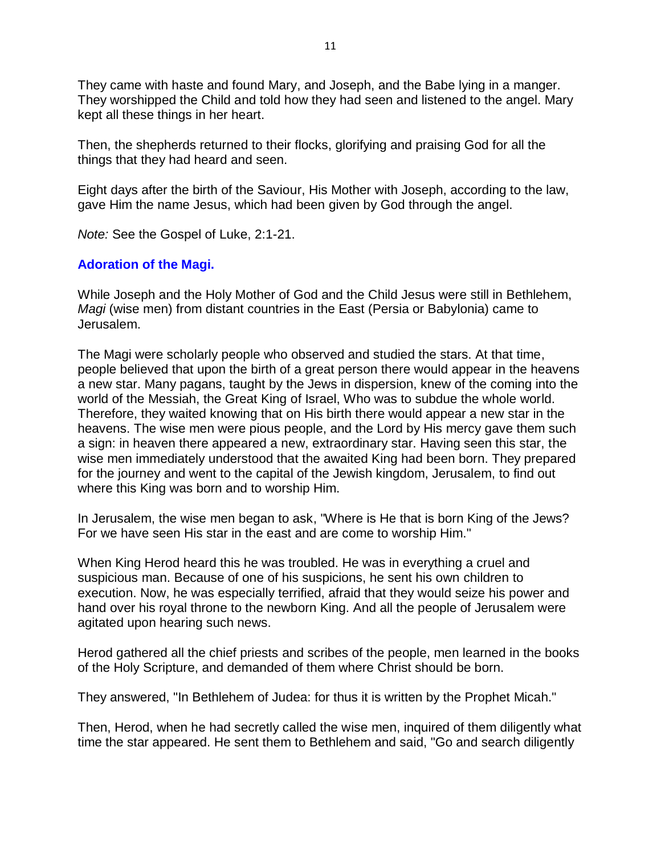They came with haste and found Mary, and Joseph, and the Babe lying in a manger. They worshipped the Child and told how they had seen and listened to the angel. Mary kept all these things in her heart.

Then, the shepherds returned to their flocks, glorifying and praising God for all the things that they had heard and seen.

Eight days after the birth of the Saviour, His Mother with Joseph, according to the law, gave Him the name Jesus, which had been given by God through the angel.

*Note:* See the Gospel of Luke, 2:1-21.

#### **Adoration of the Magi.**

While Joseph and the Holy Mother of God and the Child Jesus were still in Bethlehem, *Magi* (wise men) from distant countries in the East (Persia or Babylonia) came to Jerusalem.

The Magi were scholarly people who observed and studied the stars. At that time, people believed that upon the birth of a great person there would appear in the heavens a new star. Many pagans, taught by the Jews in dispersion, knew of the coming into the world of the Messiah, the Great King of Israel, Who was to subdue the whole world. Therefore, they waited knowing that on His birth there would appear a new star in the heavens. The wise men were pious people, and the Lord by His mercy gave them such a sign: in heaven there appeared a new, extraordinary star. Having seen this star, the wise men immediately understood that the awaited King had been born. They prepared for the journey and went to the capital of the Jewish kingdom, Jerusalem, to find out where this King was born and to worship Him.

In Jerusalem, the wise men began to ask, "Where is He that is born King of the Jews? For we have seen His star in the east and are come to worship Him."

When King Herod heard this he was troubled. He was in everything a cruel and suspicious man. Because of one of his suspicions, he sent his own children to execution. Now, he was especially terrified, afraid that they would seize his power and hand over his royal throne to the newborn King. And all the people of Jerusalem were agitated upon hearing such news.

Herod gathered all the chief priests and scribes of the people, men learned in the books of the Holy Scripture, and demanded of them where Christ should be born.

They answered, "In Bethlehem of Judea: for thus it is written by the Prophet Micah."

Then, Herod, when he had secretly called the wise men, inquired of them diligently what time the star appeared. He sent them to Bethlehem and said, "Go and search diligently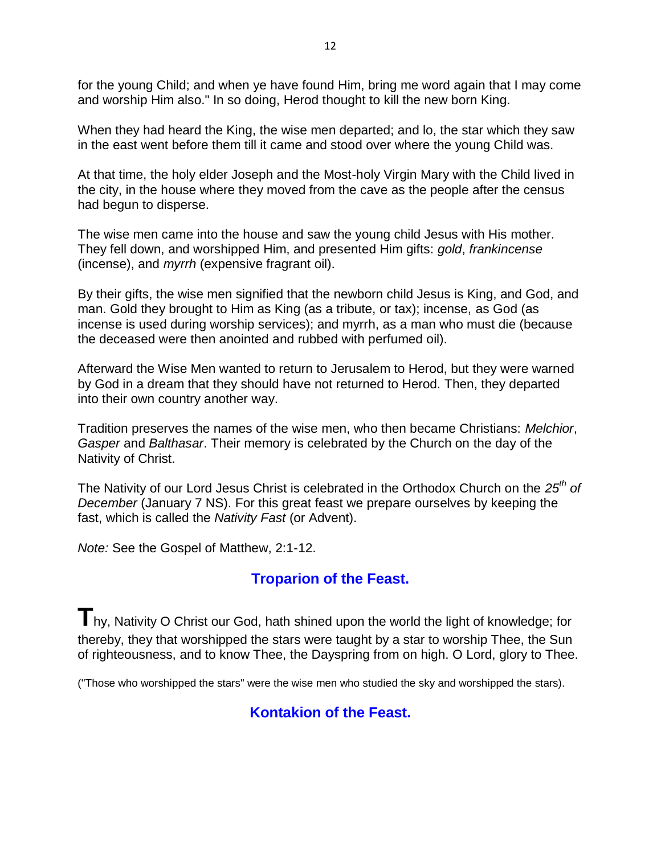for the young Child; and when ye have found Him, bring me word again that I may come and worship Him also." In so doing, Herod thought to kill the new born King.

When they had heard the King, the wise men departed; and lo, the star which they saw in the east went before them till it came and stood over where the young Child was.

At that time, the holy elder Joseph and the Most-holy Virgin Mary with the Child lived in the city, in the house where they moved from the cave as the people after the census had begun to disperse.

The wise men came into the house and saw the young child Jesus with His mother. They fell down, and worshipped Him, and presented Him gifts: *gold*, *frankincense* (incense), and *myrrh* (expensive fragrant oil).

By their gifts, the wise men signified that the newborn child Jesus is King, and God, and man. Gold they brought to Him as King (as a tribute, or tax); incense, as God (as incense is used during worship services); and myrrh, as a man who must die (because the deceased were then anointed and rubbed with perfumed oil).

Afterward the Wise Men wanted to return to Jerusalem to Herod, but they were warned by God in a dream that they should have not returned to Herod. Then, they departed into their own country another way.

Tradition preserves the names of the wise men, who then became Christians: *Melchior*, *Gasper* and *Balthasar*. Their memory is celebrated by the Church on the day of the Nativity of Christ.

The Nativity of our Lord Jesus Christ is celebrated in the Orthodox Church on the *25th of December* (January 7 NS). For this great feast we prepare ourselves by keeping the fast, which is called the *Nativity Fast* (or Advent).

*Note:* See the Gospel of Matthew, 2:1-12.

### **Troparion of the Feast.**

**T**hy, Nativity O Christ our God, hath shined upon the world the light of knowledge; for thereby, they that worshipped the stars were taught by a star to worship Thee, the Sun of righteousness, and to know Thee, the Dayspring from on high. O Lord, glory to Thee.

("Those who worshipped the stars" were the wise men who studied the sky and worshipped the stars).

### **Kontakion of the Feast.**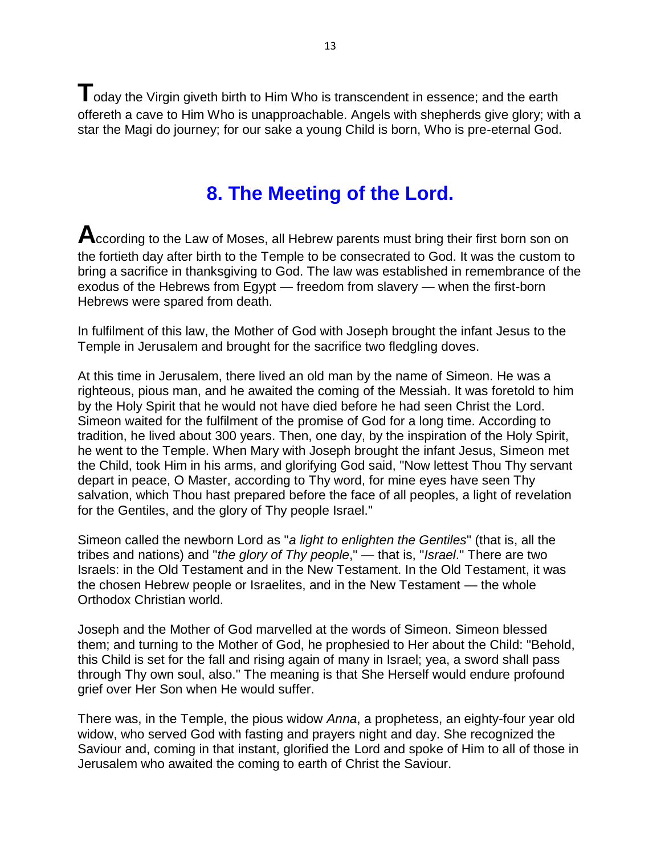**T**oday the Virgin giveth birth to Him Who is transcendent in essence; and the earth offereth a cave to Him Who is unapproachable. Angels with shepherds give glory; with a star the Magi do journey; for our sake a young Child is born, Who is pre-eternal God.

### **8. The Meeting of the Lord.**

According to the Law of Moses, all Hebrew parents must bring their first born son on the fortieth day after birth to the Temple to be consecrated to God. It was the custom to bring a sacrifice in thanksgiving to God. The law was established in remembrance of the exodus of the Hebrews from Egypt — freedom from slavery — when the first-born Hebrews were spared from death.

In fulfilment of this law, the Mother of God with Joseph brought the infant Jesus to the Temple in Jerusalem and brought for the sacrifice two fledgling doves.

At this time in Jerusalem, there lived an old man by the name of Simeon. He was a righteous, pious man, and he awaited the coming of the Messiah. It was foretold to him by the Holy Spirit that he would not have died before he had seen Christ the Lord. Simeon waited for the fulfilment of the promise of God for a long time. According to tradition, he lived about 300 years. Then, one day, by the inspiration of the Holy Spirit, he went to the Temple. When Mary with Joseph brought the infant Jesus, Simeon met the Child, took Him in his arms, and glorifying God said, "Now lettest Thou Thy servant depart in peace, O Master, according to Thy word, for mine eyes have seen Thy salvation, which Thou hast prepared before the face of all peoples, a light of revelation for the Gentiles, and the glory of Thy people Israel."

Simeon called the newborn Lord as "*a light to enlighten the Gentiles*" (that is, all the tribes and nations) and "*the glory of Thy people*," — that is, "*Israel*." There are two Israels: in the Old Testament and in the New Testament. In the Old Testament, it was the chosen Hebrew people or Israelites, and in the New Testament — the whole Orthodox Christian world.

Joseph and the Mother of God marvelled at the words of Simeon. Simeon blessed them; and turning to the Mother of God, he prophesied to Her about the Child: "Behold, this Child is set for the fall and rising again of many in Israel; yea, a sword shall pass through Thy own soul, also." The meaning is that She Herself would endure profound grief over Her Son when He would suffer.

There was, in the Temple, the pious widow *Anna*, a prophetess, an eighty-four year old widow, who served God with fasting and prayers night and day. She recognized the Saviour and, coming in that instant, glorified the Lord and spoke of Him to all of those in Jerusalem who awaited the coming to earth of Christ the Saviour.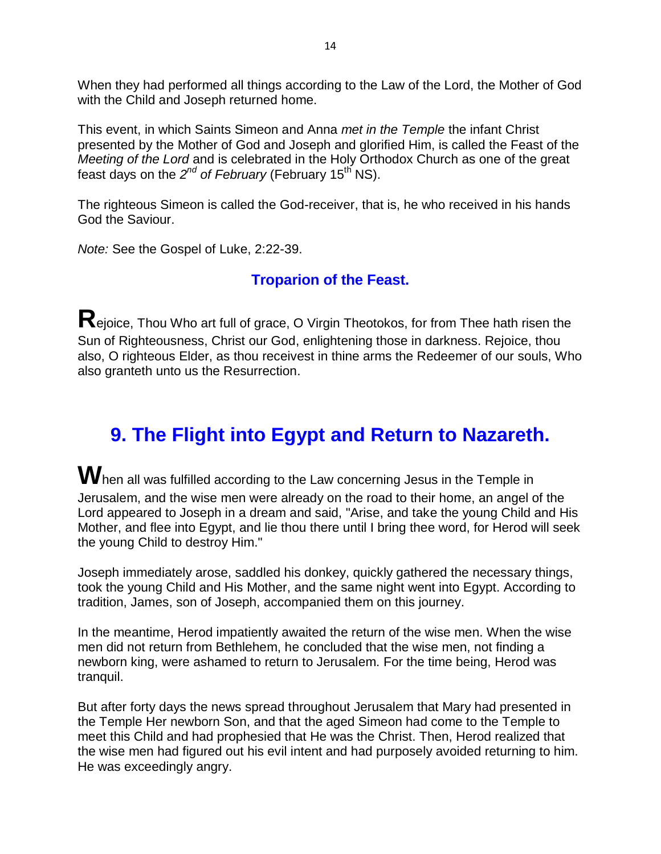When they had performed all things according to the Law of the Lord, the Mother of God with the Child and Joseph returned home.

This event, in which Saints Simeon and Anna *met in the Temple* the infant Christ presented by the Mother of God and Joseph and glorified Him, is called the Feast of the *Meeting of the Lord* and is celebrated in the Holy Orthodox Church as one of the great feast days on the 2<sup>nd</sup> of February (February 15<sup>th</sup> NS).

The righteous Simeon is called the God-receiver, that is, he who received in his hands God the Saviour.

*Note:* See the Gospel of Luke, 2:22-39.

### **Troparion of the Feast.**

**R**ejoice, Thou Who art full of grace, O Virgin Theotokos, for from Thee hath risen the Sun of Righteousness, Christ our God, enlightening those in darkness. Rejoice, thou also, O righteous Elder, as thou receivest in thine arms the Redeemer of our souls, Who also granteth unto us the Resurrection.

### **9. The Flight into Egypt and Return to Nazareth.**

**W**hen all was fulfilled according to the Law concerning Jesus in the Temple in Jerusalem, and the wise men were already on the road to their home, an angel of the Lord appeared to Joseph in a dream and said, "Arise, and take the young Child and His Mother, and flee into Egypt, and lie thou there until I bring thee word, for Herod will seek the young Child to destroy Him."

Joseph immediately arose, saddled his donkey, quickly gathered the necessary things, took the young Child and His Mother, and the same night went into Egypt. According to tradition, James, son of Joseph, accompanied them on this journey.

In the meantime, Herod impatiently awaited the return of the wise men. When the wise men did not return from Bethlehem, he concluded that the wise men, not finding a newborn king, were ashamed to return to Jerusalem. For the time being, Herod was tranquil.

But after forty days the news spread throughout Jerusalem that Mary had presented in the Temple Her newborn Son, and that the aged Simeon had come to the Temple to meet this Child and had prophesied that He was the Christ. Then, Herod realized that the wise men had figured out his evil intent and had purposely avoided returning to him. He was exceedingly angry.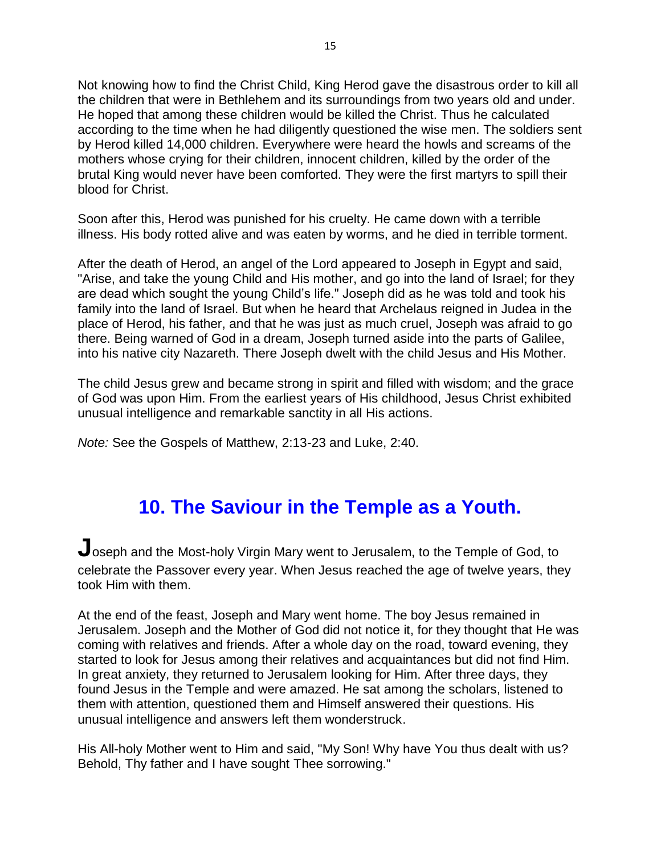Not knowing how to find the Christ Child, King Herod gave the disastrous order to kill all the children that were in Bethlehem and its surroundings from two years old and under. He hoped that among these children would be killed the Christ. Thus he calculated according to the time when he had diligently questioned the wise men. The soldiers sent by Herod killed 14,000 children. Everywhere were heard the howls and screams of the mothers whose crying for their children, innocent children, killed by the order of the brutal King would never have been comforted. They were the first martyrs to spill their blood for Christ.

Soon after this, Herod was punished for his cruelty. He came down with a terrible illness. His body rotted alive and was eaten by worms, and he died in terrible torment.

After the death of Herod, an angel of the Lord appeared to Joseph in Egypt and said, "Arise, and take the young Child and His mother, and go into the land of Israel; for they are dead which sought the young Child's life." Joseph did as he was told and took his family into the land of Israel. But when he heard that Archelaus reigned in Judea in the place of Herod, his father, and that he was just as much cruel, Joseph was afraid to go there. Being warned of God in a dream, Joseph turned aside into the parts of Galilee, into his native city Nazareth. There Joseph dwelt with the child Jesus and His Mother.

The child Jesus grew and became strong in spirit and filled with wisdom; and the grace of God was upon Him. From the earliest years of His childhood, Jesus Christ exhibited unusual intelligence and remarkable sanctity in all His actions.

*Note:* See the Gospels of Matthew, 2:13-23 and Luke, 2:40.

### **10. The Saviour in the Temple as a Youth.**

**J**oseph and the Most-holy Virgin Mary went to Jerusalem, to the Temple of God, to celebrate the Passover every year. When Jesus reached the age of twelve years, they took Him with them.

At the end of the feast, Joseph and Mary went home. The boy Jesus remained in Jerusalem. Joseph and the Mother of God did not notice it, for they thought that He was coming with relatives and friends. After a whole day on the road, toward evening, they started to look for Jesus among their relatives and acquaintances but did not find Him. In great anxiety, they returned to Jerusalem looking for Him. After three days, they found Jesus in the Temple and were amazed. He sat among the scholars, listened to them with attention, questioned them and Himself answered their questions. His unusual intelligence and answers left them wonderstruck.

His All-holy Mother went to Him and said, "My Son! Why have You thus dealt with us? Behold, Thy father and I have sought Thee sorrowing."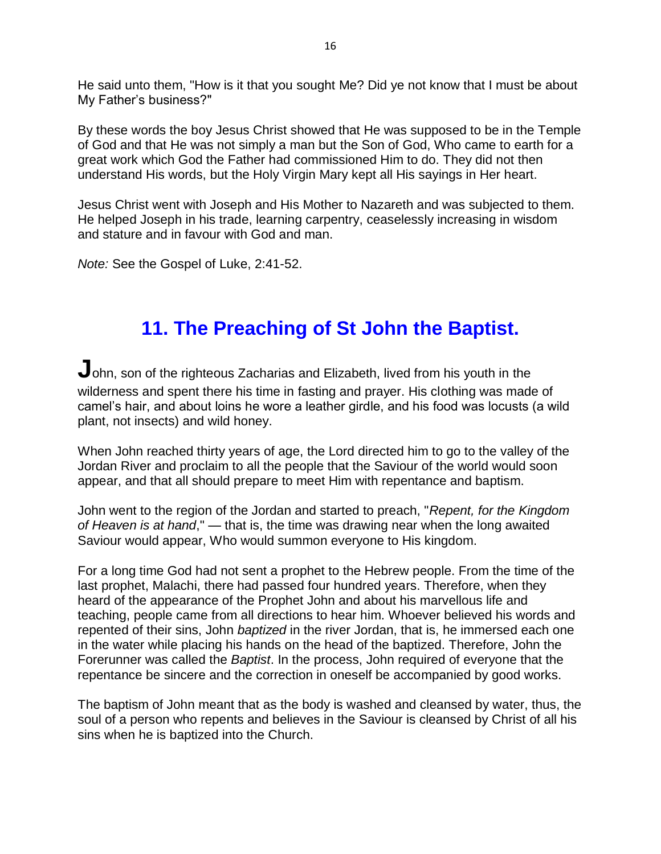He said unto them, "How is it that you sought Me? Did ye not know that I must be about My Father's business?"

By these words the boy Jesus Christ showed that He was supposed to be in the Temple of God and that He was not simply a man but the Son of God, Who came to earth for a great work which God the Father had commissioned Him to do. They did not then understand His words, but the Holy Virgin Mary kept all His sayings in Her heart.

Jesus Christ went with Joseph and His Mother to Nazareth and was subjected to them. He helped Joseph in his trade, learning carpentry, ceaselessly increasing in wisdom and stature and in favour with God and man.

*Note:* See the Gospel of Luke, 2:41-52.

### **11. The Preaching of St John the Baptist.**

John, son of the righteous Zacharias and Elizabeth, lived from his youth in the wilderness and spent there his time in fasting and prayer. His clothing was made of camel's hair, and about loins he wore a leather girdle, and his food was locusts (a wild plant, not insects) and wild honey.

When John reached thirty years of age, the Lord directed him to go to the valley of the Jordan River and proclaim to all the people that the Saviour of the world would soon appear, and that all should prepare to meet Him with repentance and baptism.

John went to the region of the Jordan and started to preach, "*Repent, for the Kingdom of Heaven is at hand*," — that is, the time was drawing near when the long awaited Saviour would appear, Who would summon everyone to His kingdom.

For a long time God had not sent a prophet to the Hebrew people. From the time of the last prophet, Malachi, there had passed four hundred years. Therefore, when they heard of the appearance of the Prophet John and about his marvellous life and teaching, people came from all directions to hear him. Whoever believed his words and repented of their sins, John *baptized* in the river Jordan, that is, he immersed each one in the water while placing his hands on the head of the baptized. Therefore, John the Forerunner was called the *Baptist*. In the process, John required of everyone that the repentance be sincere and the correction in oneself be accompanied by good works.

The baptism of John meant that as the body is washed and cleansed by water, thus, the soul of a person who repents and believes in the Saviour is cleansed by Christ of all his sins when he is baptized into the Church.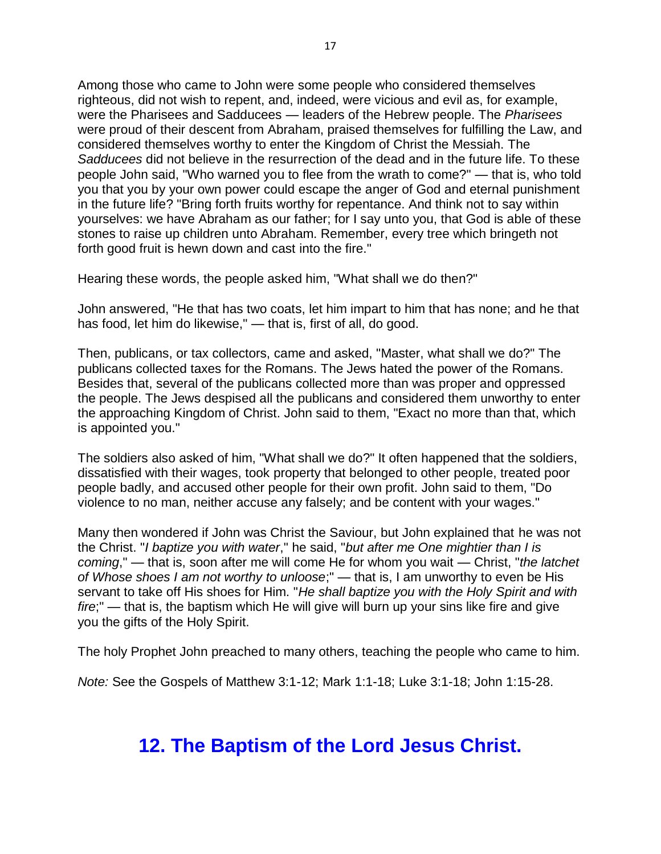Among those who came to John were some people who considered themselves righteous, did not wish to repent, and, indeed, were vicious and evil as, for example, were the Pharisees and Sadducees — leaders of the Hebrew people. The *Pharisees* were proud of their descent from Abraham, praised themselves for fulfilling the Law, and considered themselves worthy to enter the Kingdom of Christ the Messiah. The *Sadducees* did not believe in the resurrection of the dead and in the future life. To these people John said, "Who warned you to flee from the wrath to come?" — that is, who told you that you by your own power could escape the anger of God and eternal punishment in the future life? "Bring forth fruits worthy for repentance. And think not to say within yourselves: we have Abraham as our father; for I say unto you, that God is able of these stones to raise up children unto Abraham. Remember, every tree which bringeth not forth good fruit is hewn down and cast into the fire."

Hearing these words, the people asked him, "What shall we do then?"

John answered, "He that has two coats, let him impart to him that has none; and he that has food, let him do likewise," — that is, first of all, do good.

Then, publicans, or tax collectors, came and asked, "Master, what shall we do?" The publicans collected taxes for the Romans. The Jews hated the power of the Romans. Besides that, several of the publicans collected more than was proper and oppressed the people. The Jews despised all the publicans and considered them unworthy to enter the approaching Kingdom of Christ. John said to them, "Exact no more than that, which is appointed you."

The soldiers also asked of him, "What shall we do?" It often happened that the soldiers, dissatisfied with their wages, took property that belonged to other people, treated poor people badly, and accused other people for their own profit. John said to them, "Do violence to no man, neither accuse any falsely; and be content with your wages."

Many then wondered if John was Christ the Saviour, but John explained that he was not the Christ. "*I baptize you with water*," he said, "*but after me One mightier than I is coming*," — that is, soon after me will come He for whom you wait — Christ, "*the latchet of Whose shoes I am not worthy to unloose*;" — that is, I am unworthy to even be His servant to take off His shoes for Him. "*He shall baptize you with the Holy Spirit and with fire*;" — that is, the baptism which He will give will burn up your sins like fire and give you the gifts of the Holy Spirit.

The holy Prophet John preached to many others, teaching the people who came to him.

*Note:* See the Gospels of Matthew 3:1-12; Mark 1:1-18; Luke 3:1-18; John 1:15-28.

### **12. The Baptism of the Lord Jesus Christ.**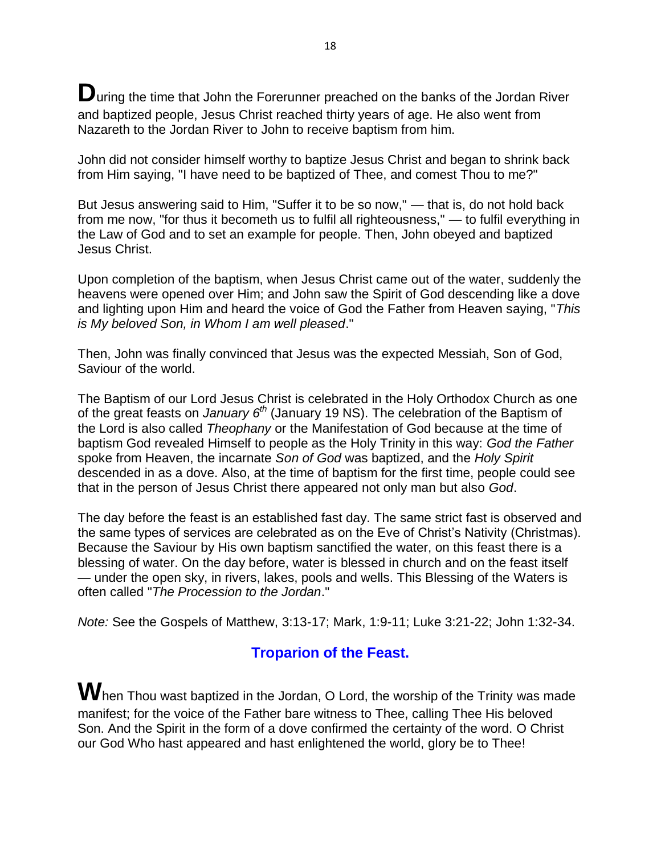**D**uring the time that John the Forerunner preached on the banks of the Jordan River and baptized people, Jesus Christ reached thirty years of age. He also went from Nazareth to the Jordan River to John to receive baptism from him.

John did not consider himself worthy to baptize Jesus Christ and began to shrink back from Him saying, "I have need to be baptized of Thee, and comest Thou to me?"

But Jesus answering said to Him, "Suffer it to be so now," — that is, do not hold back from me now, "for thus it becometh us to fulfil all righteousness," — to fulfil everything in the Law of God and to set an example for people. Then, John obeyed and baptized Jesus Christ.

Upon completion of the baptism, when Jesus Christ came out of the water, suddenly the heavens were opened over Him; and John saw the Spirit of God descending like a dove and lighting upon Him and heard the voice of God the Father from Heaven saying, "*This is My beloved Son, in Whom I am well pleased*."

Then, John was finally convinced that Jesus was the expected Messiah, Son of God, Saviour of the world.

The Baptism of our Lord Jesus Christ is celebrated in the Holy Orthodox Church as one of the great feasts on *January 6th* (January 19 NS). The celebration of the Baptism of the Lord is also called *Theophany* or the Manifestation of God because at the time of baptism God revealed Himself to people as the Holy Trinity in this way: *God the Father* spoke from Heaven, the incarnate *Son of God* was baptized, and the *Holy Spirit* descended in as a dove. Also, at the time of baptism for the first time, people could see that in the person of Jesus Christ there appeared not only man but also *God*.

The day before the feast is an established fast day. The same strict fast is observed and the same types of services are celebrated as on the Eve of Christ's Nativity (Christmas). Because the Saviour by His own baptism sanctified the water, on this feast there is a blessing of water. On the day before, water is blessed in church and on the feast itself — under the open sky, in rivers, lakes, pools and wells. This Blessing of the Waters is often called "*The Procession to the Jordan*."

*Note:* See the Gospels of Matthew, 3:13-17; Mark, 1:9-11; Luke 3:21-22; John 1:32-34.

### **Troparion of the Feast.**

**W**hen Thou wast baptized in the Jordan, O Lord, the worship of the Trinity was made manifest; for the voice of the Father bare witness to Thee, calling Thee His beloved Son. And the Spirit in the form of a dove confirmed the certainty of the word. O Christ our God Who hast appeared and hast enlightened the world, glory be to Thee!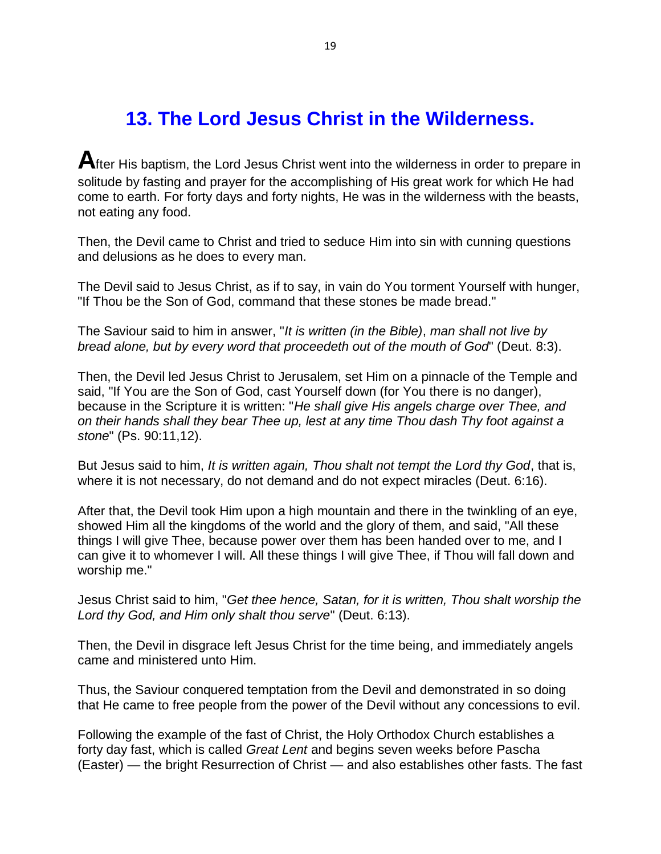### **13. The Lord Jesus Christ in the Wilderness.**

**A**fter His baptism, the Lord Jesus Christ went into the wilderness in order to prepare in solitude by fasting and prayer for the accomplishing of His great work for which He had come to earth. For forty days and forty nights, He was in the wilderness with the beasts, not eating any food.

Then, the Devil came to Christ and tried to seduce Him into sin with cunning questions and delusions as he does to every man.

The Devil said to Jesus Christ, as if to say, in vain do You torment Yourself with hunger, "If Thou be the Son of God, command that these stones be made bread."

The Saviour said to him in answer, "*It is written (in the Bible)*, *man shall not live by bread alone, but by every word that proceedeth out of the mouth of God*" (Deut. 8:3).

Then, the Devil led Jesus Christ to Jerusalem, set Him on a pinnacle of the Temple and said, "If You are the Son of God, cast Yourself down (for You there is no danger), because in the Scripture it is written: "*He shall give His angels charge over Thee, and on their hands shall they bear Thee up, lest at any time Thou dash Thy foot against a stone*" (Ps. 90:11,12).

But Jesus said to him, *It is written again, Thou shalt not tempt the Lord thy God*, that is, where it is not necessary, do not demand and do not expect miracles (Deut. 6:16).

After that, the Devil took Him upon a high mountain and there in the twinkling of an eye, showed Him all the kingdoms of the world and the glory of them, and said, "All these things I will give Thee, because power over them has been handed over to me, and I can give it to whomever I will. All these things I will give Thee, if Thou will fall down and worship me."

Jesus Christ said to him, "*Get thee hence, Satan, for it is written, Thou shalt worship the Lord thy God, and Him only shalt thou serve*" (Deut. 6:13).

Then, the Devil in disgrace left Jesus Christ for the time being, and immediately angels came and ministered unto Him.

Thus, the Saviour conquered temptation from the Devil and demonstrated in so doing that He came to free people from the power of the Devil without any concessions to evil.

Following the example of the fast of Christ, the Holy Orthodox Church establishes a forty day fast, which is called *Great Lent* and begins seven weeks before Pascha (Easter) — the bright Resurrection of Christ — and also establishes other fasts. The fast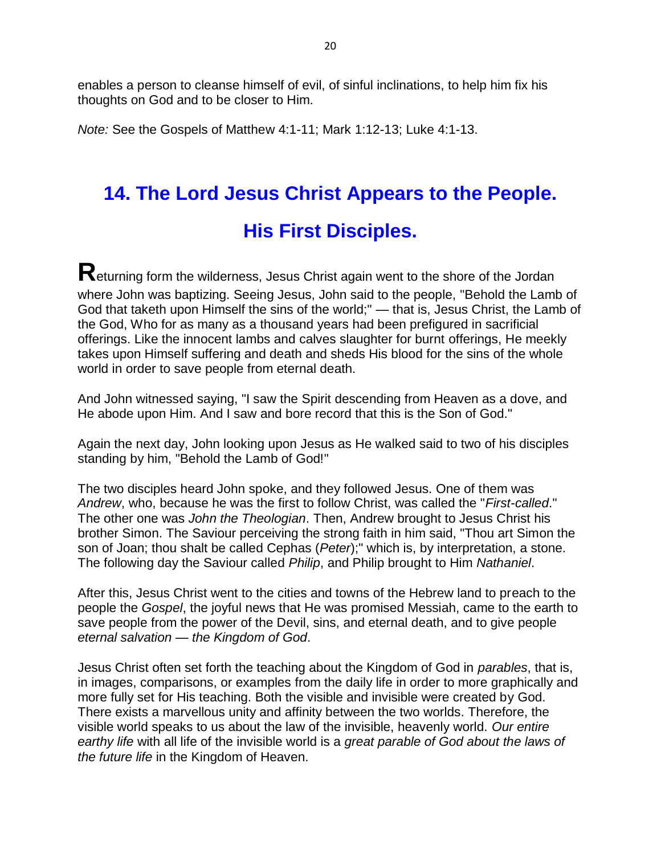enables a person to cleanse himself of evil, of sinful inclinations, to help him fix his thoughts on God and to be closer to Him.

*Note:* See the Gospels of Matthew 4:1-11; Mark 1:12-13; Luke 4:1-13.

# **14. The Lord Jesus Christ Appears to the People. His First Disciples.**

**R**eturning form the wilderness, Jesus Christ again went to the shore of the Jordan where John was baptizing. Seeing Jesus, John said to the people, "Behold the Lamb of God that taketh upon Himself the sins of the world;" — that is, Jesus Christ, the Lamb of the God, Who for as many as a thousand years had been prefigured in sacrificial offerings. Like the innocent lambs and calves slaughter for burnt offerings, He meekly takes upon Himself suffering and death and sheds His blood for the sins of the whole world in order to save people from eternal death.

And John witnessed saying, "I saw the Spirit descending from Heaven as a dove, and He abode upon Him. And I saw and bore record that this is the Son of God."

Again the next day, John looking upon Jesus as He walked said to two of his disciples standing by him, "Behold the Lamb of God!"

The two disciples heard John spoke, and they followed Jesus. One of them was *Andrew*, who, because he was the first to follow Christ, was called the "*First-called*." The other one was *John the Theologian*. Then, Andrew brought to Jesus Christ his brother Simon. The Saviour perceiving the strong faith in him said, "Thou art Simon the son of Joan; thou shalt be called Cephas (*Peter*);" which is, by interpretation, a stone. The following day the Saviour called *Philip*, and Philip brought to Him *Nathaniel*.

After this, Jesus Christ went to the cities and towns of the Hebrew land to preach to the people the *Gospel*, the joyful news that He was promised Messiah, came to the earth to save people from the power of the Devil, sins, and eternal death, and to give people *eternal salvation* — *the Kingdom of God*.

Jesus Christ often set forth the teaching about the Kingdom of God in *parables*, that is, in images, comparisons, or examples from the daily life in order to more graphically and more fully set for His teaching. Both the visible and invisible were created by God. There exists a marvellous unity and affinity between the two worlds. Therefore, the visible world speaks to us about the law of the invisible, heavenly world. *Our entire earthy life* with all life of the invisible world is a *great parable of God about the laws of the future life* in the Kingdom of Heaven.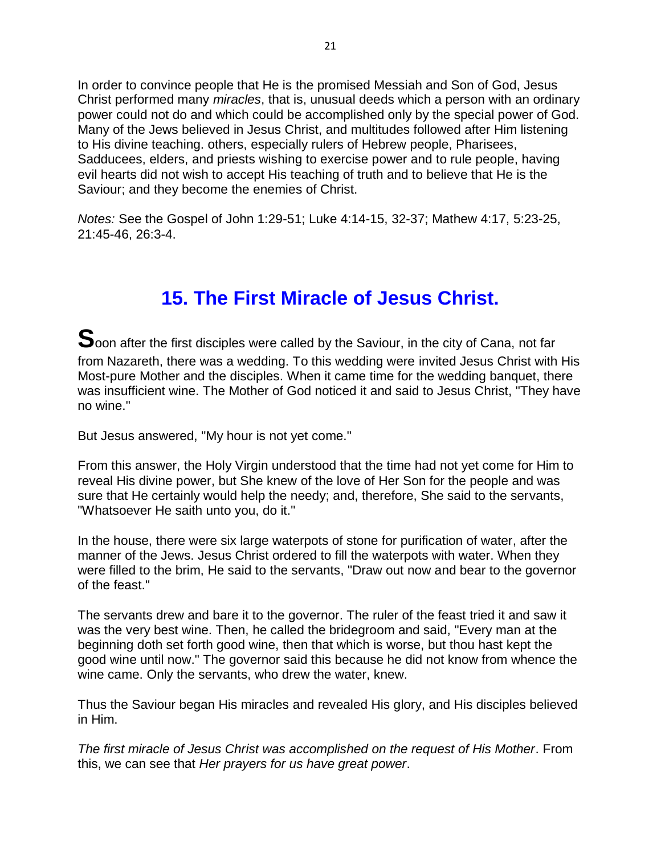In order to convince people that He is the promised Messiah and Son of God, Jesus Christ performed many *miracles*, that is, unusual deeds which a person with an ordinary power could not do and which could be accomplished only by the special power of God. Many of the Jews believed in Jesus Christ, and multitudes followed after Him listening to His divine teaching. others, especially rulers of Hebrew people, Pharisees, Sadducees, elders, and priests wishing to exercise power and to rule people, having evil hearts did not wish to accept His teaching of truth and to believe that He is the Saviour; and they become the enemies of Christ.

*Notes:* See the Gospel of John 1:29-51; Luke 4:14-15, 32-37; Mathew 4:17, 5:23-25, 21:45-46, 26:3-4.

### **15. The First Miracle of Jesus Christ.**

**S**oon after the first disciples were called by the Saviour, in the city of Cana, not far from Nazareth, there was a wedding. To this wedding were invited Jesus Christ with His Most-pure Mother and the disciples. When it came time for the wedding banquet, there was insufficient wine. The Mother of God noticed it and said to Jesus Christ, "They have no wine."

But Jesus answered, "My hour is not yet come."

From this answer, the Holy Virgin understood that the time had not yet come for Him to reveal His divine power, but She knew of the love of Her Son for the people and was sure that He certainly would help the needy; and, therefore, She said to the servants, "Whatsoever He saith unto you, do it."

In the house, there were six large waterpots of stone for purification of water, after the manner of the Jews. Jesus Christ ordered to fill the waterpots with water. When they were filled to the brim, He said to the servants, "Draw out now and bear to the governor of the feast."

The servants drew and bare it to the governor. The ruler of the feast tried it and saw it was the very best wine. Then, he called the bridegroom and said, "Every man at the beginning doth set forth good wine, then that which is worse, but thou hast kept the good wine until now." The governor said this because he did not know from whence the wine came. Only the servants, who drew the water, knew.

Thus the Saviour began His miracles and revealed His glory, and His disciples believed in Him.

*The first miracle of Jesus Christ was accomplished on the request of His Mother*. From this, we can see that *Her prayers for us have great power*.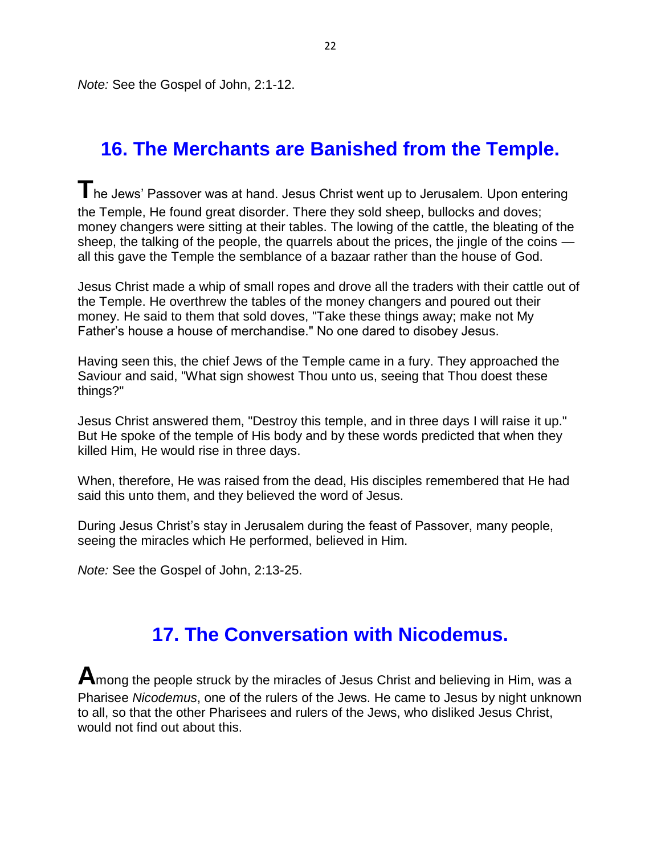*Note:* See the Gospel of John, 2:1-12.

### **16. The Merchants are Banished from the Temple.**

**T**he Jews' Passover was at hand. Jesus Christ went up to Jerusalem. Upon entering the Temple, He found great disorder. There they sold sheep, bullocks and doves; money changers were sitting at their tables. The lowing of the cattle, the bleating of the sheep, the talking of the people, the quarrels about the prices, the jingle of the coins all this gave the Temple the semblance of a bazaar rather than the house of God.

Jesus Christ made a whip of small ropes and drove all the traders with their cattle out of the Temple. He overthrew the tables of the money changers and poured out their money. He said to them that sold doves, "Take these things away; make not My Father's house a house of merchandise." No one dared to disobey Jesus.

Having seen this, the chief Jews of the Temple came in a fury. They approached the Saviour and said, "What sign showest Thou unto us, seeing that Thou doest these things?"

Jesus Christ answered them, "Destroy this temple, and in three days I will raise it up." But He spoke of the temple of His body and by these words predicted that when they killed Him, He would rise in three days.

When, therefore, He was raised from the dead, His disciples remembered that He had said this unto them, and they believed the word of Jesus.

During Jesus Christ's stay in Jerusalem during the feast of Passover, many people, seeing the miracles which He performed, believed in Him.

*Note:* See the Gospel of John, 2:13-25.

### **17. The Conversation with Nicodemus.**

**A**mong the people struck by the miracles of Jesus Christ and believing in Him, was a Pharisee *Nicodemus*, one of the rulers of the Jews. He came to Jesus by night unknown to all, so that the other Pharisees and rulers of the Jews, who disliked Jesus Christ, would not find out about this.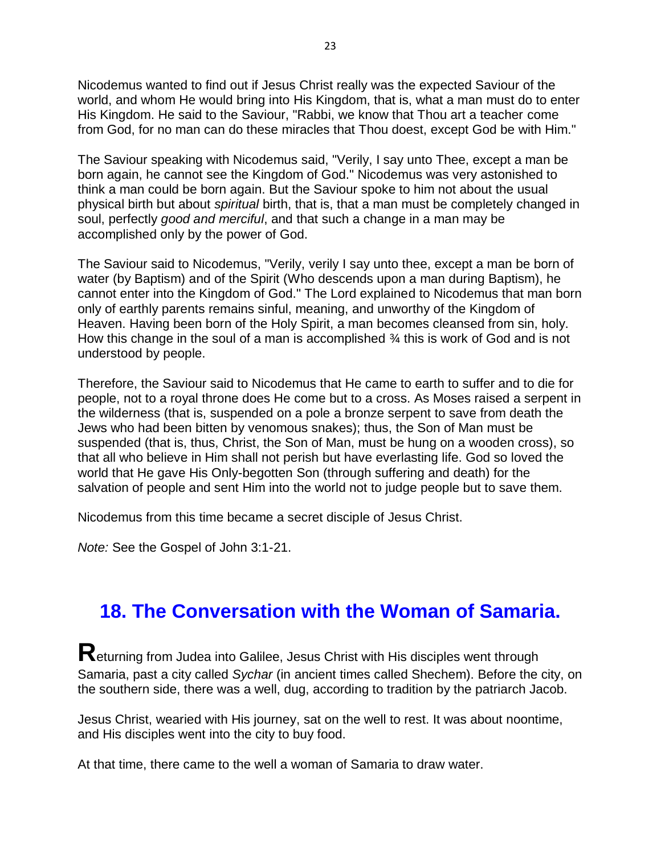Nicodemus wanted to find out if Jesus Christ really was the expected Saviour of the world, and whom He would bring into His Kingdom, that is, what a man must do to enter His Kingdom. He said to the Saviour, "Rabbi, we know that Thou art a teacher come from God, for no man can do these miracles that Thou doest, except God be with Him."

The Saviour speaking with Nicodemus said, "Verily, I say unto Thee, except a man be born again, he cannot see the Kingdom of God." Nicodemus was very astonished to think a man could be born again. But the Saviour spoke to him not about the usual physical birth but about *spiritual* birth, that is, that a man must be completely changed in soul, perfectly *good and merciful*, and that such a change in a man may be accomplished only by the power of God.

The Saviour said to Nicodemus, "Verily, verily I say unto thee, except a man be born of water (by Baptism) and of the Spirit (Who descends upon a man during Baptism), he cannot enter into the Kingdom of God." The Lord explained to Nicodemus that man born only of earthly parents remains sinful, meaning, and unworthy of the Kingdom of Heaven. Having been born of the Holy Spirit, a man becomes cleansed from sin, holy. How this change in the soul of a man is accomplished  $\frac{3}{4}$  this is work of God and is not understood by people.

Therefore, the Saviour said to Nicodemus that He came to earth to suffer and to die for people, not to a royal throne does He come but to a cross. As Moses raised a serpent in the wilderness (that is, suspended on a pole a bronze serpent to save from death the Jews who had been bitten by venomous snakes); thus, the Son of Man must be suspended (that is, thus, Christ, the Son of Man, must be hung on a wooden cross), so that all who believe in Him shall not perish but have everlasting life. God so loved the world that He gave His Only-begotten Son (through suffering and death) for the salvation of people and sent Him into the world not to judge people but to save them.

Nicodemus from this time became a secret disciple of Jesus Christ.

*Note:* See the Gospel of John 3:1-21.

### **18. The Conversation with the Woman of Samaria.**

**R**eturning from Judea into Galilee, Jesus Christ with His disciples went through Samaria, past a city called *Sychar* (in ancient times called Shechem). Before the city, on the southern side, there was a well, dug, according to tradition by the patriarch Jacob.

Jesus Christ, wearied with His journey, sat on the well to rest. It was about noontime, and His disciples went into the city to buy food.

At that time, there came to the well a woman of Samaria to draw water.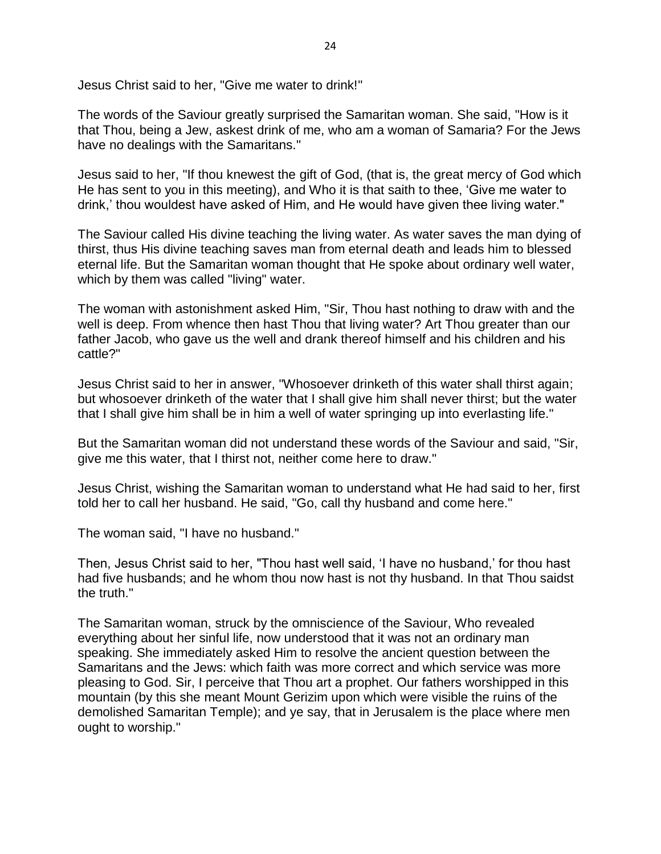Jesus Christ said to her, "Give me water to drink!"

The words of the Saviour greatly surprised the Samaritan woman. She said, "How is it that Thou, being a Jew, askest drink of me, who am a woman of Samaria? For the Jews have no dealings with the Samaritans."

Jesus said to her, "If thou knewest the gift of God, (that is, the great mercy of God which He has sent to you in this meeting), and Who it is that saith to thee, 'Give me water to drink,' thou wouldest have asked of Him, and He would have given thee living water."

The Saviour called His divine teaching the living water. As water saves the man dying of thirst, thus His divine teaching saves man from eternal death and leads him to blessed eternal life. But the Samaritan woman thought that He spoke about ordinary well water, which by them was called "living" water.

The woman with astonishment asked Him, "Sir, Thou hast nothing to draw with and the well is deep. From whence then hast Thou that living water? Art Thou greater than our father Jacob, who gave us the well and drank thereof himself and his children and his cattle?"

Jesus Christ said to her in answer, "Whosoever drinketh of this water shall thirst again; but whosoever drinketh of the water that I shall give him shall never thirst; but the water that I shall give him shall be in him a well of water springing up into everlasting life."

But the Samaritan woman did not understand these words of the Saviour and said, "Sir, give me this water, that I thirst not, neither come here to draw."

Jesus Christ, wishing the Samaritan woman to understand what He had said to her, first told her to call her husband. He said, "Go, call thy husband and come here."

The woman said, "I have no husband."

Then, Jesus Christ said to her, "Thou hast well said, 'I have no husband,' for thou hast had five husbands; and he whom thou now hast is not thy husband. In that Thou saidst the truth."

The Samaritan woman, struck by the omniscience of the Saviour, Who revealed everything about her sinful life, now understood that it was not an ordinary man speaking. She immediately asked Him to resolve the ancient question between the Samaritans and the Jews: which faith was more correct and which service was more pleasing to God. Sir, I perceive that Thou art a prophet. Our fathers worshipped in this mountain (by this she meant Mount Gerizim upon which were visible the ruins of the demolished Samaritan Temple); and ye say, that in Jerusalem is the place where men ought to worship."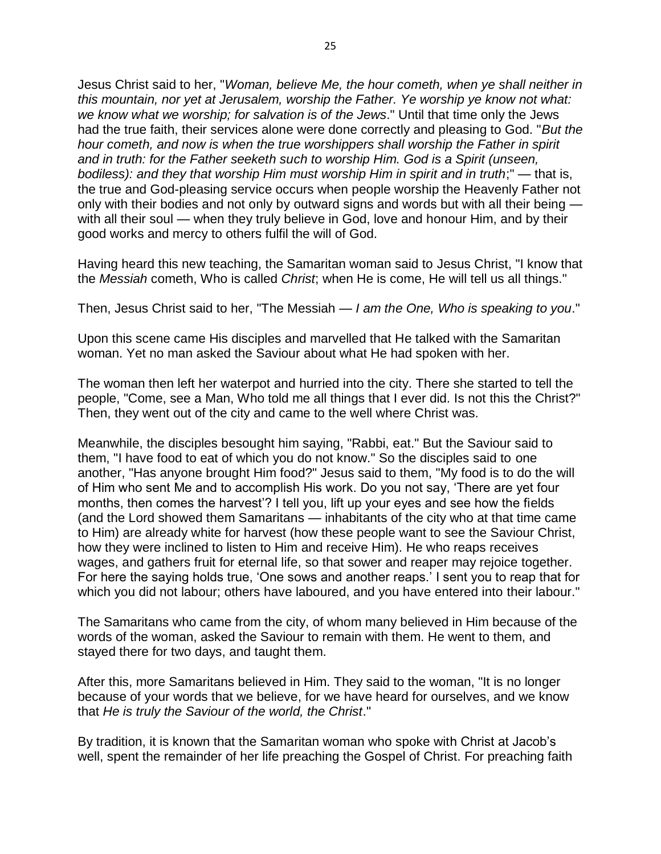Jesus Christ said to her, "*Woman, believe Me, the hour cometh, when ye shall neither in this mountain, nor yet at Jerusalem, worship the Father. Ye worship ye know not what: we know what we worship; for salvation is of the Jews*." Until that time only the Jews had the true faith, their services alone were done correctly and pleasing to God. "*But the hour cometh, and now is when the true worshippers shall worship the Father in spirit and in truth: for the Father seeketh such to worship Him. God is a Spirit (unseen, bodiless): and they that worship Him must worship Him in spirit and in truth*;" — that is, the true and God-pleasing service occurs when people worship the Heavenly Father not only with their bodies and not only by outward signs and words but with all their being with all their soul — when they truly believe in God, love and honour Him, and by their good works and mercy to others fulfil the will of God.

Having heard this new teaching, the Samaritan woman said to Jesus Christ, "I know that the *Messiah* cometh, Who is called *Christ*; when He is come, He will tell us all things."

Then, Jesus Christ said to her, "The Messiah — *I am the One, Who is speaking to you*."

Upon this scene came His disciples and marvelled that He talked with the Samaritan woman. Yet no man asked the Saviour about what He had spoken with her.

The woman then left her waterpot and hurried into the city. There she started to tell the people, "Come, see a Man, Who told me all things that I ever did. Is not this the Christ?" Then, they went out of the city and came to the well where Christ was.

Meanwhile, the disciples besought him saying, "Rabbi, eat." But the Saviour said to them, "I have food to eat of which you do not know." So the disciples said to one another, "Has anyone brought Him food?" Jesus said to them, "My food is to do the will of Him who sent Me and to accomplish His work. Do you not say, 'There are yet four months, then comes the harvest'? I tell you, lift up your eyes and see how the fields (and the Lord showed them Samaritans — inhabitants of the city who at that time came to Him) are already white for harvest (how these people want to see the Saviour Christ, how they were inclined to listen to Him and receive Him). He who reaps receives wages, and gathers fruit for eternal life, so that sower and reaper may rejoice together. For here the saying holds true, 'One sows and another reaps.' I sent you to reap that for which you did not labour; others have laboured, and you have entered into their labour."

The Samaritans who came from the city, of whom many believed in Him because of the words of the woman, asked the Saviour to remain with them. He went to them, and stayed there for two days, and taught them.

After this, more Samaritans believed in Him. They said to the woman, "It is no longer because of your words that we believe, for we have heard for ourselves, and we know that *He is truly the Saviour of the world, the Christ*."

By tradition, it is known that the Samaritan woman who spoke with Christ at Jacob's well, spent the remainder of her life preaching the Gospel of Christ. For preaching faith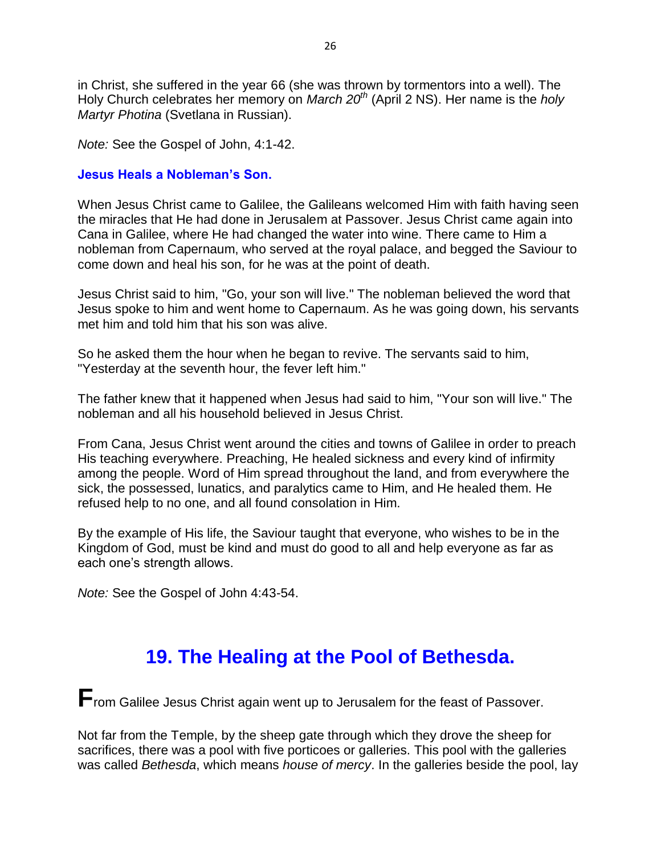in Christ, she suffered in the year 66 (she was thrown by tormentors into a well). The Holy Church celebrates her memory on *March 20th* (April 2 NS). Her name is the *holy Martyr Photina* (Svetlana in Russian).

*Note:* See the Gospel of John, 4:1-42.

#### **Jesus Heals a Nobleman's Son.**

When Jesus Christ came to Galilee, the Galileans welcomed Him with faith having seen the miracles that He had done in Jerusalem at Passover. Jesus Christ came again into Cana in Galilee, where He had changed the water into wine. There came to Him a nobleman from Capernaum, who served at the royal palace, and begged the Saviour to come down and heal his son, for he was at the point of death.

Jesus Christ said to him, "Go, your son will live." The nobleman believed the word that Jesus spoke to him and went home to Capernaum. As he was going down, his servants met him and told him that his son was alive.

So he asked them the hour when he began to revive. The servants said to him, "Yesterday at the seventh hour, the fever left him."

The father knew that it happened when Jesus had said to him, "Your son will live." The nobleman and all his household believed in Jesus Christ.

From Cana, Jesus Christ went around the cities and towns of Galilee in order to preach His teaching everywhere. Preaching, He healed sickness and every kind of infirmity among the people. Word of Him spread throughout the land, and from everywhere the sick, the possessed, lunatics, and paralytics came to Him, and He healed them. He refused help to no one, and all found consolation in Him.

By the example of His life, the Saviour taught that everyone, who wishes to be in the Kingdom of God, must be kind and must do good to all and help everyone as far as each one's strength allows.

*Note:* See the Gospel of John 4:43-54.

### **19. The Healing at the Pool of Bethesda.**

**F**rom Galilee Jesus Christ again went up to Jerusalem for the feast of Passover.

Not far from the Temple, by the sheep gate through which they drove the sheep for sacrifices, there was a pool with five porticoes or galleries. This pool with the galleries was called *Bethesda*, which means *house of mercy*. In the galleries beside the pool, lay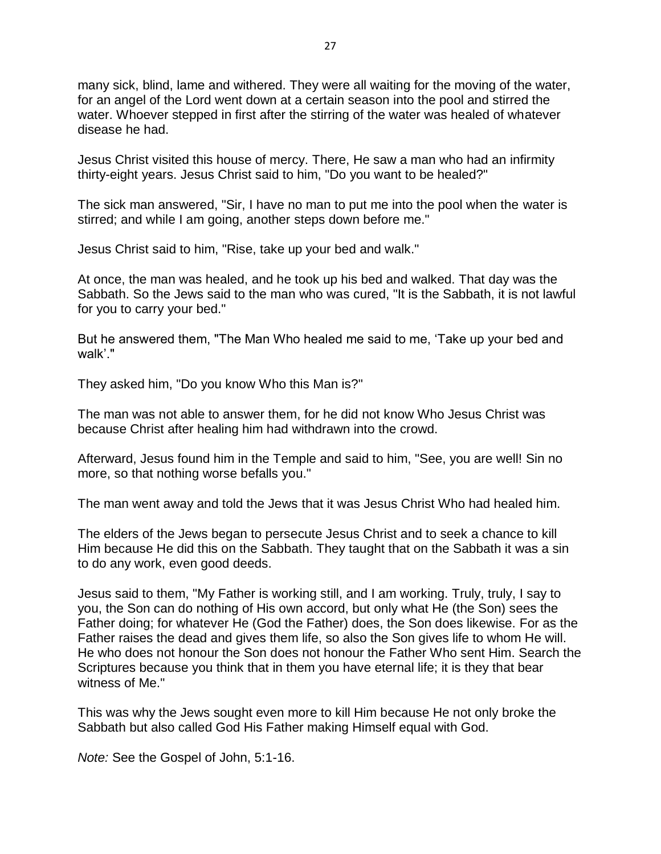many sick, blind, lame and withered. They were all waiting for the moving of the water, for an angel of the Lord went down at a certain season into the pool and stirred the water. Whoever stepped in first after the stirring of the water was healed of whatever disease he had.

Jesus Christ visited this house of mercy. There, He saw a man who had an infirmity thirty-eight years. Jesus Christ said to him, "Do you want to be healed?"

The sick man answered, "Sir, I have no man to put me into the pool when the water is stirred; and while I am going, another steps down before me."

Jesus Christ said to him, "Rise, take up your bed and walk."

At once, the man was healed, and he took up his bed and walked. That day was the Sabbath. So the Jews said to the man who was cured, "It is the Sabbath, it is not lawful for you to carry your bed."

But he answered them, "The Man Who healed me said to me, 'Take up your bed and walk'."

They asked him, "Do you know Who this Man is?"

The man was not able to answer them, for he did not know Who Jesus Christ was because Christ after healing him had withdrawn into the crowd.

Afterward, Jesus found him in the Temple and said to him, "See, you are well! Sin no more, so that nothing worse befalls you."

The man went away and told the Jews that it was Jesus Christ Who had healed him.

The elders of the Jews began to persecute Jesus Christ and to seek a chance to kill Him because He did this on the Sabbath. They taught that on the Sabbath it was a sin to do any work, even good deeds.

Jesus said to them, "My Father is working still, and I am working. Truly, truly, I say to you, the Son can do nothing of His own accord, but only what He (the Son) sees the Father doing; for whatever He (God the Father) does, the Son does likewise. For as the Father raises the dead and gives them life, so also the Son gives life to whom He will. He who does not honour the Son does not honour the Father Who sent Him. Search the Scriptures because you think that in them you have eternal life; it is they that bear witness of Me."

This was why the Jews sought even more to kill Him because He not only broke the Sabbath but also called God His Father making Himself equal with God.

*Note:* See the Gospel of John, 5:1-16.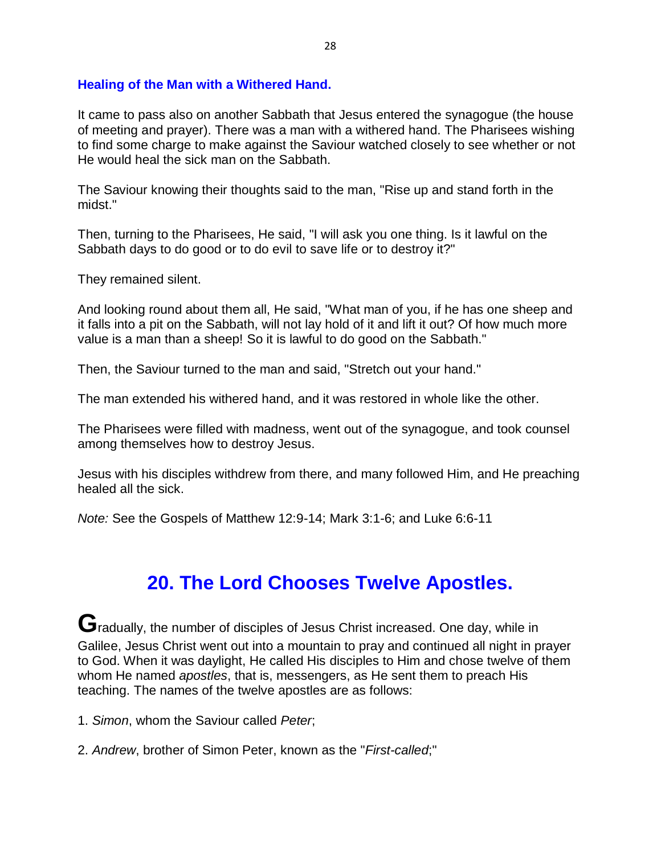#### **Healing of the Man with a Withered Hand.**

It came to pass also on another Sabbath that Jesus entered the synagogue (the house of meeting and prayer). There was a man with a withered hand. The Pharisees wishing to find some charge to make against the Saviour watched closely to see whether or not He would heal the sick man on the Sabbath.

The Saviour knowing their thoughts said to the man, "Rise up and stand forth in the midst."

Then, turning to the Pharisees, He said, "I will ask you one thing. Is it lawful on the Sabbath days to do good or to do evil to save life or to destroy it?"

They remained silent.

And looking round about them all, He said, "What man of you, if he has one sheep and it falls into a pit on the Sabbath, will not lay hold of it and lift it out? Of how much more value is a man than a sheep! So it is lawful to do good on the Sabbath."

Then, the Saviour turned to the man and said, "Stretch out your hand."

The man extended his withered hand, and it was restored in whole like the other.

The Pharisees were filled with madness, went out of the synagogue, and took counsel among themselves how to destroy Jesus.

Jesus with his disciples withdrew from there, and many followed Him, and He preaching healed all the sick.

*Note:* See the Gospels of Matthew 12:9-14; Mark 3:1-6; and Luke 6:6-11

### **20. The Lord Chooses Twelve Apostles.**

**G**radually, the number of disciples of Jesus Christ increased. One day, while in Galilee, Jesus Christ went out into a mountain to pray and continued all night in prayer to God. When it was daylight, He called His disciples to Him and chose twelve of them whom He named *apostles*, that is, messengers, as He sent them to preach His teaching. The names of the twelve apostles are as follows:

1. *Simon*, whom the Saviour called *Peter*;

2. *Andrew*, brother of Simon Peter, known as the "*First-called*;"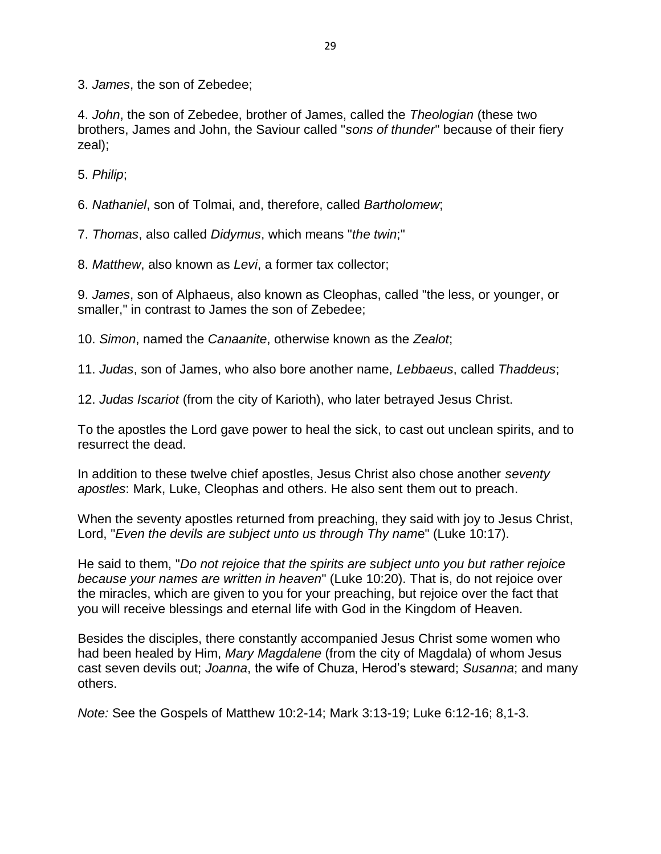3. *James*, the son of Zebedee;

4. *John*, the son of Zebedee, brother of James, called the *Theologian* (these two brothers, James and John, the Saviour called "*sons of thunder*" because of their fiery zeal);

5. *Philip*;

6. *Nathaniel*, son of Tolmai, and, therefore, called *Bartholomew*;

7. *Thomas*, also called *Didymus*, which means "*the twin*;"

8. *Matthew*, also known as *Levi*, a former tax collector;

9. *James*, son of Alphaeus, also known as Cleophas, called "the less, or younger, or smaller," in contrast to James the son of Zebedee;

10. *Simon*, named the *Canaanite*, otherwise known as the *Zealot*;

11. *Judas*, son of James, who also bore another name, *Lebbaeus*, called *Thaddeus*;

12. *Judas Iscariot* (from the city of Karioth), who later betrayed Jesus Christ.

To the apostles the Lord gave power to heal the sick, to cast out unclean spirits, and to resurrect the dead.

In addition to these twelve chief apostles, Jesus Christ also chose another *seventy apostles*: Mark, Luke, Cleophas and others. He also sent them out to preach.

When the seventy apostles returned from preaching, they said with joy to Jesus Christ, Lord, "*Even the devils are subject unto us through Thy nam*e" (Luke 10:17).

He said to them, "*Do not rejoice that the spirits are subject unto you but rather rejoice because your names are written in heaven*" (Luke 10:20). That is, do not rejoice over the miracles, which are given to you for your preaching, but rejoice over the fact that you will receive blessings and eternal life with God in the Kingdom of Heaven.

Besides the disciples, there constantly accompanied Jesus Christ some women who had been healed by Him, *Mary Magdalene* (from the city of Magdala) of whom Jesus cast seven devils out; *Joanna*, the wife of Chuza, Herod's steward; *Susanna*; and many others.

*Note:* See the Gospels of Matthew 10:2-14; Mark 3:13-19; Luke 6:12-16; 8,1-3.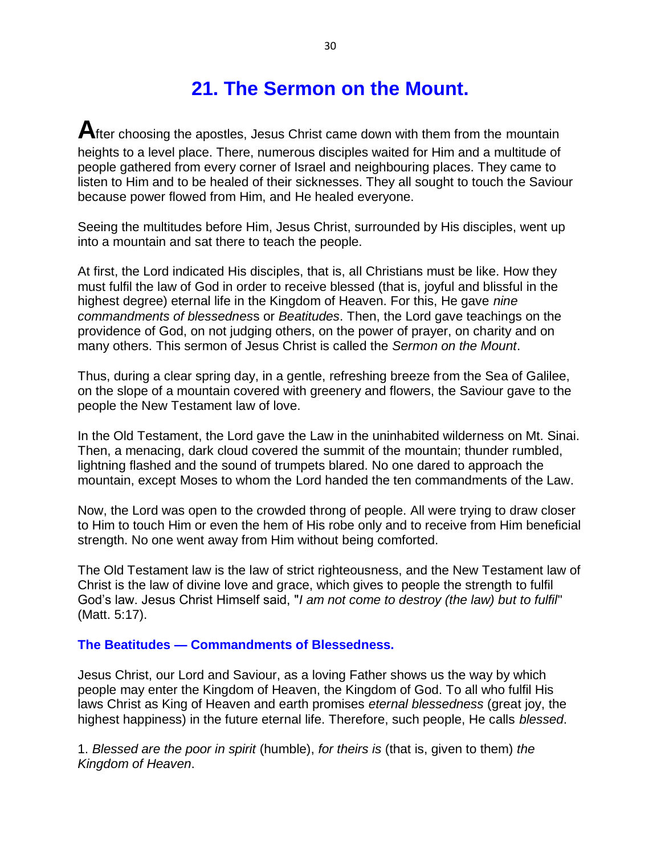### **21. The Sermon on the Mount.**

**A**fter choosing the apostles, Jesus Christ came down with them from the mountain heights to a level place. There, numerous disciples waited for Him and a multitude of people gathered from every corner of Israel and neighbouring places. They came to listen to Him and to be healed of their sicknesses. They all sought to touch the Saviour because power flowed from Him, and He healed everyone.

Seeing the multitudes before Him, Jesus Christ, surrounded by His disciples, went up into a mountain and sat there to teach the people.

At first, the Lord indicated His disciples, that is, all Christians must be like. How they must fulfil the law of God in order to receive blessed (that is, joyful and blissful in the highest degree) eternal life in the Kingdom of Heaven. For this, He gave *nine commandments of blessednes*s or *Beatitudes*. Then, the Lord gave teachings on the providence of God, on not judging others, on the power of prayer, on charity and on many others. This sermon of Jesus Christ is called the *Sermon on the Mount*.

Thus, during a clear spring day, in a gentle, refreshing breeze from the Sea of Galilee, on the slope of a mountain covered with greenery and flowers, the Saviour gave to the people the New Testament law of love.

In the Old Testament, the Lord gave the Law in the uninhabited wilderness on Mt. Sinai. Then, a menacing, dark cloud covered the summit of the mountain; thunder rumbled, lightning flashed and the sound of trumpets blared. No one dared to approach the mountain, except Moses to whom the Lord handed the ten commandments of the Law.

Now, the Lord was open to the crowded throng of people. All were trying to draw closer to Him to touch Him or even the hem of His robe only and to receive from Him beneficial strength. No one went away from Him without being comforted.

The Old Testament law is the law of strict righteousness, and the New Testament law of Christ is the law of divine love and grace, which gives to people the strength to fulfil God's law. Jesus Christ Himself said, "*I am not come to destroy (the law) but to fulfil*" (Matt. 5:17).

#### **The Beatitudes — Commandments of Blessedness.**

Jesus Christ, our Lord and Saviour, as a loving Father shows us the way by which people may enter the Kingdom of Heaven, the Kingdom of God. To all who fulfil His laws Christ as King of Heaven and earth promises *eternal blessedness* (great joy, the highest happiness) in the future eternal life. Therefore, such people, He calls *blessed*.

1. *Blessed are the poor in spirit* (humble), *for theirs is* (that is, given to them) *the Kingdom of Heaven*.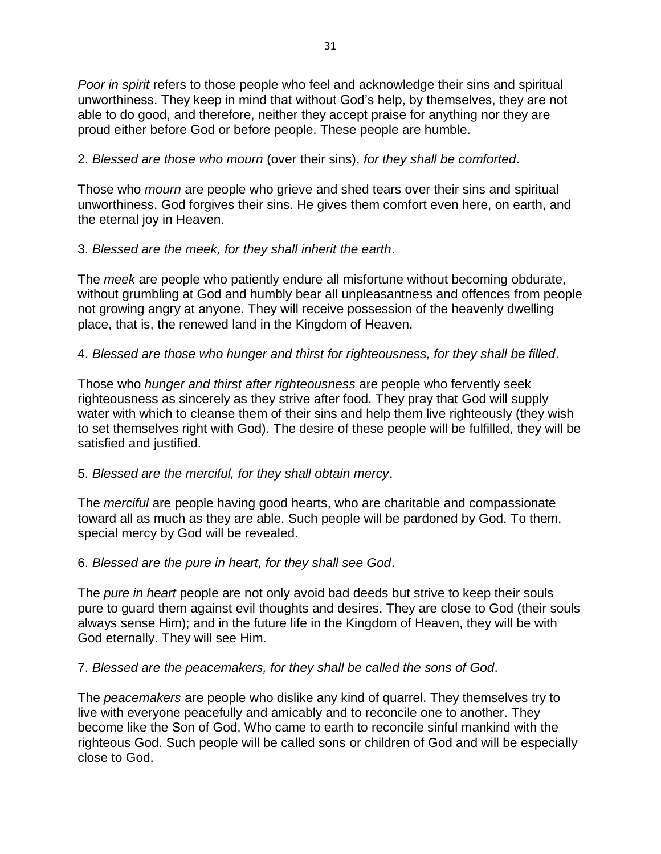*Poor in spirit* refers to those people who feel and acknowledge their sins and spiritual unworthiness. They keep in mind that without God's help, by themselves, they are not able to do good, and therefore, neither they accept praise for anything nor they are proud either before God or before people. These people are humble.

#### 2. *Blessed are those who mourn* (over their sins), *for they shall be comforted*.

Those who *mourn* are people who grieve and shed tears over their sins and spiritual unworthiness. God forgives their sins. He gives them comfort even here, on earth, and the eternal joy in Heaven.

#### 3. *Blessed are the meek, for they shall inherit the earth*.

The *meek* are people who patiently endure all misfortune without becoming obdurate, without grumbling at God and humbly bear all unpleasantness and offences from people not growing angry at anyone. They will receive possession of the heavenly dwelling place, that is, the renewed land in the Kingdom of Heaven.

#### 4. *Blessed are those who hunger and thirst for righteousness, for they shall be filled*.

Those who *hunger and thirst after righteousness* are people who fervently seek righteousness as sincerely as they strive after food. They pray that God will supply water with which to cleanse them of their sins and help them live righteously (they wish to set themselves right with God). The desire of these people will be fulfilled, they will be satisfied and justified.

#### 5. *Blessed are the merciful, for they shall obtain mercy*.

The *merciful* are people having good hearts, who are charitable and compassionate toward all as much as they are able. Such people will be pardoned by God. To them, special mercy by God will be revealed.

#### 6. *Blessed are the pure in heart, for they shall see God*.

The *pure in heart* people are not only avoid bad deeds but strive to keep their souls pure to guard them against evil thoughts and desires. They are close to God (their souls always sense Him); and in the future life in the Kingdom of Heaven, they will be with God eternally. They will see Him.

#### 7. *Blessed are the peacemakers, for they shall be called the sons of God*.

The *peacemakers* are people who dislike any kind of quarrel. They themselves try to live with everyone peacefully and amicably and to reconcile one to another. They become like the Son of God, Who came to earth to reconcile sinful mankind with the righteous God. Such people will be called sons or children of God and will be especially close to God.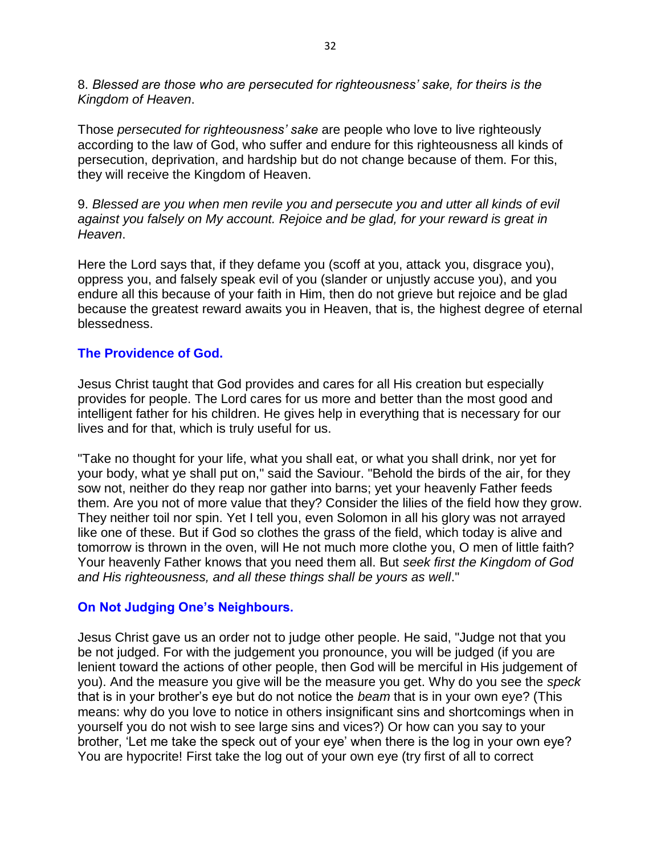8. *Blessed are those who are persecuted for righteousness' sake, for theirs is the Kingdom of Heaven*.

Those *persecuted for righteousness' sake* are people who love to live righteously according to the law of God, who suffer and endure for this righteousness all kinds of persecution, deprivation, and hardship but do not change because of them. For this, they will receive the Kingdom of Heaven.

9. *Blessed are you when men revile you and persecute you and utter all kinds of evil against you falsely on My account. Rejoice and be glad, for your reward is great in Heaven*.

Here the Lord says that, if they defame you (scoff at you, attack you, disgrace you), oppress you, and falsely speak evil of you (slander or unjustly accuse you), and you endure all this because of your faith in Him, then do not grieve but rejoice and be glad because the greatest reward awaits you in Heaven, that is, the highest degree of eternal blessedness.

#### **The Providence of God.**

Jesus Christ taught that God provides and cares for all His creation but especially provides for people. The Lord cares for us more and better than the most good and intelligent father for his children. He gives help in everything that is necessary for our lives and for that, which is truly useful for us.

"Take no thought for your life, what you shall eat, or what you shall drink, nor yet for your body, what ye shall put on," said the Saviour. "Behold the birds of the air, for they sow not, neither do they reap nor gather into barns; yet your heavenly Father feeds them. Are you not of more value that they? Consider the lilies of the field how they grow. They neither toil nor spin. Yet I tell you, even Solomon in all his glory was not arrayed like one of these. But if God so clothes the grass of the field, which today is alive and tomorrow is thrown in the oven, will He not much more clothe you, O men of little faith? Your heavenly Father knows that you need them all. But *seek first the Kingdom of God and His righteousness, and all these things shall be yours as well*."

#### **On Not Judging One's Neighbours.**

Jesus Christ gave us an order not to judge other people. He said, "Judge not that you be not judged. For with the judgement you pronounce, you will be judged (if you are lenient toward the actions of other people, then God will be merciful in His judgement of you). And the measure you give will be the measure you get. Why do you see the *speck* that is in your brother's eye but do not notice the *beam* that is in your own eye? (This means: why do you love to notice in others insignificant sins and shortcomings when in yourself you do not wish to see large sins and vices?) Or how can you say to your brother, 'Let me take the speck out of your eye' when there is the log in your own eye? You are hypocrite! First take the log out of your own eye (try first of all to correct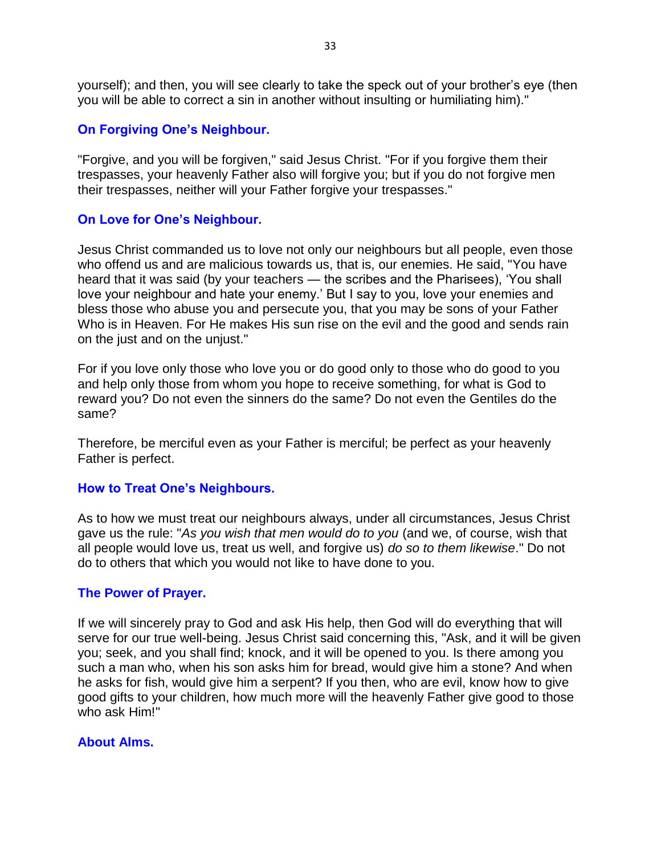yourself); and then, you will see clearly to take the speck out of your brother's eye (then you will be able to correct a sin in another without insulting or humiliating him)."

#### **On Forgiving One's Neighbour.**

"Forgive, and you will be forgiven," said Jesus Christ. "For if you forgive them their trespasses, your heavenly Father also will forgive you; but if you do not forgive men their trespasses, neither will your Father forgive your trespasses."

#### **On Love for One's Neighbour.**

Jesus Christ commanded us to love not only our neighbours but all people, even those who offend us and are malicious towards us, that is, our enemies. He said, "You have heard that it was said (by your teachers — the scribes and the Pharisees), 'You shall love your neighbour and hate your enemy.' But I say to you, love your enemies and bless those who abuse you and persecute you, that you may be sons of your Father Who is in Heaven. For He makes His sun rise on the evil and the good and sends rain on the just and on the unjust."

For if you love only those who love you or do good only to those who do good to you and help only those from whom you hope to receive something, for what is God to reward you? Do not even the sinners do the same? Do not even the Gentiles do the same?

Therefore, be merciful even as your Father is merciful; be perfect as your heavenly Father is perfect.

#### **How to Treat One's Neighbours.**

As to how we must treat our neighbours always, under all circumstances, Jesus Christ gave us the rule: "*As you wish that men would do to you* (and we, of course, wish that all people would love us, treat us well, and forgive us) *do so to them likewise*." Do not do to others that which you would not like to have done to you.

#### **The Power of Prayer.**

If we will sincerely pray to God and ask His help, then God will do everything that will serve for our true well-being. Jesus Christ said concerning this, "Ask, and it will be given you; seek, and you shall find; knock, and it will be opened to you. Is there among you such a man who, when his son asks him for bread, would give him a stone? And when he asks for fish, would give him a serpent? If you then, who are evil, know how to give good gifts to your children, how much more will the heavenly Father give good to those who ask Him!"

#### **About Alms.**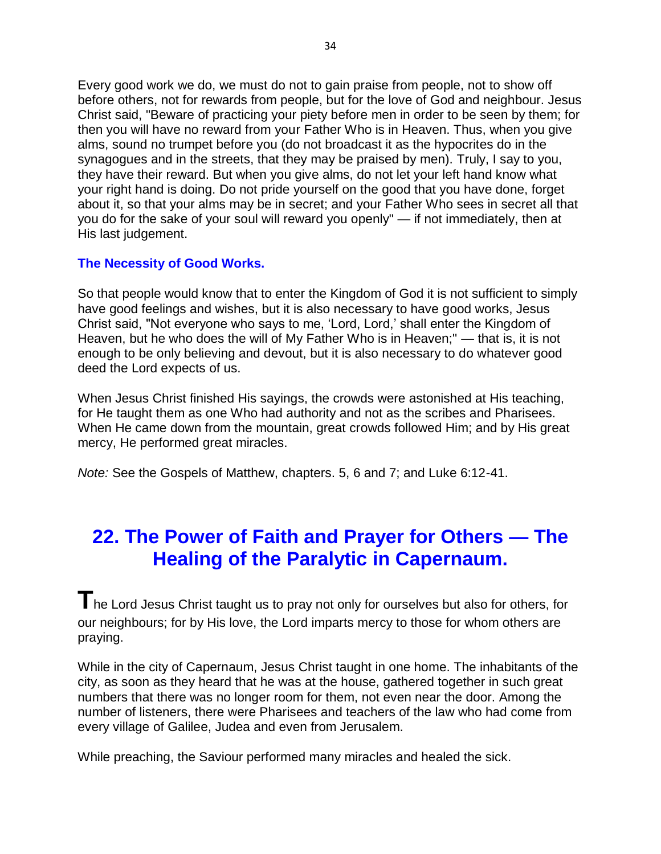Every good work we do, we must do not to gain praise from people, not to show off before others, not for rewards from people, but for the love of God and neighbour. Jesus Christ said, "Beware of practicing your piety before men in order to be seen by them; for then you will have no reward from your Father Who is in Heaven. Thus, when you give alms, sound no trumpet before you (do not broadcast it as the hypocrites do in the synagogues and in the streets, that they may be praised by men). Truly, I say to you, they have their reward. But when you give alms, do not let your left hand know what your right hand is doing. Do not pride yourself on the good that you have done, forget about it, so that your alms may be in secret; and your Father Who sees in secret all that you do for the sake of your soul will reward you openly" — if not immediately, then at His last judgement.

#### **The Necessity of Good Works.**

So that people would know that to enter the Kingdom of God it is not sufficient to simply have good feelings and wishes, but it is also necessary to have good works, Jesus Christ said, "Not everyone who says to me, 'Lord, Lord,' shall enter the Kingdom of Heaven, but he who does the will of My Father Who is in Heaven;" — that is, it is not enough to be only believing and devout, but it is also necessary to do whatever good deed the Lord expects of us.

When Jesus Christ finished His sayings, the crowds were astonished at His teaching, for He taught them as one Who had authority and not as the scribes and Pharisees. When He came down from the mountain, great crowds followed Him; and by His great mercy, He performed great miracles.

*Note:* See the Gospels of Matthew, chapters. 5, 6 and 7; and Luke 6:12-41.

### **22. The Power of Faith and Prayer for Others — The Healing of the Paralytic in Capernaum.**

**T**he Lord Jesus Christ taught us to pray not only for ourselves but also for others, for our neighbours; for by His love, the Lord imparts mercy to those for whom others are praying.

While in the city of Capernaum, Jesus Christ taught in one home. The inhabitants of the city, as soon as they heard that he was at the house, gathered together in such great numbers that there was no longer room for them, not even near the door. Among the number of listeners, there were Pharisees and teachers of the law who had come from every village of Galilee, Judea and even from Jerusalem.

While preaching, the Saviour performed many miracles and healed the sick.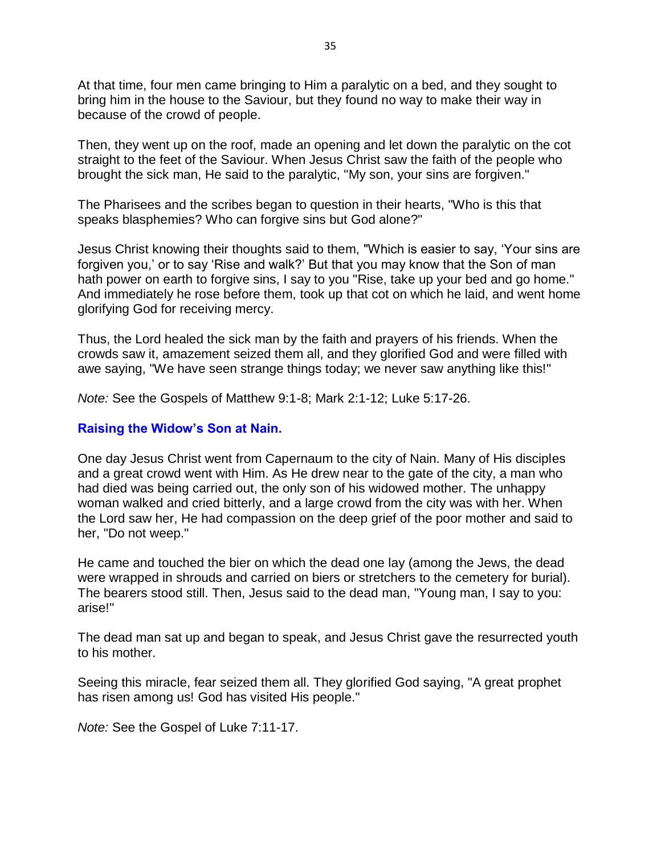At that time, four men came bringing to Him a paralytic on a bed, and they sought to bring him in the house to the Saviour, but they found no way to make their way in because of the crowd of people.

Then, they went up on the roof, made an opening and let down the paralytic on the cot straight to the feet of the Saviour. When Jesus Christ saw the faith of the people who brought the sick man, He said to the paralytic, "My son, your sins are forgiven."

The Pharisees and the scribes began to question in their hearts, "Who is this that speaks blasphemies? Who can forgive sins but God alone?"

Jesus Christ knowing their thoughts said to them, "Which is easier to say, 'Your sins are forgiven you,' or to say 'Rise and walk?' But that you may know that the Son of man hath power on earth to forgive sins, I say to you "Rise, take up your bed and go home." And immediately he rose before them, took up that cot on which he laid, and went home glorifying God for receiving mercy.

Thus, the Lord healed the sick man by the faith and prayers of his friends. When the crowds saw it, amazement seized them all, and they glorified God and were filled with awe saying, "We have seen strange things today; we never saw anything like this!"

*Note:* See the Gospels of Matthew 9:1-8; Mark 2:1-12; Luke 5:17-26.

#### **Raising the Widow's Son at Nain.**

One day Jesus Christ went from Capernaum to the city of Nain. Many of His disciples and a great crowd went with Him. As He drew near to the gate of the city, a man who had died was being carried out, the only son of his widowed mother. The unhappy woman walked and cried bitterly, and a large crowd from the city was with her. When the Lord saw her, He had compassion on the deep grief of the poor mother and said to her, "Do not weep."

He came and touched the bier on which the dead one lay (among the Jews, the dead were wrapped in shrouds and carried on biers or stretchers to the cemetery for burial). The bearers stood still. Then, Jesus said to the dead man, "Young man, I say to you: arise!"

The dead man sat up and began to speak, and Jesus Christ gave the resurrected youth to his mother.

Seeing this miracle, fear seized them all. They glorified God saying, "A great prophet has risen among us! God has visited His people."

*Note:* See the Gospel of Luke 7:11-17.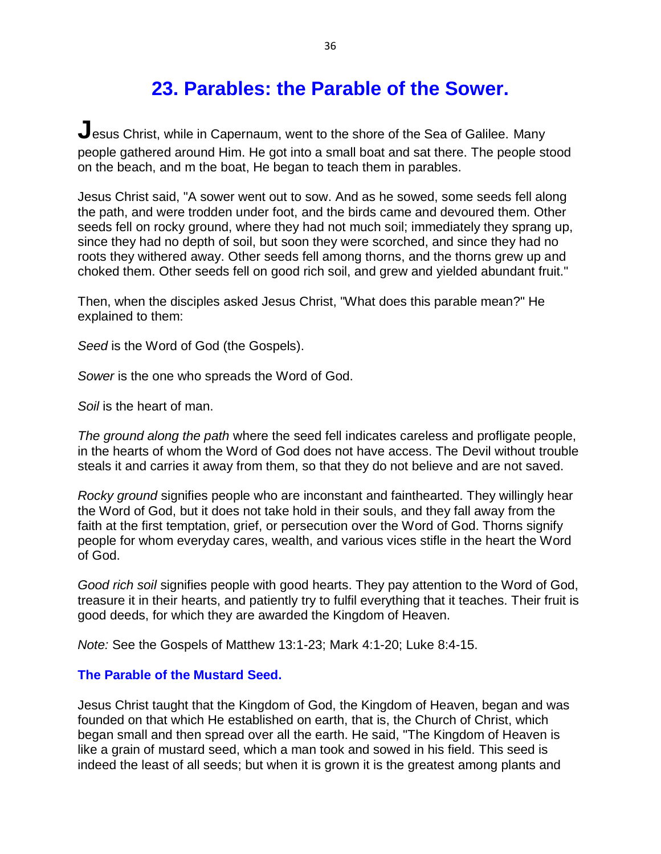### **23. Parables: the Parable of the Sower.**

**J**esus Christ, while in Capernaum, went to the shore of the Sea of Galilee. Many people gathered around Him. He got into a small boat and sat there. The people stood on the beach, and m the boat, He began to teach them in parables.

Jesus Christ said, "A sower went out to sow. And as he sowed, some seeds fell along the path, and were trodden under foot, and the birds came and devoured them. Other seeds fell on rocky ground, where they had not much soil; immediately they sprang up, since they had no depth of soil, but soon they were scorched, and since they had no roots they withered away. Other seeds fell among thorns, and the thorns grew up and choked them. Other seeds fell on good rich soil, and grew and yielded abundant fruit."

Then, when the disciples asked Jesus Christ, "What does this parable mean?" He explained to them:

*Seed* is the Word of God (the Gospels).

*Sower* is the one who spreads the Word of God.

*Soil* is the heart of man.

*The ground along the path* where the seed fell indicates careless and profligate people, in the hearts of whom the Word of God does not have access. The Devil without trouble steals it and carries it away from them, so that they do not believe and are not saved.

*Rocky ground* signifies people who are inconstant and fainthearted. They willingly hear the Word of God, but it does not take hold in their souls, and they fall away from the faith at the first temptation, grief, or persecution over the Word of God. Thorns signify people for whom everyday cares, wealth, and various vices stifle in the heart the Word of God.

*Good rich soil* signifies people with good hearts. They pay attention to the Word of God, treasure it in their hearts, and patiently try to fulfil everything that it teaches. Their fruit is good deeds, for which they are awarded the Kingdom of Heaven.

*Note:* See the Gospels of Matthew 13:1-23; Mark 4:1-20; Luke 8:4-15.

#### **The Parable of the Mustard Seed.**

Jesus Christ taught that the Kingdom of God, the Kingdom of Heaven, began and was founded on that which He established on earth, that is, the Church of Christ, which began small and then spread over all the earth. He said, "The Kingdom of Heaven is like a grain of mustard seed, which a man took and sowed in his field. This seed is indeed the least of all seeds; but when it is grown it is the greatest among plants and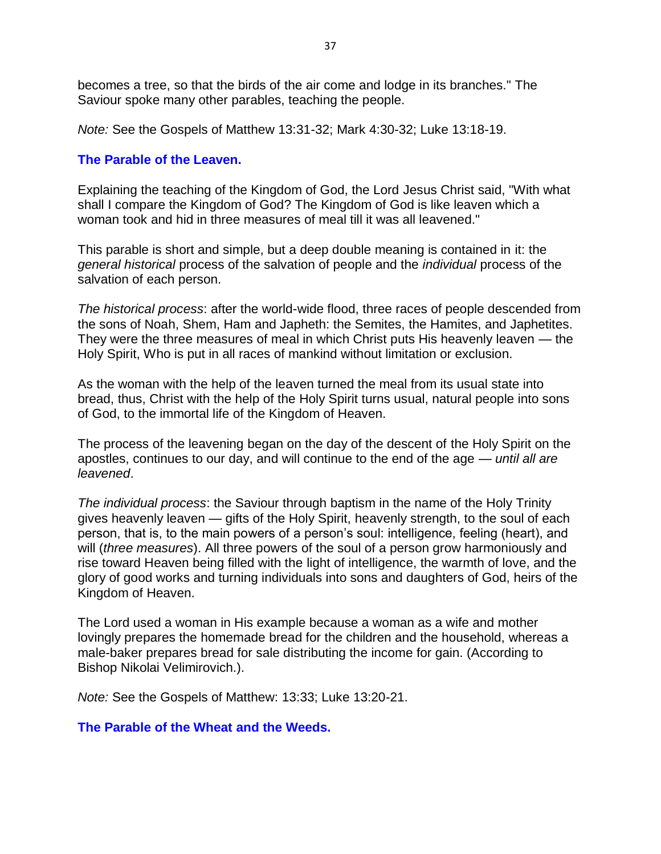becomes a tree, so that the birds of the air come and lodge in its branches." The Saviour spoke many other parables, teaching the people.

*Note:* See the Gospels of Matthew 13:31-32; Mark 4:30-32; Luke 13:18-19.

#### **The Parable of the Leaven.**

Explaining the teaching of the Kingdom of God, the Lord Jesus Christ said, "With what shall I compare the Kingdom of God? The Kingdom of God is like leaven which a woman took and hid in three measures of meal till it was all leavened."

This parable is short and simple, but a deep double meaning is contained in it: the *general historical* process of the salvation of people and the *individual* process of the salvation of each person.

*The historical process*: after the world-wide flood, three races of people descended from the sons of Noah, Shem, Ham and Japheth: the Semites, the Hamites, and Japhetites. They were the three measures of meal in which Christ puts His heavenly leaven — the Holy Spirit, Who is put in all races of mankind without limitation or exclusion.

As the woman with the help of the leaven turned the meal from its usual state into bread, thus, Christ with the help of the Holy Spirit turns usual, natural people into sons of God, to the immortal life of the Kingdom of Heaven.

The process of the leavening began on the day of the descent of the Holy Spirit on the apostles, continues to our day, and will continue to the end of the age — *until all are leavened*.

*The individual process*: the Saviour through baptism in the name of the Holy Trinity gives heavenly leaven — gifts of the Holy Spirit, heavenly strength, to the soul of each person, that is, to the main powers of a person's soul: intelligence, feeling (heart), and will (*three measures*). All three powers of the soul of a person grow harmoniously and rise toward Heaven being filled with the light of intelligence, the warmth of love, and the glory of good works and turning individuals into sons and daughters of God, heirs of the Kingdom of Heaven.

The Lord used a woman in His example because a woman as a wife and mother lovingly prepares the homemade bread for the children and the household, whereas a male-baker prepares bread for sale distributing the income for gain. (According to Bishop Nikolai Velimirovich.).

*Note:* See the Gospels of Matthew: 13:33; Luke 13:20-21.

#### **The Parable of the Wheat and the Weeds.**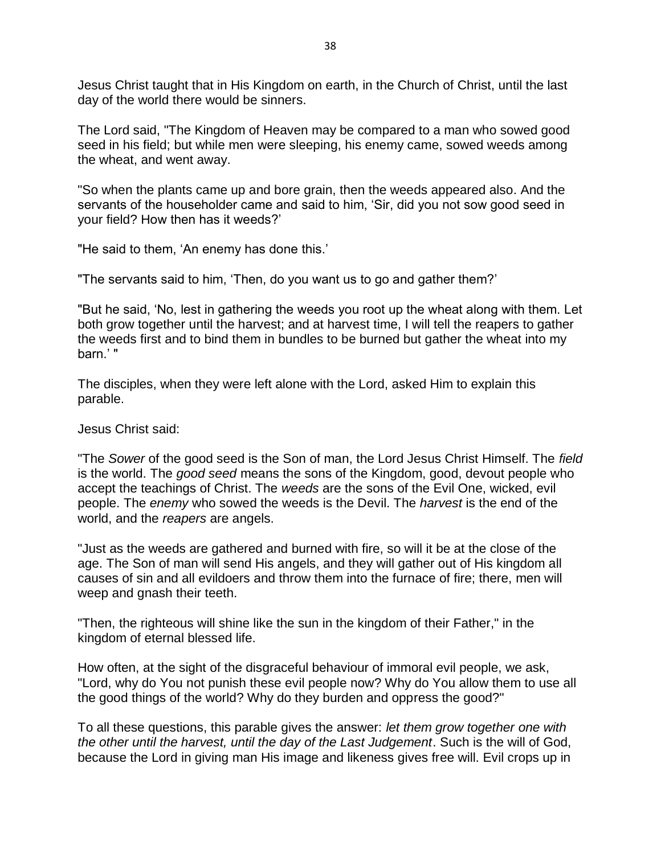Jesus Christ taught that in His Kingdom on earth, in the Church of Christ, until the last day of the world there would be sinners.

The Lord said, "The Kingdom of Heaven may be compared to a man who sowed good seed in his field; but while men were sleeping, his enemy came, sowed weeds among the wheat, and went away.

"So when the plants came up and bore grain, then the weeds appeared also. And the servants of the householder came and said to him, 'Sir, did you not sow good seed in your field? How then has it weeds?'

"He said to them, 'An enemy has done this.'

"The servants said to him, 'Then, do you want us to go and gather them?'

"But he said, 'No, lest in gathering the weeds you root up the wheat along with them. Let both grow together until the harvest; and at harvest time, I will tell the reapers to gather the weeds first and to bind them in bundles to be burned but gather the wheat into my barn.' "

The disciples, when they were left alone with the Lord, asked Him to explain this parable.

Jesus Christ said:

"The *Sower* of the good seed is the Son of man, the Lord Jesus Christ Himself. The *field* is the world. The *good seed* means the sons of the Kingdom, good, devout people who accept the teachings of Christ. The *weeds* are the sons of the Evil One, wicked, evil people. The *enemy* who sowed the weeds is the Devil. The *harvest* is the end of the world, and the *reapers* are angels.

"Just as the weeds are gathered and burned with fire, so will it be at the close of the age. The Son of man will send His angels, and they will gather out of His kingdom all causes of sin and all evildoers and throw them into the furnace of fire; there, men will weep and gnash their teeth.

"Then, the righteous will shine like the sun in the kingdom of their Father," in the kingdom of eternal blessed life.

How often, at the sight of the disgraceful behaviour of immoral evil people, we ask, "Lord, why do You not punish these evil people now? Why do You allow them to use all the good things of the world? Why do they burden and oppress the good?"

To all these questions, this parable gives the answer: *let them grow together one with the other until the harvest, until the day of the Last Judgement*. Such is the will of God, because the Lord in giving man His image and likeness gives free will. Evil crops up in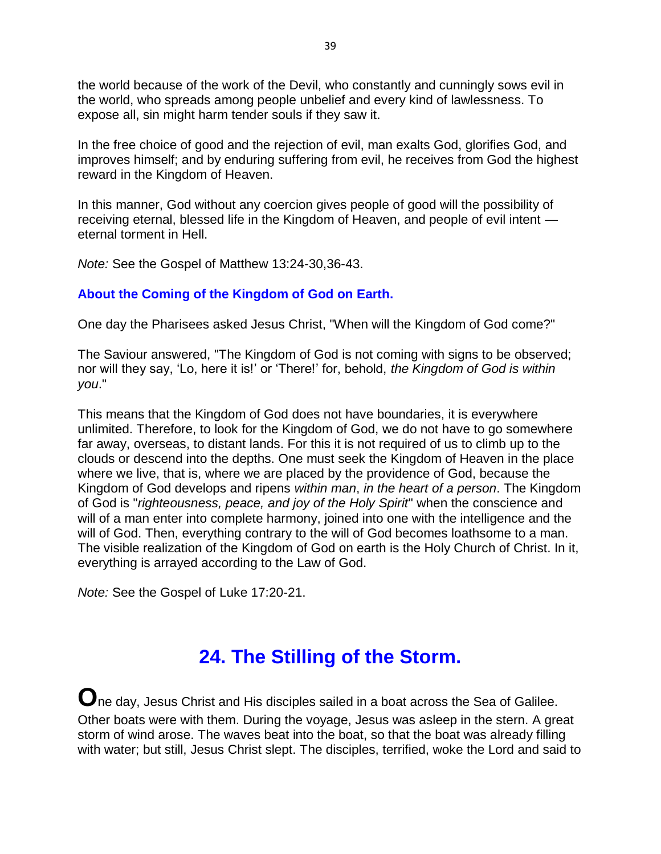the world because of the work of the Devil, who constantly and cunningly sows evil in the world, who spreads among people unbelief and every kind of lawlessness. To expose all, sin might harm tender souls if they saw it.

In the free choice of good and the rejection of evil, man exalts God, glorifies God, and improves himself; and by enduring suffering from evil, he receives from God the highest reward in the Kingdom of Heaven.

In this manner, God without any coercion gives people of good will the possibility of receiving eternal, blessed life in the Kingdom of Heaven, and people of evil intent eternal torment in Hell.

*Note:* See the Gospel of Matthew 13:24-30,36-43.

#### **About the Coming of the Kingdom of God on Earth.**

One day the Pharisees asked Jesus Christ, "When will the Kingdom of God come?"

The Saviour answered, "The Kingdom of God is not coming with signs to be observed; nor will they say, 'Lo, here it is!' or 'There!' for, behold, *the Kingdom of God is within you*."

This means that the Kingdom of God does not have boundaries, it is everywhere unlimited. Therefore, to look for the Kingdom of God, we do not have to go somewhere far away, overseas, to distant lands. For this it is not required of us to climb up to the clouds or descend into the depths. One must seek the Kingdom of Heaven in the place where we live, that is, where we are placed by the providence of God, because the Kingdom of God develops and ripens *within man*, *in the heart of a person*. The Kingdom of God is "*righteousness, peace, and joy of the Holy Spirit*" when the conscience and will of a man enter into complete harmony, joined into one with the intelligence and the will of God. Then, everything contrary to the will of God becomes loathsome to a man. The visible realization of the Kingdom of God on earth is the Holy Church of Christ. In it, everything is arrayed according to the Law of God.

*Note:* See the Gospel of Luke 17:20-21.

### **24. The Stilling of the Storm.**

**O**ne day, Jesus Christ and His disciples sailed in a boat across the Sea of Galilee. Other boats were with them. During the voyage, Jesus was asleep in the stern. A great storm of wind arose. The waves beat into the boat, so that the boat was already filling with water; but still, Jesus Christ slept. The disciples, terrified, woke the Lord and said to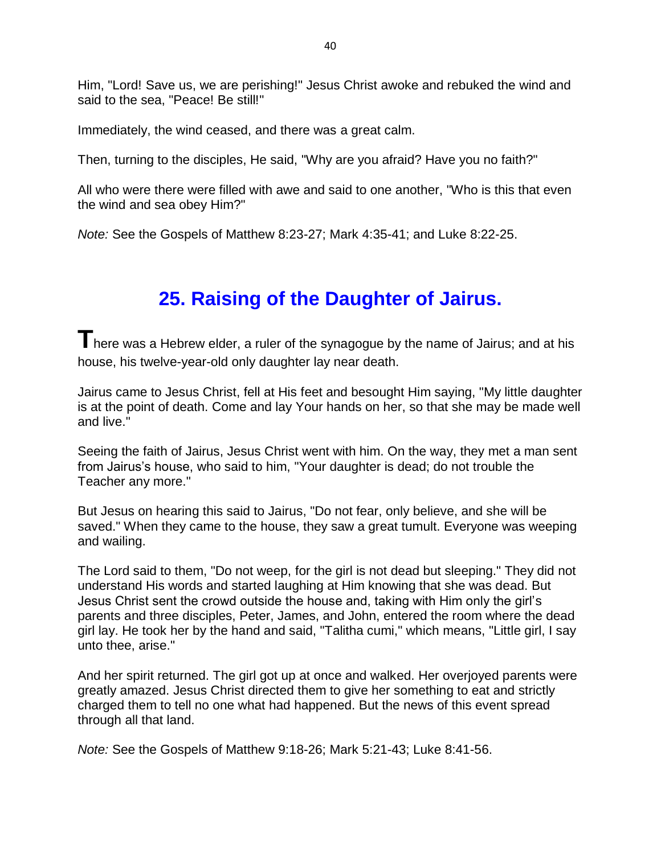Him, "Lord! Save us, we are perishing!" Jesus Christ awoke and rebuked the wind and said to the sea, "Peace! Be still!"

Immediately, the wind ceased, and there was a great calm.

Then, turning to the disciples, He said, "Why are you afraid? Have you no faith?"

All who were there were filled with awe and said to one another, "Who is this that even the wind and sea obey Him?"

*Note:* See the Gospels of Matthew 8:23-27; Mark 4:35-41; and Luke 8:22-25.

### **25. Raising of the Daughter of Jairus.**

There was a Hebrew elder, a ruler of the synagogue by the name of Jairus; and at his house, his twelve-year-old only daughter lay near death.

Jairus came to Jesus Christ, fell at His feet and besought Him saying, "My little daughter is at the point of death. Come and lay Your hands on her, so that she may be made well and live."

Seeing the faith of Jairus, Jesus Christ went with him. On the way, they met a man sent from Jairus's house, who said to him, "Your daughter is dead; do not trouble the Teacher any more."

But Jesus on hearing this said to Jairus, "Do not fear, only believe, and she will be saved." When they came to the house, they saw a great tumult. Everyone was weeping and wailing.

The Lord said to them, "Do not weep, for the girl is not dead but sleeping." They did not understand His words and started laughing at Him knowing that she was dead. But Jesus Christ sent the crowd outside the house and, taking with Him only the girl's parents and three disciples, Peter, James, and John, entered the room where the dead girl lay. He took her by the hand and said, "Talitha cumi," which means, "Little girl, I say unto thee, arise."

And her spirit returned. The girl got up at once and walked. Her overjoyed parents were greatly amazed. Jesus Christ directed them to give her something to eat and strictly charged them to tell no one what had happened. But the news of this event spread through all that land.

*Note:* See the Gospels of Matthew 9:18-26; Mark 5:21-43; Luke 8:41-56.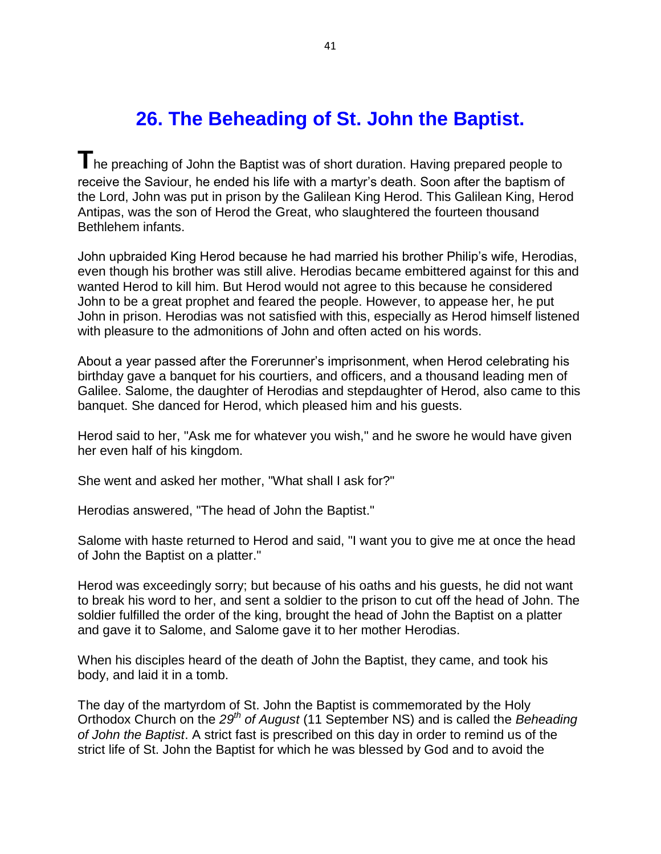## **26. The Beheading of St. John the Baptist.**

**T**he preaching of John the Baptist was of short duration. Having prepared people to receive the Saviour, he ended his life with a martyr's death. Soon after the baptism of the Lord, John was put in prison by the Galilean King Herod. This Galilean King, Herod Antipas, was the son of Herod the Great, who slaughtered the fourteen thousand Bethlehem infants.

John upbraided King Herod because he had married his brother Philip's wife, Herodias, even though his brother was still alive. Herodias became embittered against for this and wanted Herod to kill him. But Herod would not agree to this because he considered John to be a great prophet and feared the people. However, to appease her, he put John in prison. Herodias was not satisfied with this, especially as Herod himself listened with pleasure to the admonitions of John and often acted on his words.

About a year passed after the Forerunner's imprisonment, when Herod celebrating his birthday gave a banquet for his courtiers, and officers, and a thousand leading men of Galilee. Salome, the daughter of Herodias and stepdaughter of Herod, also came to this banquet. She danced for Herod, which pleased him and his guests.

Herod said to her, "Ask me for whatever you wish," and he swore he would have given her even half of his kingdom.

She went and asked her mother, "What shall I ask for?"

Herodias answered, "The head of John the Baptist."

Salome with haste returned to Herod and said, "I want you to give me at once the head of John the Baptist on a platter."

Herod was exceedingly sorry; but because of his oaths and his guests, he did not want to break his word to her, and sent a soldier to the prison to cut off the head of John. The soldier fulfilled the order of the king, brought the head of John the Baptist on a platter and gave it to Salome, and Salome gave it to her mother Herodias.

When his disciples heard of the death of John the Baptist, they came, and took his body, and laid it in a tomb.

The day of the martyrdom of St. John the Baptist is commemorated by the Holy Orthodox Church on the *29th of August* (11 September NS) and is called the *Beheading of John the Baptist*. A strict fast is prescribed on this day in order to remind us of the strict life of St. John the Baptist for which he was blessed by God and to avoid the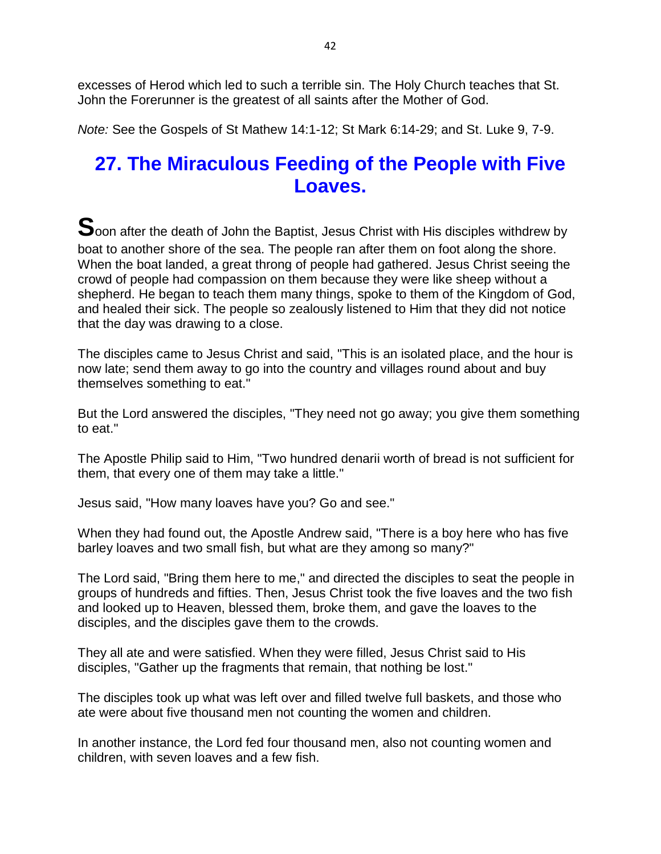excesses of Herod which led to such a terrible sin. The Holy Church teaches that St. John the Forerunner is the greatest of all saints after the Mother of God.

*Note:* See the Gospels of St Mathew 14:1-12; St Mark 6:14-29; and St. Luke 9, 7-9.

### **27. The Miraculous Feeding of the People with Five Loaves.**

**S**oon after the death of John the Baptist, Jesus Christ with His disciples withdrew by boat to another shore of the sea. The people ran after them on foot along the shore. When the boat landed, a great throng of people had gathered. Jesus Christ seeing the crowd of people had compassion on them because they were like sheep without a shepherd. He began to teach them many things, spoke to them of the Kingdom of God, and healed their sick. The people so zealously listened to Him that they did not notice that the day was drawing to a close.

The disciples came to Jesus Christ and said, "This is an isolated place, and the hour is now late; send them away to go into the country and villages round about and buy themselves something to eat."

But the Lord answered the disciples, "They need not go away; you give them something to eat."

The Apostle Philip said to Him, "Two hundred denarii worth of bread is not sufficient for them, that every one of them may take a little."

Jesus said, "How many loaves have you? Go and see."

When they had found out, the Apostle Andrew said, "There is a boy here who has five barley loaves and two small fish, but what are they among so many?"

The Lord said, "Bring them here to me," and directed the disciples to seat the people in groups of hundreds and fifties. Then, Jesus Christ took the five loaves and the two fish and looked up to Heaven, blessed them, broke them, and gave the loaves to the disciples, and the disciples gave them to the crowds.

They all ate and were satisfied. When they were filled, Jesus Christ said to His disciples, "Gather up the fragments that remain, that nothing be lost."

The disciples took up what was left over and filled twelve full baskets, and those who ate were about five thousand men not counting the women and children.

In another instance, the Lord fed four thousand men, also not counting women and children, with seven loaves and a few fish.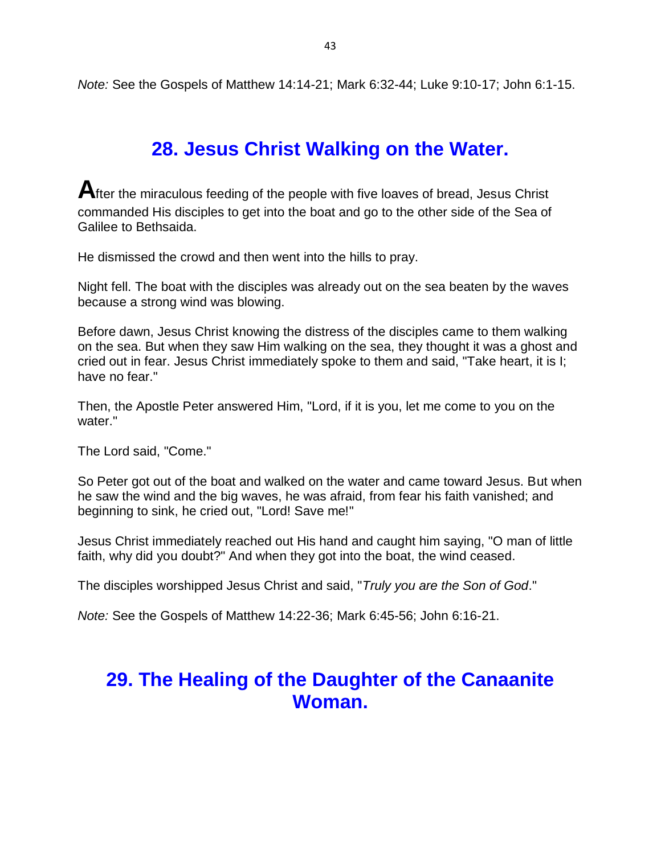*Note:* See the Gospels of Matthew 14:14-21; Mark 6:32-44; Luke 9:10-17; John 6:1-15.

## **28. Jesus Christ Walking on the Water.**

After the miraculous feeding of the people with five loaves of bread, Jesus Christ commanded His disciples to get into the boat and go to the other side of the Sea of Galilee to Bethsaida.

He dismissed the crowd and then went into the hills to pray.

Night fell. The boat with the disciples was already out on the sea beaten by the waves because a strong wind was blowing.

Before dawn, Jesus Christ knowing the distress of the disciples came to them walking on the sea. But when they saw Him walking on the sea, they thought it was a ghost and cried out in fear. Jesus Christ immediately spoke to them and said, "Take heart, it is I; have no fear."

Then, the Apostle Peter answered Him, "Lord, if it is you, let me come to you on the water."

The Lord said, "Come."

So Peter got out of the boat and walked on the water and came toward Jesus. But when he saw the wind and the big waves, he was afraid, from fear his faith vanished; and beginning to sink, he cried out, "Lord! Save me!"

Jesus Christ immediately reached out His hand and caught him saying, "O man of little faith, why did you doubt?" And when they got into the boat, the wind ceased.

The disciples worshipped Jesus Christ and said, "*Truly you are the Son of God*."

*Note:* See the Gospels of Matthew 14:22-36; Mark 6:45-56; John 6:16-21.

### **29. The Healing of the Daughter of the Canaanite Woman.**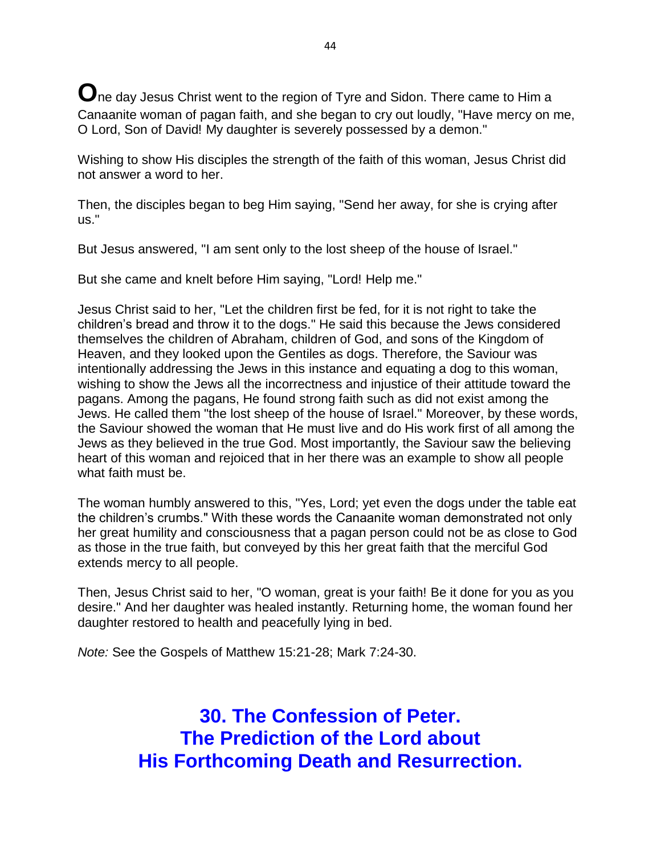**O**ne day Jesus Christ went to the region of Tyre and Sidon. There came to Him a Canaanite woman of pagan faith, and she began to cry out loudly, "Have mercy on me, O Lord, Son of David! My daughter is severely possessed by a demon."

Wishing to show His disciples the strength of the faith of this woman, Jesus Christ did not answer a word to her.

Then, the disciples began to beg Him saying, "Send her away, for she is crying after us."

But Jesus answered, "I am sent only to the lost sheep of the house of Israel."

But she came and knelt before Him saying, "Lord! Help me."

Jesus Christ said to her, "Let the children first be fed, for it is not right to take the children's bread and throw it to the dogs." He said this because the Jews considered themselves the children of Abraham, children of God, and sons of the Kingdom of Heaven, and they looked upon the Gentiles as dogs. Therefore, the Saviour was intentionally addressing the Jews in this instance and equating a dog to this woman, wishing to show the Jews all the incorrectness and injustice of their attitude toward the pagans. Among the pagans, He found strong faith such as did not exist among the Jews. He called them "the lost sheep of the house of Israel." Moreover, by these words, the Saviour showed the woman that He must live and do His work first of all among the Jews as they believed in the true God. Most importantly, the Saviour saw the believing heart of this woman and rejoiced that in her there was an example to show all people what faith must be.

The woman humbly answered to this, "Yes, Lord; yet even the dogs under the table eat the children's crumbs." With these words the Canaanite woman demonstrated not only her great humility and consciousness that a pagan person could not be as close to God as those in the true faith, but conveyed by this her great faith that the merciful God extends mercy to all people.

Then, Jesus Christ said to her, "O woman, great is your faith! Be it done for you as you desire." And her daughter was healed instantly. Returning home, the woman found her daughter restored to health and peacefully lying in bed.

*Note:* See the Gospels of Matthew 15:21-28; Mark 7:24-30.

**30. The Confession of Peter. The Prediction of the Lord about His Forthcoming Death and Resurrection.**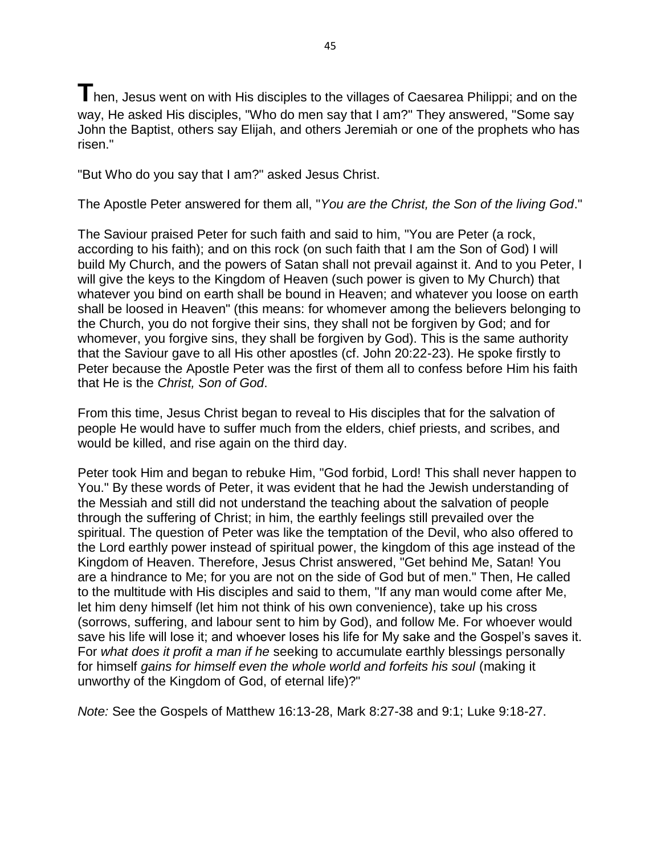**T**hen, Jesus went on with His disciples to the villages of Caesarea Philippi; and on the way, He asked His disciples, "Who do men say that I am?" They answered, "Some say John the Baptist, others say Elijah, and others Jeremiah or one of the prophets who has risen."

"But Who do you say that I am?" asked Jesus Christ.

The Apostle Peter answered for them all, "*You are the Christ, the Son of the living God*."

The Saviour praised Peter for such faith and said to him, "You are Peter (a rock, according to his faith); and on this rock (on such faith that I am the Son of God) I will build My Church, and the powers of Satan shall not prevail against it. And to you Peter, I will give the keys to the Kingdom of Heaven (such power is given to My Church) that whatever you bind on earth shall be bound in Heaven; and whatever you loose on earth shall be loosed in Heaven" (this means: for whomever among the believers belonging to the Church, you do not forgive their sins, they shall not be forgiven by God; and for whomever, you forgive sins, they shall be forgiven by God). This is the same authority that the Saviour gave to all His other apostles (cf. John 20:22-23). He spoke firstly to Peter because the Apostle Peter was the first of them all to confess before Him his faith that He is the *Christ, Son of God*.

From this time, Jesus Christ began to reveal to His disciples that for the salvation of people He would have to suffer much from the elders, chief priests, and scribes, and would be killed, and rise again on the third day.

Peter took Him and began to rebuke Him, "God forbid, Lord! This shall never happen to You." By these words of Peter, it was evident that he had the Jewish understanding of the Messiah and still did not understand the teaching about the salvation of people through the suffering of Christ; in him, the earthly feelings still prevailed over the spiritual. The question of Peter was like the temptation of the Devil, who also offered to the Lord earthly power instead of spiritual power, the kingdom of this age instead of the Kingdom of Heaven. Therefore, Jesus Christ answered, "Get behind Me, Satan! You are a hindrance to Me; for you are not on the side of God but of men." Then, He called to the multitude with His disciples and said to them, "If any man would come after Me, let him deny himself (let him not think of his own convenience), take up his cross (sorrows, suffering, and labour sent to him by God), and follow Me. For whoever would save his life will lose it; and whoever loses his life for My sake and the Gospel's saves it. For *what does it profit a man if he* seeking to accumulate earthly blessings personally for himself *gains for himself even the whole world and forfeits his soul* (making it unworthy of the Kingdom of God, of eternal life)?"

*Note:* See the Gospels of Matthew 16:13-28, Mark 8:27-38 and 9:1; Luke 9:18-27.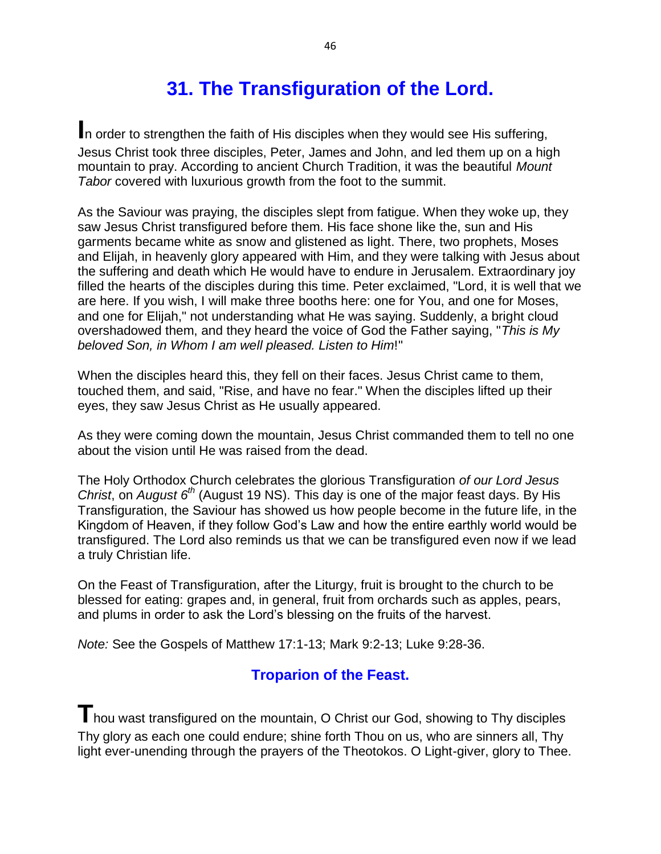# **31. The Transfiguration of the Lord.**

**I**n order to strengthen the faith of His disciples when they would see His suffering, Jesus Christ took three disciples, Peter, James and John, and led them up on a high mountain to pray. According to ancient Church Tradition, it was the beautiful *Mount Tabor* covered with luxurious growth from the foot to the summit.

As the Saviour was praying, the disciples slept from fatigue. When they woke up, they saw Jesus Christ transfigured before them. His face shone like the, sun and His garments became white as snow and glistened as light. There, two prophets, Moses and Elijah, in heavenly glory appeared with Him, and they were talking with Jesus about the suffering and death which He would have to endure in Jerusalem. Extraordinary joy filled the hearts of the disciples during this time. Peter exclaimed, "Lord, it is well that we are here. If you wish, I will make three booths here: one for You, and one for Moses, and one for Elijah," not understanding what He was saying. Suddenly, a bright cloud overshadowed them, and they heard the voice of God the Father saying, "*This is My beloved Son, in Whom I am well pleased. Listen to Him*!"

When the disciples heard this, they fell on their faces. Jesus Christ came to them, touched them, and said, "Rise, and have no fear." When the disciples lifted up their eyes, they saw Jesus Christ as He usually appeared.

As they were coming down the mountain, Jesus Christ commanded them to tell no one about the vision until He was raised from the dead.

The Holy Orthodox Church celebrates the glorious Transfiguration *of our Lord Jesus Christ*, on *August 6th* (August 19 NS). This day is one of the major feast days. By His Transfiguration, the Saviour has showed us how people become in the future life, in the Kingdom of Heaven, if they follow God's Law and how the entire earthly world would be transfigured. The Lord also reminds us that we can be transfigured even now if we lead a truly Christian life.

On the Feast of Transfiguration, after the Liturgy, fruit is brought to the church to be blessed for eating: grapes and, in general, fruit from orchards such as apples, pears, and plums in order to ask the Lord's blessing on the fruits of the harvest.

*Note:* See the Gospels of Matthew 17:1-13; Mark 9:2-13; Luke 9:28-36.

### **Troparion of the Feast.**

**T**hou wast transfigured on the mountain, O Christ our God, showing to Thy disciples Thy glory as each one could endure; shine forth Thou on us, who are sinners all, Thy light ever-unending through the prayers of the Theotokos. O Light-giver, glory to Thee.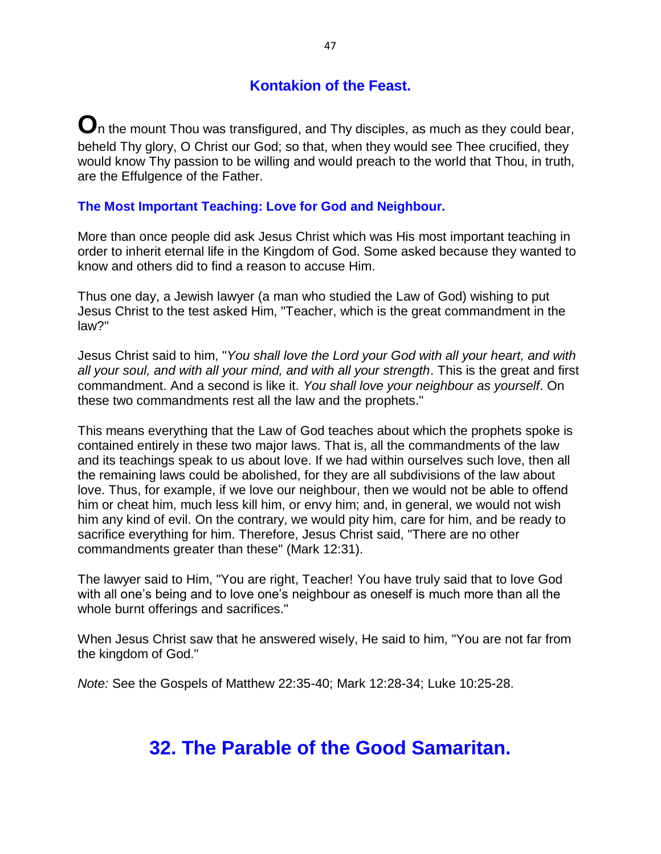### **Kontakion of the Feast.**

 $\bf O$ n the mount Thou was transfigured, and Thy disciples, as much as they could bear, beheld Thy glory, O Christ our God; so that, when they would see Thee crucified, they would know Thy passion to be willing and would preach to the world that Thou, in truth, are the Effulgence of the Father.

#### **The Most Important Teaching: Love for God and Neighbour.**

More than once people did ask Jesus Christ which was His most important teaching in order to inherit eternal life in the Kingdom of God. Some asked because they wanted to know and others did to find a reason to accuse Him.

Thus one day, a Jewish lawyer (a man who studied the Law of God) wishing to put Jesus Christ to the test asked Him, "Teacher, which is the great commandment in the law?"

Jesus Christ said to him, "*You shall love the Lord your God with all your heart, and with all your soul, and with all your mind, and with all your strength*. This is the great and first commandment. And a second is like it. *You shall love your neighbour as yourself*. On these two commandments rest all the law and the prophets."

This means everything that the Law of God teaches about which the prophets spoke is contained entirely in these two major laws. That is, all the commandments of the law and its teachings speak to us about love. If we had within ourselves such love, then all the remaining laws could be abolished, for they are all subdivisions of the law about love. Thus, for example, if we love our neighbour, then we would not be able to offend him or cheat him, much less kill him, or envy him; and, in general, we would not wish him any kind of evil. On the contrary, we would pity him, care for him, and be ready to sacrifice everything for him. Therefore, Jesus Christ said, "There are no other commandments greater than these" (Mark 12:31).

The lawyer said to Him, "You are right, Teacher! You have truly said that to love God with all one's being and to love one's neighbour as oneself is much more than all the whole burnt offerings and sacrifices."

When Jesus Christ saw that he answered wisely, He said to him, "You are not far from the kingdom of God."

*Note:* See the Gospels of Matthew 22:35-40; Mark 12:28-34; Luke 10:25-28.

### **32. The Parable of the Good Samaritan.**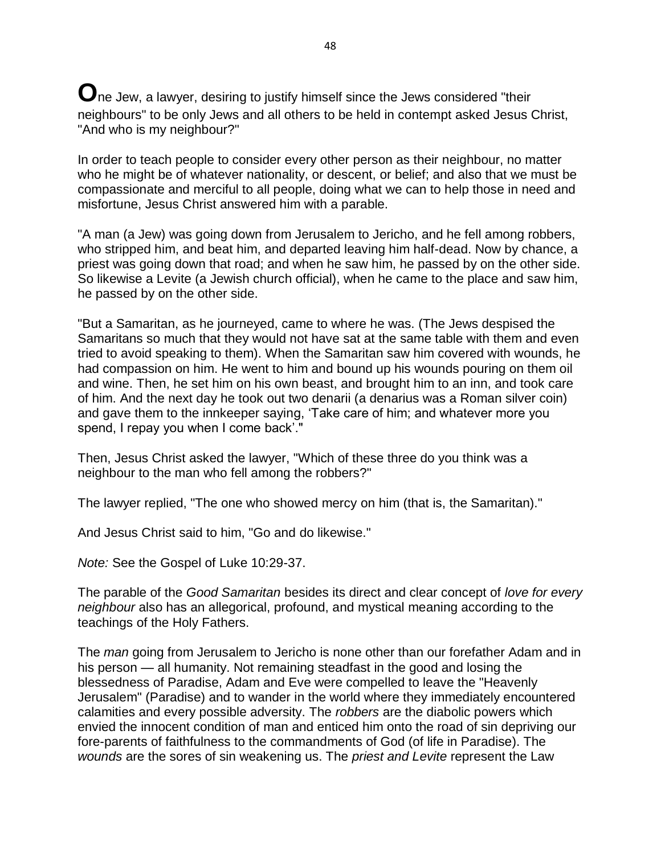**O**ne Jew, a lawyer, desiring to justify himself since the Jews considered "their neighbours" to be only Jews and all others to be held in contempt asked Jesus Christ, "And who is my neighbour?"

In order to teach people to consider every other person as their neighbour, no matter who he might be of whatever nationality, or descent, or belief; and also that we must be compassionate and merciful to all people, doing what we can to help those in need and misfortune, Jesus Christ answered him with a parable.

"A man (a Jew) was going down from Jerusalem to Jericho, and he fell among robbers, who stripped him, and beat him, and departed leaving him half-dead. Now by chance, a priest was going down that road; and when he saw him, he passed by on the other side. So likewise a Levite (a Jewish church official), when he came to the place and saw him, he passed by on the other side.

"But a Samaritan, as he journeyed, came to where he was. (The Jews despised the Samaritans so much that they would not have sat at the same table with them and even tried to avoid speaking to them). When the Samaritan saw him covered with wounds, he had compassion on him. He went to him and bound up his wounds pouring on them oil and wine. Then, he set him on his own beast, and brought him to an inn, and took care of him. And the next day he took out two denarii (a denarius was a Roman silver coin) and gave them to the innkeeper saying, 'Take care of him; and whatever more you spend, I repay you when I come back'."

Then, Jesus Christ asked the lawyer, "Which of these three do you think was a neighbour to the man who fell among the robbers?"

The lawyer replied, "The one who showed mercy on him (that is, the Samaritan)."

And Jesus Christ said to him, "Go and do likewise."

*Note:* See the Gospel of Luke 10:29-37.

The parable of the *Good Samaritan* besides its direct and clear concept of *love for every neighbour* also has an allegorical, profound, and mystical meaning according to the teachings of the Holy Fathers.

The *man* going from Jerusalem to Jericho is none other than our forefather Adam and in his person — all humanity. Not remaining steadfast in the good and losing the blessedness of Paradise, Adam and Eve were compelled to leave the "Heavenly Jerusalem" (Paradise) and to wander in the world where they immediately encountered calamities and every possible adversity. The *robbers* are the diabolic powers which envied the innocent condition of man and enticed him onto the road of sin depriving our fore-parents of faithfulness to the commandments of God (of life in Paradise). The *wounds* are the sores of sin weakening us. The *priest and Levite* represent the Law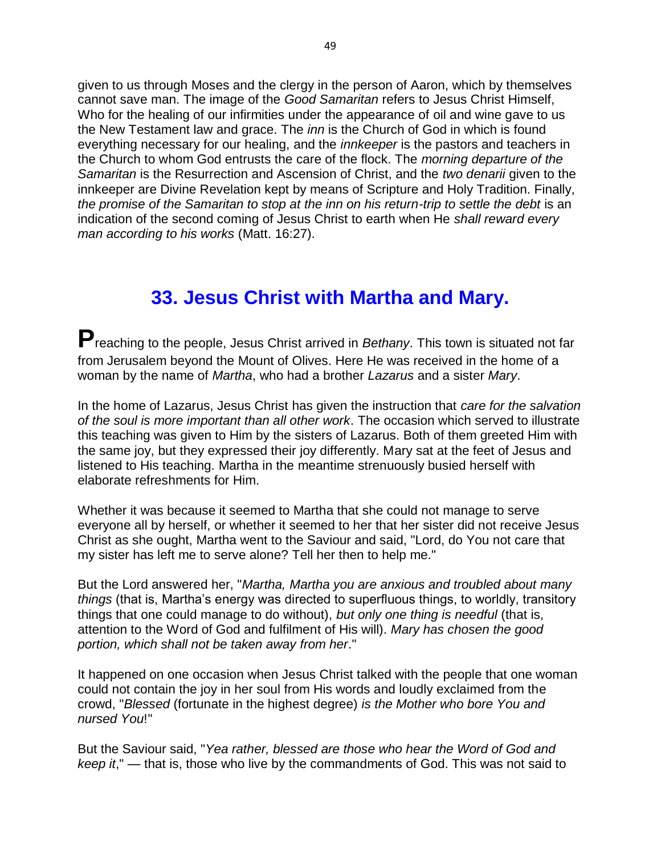given to us through Moses and the clergy in the person of Aaron, which by themselves cannot save man. The image of the *Good Samaritan* refers to Jesus Christ Himself, Who for the healing of our infirmities under the appearance of oil and wine gave to us the New Testament law and grace. The *inn* is the Church of God in which is found everything necessary for our healing, and the *innkeeper* is the pastors and teachers in the Church to whom God entrusts the care of the flock. The *morning departure of the Samaritan* is the Resurrection and Ascension of Christ, and the *two denarii* given to the innkeeper are Divine Revelation kept by means of Scripture and Holy Tradition. Finally, *the promise of the Samaritan to stop at the inn on his return-trip to settle the debt* is an indication of the second coming of Jesus Christ to earth when He *shall reward every man according to his works* (Matt. 16:27).

### **33. Jesus Christ with Martha and Mary.**

**P**reaching to the people, Jesus Christ arrived in *Bethany*. This town is situated not far from Jerusalem beyond the Mount of Olives. Here He was received in the home of a woman by the name of *Martha*, who had a brother *Lazarus* and a sister *Mary*.

In the home of Lazarus, Jesus Christ has given the instruction that *care for the salvation of the soul is more important than all other work*. The occasion which served to illustrate this teaching was given to Him by the sisters of Lazarus. Both of them greeted Him with the same joy, but they expressed their joy differently. Mary sat at the feet of Jesus and listened to His teaching. Martha in the meantime strenuously busied herself with elaborate refreshments for Him.

Whether it was because it seemed to Martha that she could not manage to serve everyone all by herself, or whether it seemed to her that her sister did not receive Jesus Christ as she ought, Martha went to the Saviour and said, "Lord, do You not care that my sister has left me to serve alone? Tell her then to help me."

But the Lord answered her, "*Martha, Martha you are anxious and troubled about many things* (that is, Martha's energy was directed to superfluous things, to worldly, transitory things that one could manage to do without), *but only one thing is needful* (that is, attention to the Word of God and fulfilment of His will). *Mary has chosen the good portion, which shall not be taken away from her*."

It happened on one occasion when Jesus Christ talked with the people that one woman could not contain the joy in her soul from His words and loudly exclaimed from the crowd, "*Blessed* (fortunate in the highest degree) *is the Mother who bore You and nursed You*!"

But the Saviour said, "*Yea rather, blessed are those who hear the Word of God and keep it*," — that is, those who live by the commandments of God. This was not said to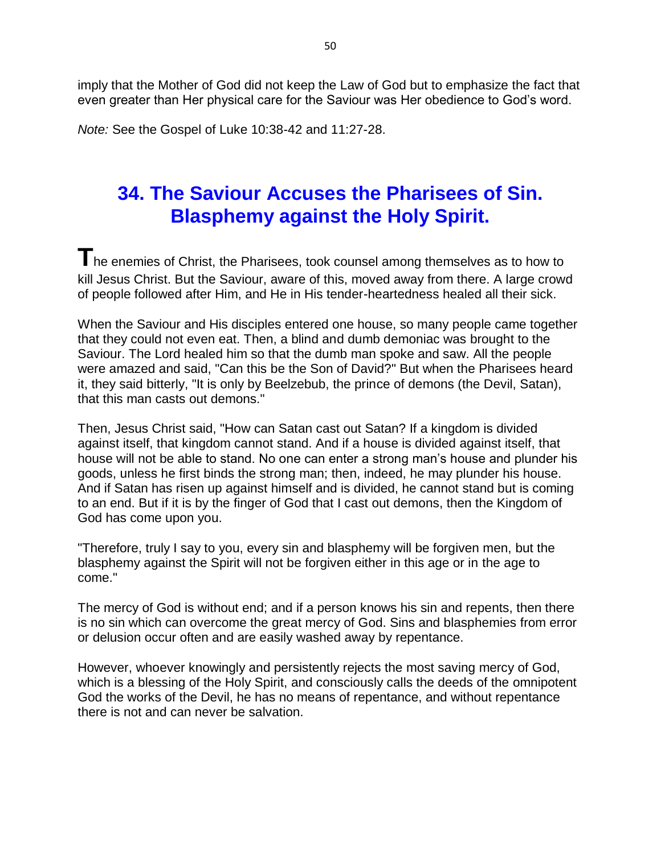imply that the Mother of God did not keep the Law of God but to emphasize the fact that even greater than Her physical care for the Saviour was Her obedience to God's word.

*Note:* See the Gospel of Luke 10:38-42 and 11:27-28.

### **34. The Saviour Accuses the Pharisees of Sin. Blasphemy against the Holy Spirit.**

**T**he enemies of Christ, the Pharisees, took counsel among themselves as to how to kill Jesus Christ. But the Saviour, aware of this, moved away from there. A large crowd of people followed after Him, and He in His tender-heartedness healed all their sick.

When the Saviour and His disciples entered one house, so many people came together that they could not even eat. Then, a blind and dumb demoniac was brought to the Saviour. The Lord healed him so that the dumb man spoke and saw. All the people were amazed and said, "Can this be the Son of David?" But when the Pharisees heard it, they said bitterly, "It is only by Beelzebub, the prince of demons (the Devil, Satan), that this man casts out demons."

Then, Jesus Christ said, "How can Satan cast out Satan? If a kingdom is divided against itself, that kingdom cannot stand. And if a house is divided against itself, that house will not be able to stand. No one can enter a strong man's house and plunder his goods, unless he first binds the strong man; then, indeed, he may plunder his house. And if Satan has risen up against himself and is divided, he cannot stand but is coming to an end. But if it is by the finger of God that I cast out demons, then the Kingdom of God has come upon you.

"Therefore, truly I say to you, every sin and blasphemy will be forgiven men, but the blasphemy against the Spirit will not be forgiven either in this age or in the age to come."

The mercy of God is without end; and if a person knows his sin and repents, then there is no sin which can overcome the great mercy of God. Sins and blasphemies from error or delusion occur often and are easily washed away by repentance.

However, whoever knowingly and persistently rejects the most saving mercy of God, which is a blessing of the Holy Spirit, and consciously calls the deeds of the omnipotent God the works of the Devil, he has no means of repentance, and without repentance there is not and can never be salvation.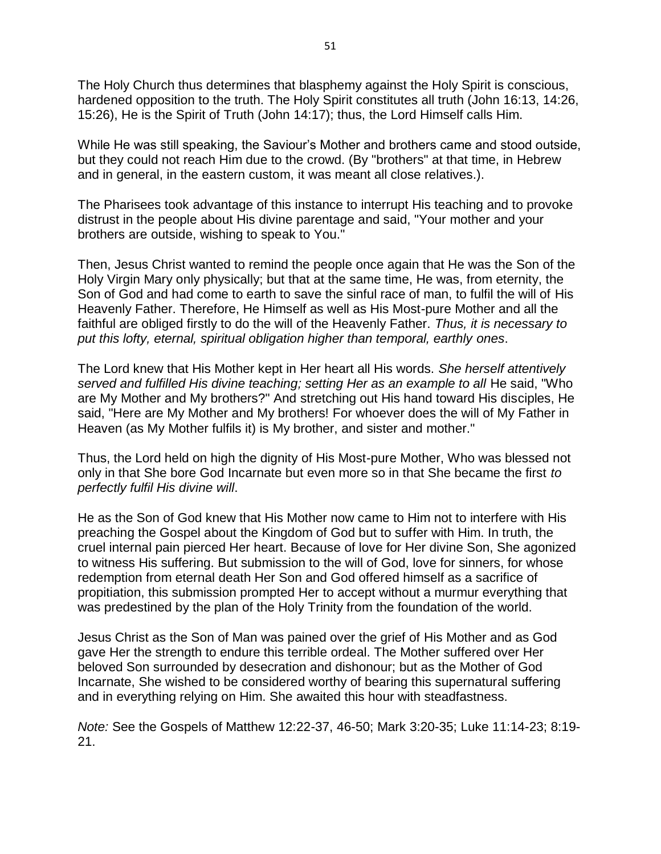The Holy Church thus determines that blasphemy against the Holy Spirit is conscious, hardened opposition to the truth. The Holy Spirit constitutes all truth (John 16:13, 14:26, 15:26), He is the Spirit of Truth (John 14:17); thus, the Lord Himself calls Him.

While He was still speaking, the Saviour's Mother and brothers came and stood outside, but they could not reach Him due to the crowd. (By "brothers" at that time, in Hebrew and in general, in the eastern custom, it was meant all close relatives.).

The Pharisees took advantage of this instance to interrupt His teaching and to provoke distrust in the people about His divine parentage and said, "Your mother and your brothers are outside, wishing to speak to You."

Then, Jesus Christ wanted to remind the people once again that He was the Son of the Holy Virgin Mary only physically; but that at the same time, He was, from eternity, the Son of God and had come to earth to save the sinful race of man, to fulfil the will of His Heavenly Father. Therefore, He Himself as well as His Most-pure Mother and all the faithful are obliged firstly to do the will of the Heavenly Father. *Thus, it is necessary to put this lofty, eternal, spiritual obligation higher than temporal, earthly ones*.

The Lord knew that His Mother kept in Her heart all His words. *She herself attentively served and fulfilled His divine teaching; setting Her as an example to all* He said, "Who are My Mother and My brothers?" And stretching out His hand toward His disciples, He said, "Here are My Mother and My brothers! For whoever does the will of My Father in Heaven (as My Mother fulfils it) is My brother, and sister and mother."

Thus, the Lord held on high the dignity of His Most-pure Mother, Who was blessed not only in that She bore God Incarnate but even more so in that She became the first *to perfectly fulfil His divine will*.

He as the Son of God knew that His Mother now came to Him not to interfere with His preaching the Gospel about the Kingdom of God but to suffer with Him. In truth, the cruel internal pain pierced Her heart. Because of love for Her divine Son, She agonized to witness His suffering. But submission to the will of God, love for sinners, for whose redemption from eternal death Her Son and God offered himself as a sacrifice of propitiation, this submission prompted Her to accept without a murmur everything that was predestined by the plan of the Holy Trinity from the foundation of the world.

Jesus Christ as the Son of Man was pained over the grief of His Mother and as God gave Her the strength to endure this terrible ordeal. The Mother suffered over Her beloved Son surrounded by desecration and dishonour; but as the Mother of God Incarnate, She wished to be considered worthy of bearing this supernatural suffering and in everything relying on Him. She awaited this hour with steadfastness.

*Note:* See the Gospels of Matthew 12:22-37, 46-50; Mark 3:20-35; Luke 11:14-23; 8:19- 21.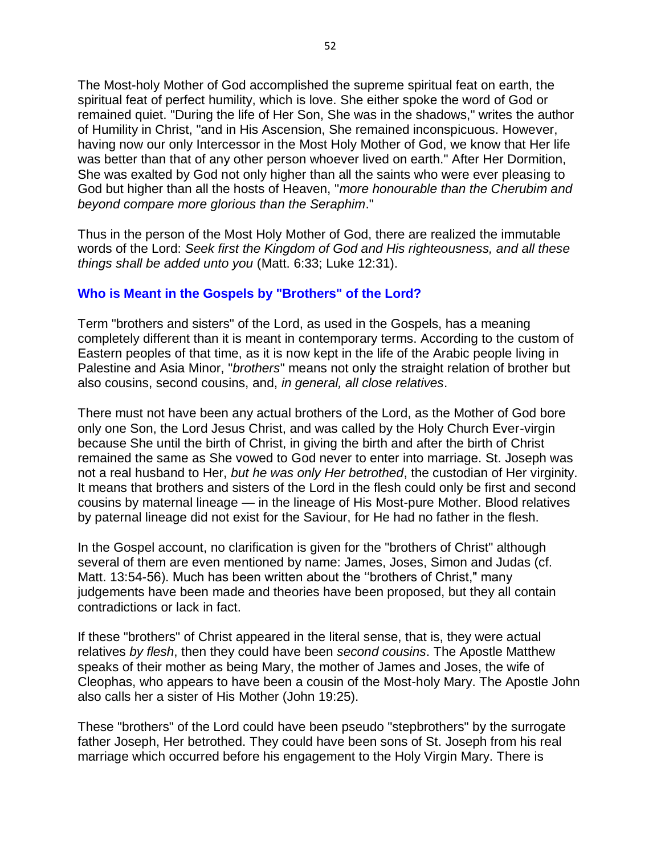The Most-holy Mother of God accomplished the supreme spiritual feat on earth, the spiritual feat of perfect humility, which is love. She either spoke the word of God or remained quiet. "During the life of Her Son, She was in the shadows," writes the author of Humility in Christ, "and in His Ascension, She remained inconspicuous. However, having now our only Intercessor in the Most Holy Mother of God, we know that Her life was better than that of any other person whoever lived on earth." After Her Dormition, She was exalted by God not only higher than all the saints who were ever pleasing to God but higher than all the hosts of Heaven, "*more honourable than the Cherubim and beyond compare more glorious than the Seraphim*."

Thus in the person of the Most Holy Mother of God, there are realized the immutable words of the Lord: *Seek first the Kingdom of God and His righteousness, and all these things shall be added unto you* (Matt. 6:33; Luke 12:31).

#### **Who is Meant in the Gospels by "Brothers" of the Lord?**

Term "brothers and sisters" of the Lord, as used in the Gospels, has a meaning completely different than it is meant in contemporary terms. According to the custom of Eastern peoples of that time, as it is now kept in the life of the Arabic people living in Palestine and Asia Minor, "*brothers*" means not only the straight relation of brother but also cousins, second cousins, and, *in general, all close relatives*.

There must not have been any actual brothers of the Lord, as the Mother of God bore only one Son, the Lord Jesus Christ, and was called by the Holy Church Ever-virgin because She until the birth of Christ, in giving the birth and after the birth of Christ remained the same as She vowed to God never to enter into marriage. St. Joseph was not a real husband to Her, *but he was only Her betrothed*, the custodian of Her virginity. It means that brothers and sisters of the Lord in the flesh could only be first and second cousins by maternal lineage — in the lineage of His Most-pure Mother. Blood relatives by paternal lineage did not exist for the Saviour, for He had no father in the flesh.

In the Gospel account, no clarification is given for the "brothers of Christ" although several of them are even mentioned by name: James, Joses, Simon and Judas (cf. Matt. 13:54-56). Much has been written about the ''brothers of Christ," many judgements have been made and theories have been proposed, but they all contain contradictions or lack in fact.

If these "brothers" of Christ appeared in the literal sense, that is, they were actual relatives *by flesh*, then they could have been *second cousins*. The Apostle Matthew speaks of their mother as being Mary, the mother of James and Joses, the wife of Cleophas, who appears to have been a cousin of the Most-holy Mary. The Apostle John also calls her a sister of His Mother (John 19:25).

These "brothers" of the Lord could have been pseudo "stepbrothers" by the surrogate father Joseph, Her betrothed. They could have been sons of St. Joseph from his real marriage which occurred before his engagement to the Holy Virgin Mary. There is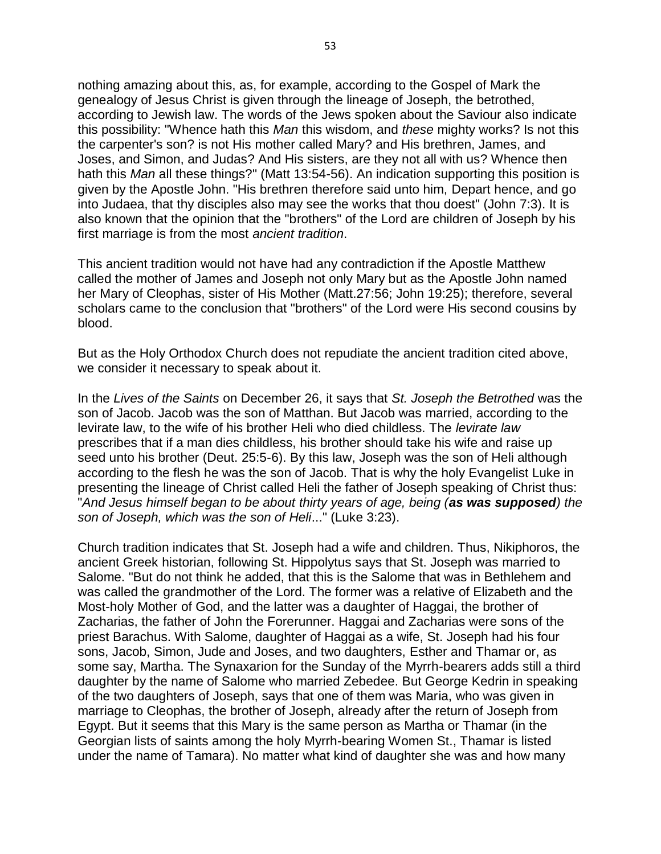nothing amazing about this, as, for example, according to the Gospel of Mark the genealogy of Jesus Christ is given through the lineage of Joseph, the betrothed, according to Jewish law. The words of the Jews spoken about the Saviour also indicate this possibility: "Whence hath this *Man* this wisdom, and *these* mighty works? Is not this the carpenter's son? is not His mother called Mary? and His brethren, James, and Joses, and Simon, and Judas? And His sisters, are they not all with us? Whence then hath this *Man* all these things?" (Matt 13:54-56). An indication supporting this position is given by the Apostle John. "His brethren therefore said unto him, Depart hence, and go into Judaea, that thy disciples also may see the works that thou doest" (John 7:3). It is also known that the opinion that the "brothers" of the Lord are children of Joseph by his first marriage is from the most *ancient tradition*.

This ancient tradition would not have had any contradiction if the Apostle Matthew called the mother of James and Joseph not only Mary but as the Apostle John named her Mary of Cleophas, sister of His Mother (Matt.27:56; John 19:25); therefore, several scholars came to the conclusion that "brothers" of the Lord were His second cousins by blood.

But as the Holy Orthodox Church does not repudiate the ancient tradition cited above, we consider it necessary to speak about it.

In the *Lives of the Saints* on December 26, it says that *St. Joseph the Betrothed* was the son of Jacob. Jacob was the son of Matthan. But Jacob was married, according to the levirate law, to the wife of his brother Heli who died childless. The *levirate law* prescribes that if a man dies childless, his brother should take his wife and raise up seed unto his brother (Deut. 25:5-6). By this law, Joseph was the son of Heli although according to the flesh he was the son of Jacob. That is why the holy Evangelist Luke in presenting the lineage of Christ called Heli the father of Joseph speaking of Christ thus: "*And Jesus himself began to be about thirty years of age, being (as was supposed) the son of Joseph, which was the son of Heli*..." (Luke 3:23).

Church tradition indicates that St. Joseph had a wife and children. Thus, Nikiphoros, the ancient Greek historian, following St. Hippolytus says that St. Joseph was married to Salome. "But do not think he added, that this is the Salome that was in Bethlehem and was called the grandmother of the Lord. The former was a relative of Elizabeth and the Most-holy Mother of God, and the latter was a daughter of Haggai, the brother of Zacharias, the father of John the Forerunner. Haggai and Zacharias were sons of the priest Barachus. With Salome, daughter of Haggai as a wife, St. Joseph had his four sons, Jacob, Simon, Jude and Joses, and two daughters, Esther and Thamar or, as some say, Martha. The Synaxarion for the Sunday of the Myrrh-bearers adds still a third daughter by the name of Salome who married Zebedee. But George Kedrin in speaking of the two daughters of Joseph, says that one of them was Maria, who was given in marriage to Cleophas, the brother of Joseph, already after the return of Joseph from Egypt. But it seems that this Mary is the same person as Martha or Thamar (in the Georgian lists of saints among the holy Myrrh-bearing Women St., Thamar is listed under the name of Tamara). No matter what kind of daughter she was and how many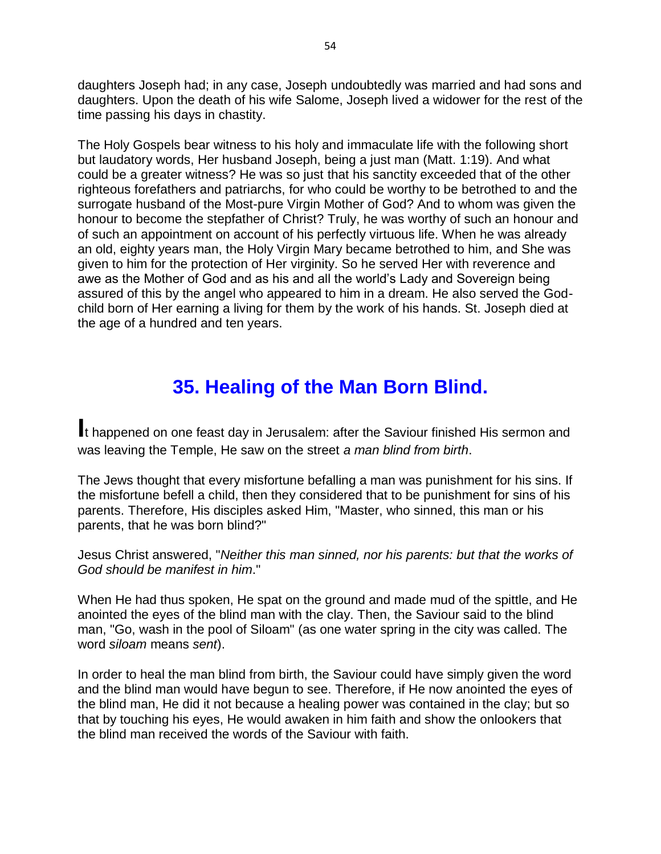daughters Joseph had; in any case, Joseph undoubtedly was married and had sons and daughters. Upon the death of his wife Salome, Joseph lived a widower for the rest of the time passing his days in chastity.

The Holy Gospels bear witness to his holy and immaculate life with the following short but laudatory words, Her husband Joseph, being a just man (Matt. 1:19). And what could be a greater witness? He was so just that his sanctity exceeded that of the other righteous forefathers and patriarchs, for who could be worthy to be betrothed to and the surrogate husband of the Most-pure Virgin Mother of God? And to whom was given the honour to become the stepfather of Christ? Truly, he was worthy of such an honour and of such an appointment on account of his perfectly virtuous life. When he was already an old, eighty years man, the Holy Virgin Mary became betrothed to him, and She was given to him for the protection of Her virginity. So he served Her with reverence and awe as the Mother of God and as his and all the world's Lady and Sovereign being assured of this by the angel who appeared to him in a dream. He also served the Godchild born of Her earning a living for them by the work of his hands. St. Joseph died at the age of a hundred and ten years.

## **35. Healing of the Man Born Blind.**

**I**t happened on one feast day in Jerusalem: after the Saviour finished His sermon and was leaving the Temple, He saw on the street *a man blind from birth*.

The Jews thought that every misfortune befalling a man was punishment for his sins. If the misfortune befell a child, then they considered that to be punishment for sins of his parents. Therefore, His disciples asked Him, "Master, who sinned, this man or his parents, that he was born blind?"

Jesus Christ answered, "*Neither this man sinned, nor his parents: but that the works of God should be manifest in him*."

When He had thus spoken, He spat on the ground and made mud of the spittle, and He anointed the eyes of the blind man with the clay. Then, the Saviour said to the blind man, "Go, wash in the pool of Siloam" (as one water spring in the city was called. The word *siloam* means *sent*).

In order to heal the man blind from birth, the Saviour could have simply given the word and the blind man would have begun to see. Therefore, if He now anointed the eyes of the blind man, He did it not because a healing power was contained in the clay; but so that by touching his eyes, He would awaken in him faith and show the onlookers that the blind man received the words of the Saviour with faith.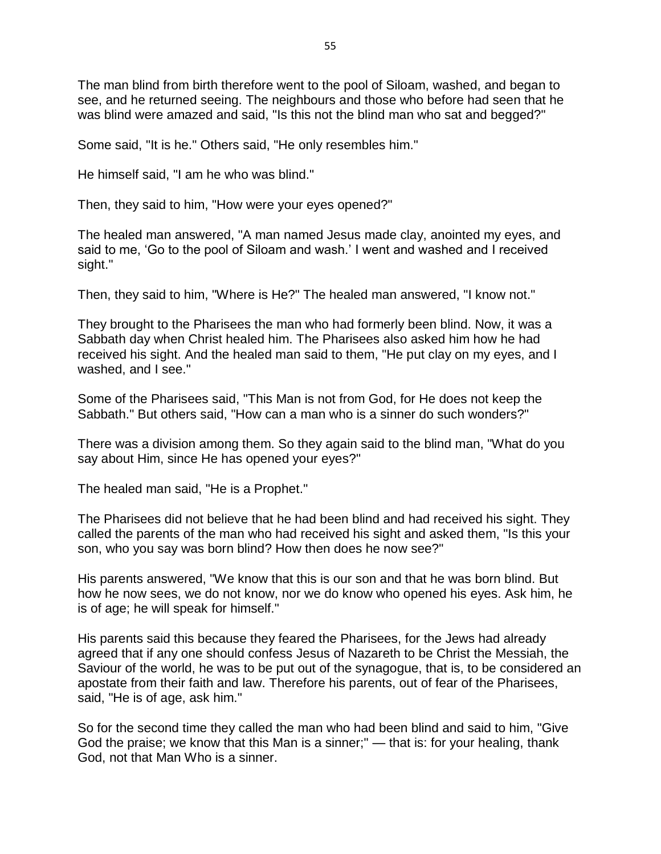The man blind from birth therefore went to the pool of Siloam, washed, and began to see, and he returned seeing. The neighbours and those who before had seen that he was blind were amazed and said, "Is this not the blind man who sat and begged?"

Some said, "It is he." Others said, "He only resembles him."

He himself said, "I am he who was blind."

Then, they said to him, "How were your eyes opened?"

The healed man answered, "A man named Jesus made clay, anointed my eyes, and said to me, 'Go to the pool of Siloam and wash.' I went and washed and I received sight."

Then, they said to him, "Where is He?" The healed man answered, "I know not."

They brought to the Pharisees the man who had formerly been blind. Now, it was a Sabbath day when Christ healed him. The Pharisees also asked him how he had received his sight. And the healed man said to them, "He put clay on my eyes, and I washed, and I see."

Some of the Pharisees said, "This Man is not from God, for He does not keep the Sabbath." But others said, "How can a man who is a sinner do such wonders?"

There was a division among them. So they again said to the blind man, "What do you say about Him, since He has opened your eyes?"

The healed man said, "He is a Prophet."

The Pharisees did not believe that he had been blind and had received his sight. They called the parents of the man who had received his sight and asked them, "Is this your son, who you say was born blind? How then does he now see?"

His parents answered, "We know that this is our son and that he was born blind. But how he now sees, we do not know, nor we do know who opened his eyes. Ask him, he is of age; he will speak for himself."

His parents said this because they feared the Pharisees, for the Jews had already agreed that if any one should confess Jesus of Nazareth to be Christ the Messiah, the Saviour of the world, he was to be put out of the synagogue, that is, to be considered an apostate from their faith and law. Therefore his parents, out of fear of the Pharisees, said, "He is of age, ask him."

So for the second time they called the man who had been blind and said to him, "Give God the praise; we know that this Man is a sinner;" — that is: for your healing, thank God, not that Man Who is a sinner.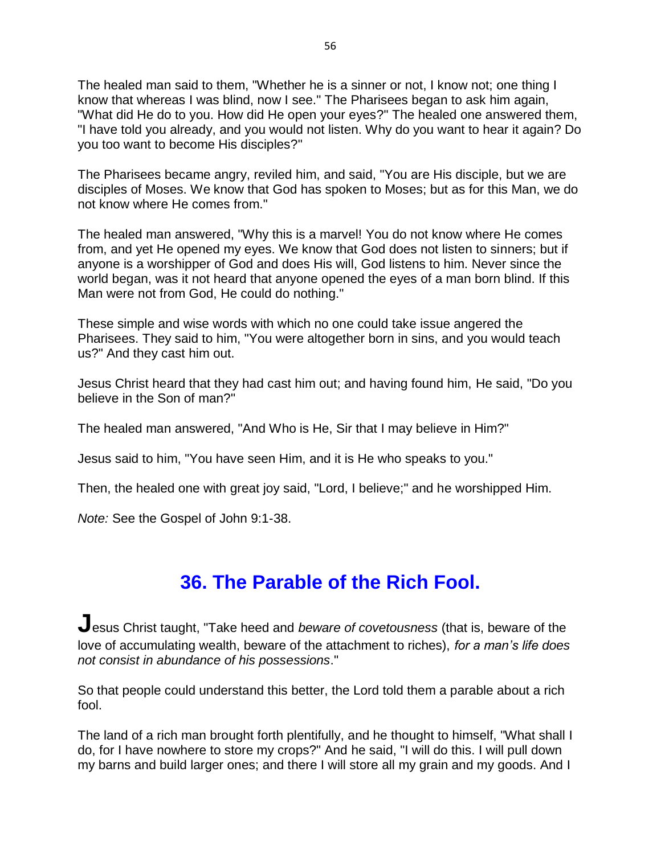The healed man said to them, "Whether he is a sinner or not, I know not; one thing I know that whereas I was blind, now I see." The Pharisees began to ask him again, "What did He do to you. How did He open your eyes?" The healed one answered them, "I have told you already, and you would not listen. Why do you want to hear it again? Do you too want to become His disciples?"

The Pharisees became angry, reviled him, and said, "You are His disciple, but we are disciples of Moses. We know that God has spoken to Moses; but as for this Man, we do not know where He comes from."

The healed man answered, "Why this is a marvel! You do not know where He comes from, and yet He opened my eyes. We know that God does not listen to sinners; but if anyone is a worshipper of God and does His will, God listens to him. Never since the world began, was it not heard that anyone opened the eyes of a man born blind. If this Man were not from God, He could do nothing."

These simple and wise words with which no one could take issue angered the Pharisees. They said to him, "You were altogether born in sins, and you would teach us?" And they cast him out.

Jesus Christ heard that they had cast him out; and having found him, He said, "Do you believe in the Son of man?"

The healed man answered, "And Who is He, Sir that I may believe in Him?"

Jesus said to him, "You have seen Him, and it is He who speaks to you."

Then, the healed one with great joy said, "Lord, I believe;" and he worshipped Him.

*Note:* See the Gospel of John 9:1-38.

### **36. The Parable of the Rich Fool.**

**J**esus Christ taught, "Take heed and *beware of covetousness* (that is, beware of the love of accumulating wealth, beware of the attachment to riches), *for a man's life does not consist in abundance of his possessions*."

So that people could understand this better, the Lord told them a parable about a rich fool.

The land of a rich man brought forth plentifully, and he thought to himself, "What shall I do, for I have nowhere to store my crops?" And he said, "I will do this. I will pull down my barns and build larger ones; and there I will store all my grain and my goods. And I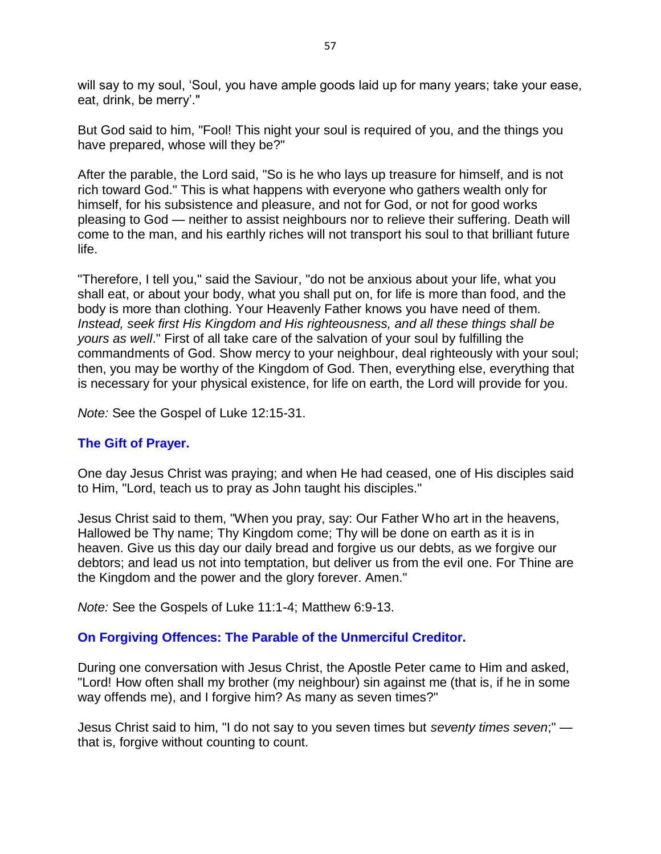will say to my soul, 'Soul, you have ample goods laid up for many years; take your ease, eat, drink, be merry'."

But God said to him, "Fool! This night your soul is required of you, and the things you have prepared, whose will they be?"

After the parable, the Lord said, "So is he who lays up treasure for himself, and is not rich toward God." This is what happens with everyone who gathers wealth only for himself, for his subsistence and pleasure, and not for God, or not for good works pleasing to God — neither to assist neighbours nor to relieve their suffering. Death will come to the man, and his earthly riches will not transport his soul to that brilliant future life.

"Therefore, I tell you," said the Saviour, "do not be anxious about your life, what you shall eat, or about your body, what you shall put on, for life is more than food, and the body is more than clothing. Your Heavenly Father knows you have need of them. *Instead, seek first His Kingdom and His righteousness, and all these things shall be yours as well*." First of all take care of the salvation of your soul by fulfilling the commandments of God. Show mercy to your neighbour, deal righteously with your soul; then, you may be worthy of the Kingdom of God. Then, everything else, everything that is necessary for your physical existence, for life on earth, the Lord will provide for you.

*Note:* See the Gospel of Luke 12:15-31.

#### **The Gift of Prayer.**

One day Jesus Christ was praying; and when He had ceased, one of His disciples said to Him, "Lord, teach us to pray as John taught his disciples."

Jesus Christ said to them, "When you pray, say: Our Father Who art in the heavens, Hallowed be Thy name; Thy Kingdom come; Thy will be done on earth as it is in heaven. Give us this day our daily bread and forgive us our debts, as we forgive our debtors; and lead us not into temptation, but deliver us from the evil one. For Thine are the Kingdom and the power and the glory forever. Amen."

*Note:* See the Gospels of Luke 11:1-4; Matthew 6:9-13.

#### **On Forgiving Offences: The Parable of the Unmerciful Creditor.**

During one conversation with Jesus Christ, the Apostle Peter came to Him and asked, "Lord! How often shall my brother (my neighbour) sin against me (that is, if he in some way offends me), and I forgive him? As many as seven times?"

Jesus Christ said to him, "I do not say to you seven times but *seventy times seven*;" that is, forgive without counting to count.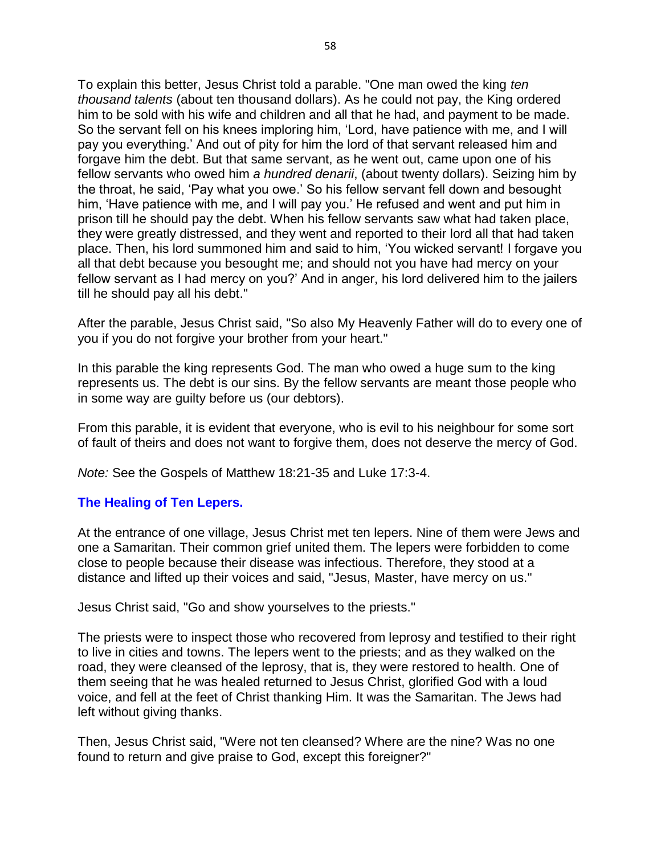To explain this better, Jesus Christ told a parable. "One man owed the king *ten thousand talents* (about ten thousand dollars). As he could not pay, the King ordered him to be sold with his wife and children and all that he had, and payment to be made. So the servant fell on his knees imploring him, 'Lord, have patience with me, and I will pay you everything.' And out of pity for him the lord of that servant released him and forgave him the debt. But that same servant, as he went out, came upon one of his fellow servants who owed him *a hundred denarii*, (about twenty dollars). Seizing him by the throat, he said, 'Pay what you owe.' So his fellow servant fell down and besought him, 'Have patience with me, and I will pay you.' He refused and went and put him in prison till he should pay the debt. When his fellow servants saw what had taken place, they were greatly distressed, and they went and reported to their lord all that had taken place. Then, his lord summoned him and said to him, 'You wicked servant! I forgave you all that debt because you besought me; and should not you have had mercy on your fellow servant as I had mercy on you?' And in anger, his lord delivered him to the jailers till he should pay all his debt."

After the parable, Jesus Christ said, "So also My Heavenly Father will do to every one of you if you do not forgive your brother from your heart."

In this parable the king represents God. The man who owed a huge sum to the king represents us. The debt is our sins. By the fellow servants are meant those people who in some way are guilty before us (our debtors).

From this parable, it is evident that everyone, who is evil to his neighbour for some sort of fault of theirs and does not want to forgive them, does not deserve the mercy of God.

*Note:* See the Gospels of Matthew 18:21-35 and Luke 17:3-4.

#### **The Healing of Ten Lepers.**

At the entrance of one village, Jesus Christ met ten lepers. Nine of them were Jews and one a Samaritan. Their common grief united them. The lepers were forbidden to come close to people because their disease was infectious. Therefore, they stood at a distance and lifted up their voices and said, "Jesus, Master, have mercy on us."

Jesus Christ said, "Go and show yourselves to the priests."

The priests were to inspect those who recovered from leprosy and testified to their right to live in cities and towns. The lepers went to the priests; and as they walked on the road, they were cleansed of the leprosy, that is, they were restored to health. One of them seeing that he was healed returned to Jesus Christ, glorified God with a loud voice, and fell at the feet of Christ thanking Him. It was the Samaritan. The Jews had left without giving thanks.

Then, Jesus Christ said, "Were not ten cleansed? Where are the nine? Was no one found to return and give praise to God, except this foreigner?"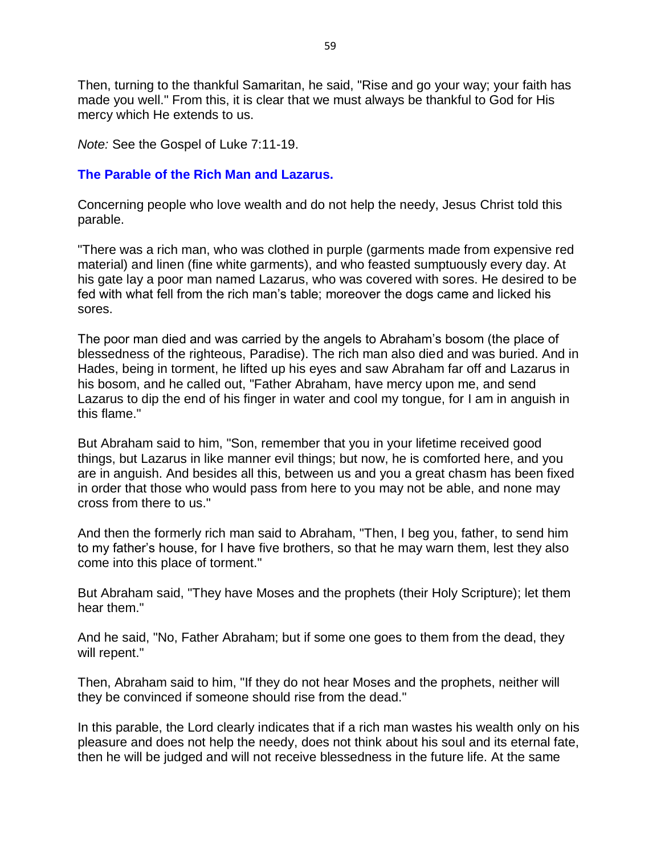Then, turning to the thankful Samaritan, he said, "Rise and go your way; your faith has made you well." From this, it is clear that we must always be thankful to God for His mercy which He extends to us.

*Note:* See the Gospel of Luke 7:11-19.

#### **The Parable of the Rich Man and Lazarus.**

Concerning people who love wealth and do not help the needy, Jesus Christ told this parable.

"There was a rich man, who was clothed in purple (garments made from expensive red material) and linen (fine white garments), and who feasted sumptuously every day. At his gate lay a poor man named Lazarus, who was covered with sores. He desired to be fed with what fell from the rich man's table; moreover the dogs came and licked his sores.

The poor man died and was carried by the angels to Abraham's bosom (the place of blessedness of the righteous, Paradise). The rich man also died and was buried. And in Hades, being in torment, he lifted up his eyes and saw Abraham far off and Lazarus in his bosom, and he called out, "Father Abraham, have mercy upon me, and send Lazarus to dip the end of his finger in water and cool my tongue, for I am in anguish in this flame."

But Abraham said to him, "Son, remember that you in your lifetime received good things, but Lazarus in like manner evil things; but now, he is comforted here, and you are in anguish. And besides all this, between us and you a great chasm has been fixed in order that those who would pass from here to you may not be able, and none may cross from there to us."

And then the formerly rich man said to Abraham, "Then, I beg you, father, to send him to my father's house, for I have five brothers, so that he may warn them, lest they also come into this place of torment."

But Abraham said, "They have Moses and the prophets (their Holy Scripture); let them hear them."

And he said, "No, Father Abraham; but if some one goes to them from the dead, they will repent."

Then, Abraham said to him, "If they do not hear Moses and the prophets, neither will they be convinced if someone should rise from the dead."

In this parable, the Lord clearly indicates that if a rich man wastes his wealth only on his pleasure and does not help the needy, does not think about his soul and its eternal fate, then he will be judged and will not receive blessedness in the future life. At the same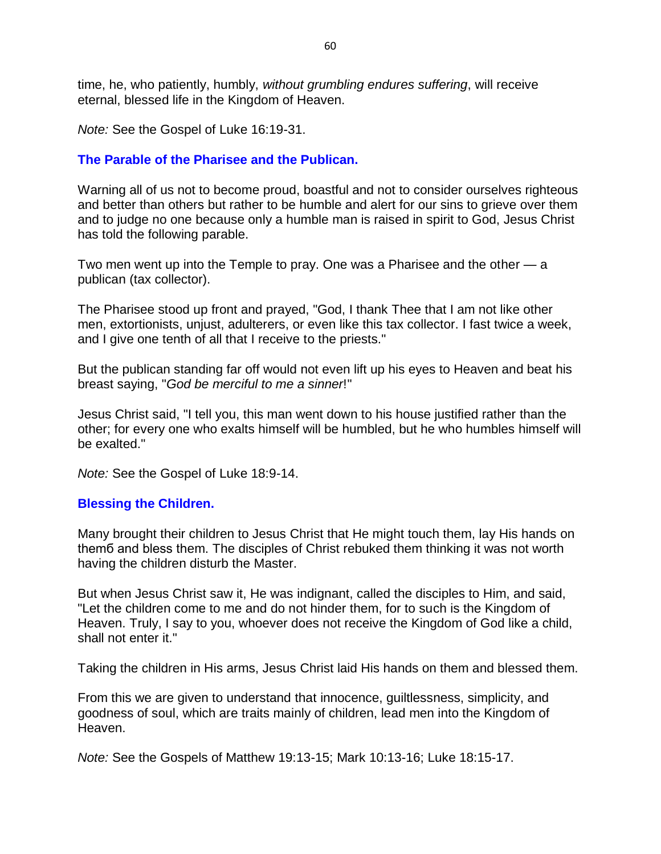time, he, who patiently, humbly, *without grumbling endures suffering*, will receive eternal, blessed life in the Kingdom of Heaven.

*Note:* See the Gospel of Luke 16:19-31.

#### **The Parable of the Pharisee and the Publican.**

Warning all of us not to become proud, boastful and not to consider ourselves righteous and better than others but rather to be humble and alert for our sins to grieve over them and to judge no one because only a humble man is raised in spirit to God, Jesus Christ has told the following parable.

Two men went up into the Temple to pray. One was a Pharisee and the other — a publican (tax collector).

The Pharisee stood up front and prayed, "God, I thank Thee that I am not like other men, extortionists, unjust, adulterers, or even like this tax collector. I fast twice a week, and I give one tenth of all that I receive to the priests."

But the publican standing far off would not even lift up his eyes to Heaven and beat his breast saying, "*God be merciful to me a sinner*!"

Jesus Christ said, "I tell you, this man went down to his house justified rather than the other; for every one who exalts himself will be humbled, but he who humbles himself will be exalted."

*Note:* See the Gospel of Luke 18:9-14.

#### **Blessing the Children.**

Many brought their children to Jesus Christ that He might touch them, lay His hands on themб and bless them. The disciples of Christ rebuked them thinking it was not worth having the children disturb the Master.

But when Jesus Christ saw it, He was indignant, called the disciples to Him, and said, "Let the children come to me and do not hinder them, for to such is the Kingdom of Heaven. Truly, I say to you, whoever does not receive the Kingdom of God like a child, shall not enter it."

Taking the children in His arms, Jesus Christ laid His hands on them and blessed them.

From this we are given to understand that innocence, guiltlessness, simplicity, and goodness of soul, which are traits mainly of children, lead men into the Kingdom of Heaven.

*Note:* See the Gospels of Matthew 19:13-15; Mark 10:13-16; Luke 18:15-17.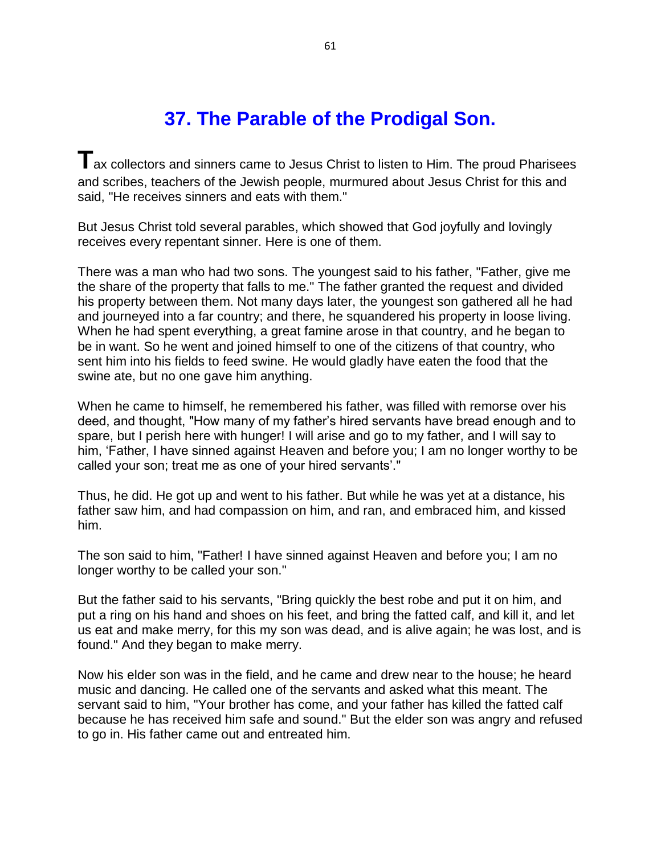## **37. The Parable of the Prodigal Son.**

**T**ax collectors and sinners came to Jesus Christ to listen to Him. The proud Pharisees and scribes, teachers of the Jewish people, murmured about Jesus Christ for this and said, "He receives sinners and eats with them."

But Jesus Christ told several parables, which showed that God joyfully and lovingly receives every repentant sinner. Here is one of them.

There was a man who had two sons. The youngest said to his father, "Father, give me the share of the property that falls to me." The father granted the request and divided his property between them. Not many days later, the youngest son gathered all he had and journeyed into a far country; and there, he squandered his property in loose living. When he had spent everything, a great famine arose in that country, and he began to be in want. So he went and joined himself to one of the citizens of that country, who sent him into his fields to feed swine. He would gladly have eaten the food that the swine ate, but no one gave him anything.

When he came to himself, he remembered his father, was filled with remorse over his deed, and thought, "How many of my father's hired servants have bread enough and to spare, but I perish here with hunger! I will arise and go to my father, and I will say to him, 'Father, I have sinned against Heaven and before you; I am no longer worthy to be called your son; treat me as one of your hired servants'."

Thus, he did. He got up and went to his father. But while he was yet at a distance, his father saw him, and had compassion on him, and ran, and embraced him, and kissed him.

The son said to him, "Father! I have sinned against Heaven and before you; I am no longer worthy to be called your son."

But the father said to his servants, "Bring quickly the best robe and put it on him, and put a ring on his hand and shoes on his feet, and bring the fatted calf, and kill it, and let us eat and make merry, for this my son was dead, and is alive again; he was lost, and is found." And they began to make merry.

Now his elder son was in the field, and he came and drew near to the house; he heard music and dancing. He called one of the servants and asked what this meant. The servant said to him, "Your brother has come, and your father has killed the fatted calf because he has received him safe and sound." But the elder son was angry and refused to go in. His father came out and entreated him.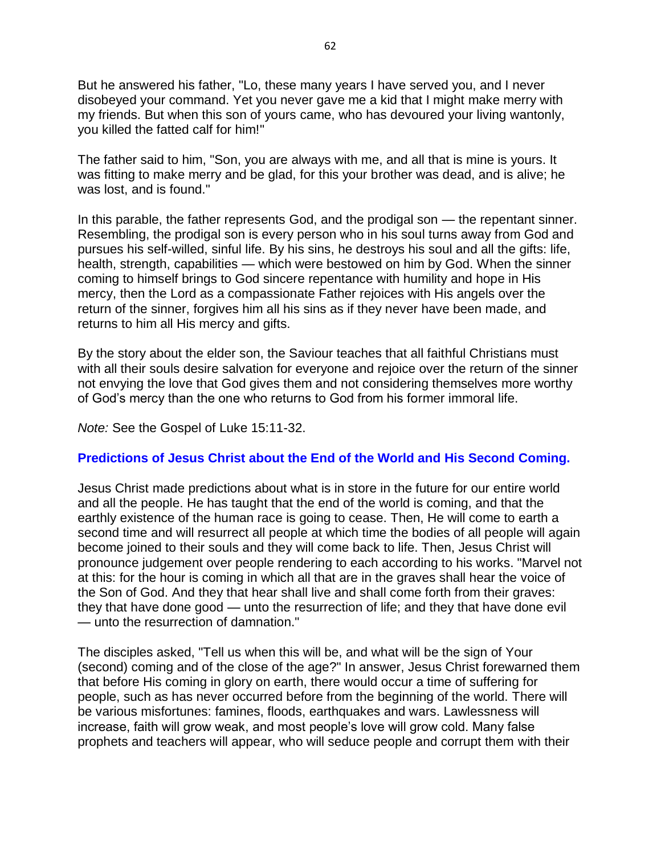But he answered his father, "Lo, these many years I have served you, and I never disobeyed your command. Yet you never gave me a kid that I might make merry with my friends. But when this son of yours came, who has devoured your living wantonly, you killed the fatted calf for him!"

The father said to him, "Son, you are always with me, and all that is mine is yours. It was fitting to make merry and be glad, for this your brother was dead, and is alive; he was lost, and is found."

In this parable, the father represents God, and the prodigal son — the repentant sinner. Resembling, the prodigal son is every person who in his soul turns away from God and pursues his self-willed, sinful life. By his sins, he destroys his soul and all the gifts: life, health, strength, capabilities — which were bestowed on him by God. When the sinner coming to himself brings to God sincere repentance with humility and hope in His mercy, then the Lord as a compassionate Father rejoices with His angels over the return of the sinner, forgives him all his sins as if they never have been made, and returns to him all His mercy and gifts.

By the story about the elder son, the Saviour teaches that all faithful Christians must with all their souls desire salvation for everyone and rejoice over the return of the sinner not envying the love that God gives them and not considering themselves more worthy of God's mercy than the one who returns to God from his former immoral life.

*Note:* See the Gospel of Luke 15:11-32.

#### **Predictions of Jesus Christ about the End of the World and His Second Coming.**

Jesus Christ made predictions about what is in store in the future for our entire world and all the people. He has taught that the end of the world is coming, and that the earthly existence of the human race is going to cease. Then, He will come to earth a second time and will resurrect all people at which time the bodies of all people will again become joined to their souls and they will come back to life. Then, Jesus Christ will pronounce judgement over people rendering to each according to his works. "Marvel not at this: for the hour is coming in which all that are in the graves shall hear the voice of the Son of God. And they that hear shall live and shall come forth from their graves: they that have done good — unto the resurrection of life; and they that have done evil — unto the resurrection of damnation."

The disciples asked, "Tell us when this will be, and what will be the sign of Your (second) coming and of the close of the age?" In answer, Jesus Christ forewarned them that before His coming in glory on earth, there would occur a time of suffering for people, such as has never occurred before from the beginning of the world. There will be various misfortunes: famines, floods, earthquakes and wars. Lawlessness will increase, faith will grow weak, and most people's love will grow cold. Many false prophets and teachers will appear, who will seduce people and corrupt them with their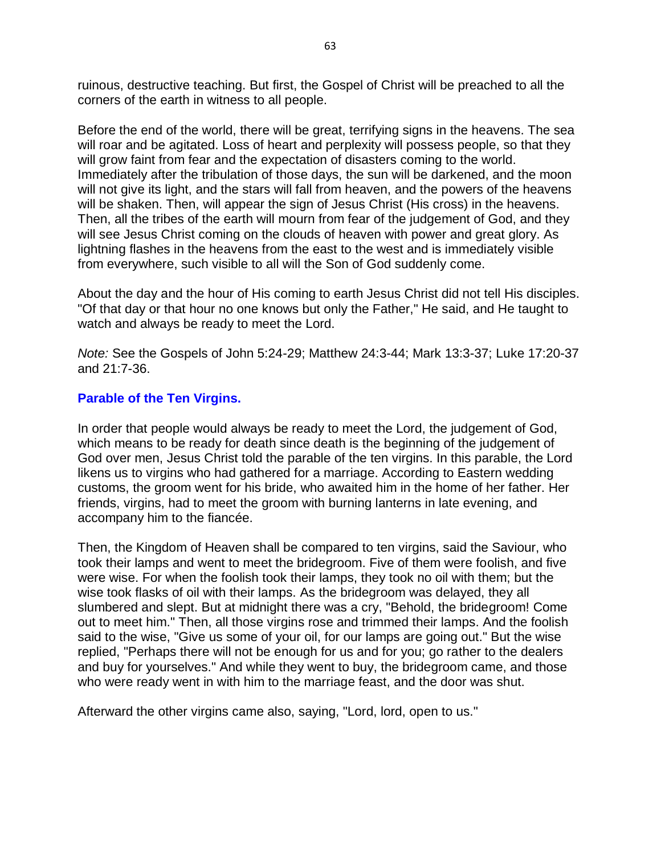ruinous, destructive teaching. But first, the Gospel of Christ will be preached to all the corners of the earth in witness to all people.

Before the end of the world, there will be great, terrifying signs in the heavens. The sea will roar and be agitated. Loss of heart and perplexity will possess people, so that they will grow faint from fear and the expectation of disasters coming to the world. Immediately after the tribulation of those days, the sun will be darkened, and the moon will not give its light, and the stars will fall from heaven, and the powers of the heavens will be shaken. Then, will appear the sign of Jesus Christ (His cross) in the heavens. Then, all the tribes of the earth will mourn from fear of the judgement of God, and they will see Jesus Christ coming on the clouds of heaven with power and great glory. As lightning flashes in the heavens from the east to the west and is immediately visible from everywhere, such visible to all will the Son of God suddenly come.

About the day and the hour of His coming to earth Jesus Christ did not tell His disciples. "Of that day or that hour no one knows but only the Father," He said, and He taught to watch and always be ready to meet the Lord.

*Note:* See the Gospels of John 5:24-29; Matthew 24:3-44; Mark 13:3-37; Luke 17:20-37 and 21:7-36.

#### **Parable of the Ten Virgins.**

In order that people would always be ready to meet the Lord, the judgement of God, which means to be ready for death since death is the beginning of the judgement of God over men, Jesus Christ told the parable of the ten virgins. In this parable, the Lord likens us to virgins who had gathered for a marriage. According to Eastern wedding customs, the groom went for his bride, who awaited him in the home of her father. Her friends, virgins, had to meet the groom with burning lanterns in late evening, and accompany him to the fiancée.

Then, the Kingdom of Heaven shall be compared to ten virgins, said the Saviour, who took their lamps and went to meet the bridegroom. Five of them were foolish, and five were wise. For when the foolish took their lamps, they took no oil with them; but the wise took flasks of oil with their lamps. As the bridegroom was delayed, they all slumbered and slept. But at midnight there was a cry, "Behold, the bridegroom! Come out to meet him." Then, all those virgins rose and trimmed their lamps. And the foolish said to the wise, "Give us some of your oil, for our lamps are going out." But the wise replied, "Perhaps there will not be enough for us and for you; go rather to the dealers and buy for yourselves." And while they went to buy, the bridegroom came, and those who were ready went in with him to the marriage feast, and the door was shut.

Afterward the other virgins came also, saying, "Lord, lord, open to us."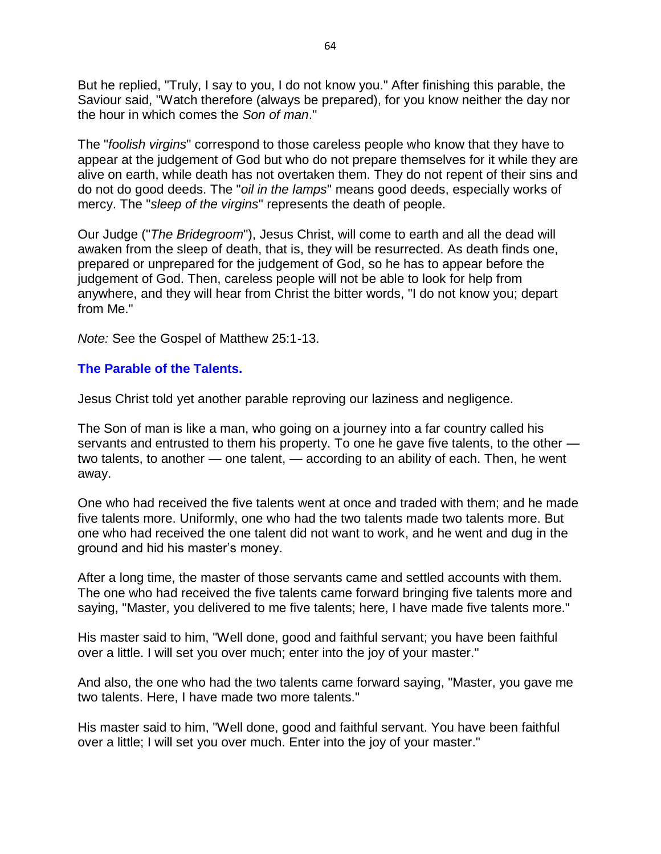But he replied, "Truly, I say to you, I do not know you." After finishing this parable, the Saviour said, "Watch therefore (always be prepared), for you know neither the day nor the hour in which comes the *Son of man*."

The "*foolish virgins*" correspond to those careless people who know that they have to appear at the judgement of God but who do not prepare themselves for it while they are alive on earth, while death has not overtaken them. They do not repent of their sins and do not do good deeds. The "*oil in the lamps*" means good deeds, especially works of mercy. The "*sleep of the virgins*" represents the death of people.

Our Judge ("*The Bridegroom*"), Jesus Christ, will come to earth and all the dead will awaken from the sleep of death, that is, they will be resurrected. As death finds one, prepared or unprepared for the judgement of God, so he has to appear before the judgement of God. Then, careless people will not be able to look for help from anywhere, and they will hear from Christ the bitter words, "I do not know you; depart from Me."

*Note:* See the Gospel of Matthew 25:1-13.

#### **The Parable of the Talents.**

Jesus Christ told yet another parable reproving our laziness and negligence.

The Son of man is like a man, who going on a journey into a far country called his servants and entrusted to them his property. To one he gave five talents, to the other two talents, to another — one talent, — according to an ability of each. Then, he went away.

One who had received the five talents went at once and traded with them; and he made five talents more. Uniformly, one who had the two talents made two talents more. But one who had received the one talent did not want to work, and he went and dug in the ground and hid his master's money.

After a long time, the master of those servants came and settled accounts with them. The one who had received the five talents came forward bringing five talents more and saying, "Master, you delivered to me five talents; here, I have made five talents more."

His master said to him, "Well done, good and faithful servant; you have been faithful over a little. I will set you over much; enter into the joy of your master."

And also, the one who had the two talents came forward saying, "Master, you gave me two talents. Here, I have made two more talents."

His master said to him, "Well done, good and faithful servant. You have been faithful over a little; I will set you over much. Enter into the joy of your master."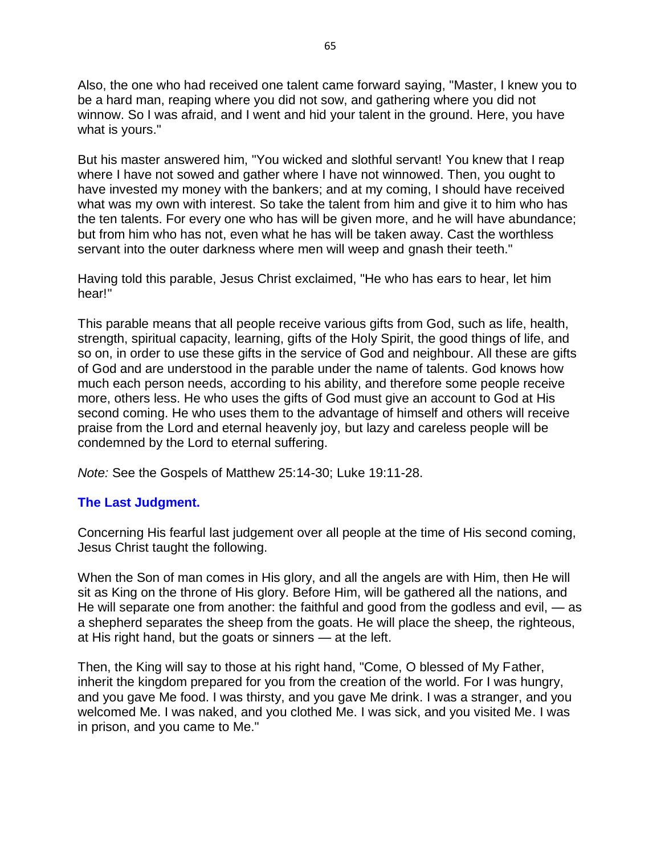Also, the one who had received one talent came forward saying, "Master, I knew you to be a hard man, reaping where you did not sow, and gathering where you did not winnow. So I was afraid, and I went and hid your talent in the ground. Here, you have what is yours."

But his master answered him, "You wicked and slothful servant! You knew that I reap where I have not sowed and gather where I have not winnowed. Then, you ought to have invested my money with the bankers; and at my coming, I should have received what was my own with interest. So take the talent from him and give it to him who has the ten talents. For every one who has will be given more, and he will have abundance; but from him who has not, even what he has will be taken away. Cast the worthless servant into the outer darkness where men will weep and gnash their teeth."

Having told this parable, Jesus Christ exclaimed, "He who has ears to hear, let him hear!"

This parable means that all people receive various gifts from God, such as life, health, strength, spiritual capacity, learning, gifts of the Holy Spirit, the good things of life, and so on, in order to use these gifts in the service of God and neighbour. All these are gifts of God and are understood in the parable under the name of talents. God knows how much each person needs, according to his ability, and therefore some people receive more, others less. He who uses the gifts of God must give an account to God at His second coming. He who uses them to the advantage of himself and others will receive praise from the Lord and eternal heavenly joy, but lazy and careless people will be condemned by the Lord to eternal suffering.

*Note:* See the Gospels of Matthew 25:14-30; Luke 19:11-28.

#### **The Last Judgment.**

Concerning His fearful last judgement over all people at the time of His second coming, Jesus Christ taught the following.

When the Son of man comes in His glory, and all the angels are with Him, then He will sit as King on the throne of His glory. Before Him, will be gathered all the nations, and He will separate one from another: the faithful and good from the godless and evil, — as a shepherd separates the sheep from the goats. He will place the sheep, the righteous, at His right hand, but the goats or sinners — at the left.

Then, the King will say to those at his right hand, "Come, O blessed of My Father, inherit the kingdom prepared for you from the creation of the world. For I was hungry, and you gave Me food. I was thirsty, and you gave Me drink. I was a stranger, and you welcomed Me. I was naked, and you clothed Me. I was sick, and you visited Me. I was in prison, and you came to Me."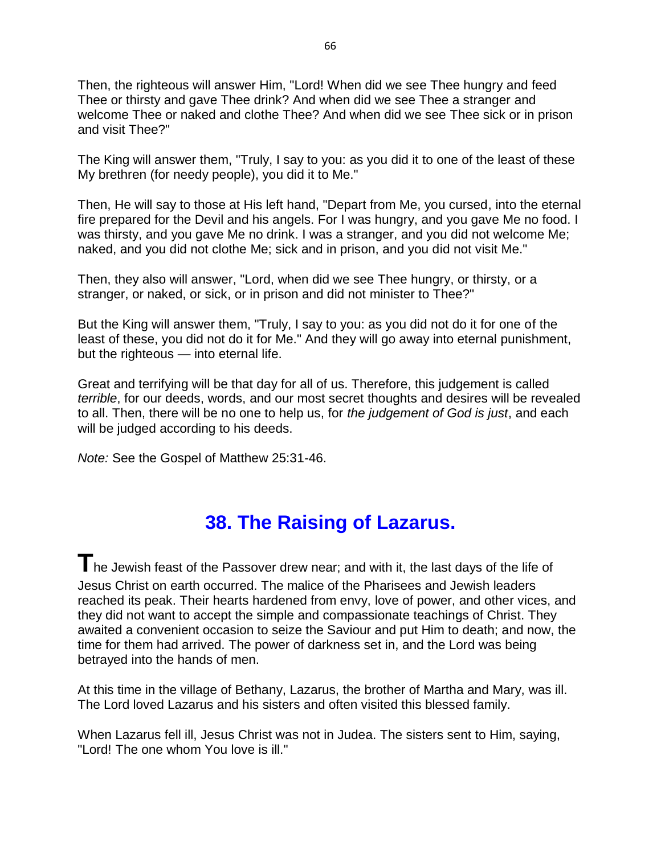Then, the righteous will answer Him, "Lord! When did we see Thee hungry and feed Thee or thirsty and gave Thee drink? And when did we see Thee a stranger and welcome Thee or naked and clothe Thee? And when did we see Thee sick or in prison and visit Thee?"

The King will answer them, "Truly, I say to you: as you did it to one of the least of these My brethren (for needy people), you did it to Me."

Then, He will say to those at His left hand, "Depart from Me, you cursed, into the eternal fire prepared for the Devil and his angels. For I was hungry, and you gave Me no food. I was thirsty, and you gave Me no drink. I was a stranger, and you did not welcome Me; naked, and you did not clothe Me; sick and in prison, and you did not visit Me."

Then, they also will answer, "Lord, when did we see Thee hungry, or thirsty, or a stranger, or naked, or sick, or in prison and did not minister to Thee?"

But the King will answer them, "Truly, I say to you: as you did not do it for one of the least of these, you did not do it for Me." And they will go away into eternal punishment, but the righteous — into eternal life.

Great and terrifying will be that day for all of us. Therefore, this judgement is called *terrible*, for our deeds, words, and our most secret thoughts and desires will be revealed to all. Then, there will be no one to help us, for *the judgement of God is just*, and each will be judged according to his deeds.

*Note:* See the Gospel of Matthew 25:31-46.

### **38. The Raising of Lazarus.**

**T**he Jewish feast of the Passover drew near; and with it, the last days of the life of Jesus Christ on earth occurred. The malice of the Pharisees and Jewish leaders reached its peak. Their hearts hardened from envy, love of power, and other vices, and they did not want to accept the simple and compassionate teachings of Christ. They awaited a convenient occasion to seize the Saviour and put Him to death; and now, the time for them had arrived. The power of darkness set in, and the Lord was being betrayed into the hands of men.

At this time in the village of Bethany, Lazarus, the brother of Martha and Mary, was ill. The Lord loved Lazarus and his sisters and often visited this blessed family.

When Lazarus fell ill, Jesus Christ was not in Judea. The sisters sent to Him, saying, "Lord! The one whom You love is ill."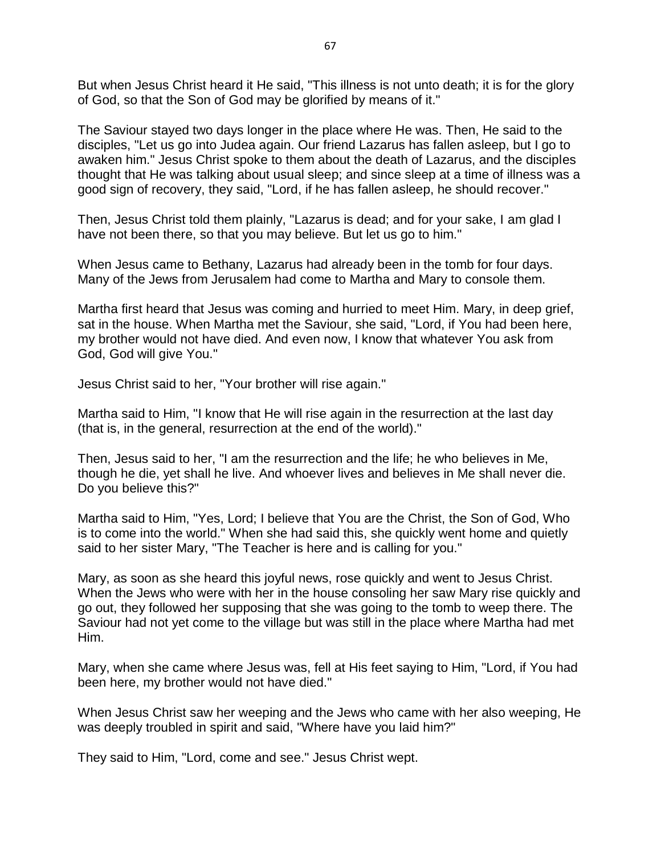But when Jesus Christ heard it He said, "This illness is not unto death; it is for the glory of God, so that the Son of God may be glorified by means of it."

The Saviour stayed two days longer in the place where He was. Then, He said to the disciples, "Let us go into Judea again. Our friend Lazarus has fallen asleep, but I go to awaken him." Jesus Christ spoke to them about the death of Lazarus, and the disciples thought that He was talking about usual sleep; and since sleep at a time of illness was a good sign of recovery, they said, "Lord, if he has fallen asleep, he should recover."

Then, Jesus Christ told them plainly, "Lazarus is dead; and for your sake, I am glad I have not been there, so that you may believe. But let us go to him."

When Jesus came to Bethany, Lazarus had already been in the tomb for four days. Many of the Jews from Jerusalem had come to Martha and Mary to console them.

Martha first heard that Jesus was coming and hurried to meet Him. Mary, in deep grief, sat in the house. When Martha met the Saviour, she said, "Lord, if You had been here, my brother would not have died. And even now, I know that whatever You ask from God, God will give You."

Jesus Christ said to her, "Your brother will rise again."

Martha said to Him, "I know that He will rise again in the resurrection at the last day (that is, in the general, resurrection at the end of the world)."

Then, Jesus said to her, "I am the resurrection and the life; he who believes in Me, though he die, yet shall he live. And whoever lives and believes in Me shall never die. Do you believe this?"

Martha said to Him, "Yes, Lord; I believe that You are the Christ, the Son of God, Who is to come into the world." When she had said this, she quickly went home and quietly said to her sister Mary, "The Teacher is here and is calling for you."

Mary, as soon as she heard this joyful news, rose quickly and went to Jesus Christ. When the Jews who were with her in the house consoling her saw Mary rise quickly and go out, they followed her supposing that she was going to the tomb to weep there. The Saviour had not yet come to the village but was still in the place where Martha had met Him.

Mary, when she came where Jesus was, fell at His feet saying to Him, "Lord, if You had been here, my brother would not have died."

When Jesus Christ saw her weeping and the Jews who came with her also weeping, He was deeply troubled in spirit and said, "Where have you laid him?"

They said to Him, "Lord, come and see." Jesus Christ wept.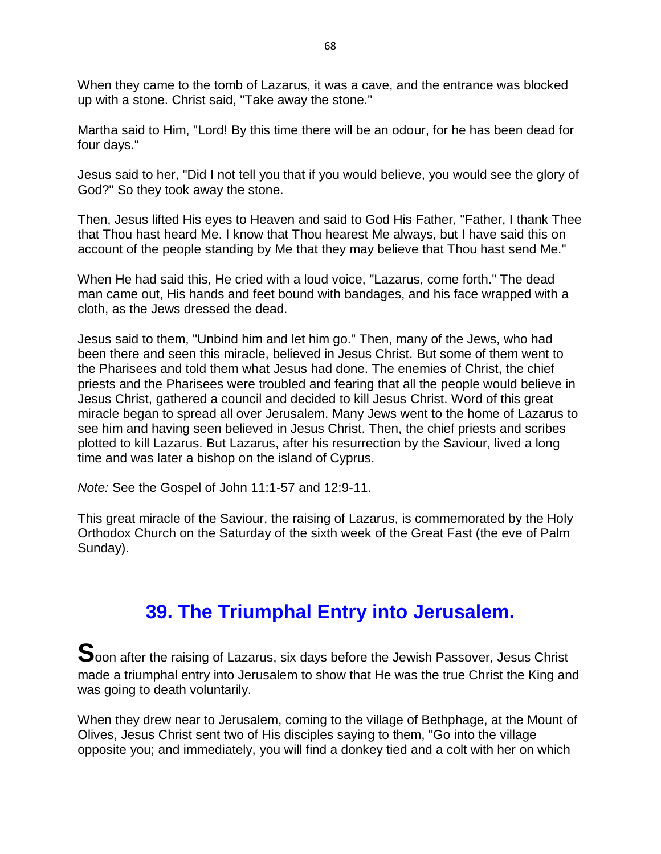When they came to the tomb of Lazarus, it was a cave, and the entrance was blocked up with a stone. Christ said, "Take away the stone."

Martha said to Him, "Lord! By this time there will be an odour, for he has been dead for four days."

Jesus said to her, "Did I not tell you that if you would believe, you would see the glory of God?" So they took away the stone.

Then, Jesus lifted His eyes to Heaven and said to God His Father, "Father, I thank Thee that Thou hast heard Me. I know that Thou hearest Me always, but I have said this on account of the people standing by Me that they may believe that Thou hast send Me."

When He had said this, He cried with a loud voice, "Lazarus, come forth." The dead man came out, His hands and feet bound with bandages, and his face wrapped with a cloth, as the Jews dressed the dead.

Jesus said to them, "Unbind him and let him go." Then, many of the Jews, who had been there and seen this miracle, believed in Jesus Christ. But some of them went to the Pharisees and told them what Jesus had done. The enemies of Christ, the chief priests and the Pharisees were troubled and fearing that all the people would believe in Jesus Christ, gathered a council and decided to kill Jesus Christ. Word of this great miracle began to spread all over Jerusalem. Many Jews went to the home of Lazarus to see him and having seen believed in Jesus Christ. Then, the chief priests and scribes plotted to kill Lazarus. But Lazarus, after his resurrection by the Saviour, lived a long time and was later a bishop on the island of Cyprus.

*Note:* See the Gospel of John 11:1-57 and 12:9-11.

This great miracle of the Saviour, the raising of Lazarus, is commemorated by the Holy Orthodox Church on the Saturday of the sixth week of the Great Fast (the eve of Palm Sunday).

### **39. The Triumphal Entry into Jerusalem.**

**S**oon after the raising of Lazarus, six days before the Jewish Passover, Jesus Christ made a triumphal entry into Jerusalem to show that He was the true Christ the King and was going to death voluntarily.

When they drew near to Jerusalem, coming to the village of Bethphage, at the Mount of Olives, Jesus Christ sent two of His disciples saying to them, "Go into the village opposite you; and immediately, you will find a donkey tied and a colt with her on which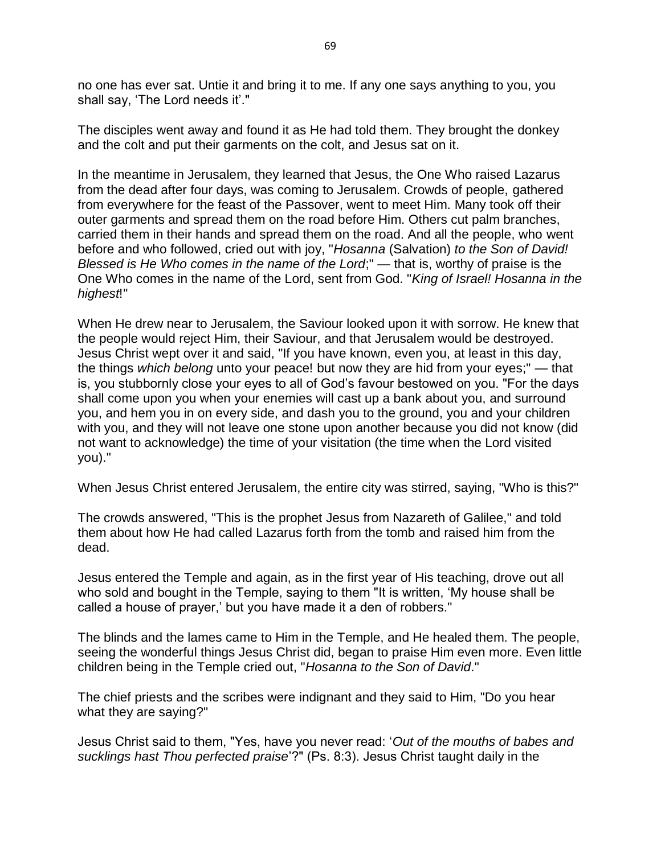no one has ever sat. Untie it and bring it to me. If any one says anything to you, you shall say, 'The Lord needs it'."

The disciples went away and found it as He had told them. They brought the donkey and the colt and put their garments on the colt, and Jesus sat on it.

In the meantime in Jerusalem, they learned that Jesus, the One Who raised Lazarus from the dead after four days, was coming to Jerusalem. Crowds of people, gathered from everywhere for the feast of the Passover, went to meet Him. Many took off their outer garments and spread them on the road before Him. Others cut palm branches, carried them in their hands and spread them on the road. And all the people, who went before and who followed, cried out with joy, "*Hosanna* (Salvation) *to the Son of David! Blessed is He Who comes in the name of the Lord*;" — that is, worthy of praise is the One Who comes in the name of the Lord, sent from God. "*King of Israel! Hosanna in the highest*!"

When He drew near to Jerusalem, the Saviour looked upon it with sorrow. He knew that the people would reject Him, their Saviour, and that Jerusalem would be destroyed. Jesus Christ wept over it and said, "If you have known, even you, at least in this day, the things *which belong* unto your peace! but now they are hid from your eyes;" — that is, you stubbornly close your eyes to all of God's favour bestowed on you. "For the days shall come upon you when your enemies will cast up a bank about you, and surround you, and hem you in on every side, and dash you to the ground, you and your children with you, and they will not leave one stone upon another because you did not know (did not want to acknowledge) the time of your visitation (the time when the Lord visited you)."

When Jesus Christ entered Jerusalem, the entire city was stirred, saying, "Who is this?"

The crowds answered, "This is the prophet Jesus from Nazareth of Galilee," and told them about how He had called Lazarus forth from the tomb and raised him from the dead.

Jesus entered the Temple and again, as in the first year of His teaching, drove out all who sold and bought in the Temple, saying to them "It is written, 'My house shall be called a house of prayer,' but you have made it a den of robbers."

The blinds and the lames came to Him in the Temple, and He healed them. The people, seeing the wonderful things Jesus Christ did, began to praise Him even more. Even little children being in the Temple cried out, "*Hosanna to the Son of David*."

The chief priests and the scribes were indignant and they said to Him, "Do you hear what they are saying?"

Jesus Christ said to them, "Yes, have you never read: '*Out of the mouths of babes and sucklings hast Thou perfected praise*'?" (Ps. 8:3). Jesus Christ taught daily in the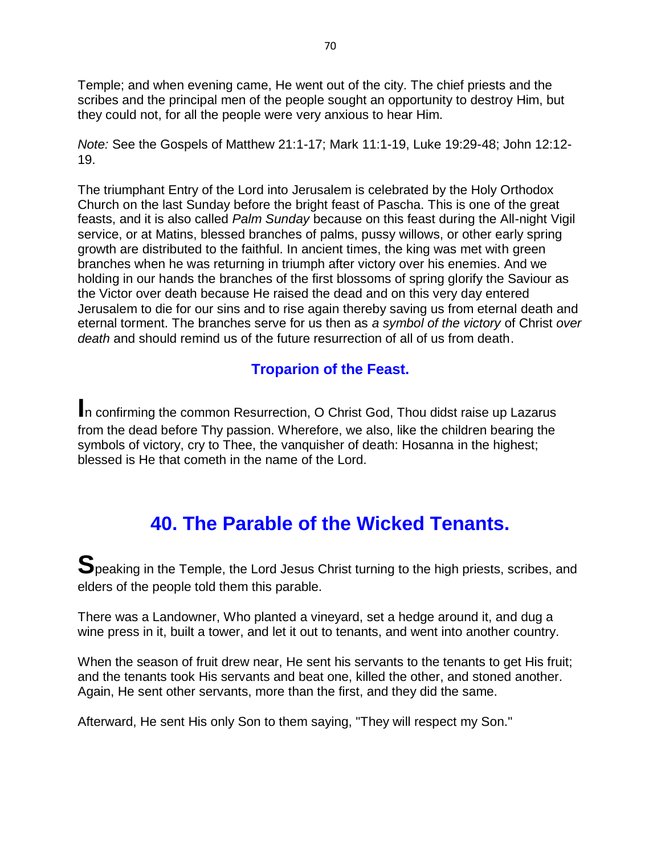Temple; and when evening came, He went out of the city. The chief priests and the scribes and the principal men of the people sought an opportunity to destroy Him, but they could not, for all the people were very anxious to hear Him.

*Note:* See the Gospels of Matthew 21:1-17; Mark 11:1-19, Luke 19:29-48; John 12:12- 19.

The triumphant Entry of the Lord into Jerusalem is celebrated by the Holy Orthodox Church on the last Sunday before the bright feast of Pascha. This is one of the great feasts, and it is also called *Palm Sunday* because on this feast during the All-night Vigil service, or at Matins, blessed branches of palms, pussy willows, or other early spring growth are distributed to the faithful. In ancient times, the king was met with green branches when he was returning in triumph after victory over his enemies. And we holding in our hands the branches of the first blossoms of spring glorify the Saviour as the Victor over death because He raised the dead and on this very day entered Jerusalem to die for our sins and to rise again thereby saving us from eternal death and eternal torment. The branches serve for us then as *a symbol of the victory* of Christ *over death* and should remind us of the future resurrection of all of us from death.

### **Troparion of the Feast.**

**I**n confirming the common Resurrection, O Christ God, Thou didst raise up Lazarus from the dead before Thy passion. Wherefore, we also, like the children bearing the symbols of victory, cry to Thee, the vanquisher of death: Hosanna in the highest; blessed is He that cometh in the name of the Lord.

### **40. The Parable of the Wicked Tenants.**

**S**peaking in the Temple, the Lord Jesus Christ turning to the high priests, scribes, and elders of the people told them this parable.

There was a Landowner, Who planted a vineyard, set a hedge around it, and dug a wine press in it, built a tower, and let it out to tenants, and went into another country.

When the season of fruit drew near, He sent his servants to the tenants to get His fruit; and the tenants took His servants and beat one, killed the other, and stoned another. Again, He sent other servants, more than the first, and they did the same.

Afterward, He sent His only Son to them saying, "They will respect my Son."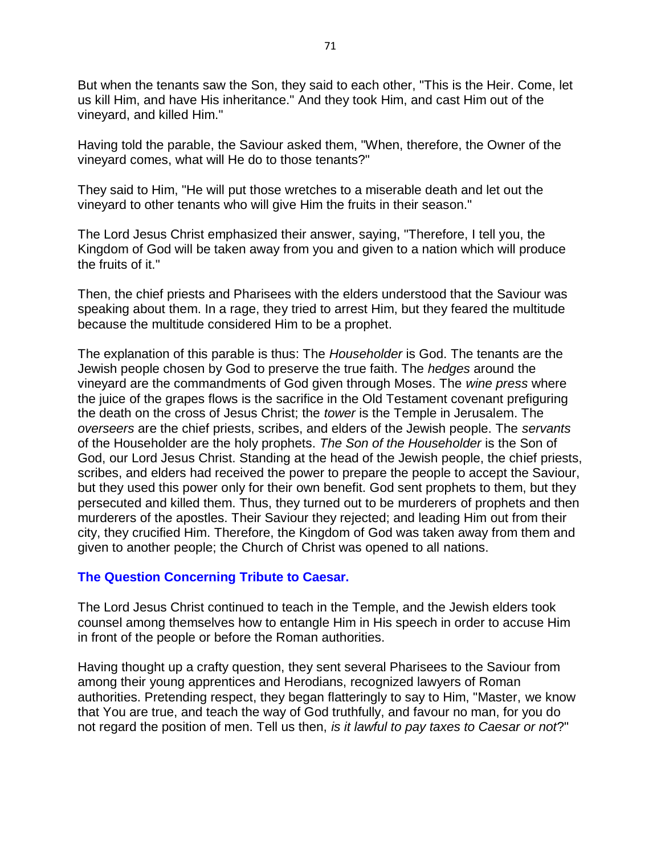But when the tenants saw the Son, they said to each other, "This is the Heir. Come, let us kill Him, and have His inheritance." And they took Him, and cast Him out of the vineyard, and killed Him."

Having told the parable, the Saviour asked them, "When, therefore, the Owner of the vineyard comes, what will He do to those tenants?"

They said to Him, "He will put those wretches to a miserable death and let out the vineyard to other tenants who will give Him the fruits in their season."

The Lord Jesus Christ emphasized their answer, saying, "Therefore, I tell you, the Kingdom of God will be taken away from you and given to a nation which will produce the fruits of it."

Then, the chief priests and Pharisees with the elders understood that the Saviour was speaking about them. In a rage, they tried to arrest Him, but they feared the multitude because the multitude considered Him to be a prophet.

The explanation of this parable is thus: The *Householder* is God. The tenants are the Jewish people chosen by God to preserve the true faith. The *hedges* around the vineyard are the commandments of God given through Moses. The *wine press* where the juice of the grapes flows is the sacrifice in the Old Testament covenant prefiguring the death on the cross of Jesus Christ; the *tower* is the Temple in Jerusalem. The *overseers* are the chief priests, scribes, and elders of the Jewish people. The *servants* of the Householder are the holy prophets. *The Son of the Householder* is the Son of God, our Lord Jesus Christ. Standing at the head of the Jewish people, the chief priests, scribes, and elders had received the power to prepare the people to accept the Saviour, but they used this power only for their own benefit. God sent prophets to them, but they persecuted and killed them. Thus, they turned out to be murderers of prophets and then murderers of the apostles. Their Saviour they rejected; and leading Him out from their city, they crucified Him. Therefore, the Kingdom of God was taken away from them and given to another people; the Church of Christ was opened to all nations.

#### **The Question Concerning Tribute to Caesar.**

The Lord Jesus Christ continued to teach in the Temple, and the Jewish elders took counsel among themselves how to entangle Him in His speech in order to accuse Him in front of the people or before the Roman authorities.

Having thought up a crafty question, they sent several Pharisees to the Saviour from among their young apprentices and Herodians, recognized lawyers of Roman authorities. Pretending respect, they began flatteringly to say to Him, "Master, we know that You are true, and teach the way of God truthfully, and favour no man, for you do not regard the position of men. Tell us then, *is it lawful to pay taxes to Caesar or not*?"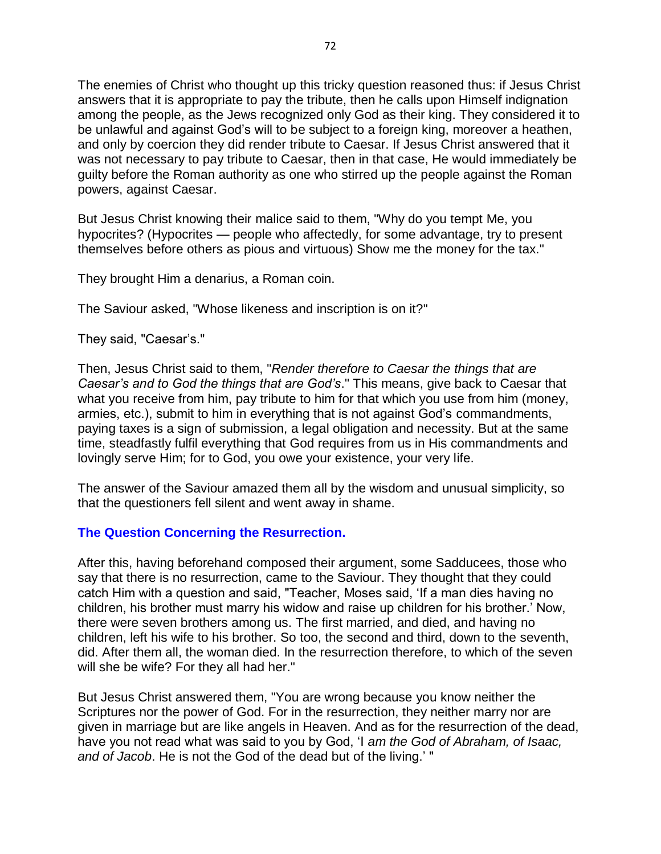The enemies of Christ who thought up this tricky question reasoned thus: if Jesus Christ answers that it is appropriate to pay the tribute, then he calls upon Himself indignation among the people, as the Jews recognized only God as their king. They considered it to be unlawful and against God's will to be subject to a foreign king, moreover a heathen, and only by coercion they did render tribute to Caesar. If Jesus Christ answered that it was not necessary to pay tribute to Caesar, then in that case, He would immediately be guilty before the Roman authority as one who stirred up the people against the Roman powers, against Caesar.

But Jesus Christ knowing their malice said to them, "Why do you tempt Me, you hypocrites? (Hypocrites — people who affectedly, for some advantage, try to present themselves before others as pious and virtuous) Show me the money for the tax."

They brought Him a denarius, a Roman coin.

The Saviour asked, "Whose likeness and inscription is on it?"

They said, "Caesar's."

Then, Jesus Christ said to them, "*Render therefore to Caesar the things that are Caesar's and to God the things that are God's*." This means, give back to Caesar that what you receive from him, pay tribute to him for that which you use from him (money, armies, etc.), submit to him in everything that is not against God's commandments, paying taxes is a sign of submission, a legal obligation and necessity. But at the same time, steadfastly fulfil everything that God requires from us in His commandments and lovingly serve Him; for to God, you owe your existence, your very life.

The answer of the Saviour amazed them all by the wisdom and unusual simplicity, so that the questioners fell silent and went away in shame.

#### **The Question Concerning the Resurrection.**

After this, having beforehand composed their argument, some Sadducees, those who say that there is no resurrection, came to the Saviour. They thought that they could catch Him with a question and said, "Teacher, Moses said, 'If a man dies having no children, his brother must marry his widow and raise up children for his brother.' Now, there were seven brothers among us. The first married, and died, and having no children, left his wife to his brother. So too, the second and third, down to the seventh, did. After them all, the woman died. In the resurrection therefore, to which of the seven will she be wife? For they all had her."

But Jesus Christ answered them, "You are wrong because you know neither the Scriptures nor the power of God. For in the resurrection, they neither marry nor are given in marriage but are like angels in Heaven. And as for the resurrection of the dead, have you not read what was said to you by God, 'I *am the God of Abraham, of Isaac, and of Jacob*. He is not the God of the dead but of the living.' "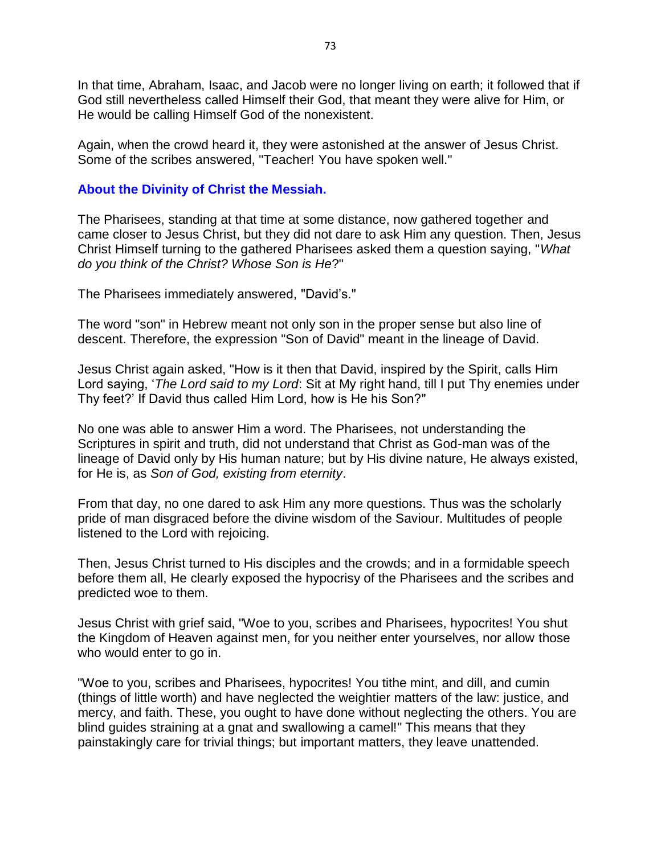In that time, Abraham, Isaac, and Jacob were no longer living on earth; it followed that if God still nevertheless called Himself their God, that meant they were alive for Him, or He would be calling Himself God of the nonexistent.

Again, when the crowd heard it, they were astonished at the answer of Jesus Christ. Some of the scribes answered, "Teacher! You have spoken well."

#### **About the Divinity of Christ the Messiah.**

The Pharisees, standing at that time at some distance, now gathered together and came closer to Jesus Christ, but they did not dare to ask Him any question. Then, Jesus Christ Himself turning to the gathered Pharisees asked them a question saying, "*What do you think of the Christ? Whose Son is He*?"

The Pharisees immediately answered, "David's."

The word "son" in Hebrew meant not only son in the proper sense but also line of descent. Therefore, the expression "Son of David" meant in the lineage of David.

Jesus Christ again asked, "How is it then that David, inspired by the Spirit, calls Him Lord saying, '*The Lord said to my Lord*: Sit at My right hand, till I put Thy enemies under Thy feet?' If David thus called Him Lord, how is He his Son?"

No one was able to answer Him a word. The Pharisees, not understanding the Scriptures in spirit and truth, did not understand that Christ as God-man was of the lineage of David only by His human nature; but by His divine nature, He always existed, for He is, as *Son of God, existing from eternity*.

From that day, no one dared to ask Him any more questions. Thus was the scholarly pride of man disgraced before the divine wisdom of the Saviour. Multitudes of people listened to the Lord with rejoicing.

Then, Jesus Christ turned to His disciples and the crowds; and in a formidable speech before them all, He clearly exposed the hypocrisy of the Pharisees and the scribes and predicted woe to them.

Jesus Christ with grief said, "Woe to you, scribes and Pharisees, hypocrites! You shut the Kingdom of Heaven against men, for you neither enter yourselves, nor allow those who would enter to go in.

"Woe to you, scribes and Pharisees, hypocrites! You tithe mint, and dill, and cumin (things of little worth) and have neglected the weightier matters of the law: justice, and mercy, and faith. These, you ought to have done without neglecting the others. You are blind guides straining at a gnat and swallowing a camel!" This means that they painstakingly care for trivial things; but important matters, they leave unattended.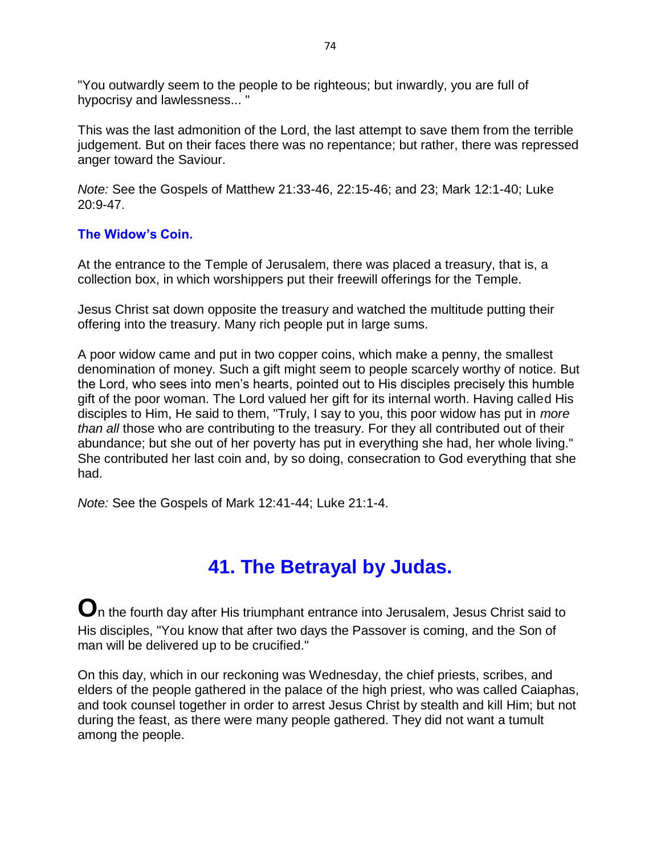"You outwardly seem to the people to be righteous; but inwardly, you are full of hypocrisy and lawlessness... "

This was the last admonition of the Lord, the last attempt to save them from the terrible judgement. But on their faces there was no repentance; but rather, there was repressed anger toward the Saviour.

*Note:* See the Gospels of Matthew 21:33-46, 22:15-46; and 23; Mark 12:1-40; Luke 20:9-47.

#### **The Widow's Coin.**

At the entrance to the Temple of Jerusalem, there was placed a treasury, that is, a collection box, in which worshippers put their freewill offerings for the Temple.

Jesus Christ sat down opposite the treasury and watched the multitude putting their offering into the treasury. Many rich people put in large sums.

A poor widow came and put in two copper coins, which make a penny, the smallest denomination of money. Such a gift might seem to people scarcely worthy of notice. But the Lord, who sees into men's hearts, pointed out to His disciples precisely this humble gift of the poor woman. The Lord valued her gift for its internal worth. Having called His disciples to Him, He said to them, "Truly, I say to you, this poor widow has put in *more than all* those who are contributing to the treasury. For they all contributed out of their abundance; but she out of her poverty has put in everything she had, her whole living." She contributed her last coin and, by so doing, consecration to God everything that she had.

*Note:* See the Gospels of Mark 12:41-44; Luke 21:1-4.

## **41. The Betrayal by Judas.**

**O**n the fourth day after His triumphant entrance into Jerusalem, Jesus Christ said to His disciples, "You know that after two days the Passover is coming, and the Son of man will be delivered up to be crucified."

On this day, which in our reckoning was Wednesday, the chief priests, scribes, and elders of the people gathered in the palace of the high priest, who was called Caiaphas, and took counsel together in order to arrest Jesus Christ by stealth and kill Him; but not during the feast, as there were many people gathered. They did not want a tumult among the people.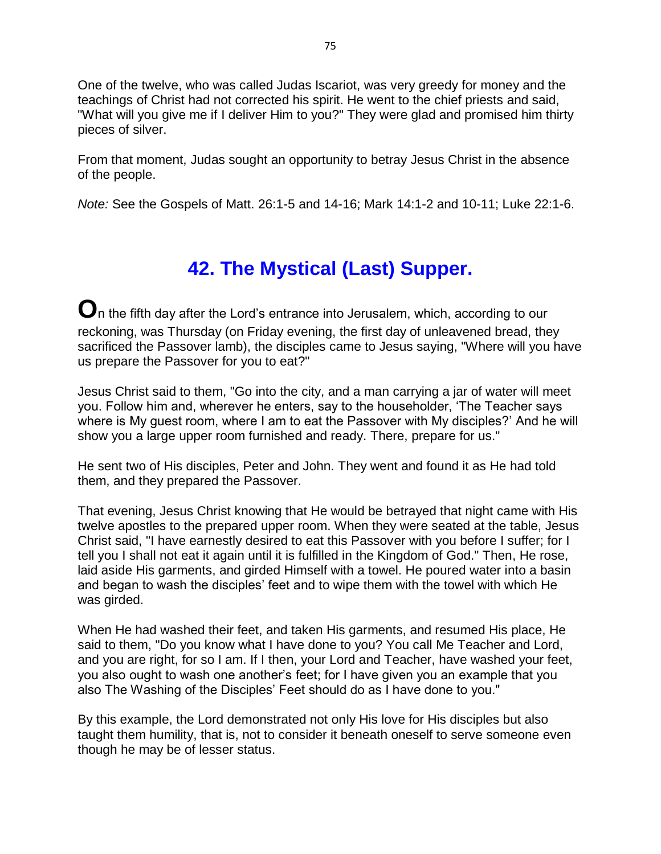One of the twelve, who was called Judas Iscariot, was very greedy for money and the teachings of Christ had not corrected his spirit. He went to the chief priests and said, "What will you give me if I deliver Him to you?" They were glad and promised him thirty pieces of silver.

From that moment, Judas sought an opportunity to betray Jesus Christ in the absence of the people.

*Note:* See the Gospels of Matt. 26:1-5 and 14-16; Mark 14:1-2 and 10-11; Luke 22:1-6.

# **42. The Mystical (Last) Supper.**

**O**n the fifth day after the Lord's entrance into Jerusalem, which, according to our reckoning, was Thursday (on Friday evening, the first day of unleavened bread, they sacrificed the Passover lamb), the disciples came to Jesus saying, "Where will you have us prepare the Passover for you to eat?"

Jesus Christ said to them, "Go into the city, and a man carrying a jar of water will meet you. Follow him and, wherever he enters, say to the householder, 'The Teacher says where is My guest room, where I am to eat the Passover with My disciples?' And he will show you a large upper room furnished and ready. There, prepare for us."

He sent two of His disciples, Peter and John. They went and found it as He had told them, and they prepared the Passover.

That evening, Jesus Christ knowing that He would be betrayed that night came with His twelve apostles to the prepared upper room. When they were seated at the table, Jesus Christ said, "I have earnestly desired to eat this Passover with you before I suffer; for I tell you I shall not eat it again until it is fulfilled in the Kingdom of God." Then, He rose, laid aside His garments, and girded Himself with a towel. He poured water into a basin and began to wash the disciples' feet and to wipe them with the towel with which He was girded.

When He had washed their feet, and taken His garments, and resumed His place, He said to them, "Do you know what I have done to you? You call Me Teacher and Lord, and you are right, for so I am. If I then, your Lord and Teacher, have washed your feet, you also ought to wash one another's feet; for I have given you an example that you also The Washing of the Disciples' Feet should do as I have done to you."

By this example, the Lord demonstrated not only His love for His disciples but also taught them humility, that is, not to consider it beneath oneself to serve someone even though he may be of lesser status.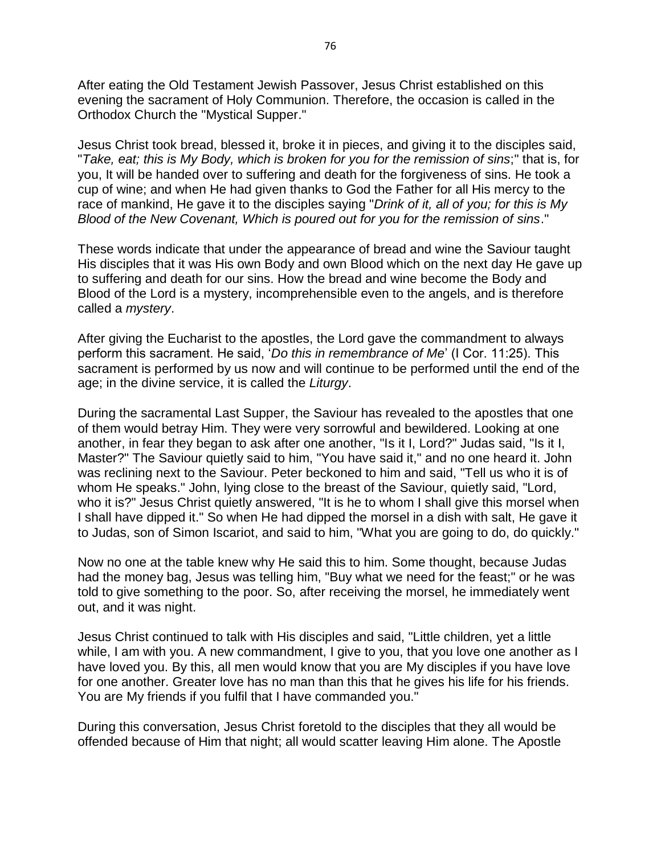After eating the Old Testament Jewish Passover, Jesus Christ established on this evening the sacrament of Holy Communion. Therefore, the occasion is called in the Orthodox Church the "Mystical Supper."

Jesus Christ took bread, blessed it, broke it in pieces, and giving it to the disciples said, "*Take, eat; this is My Body, which is broken for you for the remission of sins*;" that is, for you, It will be handed over to suffering and death for the forgiveness of sins. He took a cup of wine; and when He had given thanks to God the Father for all His mercy to the race of mankind, He gave it to the disciples saying "*Drink of it, all of you; for this is My Blood of the New Covenant, Which is poured out for you for the remission of sins*."

These words indicate that under the appearance of bread and wine the Saviour taught His disciples that it was His own Body and own Blood which on the next day He gave up to suffering and death for our sins. How the bread and wine become the Body and Blood of the Lord is a mystery, incomprehensible even to the angels, and is therefore called a *mystery*.

After giving the Eucharist to the apostles, the Lord gave the commandment to always perform this sacrament. He said, '*Do this in remembrance of Me*' (I Cor. 11:25). This sacrament is performed by us now and will continue to be performed until the end of the age; in the divine service, it is called the *Liturgy*.

During the sacramental Last Supper, the Saviour has revealed to the apostles that one of them would betray Him. They were very sorrowful and bewildered. Looking at one another, in fear they began to ask after one another, "Is it I, Lord?" Judas said, "Is it I, Master?" The Saviour quietly said to him, "You have said it," and no one heard it. John was reclining next to the Saviour. Peter beckoned to him and said, "Tell us who it is of whom He speaks." John, lying close to the breast of the Saviour, quietly said, "Lord, who it is?" Jesus Christ quietly answered, "It is he to whom I shall give this morsel when I shall have dipped it." So when He had dipped the morsel in a dish with salt, He gave it to Judas, son of Simon Iscariot, and said to him, "What you are going to do, do quickly."

Now no one at the table knew why He said this to him. Some thought, because Judas had the money bag, Jesus was telling him, "Buy what we need for the feast;" or he was told to give something to the poor. So, after receiving the morsel, he immediately went out, and it was night.

Jesus Christ continued to talk with His disciples and said, "Little children, yet a little while, I am with you. A new commandment, I give to you, that you love one another as I have loved you. By this, all men would know that you are My disciples if you have love for one another. Greater love has no man than this that he gives his life for his friends. You are My friends if you fulfil that I have commanded you."

During this conversation, Jesus Christ foretold to the disciples that they all would be offended because of Him that night; all would scatter leaving Him alone. The Apostle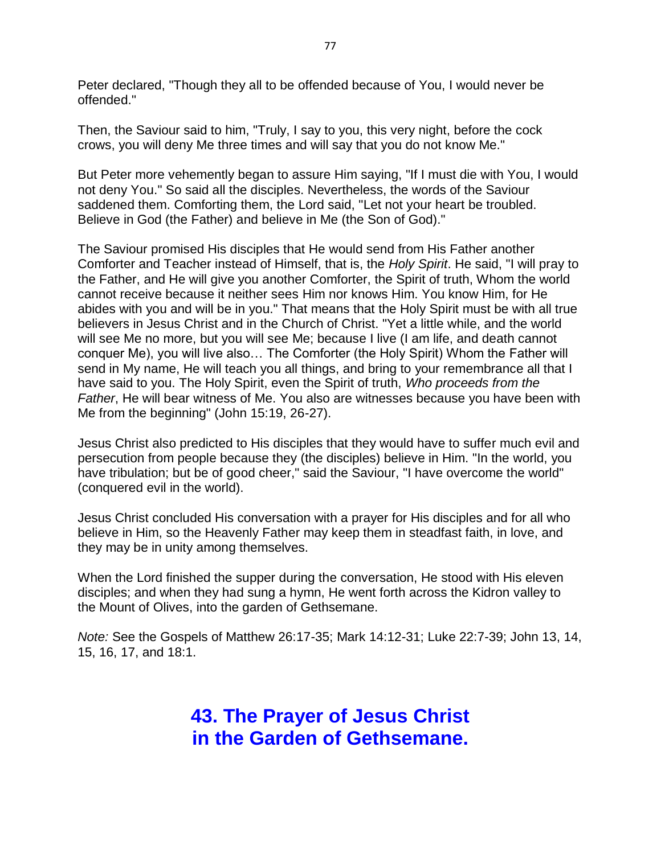Peter declared, "Though they all to be offended because of You, I would never be offended."

Then, the Saviour said to him, "Truly, I say to you, this very night, before the cock crows, you will deny Me three times and will say that you do not know Me."

But Peter more vehemently began to assure Him saying, "If I must die with You, I would not deny You." So said all the disciples. Nevertheless, the words of the Saviour saddened them. Comforting them, the Lord said, "Let not your heart be troubled. Believe in God (the Father) and believe in Me (the Son of God)."

The Saviour promised His disciples that He would send from His Father another Comforter and Teacher instead of Himself, that is, the *Holy Spirit*. He said, "I will pray to the Father, and He will give you another Comforter, the Spirit of truth, Whom the world cannot receive because it neither sees Him nor knows Him. You know Him, for He abides with you and will be in you." That means that the Holy Spirit must be with all true believers in Jesus Christ and in the Church of Christ. "Yet a little while, and the world will see Me no more, but you will see Me; because I live (I am life, and death cannot conquer Me), you will live also… The Comforter (the Holy Spirit) Whom the Father will send in My name, He will teach you all things, and bring to your remembrance all that I have said to you. The Holy Spirit, even the Spirit of truth, *Who proceeds from the Father*, He will bear witness of Me. You also are witnesses because you have been with Me from the beginning" (John 15:19, 26-27).

Jesus Christ also predicted to His disciples that they would have to suffer much evil and persecution from people because they (the disciples) believe in Him. "In the world, you have tribulation; but be of good cheer," said the Saviour, "I have overcome the world" (conquered evil in the world).

Jesus Christ concluded His conversation with a prayer for His disciples and for all who believe in Him, so the Heavenly Father may keep them in steadfast faith, in love, and they may be in unity among themselves.

When the Lord finished the supper during the conversation, He stood with His eleven disciples; and when they had sung a hymn, He went forth across the Kidron valley to the Mount of Olives, into the garden of Gethsemane.

*Note:* See the Gospels of Matthew 26:17-35; Mark 14:12-31; Luke 22:7-39; John 13, 14, 15, 16, 17, and 18:1.

### **43. The Prayer of Jesus Christ in the Garden of Gethsemane.**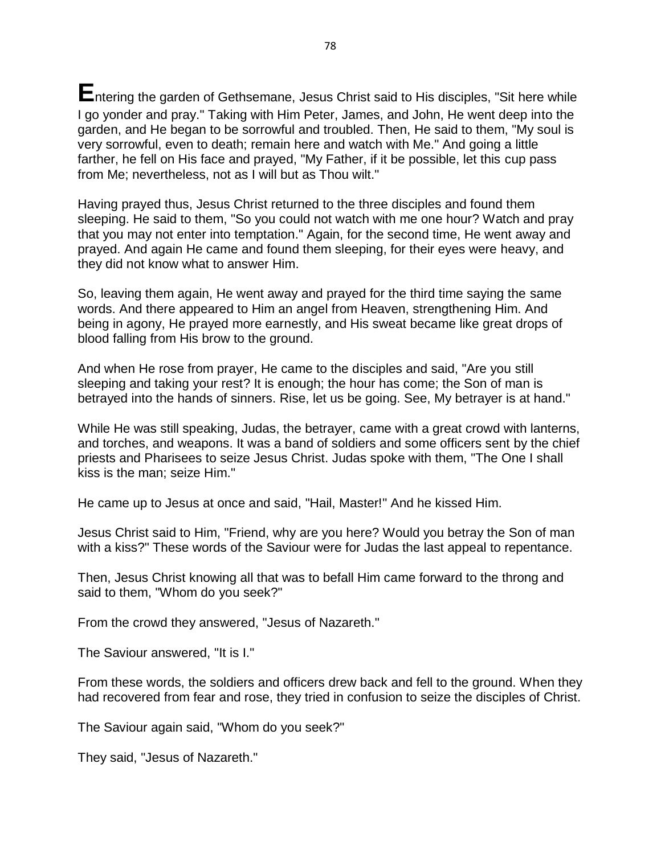**E**ntering the garden of Gethsemane, Jesus Christ said to His disciples, "Sit here while I go yonder and pray." Taking with Him Peter, James, and John, He went deep into the garden, and He began to be sorrowful and troubled. Then, He said to them, "My soul is very sorrowful, even to death; remain here and watch with Me." And going a little farther, he fell on His face and prayed, "My Father, if it be possible, let this cup pass from Me; nevertheless, not as I will but as Thou wilt."

Having prayed thus, Jesus Christ returned to the three disciples and found them sleeping. He said to them, "So you could not watch with me one hour? Watch and pray that you may not enter into temptation." Again, for the second time, He went away and prayed. And again He came and found them sleeping, for their eyes were heavy, and they did not know what to answer Him.

So, leaving them again, He went away and prayed for the third time saying the same words. And there appeared to Him an angel from Heaven, strengthening Him. And being in agony, He prayed more earnestly, and His sweat became like great drops of blood falling from His brow to the ground.

And when He rose from prayer, He came to the disciples and said, "Are you still sleeping and taking your rest? It is enough; the hour has come; the Son of man is betrayed into the hands of sinners. Rise, let us be going. See, My betrayer is at hand."

While He was still speaking, Judas, the betrayer, came with a great crowd with lanterns, and torches, and weapons. It was a band of soldiers and some officers sent by the chief priests and Pharisees to seize Jesus Christ. Judas spoke with them, "The One I shall kiss is the man; seize Him."

He came up to Jesus at once and said, "Hail, Master!" And he kissed Him.

Jesus Christ said to Him, "Friend, why are you here? Would you betray the Son of man with a kiss?" These words of the Saviour were for Judas the last appeal to repentance.

Then, Jesus Christ knowing all that was to befall Him came forward to the throng and said to them, "Whom do you seek?"

From the crowd they answered, "Jesus of Nazareth."

The Saviour answered, "It is I."

From these words, the soldiers and officers drew back and fell to the ground. When they had recovered from fear and rose, they tried in confusion to seize the disciples of Christ.

The Saviour again said, "Whom do you seek?"

They said, "Jesus of Nazareth."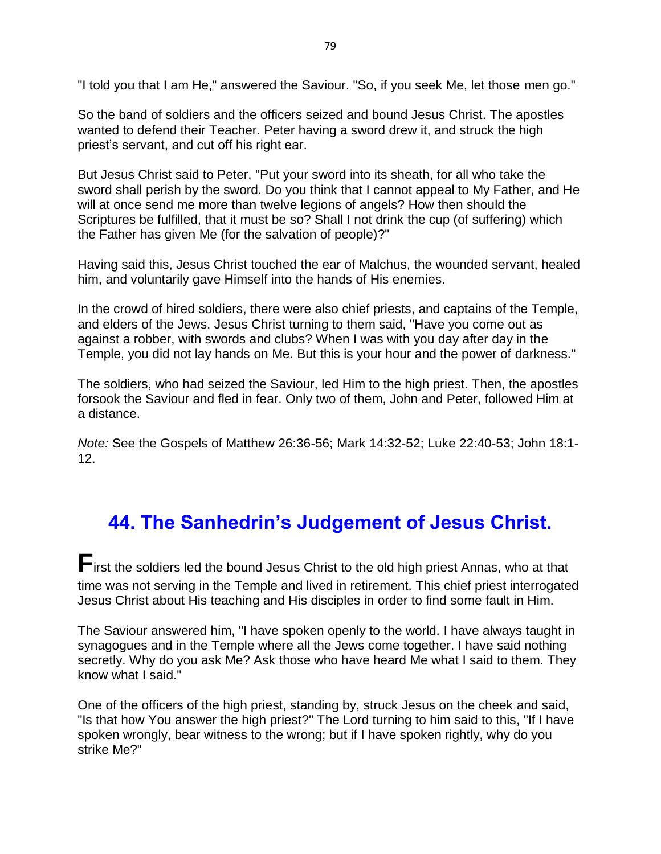"I told you that I am He," answered the Saviour. "So, if you seek Me, let those men go."

So the band of soldiers and the officers seized and bound Jesus Christ. The apostles wanted to defend their Teacher. Peter having a sword drew it, and struck the high priest's servant, and cut off his right ear.

But Jesus Christ said to Peter, "Put your sword into its sheath, for all who take the sword shall perish by the sword. Do you think that I cannot appeal to My Father, and He will at once send me more than twelve legions of angels? How then should the Scriptures be fulfilled, that it must be so? Shall I not drink the cup (of suffering) which the Father has given Me (for the salvation of people)?"

Having said this, Jesus Christ touched the ear of Malchus, the wounded servant, healed him, and voluntarily gave Himself into the hands of His enemies.

In the crowd of hired soldiers, there were also chief priests, and captains of the Temple, and elders of the Jews. Jesus Christ turning to them said, "Have you come out as against a robber, with swords and clubs? When I was with you day after day in the Temple, you did not lay hands on Me. But this is your hour and the power of darkness."

The soldiers, who had seized the Saviour, led Him to the high priest. Then, the apostles forsook the Saviour and fled in fear. Only two of them, John and Peter, followed Him at a distance.

*Note:* See the Gospels of Matthew 26:36-56; Mark 14:32-52; Luke 22:40-53; John 18:1- 12.

# **44. The Sanhedrin's Judgement of Jesus Christ.**

**F**irst the soldiers led the bound Jesus Christ to the old high priest Annas, who at that time was not serving in the Temple and lived in retirement. This chief priest interrogated Jesus Christ about His teaching and His disciples in order to find some fault in Him.

The Saviour answered him, "I have spoken openly to the world. I have always taught in synagogues and in the Temple where all the Jews come together. I have said nothing secretly. Why do you ask Me? Ask those who have heard Me what I said to them. They know what I said."

One of the officers of the high priest, standing by, struck Jesus on the cheek and said, "Is that how You answer the high priest?" The Lord turning to him said to this, "If I have spoken wrongly, bear witness to the wrong; but if I have spoken rightly, why do you strike Me?"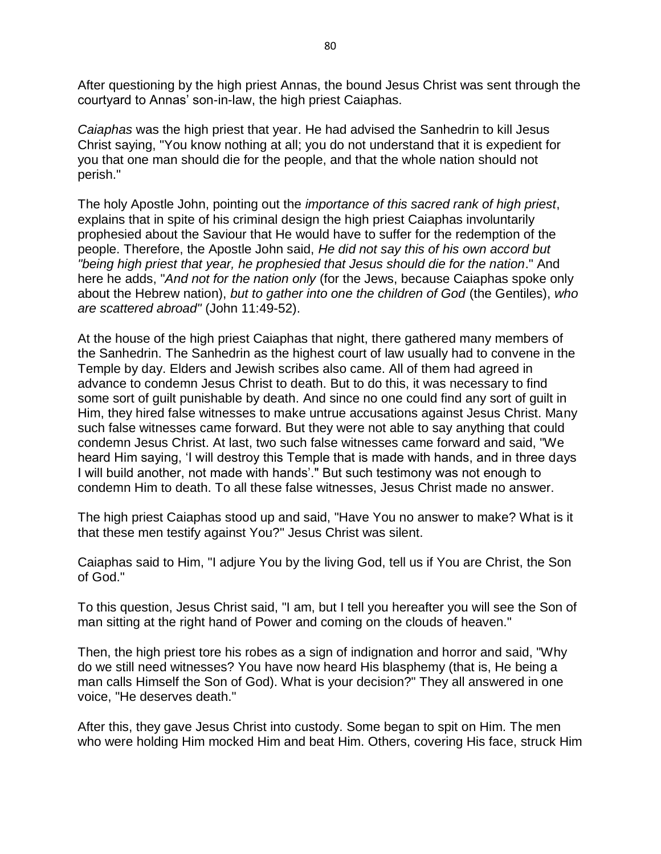After questioning by the high priest Annas, the bound Jesus Christ was sent through the courtyard to Annas' son-in-law, the high priest Caiaphas.

*Caiaphas* was the high priest that year. He had advised the Sanhedrin to kill Jesus Christ saying, "You know nothing at all; you do not understand that it is expedient for you that one man should die for the people, and that the whole nation should not perish."

The holy Apostle John, pointing out the *importance of this sacred rank of high priest*, explains that in spite of his criminal design the high priest Caiaphas involuntarily prophesied about the Saviour that He would have to suffer for the redemption of the people. Therefore, the Apostle John said, *He did not say this of his own accord but "being high priest that year, he prophesied that Jesus should die for the nation*." And here he adds, "*And not for the nation only* (for the Jews, because Caiaphas spoke only about the Hebrew nation), *but to gather into one the children of God* (the Gentiles), *who are scattered abroad"* (John 11:49-52).

At the house of the high priest Caiaphas that night, there gathered many members of the Sanhedrin. The Sanhedrin as the highest court of law usually had to convene in the Temple by day. Elders and Jewish scribes also came. All of them had agreed in advance to condemn Jesus Christ to death. But to do this, it was necessary to find some sort of guilt punishable by death. And since no one could find any sort of guilt in Him, they hired false witnesses to make untrue accusations against Jesus Christ. Many such false witnesses came forward. But they were not able to say anything that could condemn Jesus Christ. At last, two such false witnesses came forward and said, "We heard Him saying, 'I will destroy this Temple that is made with hands, and in three days I will build another, not made with hands'." But such testimony was not enough to condemn Him to death. To all these false witnesses, Jesus Christ made no answer.

The high priest Caiaphas stood up and said, "Have You no answer to make? What is it that these men testify against You?" Jesus Christ was silent.

Caiaphas said to Him, "I adjure You by the living God, tell us if You are Christ, the Son of God."

To this question, Jesus Christ said, "I am, but I tell you hereafter you will see the Son of man sitting at the right hand of Power and coming on the clouds of heaven."

Then, the high priest tore his robes as a sign of indignation and horror and said, "Why do we still need witnesses? You have now heard His blasphemy (that is, He being a man calls Himself the Son of God). What is your decision?" They all answered in one voice, "He deserves death."

After this, they gave Jesus Christ into custody. Some began to spit on Him. The men who were holding Him mocked Him and beat Him. Others, covering His face, struck Him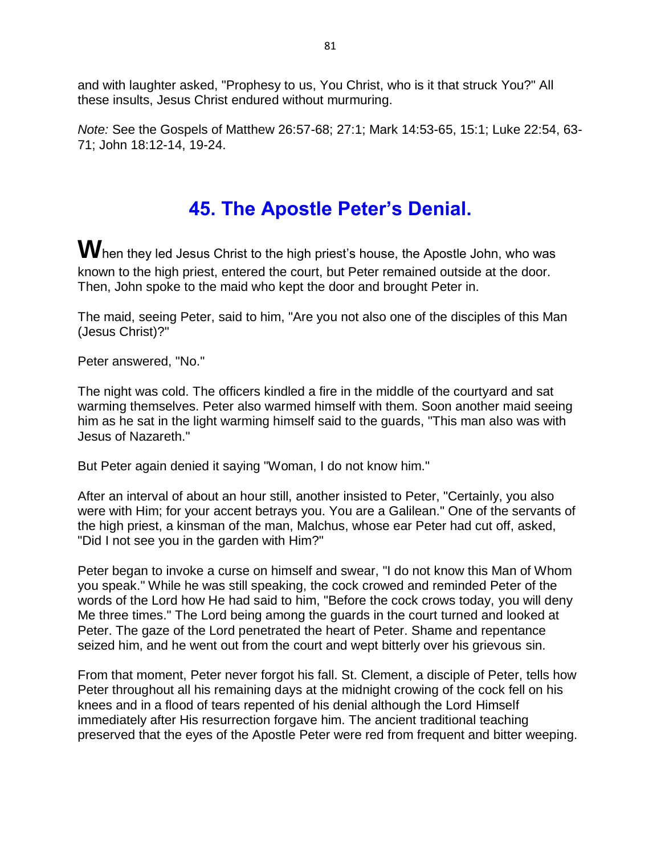and with laughter asked, "Prophesy to us, You Christ, who is it that struck You?" All these insults, Jesus Christ endured without murmuring.

*Note:* See the Gospels of Matthew 26:57-68; 27:1; Mark 14:53-65, 15:1; Luke 22:54, 63- 71; John 18:12-14, 19-24.

# **45. The Apostle Peter's Denial.**

When they led Jesus Christ to the high priest's house, the Apostle John, who was known to the high priest, entered the court, but Peter remained outside at the door. Then, John spoke to the maid who kept the door and brought Peter in.

The maid, seeing Peter, said to him, "Are you not also one of the disciples of this Man (Jesus Christ)?"

Peter answered, "No."

The night was cold. The officers kindled a fire in the middle of the courtyard and sat warming themselves. Peter also warmed himself with them. Soon another maid seeing him as he sat in the light warming himself said to the guards, "This man also was with Jesus of Nazareth."

But Peter again denied it saying "Woman, I do not know him."

After an interval of about an hour still, another insisted to Peter, "Certainly, you also were with Him; for your accent betrays you. You are a Galilean." One of the servants of the high priest, a kinsman of the man, Malchus, whose ear Peter had cut off, asked, "Did I not see you in the garden with Him?"

Peter began to invoke a curse on himself and swear, "I do not know this Man of Whom you speak." While he was still speaking, the cock crowed and reminded Peter of the words of the Lord how He had said to him, "Before the cock crows today, you will deny Me three times." The Lord being among the guards in the court turned and looked at Peter. The gaze of the Lord penetrated the heart of Peter. Shame and repentance seized him, and he went out from the court and wept bitterly over his grievous sin.

From that moment, Peter never forgot his fall. St. Clement, a disciple of Peter, tells how Peter throughout all his remaining days at the midnight crowing of the cock fell on his knees and in a flood of tears repented of his denial although the Lord Himself immediately after His resurrection forgave him. The ancient traditional teaching preserved that the eyes of the Apostle Peter were red from frequent and bitter weeping.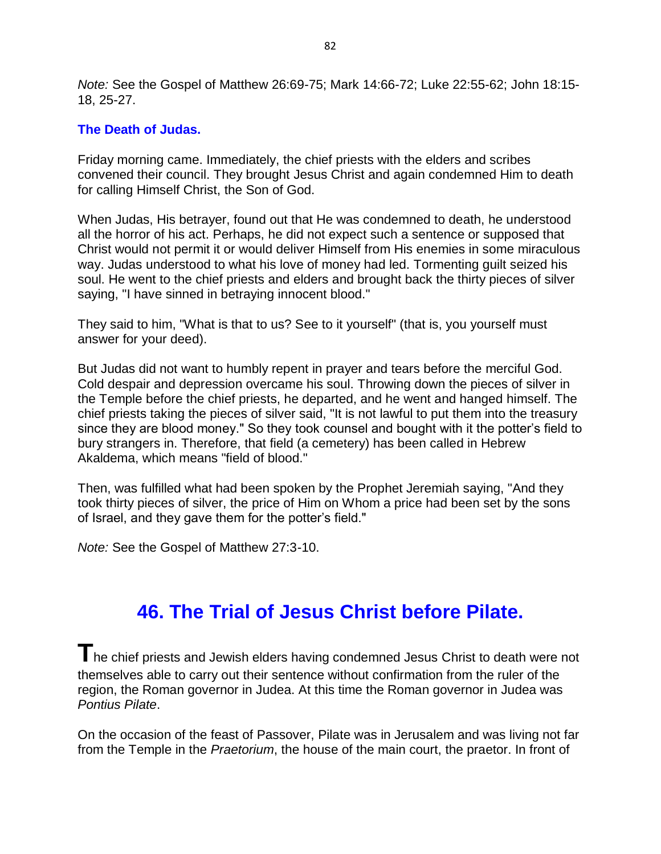*Note:* See the Gospel of Matthew 26:69-75; Mark 14:66-72; Luke 22:55-62; John 18:15- 18, 25-27.

#### **The Death of Judas.**

Friday morning came. Immediately, the chief priests with the elders and scribes convened their council. They brought Jesus Christ and again condemned Him to death for calling Himself Christ, the Son of God.

When Judas, His betrayer, found out that He was condemned to death, he understood all the horror of his act. Perhaps, he did not expect such a sentence or supposed that Christ would not permit it or would deliver Himself from His enemies in some miraculous way. Judas understood to what his love of money had led. Tormenting guilt seized his soul. He went to the chief priests and elders and brought back the thirty pieces of silver saying, "I have sinned in betraying innocent blood."

They said to him, "What is that to us? See to it yourself" (that is, you yourself must answer for your deed).

But Judas did not want to humbly repent in prayer and tears before the merciful God. Cold despair and depression overcame his soul. Throwing down the pieces of silver in the Temple before the chief priests, he departed, and he went and hanged himself. The chief priests taking the pieces of silver said, "It is not lawful to put them into the treasury since they are blood money." So they took counsel and bought with it the potter's field to bury strangers in. Therefore, that field (a cemetery) has been called in Hebrew Akaldema, which means "field of blood."

Then, was fulfilled what had been spoken by the Prophet Jeremiah saying, "And they took thirty pieces of silver, the price of Him on Whom a price had been set by the sons of Israel, and they gave them for the potter's field."

*Note:* See the Gospel of Matthew 27:3-10.

## **46. The Trial of Jesus Christ before Pilate.**

**T**he chief priests and Jewish elders having condemned Jesus Christ to death were not themselves able to carry out their sentence without confirmation from the ruler of the region, the Roman governor in Judea. At this time the Roman governor in Judea was *Pontius Pilate*.

On the occasion of the feast of Passover, Pilate was in Jerusalem and was living not far from the Temple in the *Praetorium*, the house of the main court, the praetor. In front of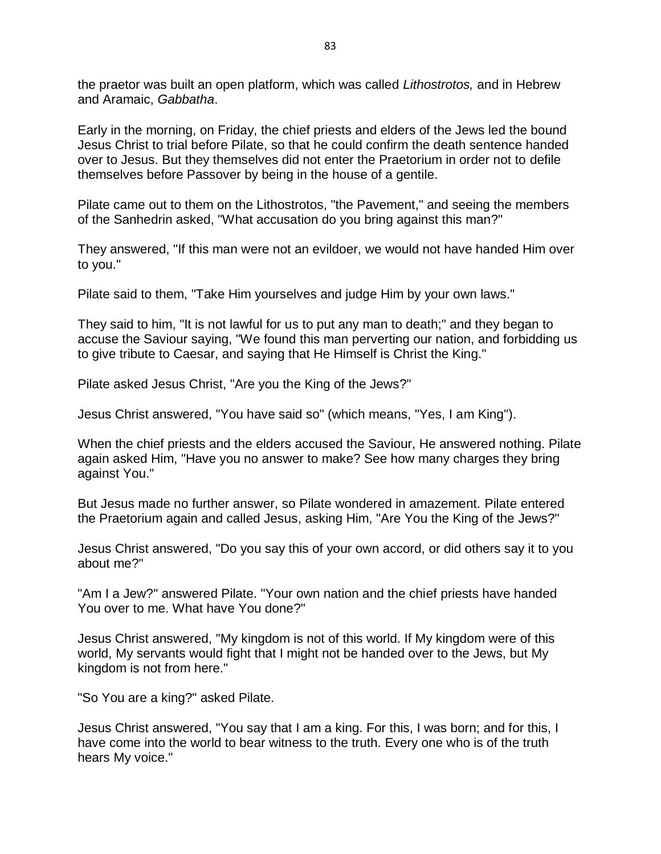the praetor was built an open platform, which was called *Lithostrotos,* and in Hebrew and Aramaic, *Gabbatha*.

Early in the morning, on Friday, the chief priests and elders of the Jews led the bound Jesus Christ to trial before Pilate, so that he could confirm the death sentence handed over to Jesus. But they themselves did not enter the Praetorium in order not to defile themselves before Passover by being in the house of a gentile.

Pilate came out to them on the Lithostrotos, "the Pavement," and seeing the members of the Sanhedrin asked, "What accusation do you bring against this man?"

They answered, "If this man were not an evildoer, we would not have handed Him over to you."

Pilate said to them, "Take Him yourselves and judge Him by your own laws."

They said to him, "It is not lawful for us to put any man to death;" and they began to accuse the Saviour saying, "We found this man perverting our nation, and forbidding us to give tribute to Caesar, and saying that He Himself is Christ the King."

Pilate asked Jesus Christ, "Are you the King of the Jews?"

Jesus Christ answered, "You have said so" (which means, "Yes, I am King").

When the chief priests and the elders accused the Saviour, He answered nothing. Pilate again asked Him, "Have you no answer to make? See how many charges they bring against You."

But Jesus made no further answer, so Pilate wondered in amazement. Pilate entered the Praetorium again and called Jesus, asking Him, "Are You the King of the Jews?"

Jesus Christ answered, "Do you say this of your own accord, or did others say it to you about me?"

"Am I a Jew?" answered Pilate. "Your own nation and the chief priests have handed You over to me. What have You done?"

Jesus Christ answered, "My kingdom is not of this world. If My kingdom were of this world, My servants would fight that I might not be handed over to the Jews, but My kingdom is not from here."

"So You are a king?" asked Pilate.

Jesus Christ answered, "You say that I am a king. For this, I was born; and for this, I have come into the world to bear witness to the truth. Every one who is of the truth hears My voice."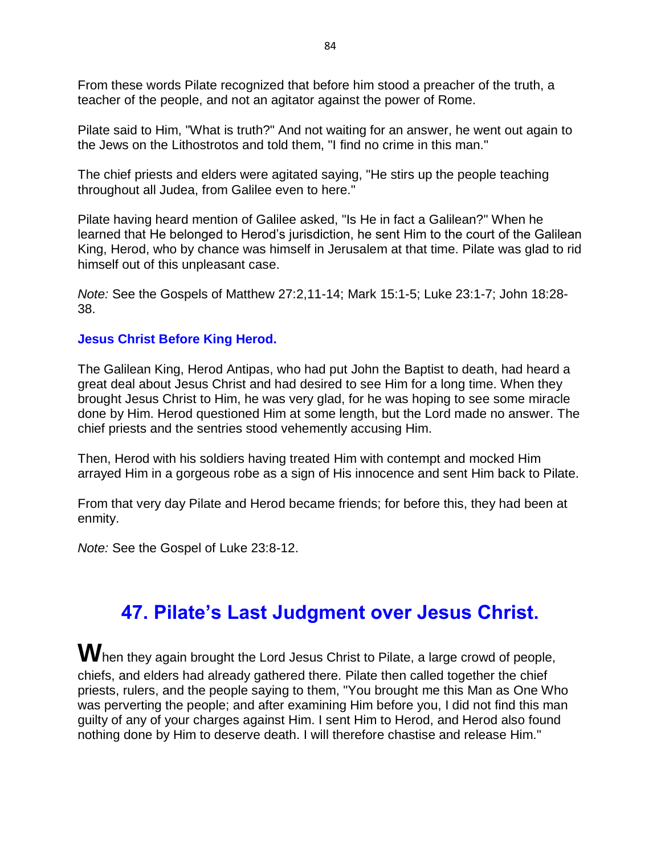From these words Pilate recognized that before him stood a preacher of the truth, a teacher of the people, and not an agitator against the power of Rome.

Pilate said to Him, "What is truth?" And not waiting for an answer, he went out again to the Jews on the Lithostrotos and told them, "I find no crime in this man."

The chief priests and elders were agitated saying, "He stirs up the people teaching throughout all Judea, from Galilee even to here."

Pilate having heard mention of Galilee asked, "Is He in fact a Galilean?" When he learned that He belonged to Herod's jurisdiction, he sent Him to the court of the Galilean King, Herod, who by chance was himself in Jerusalem at that time. Pilate was glad to rid himself out of this unpleasant case.

*Note:* See the Gospels of Matthew 27:2,11-14; Mark 15:1-5; Luke 23:1-7; John 18:28- 38.

#### **Jesus Christ Before King Herod.**

The Galilean King, Herod Antipas, who had put John the Baptist to death, had heard a great deal about Jesus Christ and had desired to see Him for a long time. When they brought Jesus Christ to Him, he was very glad, for he was hoping to see some miracle done by Him. Herod questioned Him at some length, but the Lord made no answer. The chief priests and the sentries stood vehemently accusing Him.

Then, Herod with his soldiers having treated Him with contempt and mocked Him arrayed Him in a gorgeous robe as a sign of His innocence and sent Him back to Pilate.

From that very day Pilate and Herod became friends; for before this, they had been at enmity.

*Note:* See the Gospel of Luke 23:8-12.

## **47. Pilate's Last Judgment over Jesus Christ.**

When they again brought the Lord Jesus Christ to Pilate, a large crowd of people, chiefs, and elders had already gathered there. Pilate then called together the chief priests, rulers, and the people saying to them, "You brought me this Man as One Who was perverting the people; and after examining Him before you, I did not find this man guilty of any of your charges against Him. I sent Him to Herod, and Herod also found nothing done by Him to deserve death. I will therefore chastise and release Him."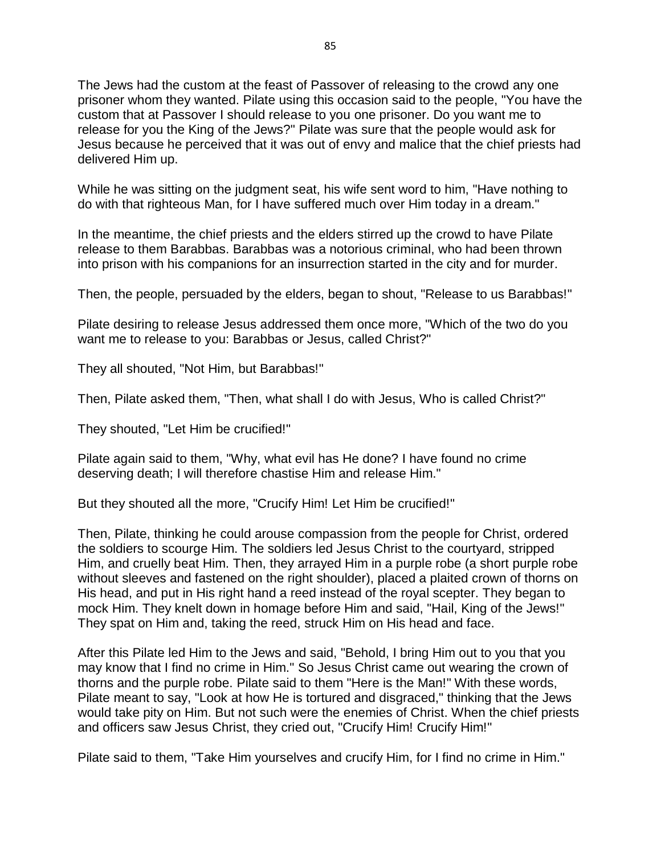The Jews had the custom at the feast of Passover of releasing to the crowd any one prisoner whom they wanted. Pilate using this occasion said to the people, "You have the custom that at Passover I should release to you one prisoner. Do you want me to release for you the King of the Jews?" Pilate was sure that the people would ask for Jesus because he perceived that it was out of envy and malice that the chief priests had delivered Him up.

While he was sitting on the judgment seat, his wife sent word to him, "Have nothing to do with that righteous Man, for I have suffered much over Him today in a dream."

In the meantime, the chief priests and the elders stirred up the crowd to have Pilate release to them Barabbas. Barabbas was a notorious criminal, who had been thrown into prison with his companions for an insurrection started in the city and for murder.

Then, the people, persuaded by the elders, began to shout, "Release to us Barabbas!"

Pilate desiring to release Jesus addressed them once more, "Which of the two do you want me to release to you: Barabbas or Jesus, called Christ?"

They all shouted, "Not Him, but Barabbas!"

Then, Pilate asked them, "Then, what shall I do with Jesus, Who is called Christ?"

They shouted, "Let Him be crucified!"

Pilate again said to them, "Why, what evil has He done? I have found no crime deserving death; I will therefore chastise Him and release Him."

But they shouted all the more, "Crucify Him! Let Him be crucified!"

Then, Pilate, thinking he could arouse compassion from the people for Christ, ordered the soldiers to scourge Him. The soldiers led Jesus Christ to the courtyard, stripped Him, and cruelly beat Him. Then, they arrayed Him in a purple robe (a short purple robe without sleeves and fastened on the right shoulder), placed a plaited crown of thorns on His head, and put in His right hand a reed instead of the royal scepter. They began to mock Him. They knelt down in homage before Him and said, "Hail, King of the Jews!" They spat on Him and, taking the reed, struck Him on His head and face.

After this Pilate led Him to the Jews and said, "Behold, I bring Him out to you that you may know that I find no crime in Him." So Jesus Christ came out wearing the crown of thorns and the purple robe. Pilate said to them "Here is the Man!" With these words, Pilate meant to say, "Look at how He is tortured and disgraced," thinking that the Jews would take pity on Him. But not such were the enemies of Christ. When the chief priests and officers saw Jesus Christ, they cried out, "Crucify Him! Crucify Him!"

Pilate said to them, "Take Him yourselves and crucify Him, for I find no crime in Him."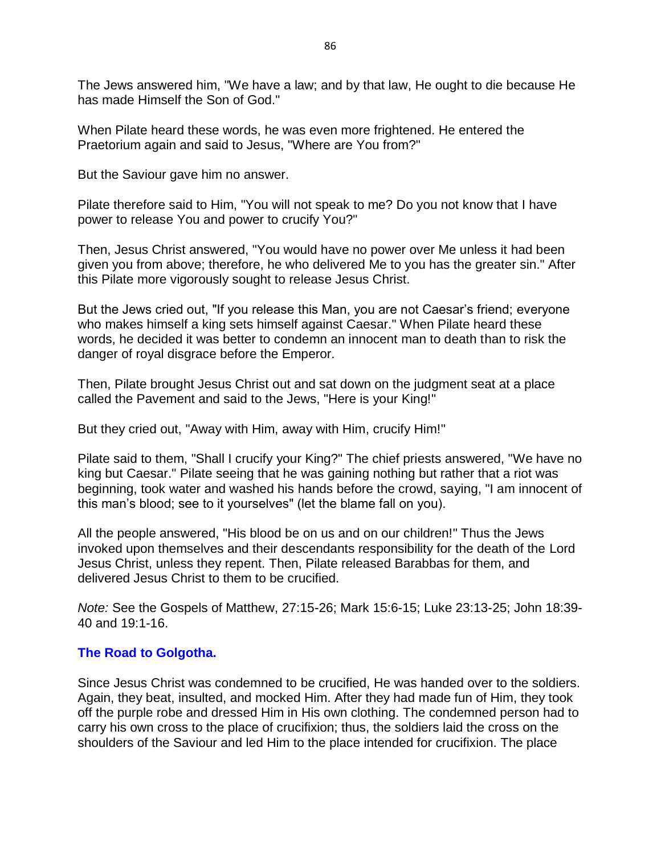The Jews answered him, "We have a law; and by that law, He ought to die because He has made Himself the Son of God."

When Pilate heard these words, he was even more frightened. He entered the Praetorium again and said to Jesus, "Where are You from?"

But the Saviour gave him no answer.

Pilate therefore said to Him, "You will not speak to me? Do you not know that I have power to release You and power to crucify You?"

Then, Jesus Christ answered, "You would have no power over Me unless it had been given you from above; therefore, he who delivered Me to you has the greater sin." After this Pilate more vigorously sought to release Jesus Christ.

But the Jews cried out, "If you release this Man, you are not Caesar's friend; everyone who makes himself a king sets himself against Caesar." When Pilate heard these words, he decided it was better to condemn an innocent man to death than to risk the danger of royal disgrace before the Emperor.

Then, Pilate brought Jesus Christ out and sat down on the judgment seat at a place called the Pavement and said to the Jews, "Here is your King!"

But they cried out, "Away with Him, away with Him, crucify Him!"

Pilate said to them, "Shall I crucify your King?" The chief priests answered, "We have no king but Caesar." Pilate seeing that he was gaining nothing but rather that a riot was beginning, took water and washed his hands before the crowd, saying, "I am innocent of this man's blood; see to it yourselves" (let the blame fall on you).

All the people answered, "His blood be on us and on our children!" Thus the Jews invoked upon themselves and their descendants responsibility for the death of the Lord Jesus Christ, unless they repent. Then, Pilate released Barabbas for them, and delivered Jesus Christ to them to be crucified.

*Note:* See the Gospels of Matthew, 27:15-26; Mark 15:6-15; Luke 23:13-25; John 18:39- 40 and 19:1-16.

#### **The Road to Golgotha.**

Since Jesus Christ was condemned to be crucified, He was handed over to the soldiers. Again, they beat, insulted, and mocked Him. After they had made fun of Him, they took off the purple robe and dressed Him in His own clothing. The condemned person had to carry his own cross to the place of crucifixion; thus, the soldiers laid the cross on the shoulders of the Saviour and led Him to the place intended for crucifixion. The place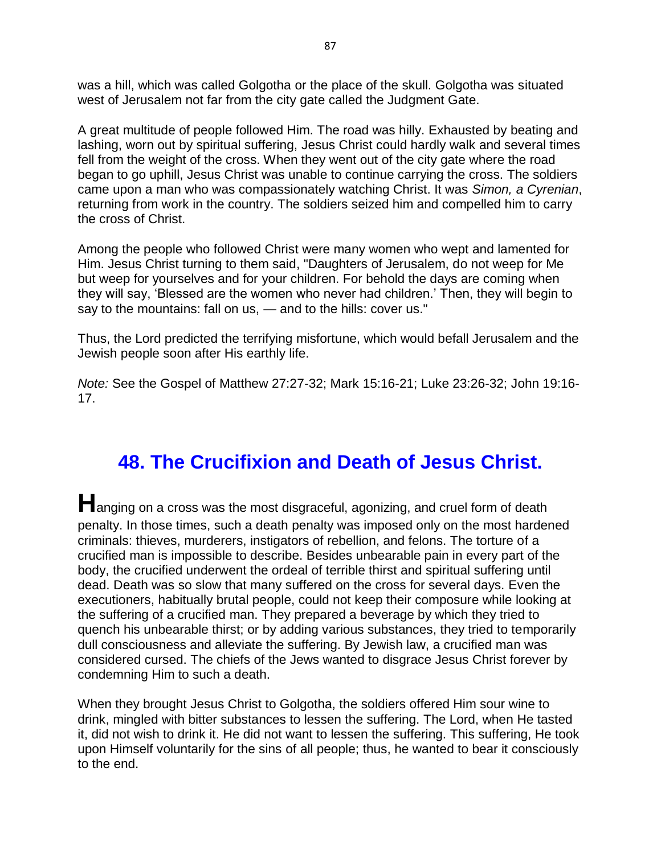was a hill, which was called Golgotha or the place of the skull. Golgotha was situated west of Jerusalem not far from the city gate called the Judgment Gate.

A great multitude of people followed Him. The road was hilly. Exhausted by beating and lashing, worn out by spiritual suffering, Jesus Christ could hardly walk and several times fell from the weight of the cross. When they went out of the city gate where the road began to go uphill, Jesus Christ was unable to continue carrying the cross. The soldiers came upon a man who was compassionately watching Christ. It was *Simon, a Cyrenian*, returning from work in the country. The soldiers seized him and compelled him to carry the cross of Christ.

Among the people who followed Christ were many women who wept and lamented for Him. Jesus Christ turning to them said, "Daughters of Jerusalem, do not weep for Me but weep for yourselves and for your children. For behold the days are coming when they will say, 'Blessed are the women who never had children.' Then, they will begin to say to the mountains: fall on us, — and to the hills: cover us."

Thus, the Lord predicted the terrifying misfortune, which would befall Jerusalem and the Jewish people soon after His earthly life.

*Note:* See the Gospel of Matthew 27:27-32; Mark 15:16-21; Luke 23:26-32; John 19:16- 17.

# **48. The Crucifixion and Death of Jesus Christ.**

**H**anging on a cross was the most disgraceful, agonizing, and cruel form of death penalty. In those times, such a death penalty was imposed only on the most hardened criminals: thieves, murderers, instigators of rebellion, and felons. The torture of a crucified man is impossible to describe. Besides unbearable pain in every part of the body, the crucified underwent the ordeal of terrible thirst and spiritual suffering until dead. Death was so slow that many suffered on the cross for several days. Even the executioners, habitually brutal people, could not keep their composure while looking at the suffering of a crucified man. They prepared a beverage by which they tried to quench his unbearable thirst; or by adding various substances, they tried to temporarily dull consciousness and alleviate the suffering. By Jewish law, a crucified man was considered cursed. The chiefs of the Jews wanted to disgrace Jesus Christ forever by condemning Him to such a death.

When they brought Jesus Christ to Golgotha, the soldiers offered Him sour wine to drink, mingled with bitter substances to lessen the suffering. The Lord, when He tasted it, did not wish to drink it. He did not want to lessen the suffering. This suffering, He took upon Himself voluntarily for the sins of all people; thus, he wanted to bear it consciously to the end.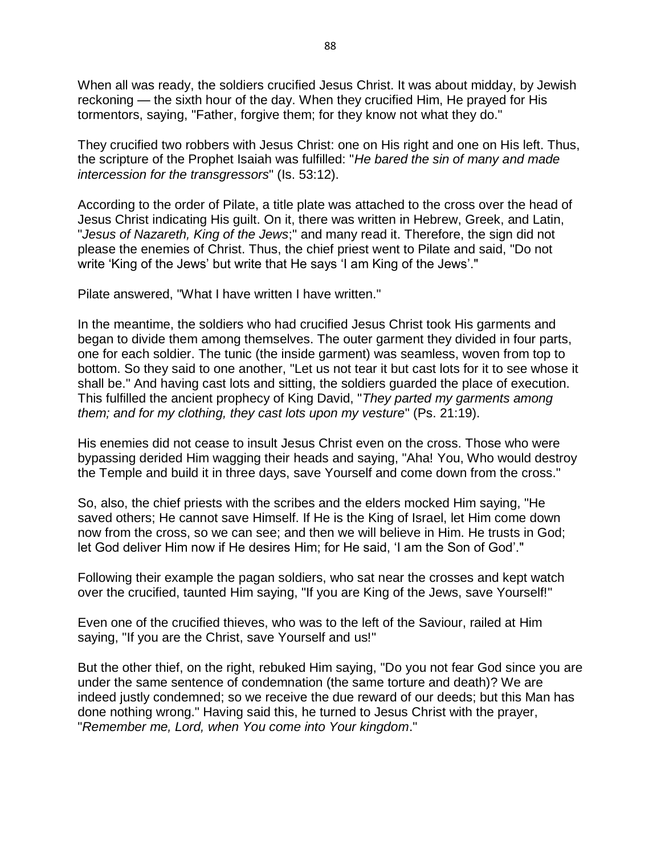When all was ready, the soldiers crucified Jesus Christ. It was about midday, by Jewish reckoning — the sixth hour of the day. When they crucified Him, He prayed for His tormentors, saying, "Father, forgive them; for they know not what they do."

They crucified two robbers with Jesus Christ: one on His right and one on His left. Thus, the scripture of the Prophet Isaiah was fulfilled: "*He bared the sin of many and made intercession for the transgressors*" (Is. 53:12).

According to the order of Pilate, a title plate was attached to the cross over the head of Jesus Christ indicating His guilt. On it, there was written in Hebrew, Greek, and Latin, "*Jesus of Nazareth, King of the Jews*;" and many read it. Therefore, the sign did not please the enemies of Christ. Thus, the chief priest went to Pilate and said, "Do not write 'King of the Jews' but write that He says 'I am King of the Jews'."

Pilate answered, "What I have written I have written."

In the meantime, the soldiers who had crucified Jesus Christ took His garments and began to divide them among themselves. The outer garment they divided in four parts, one for each soldier. The tunic (the inside garment) was seamless, woven from top to bottom. So they said to one another, "Let us not tear it but cast lots for it to see whose it shall be." And having cast lots and sitting, the soldiers guarded the place of execution. This fulfilled the ancient prophecy of King David, "*They parted my garments among them; and for my clothing, they cast lots upon my vesture*" (Ps. 21:19).

His enemies did not cease to insult Jesus Christ even on the cross. Those who were bypassing derided Him wagging their heads and saying, "Aha! You, Who would destroy the Temple and build it in three days, save Yourself and come down from the cross."

So, also, the chief priests with the scribes and the elders mocked Him saying, "He saved others; He cannot save Himself. If He is the King of Israel, let Him come down now from the cross, so we can see; and then we will believe in Him. He trusts in God; let God deliver Him now if He desires Him; for He said, 'I am the Son of God'."

Following their example the pagan soldiers, who sat near the crosses and kept watch over the crucified, taunted Him saying, "If you are King of the Jews, save Yourself!"

Even one of the crucified thieves, who was to the left of the Saviour, railed at Him saying, "If you are the Christ, save Yourself and us!"

But the other thief, on the right, rebuked Him saying, "Do you not fear God since you are under the same sentence of condemnation (the same torture and death)? We are indeed justly condemned; so we receive the due reward of our deeds; but this Man has done nothing wrong." Having said this, he turned to Jesus Christ with the prayer, "*Remember me, Lord, when You come into Your kingdom*."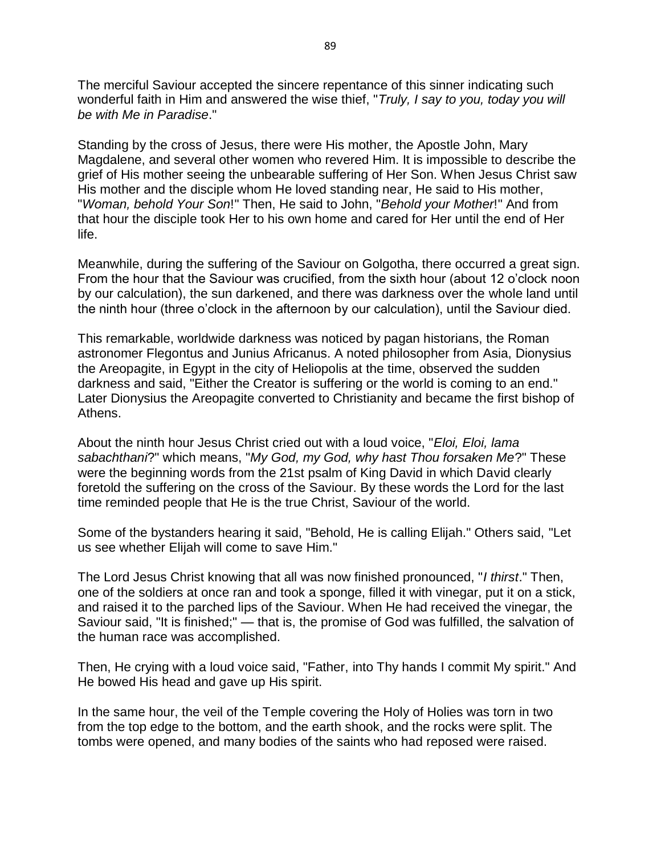The merciful Saviour accepted the sincere repentance of this sinner indicating such wonderful faith in Him and answered the wise thief, "*Truly, I say to you, today you will be with Me in Paradise*."

Standing by the cross of Jesus, there were His mother, the Apostle John, Mary Magdalene, and several other women who revered Him. It is impossible to describe the grief of His mother seeing the unbearable suffering of Her Son. When Jesus Christ saw His mother and the disciple whom He loved standing near, He said to His mother, "*Woman, behold Your Son*!" Then, He said to John, "*Behold your Mother*!" And from that hour the disciple took Her to his own home and cared for Her until the end of Her life.

Meanwhile, during the suffering of the Saviour on Golgotha, there occurred a great sign. From the hour that the Saviour was crucified, from the sixth hour (about 12 o'clock noon by our calculation), the sun darkened, and there was darkness over the whole land until the ninth hour (three o'clock in the afternoon by our calculation), until the Saviour died.

This remarkable, worldwide darkness was noticed by pagan historians, the Roman astronomer Flegontus and Junius Africanus. A noted philosopher from Asia, Dionysius the Areopagite, in Egypt in the city of Heliopolis at the time, observed the sudden darkness and said, "Either the Creator is suffering or the world is coming to an end." Later Dionysius the Areopagite converted to Christianity and became the first bishop of Athens.

About the ninth hour Jesus Christ cried out with a loud voice, "*Eloi, Eloi, lama sabachthani*?" which means, "*My God, my God, why hast Thou forsaken Me*?" These were the beginning words from the 21st psalm of King David in which David clearly foretold the suffering on the cross of the Saviour. By these words the Lord for the last time reminded people that He is the true Christ, Saviour of the world.

Some of the bystanders hearing it said, "Behold, He is calling Elijah." Others said, "Let us see whether Elijah will come to save Him."

The Lord Jesus Christ knowing that all was now finished pronounced, "*I thirst*." Then, one of the soldiers at once ran and took a sponge, filled it with vinegar, put it on a stick, and raised it to the parched lips of the Saviour. When He had received the vinegar, the Saviour said, "It is finished;" — that is, the promise of God was fulfilled, the salvation of the human race was accomplished.

Then, He crying with a loud voice said, "Father, into Thy hands I commit My spirit." And He bowed His head and gave up His spirit.

In the same hour, the veil of the Temple covering the Holy of Holies was torn in two from the top edge to the bottom, and the earth shook, and the rocks were split. The tombs were opened, and many bodies of the saints who had reposed were raised.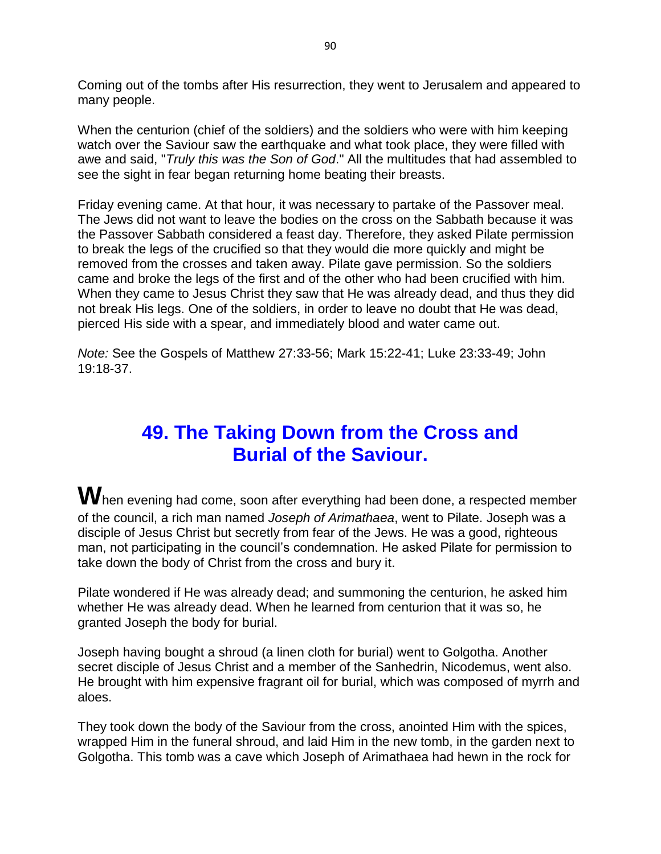Coming out of the tombs after His resurrection, they went to Jerusalem and appeared to many people.

When the centurion (chief of the soldiers) and the soldiers who were with him keeping watch over the Saviour saw the earthquake and what took place, they were filled with awe and said, "*Truly this was the Son of God*." All the multitudes that had assembled to see the sight in fear began returning home beating their breasts.

Friday evening came. At that hour, it was necessary to partake of the Passover meal. The Jews did not want to leave the bodies on the cross on the Sabbath because it was the Passover Sabbath considered a feast day. Therefore, they asked Pilate permission to break the legs of the crucified so that they would die more quickly and might be removed from the crosses and taken away. Pilate gave permission. So the soldiers came and broke the legs of the first and of the other who had been crucified with him. When they came to Jesus Christ they saw that He was already dead, and thus they did not break His legs. One of the soldiers, in order to leave no doubt that He was dead, pierced His side with a spear, and immediately blood and water came out.

*Note:* See the Gospels of Matthew 27:33-56; Mark 15:22-41; Luke 23:33-49; John 19:18-37.

## **49. The Taking Down from the Cross and Burial of the Saviour.**

When evening had come, soon after everything had been done, a respected member of the council, a rich man named *Joseph of Arimathaea*, went to Pilate. Joseph was a disciple of Jesus Christ but secretly from fear of the Jews. He was a good, righteous man, not participating in the council's condemnation. He asked Pilate for permission to take down the body of Christ from the cross and bury it.

Pilate wondered if He was already dead; and summoning the centurion, he asked him whether He was already dead. When he learned from centurion that it was so, he granted Joseph the body for burial.

Joseph having bought a shroud (a linen cloth for burial) went to Golgotha. Another secret disciple of Jesus Christ and a member of the Sanhedrin, Nicodemus, went also. He brought with him expensive fragrant oil for burial, which was composed of myrrh and aloes.

They took down the body of the Saviour from the cross, anointed Him with the spices, wrapped Him in the funeral shroud, and laid Him in the new tomb, in the garden next to Golgotha. This tomb was a cave which Joseph of Arimathaea had hewn in the rock for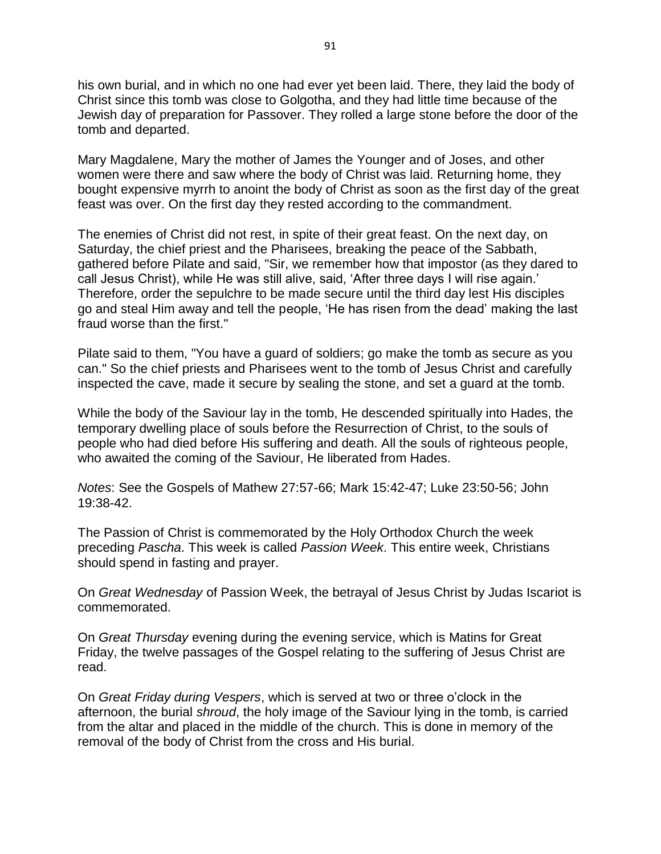his own burial, and in which no one had ever yet been laid. There, they laid the body of Christ since this tomb was close to Golgotha, and they had little time because of the Jewish day of preparation for Passover. They rolled a large stone before the door of the tomb and departed.

Mary Magdalene, Mary the mother of James the Younger and of Joses, and other women were there and saw where the body of Christ was laid. Returning home, they bought expensive myrrh to anoint the body of Christ as soon as the first day of the great feast was over. On the first day they rested according to the commandment.

The enemies of Christ did not rest, in spite of their great feast. On the next day, on Saturday, the chief priest and the Pharisees, breaking the peace of the Sabbath, gathered before Pilate and said, "Sir, we remember how that impostor (as they dared to call Jesus Christ), while He was still alive, said, 'After three days I will rise again.' Therefore, order the sepulchre to be made secure until the third day lest His disciples go and steal Him away and tell the people, 'He has risen from the dead' making the last fraud worse than the first."

Pilate said to them, "You have a guard of soldiers; go make the tomb as secure as you can." So the chief priests and Pharisees went to the tomb of Jesus Christ and carefully inspected the cave, made it secure by sealing the stone, and set a guard at the tomb.

While the body of the Saviour lay in the tomb, He descended spiritually into Hades, the temporary dwelling place of souls before the Resurrection of Christ, to the souls of people who had died before His suffering and death. All the souls of righteous people, who awaited the coming of the Saviour, He liberated from Hades.

*Notes*: See the Gospels of Mathew 27:57-66; Mark 15:42-47; Luke 23:50-56; John 19:38-42.

The Passion of Christ is commemorated by the Holy Orthodox Church the week preceding *Pascha*. This week is called *Passion Week*. This entire week, Christians should spend in fasting and prayer.

On *Great Wednesday* of Passion Week, the betrayal of Jesus Christ by Judas Iscariot is commemorated.

On *Great Thursday* evening during the evening service, which is Matins for Great Friday, the twelve passages of the Gospel relating to the suffering of Jesus Christ are read.

On *Great Friday during Vespers*, which is served at two or three o'clock in the afternoon, the burial *shroud*, the holy image of the Saviour lying in the tomb, is carried from the altar and placed in the middle of the church. This is done in memory of the removal of the body of Christ from the cross and His burial.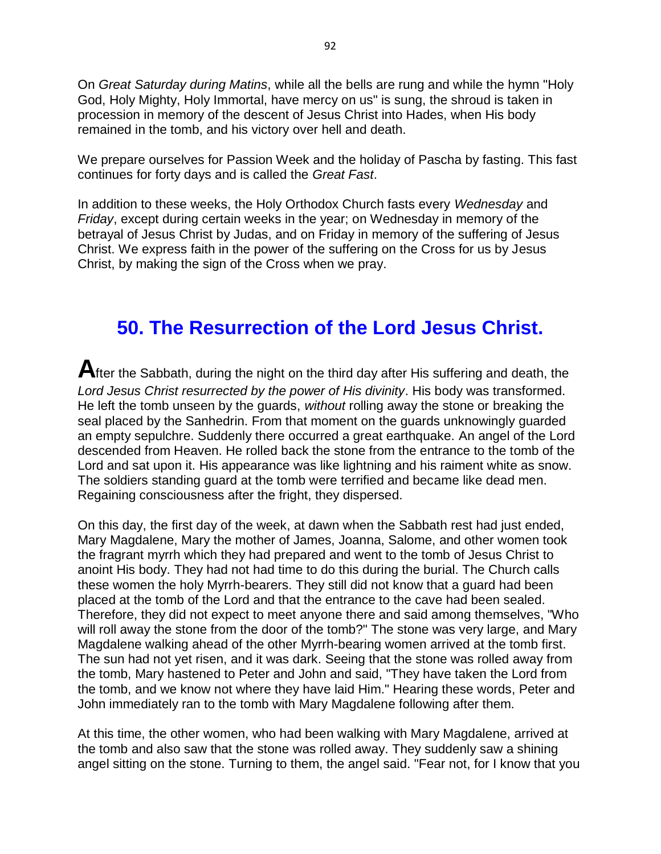On *Great Saturday during Matins*, while all the bells are rung and while the hymn "Holy God, Holy Mighty, Holy Immortal, have mercy on us" is sung, the shroud is taken in procession in memory of the descent of Jesus Christ into Hades, when His body remained in the tomb, and his victory over hell and death.

We prepare ourselves for Passion Week and the holiday of Pascha by fasting. This fast continues for forty days and is called the *Great Fast*.

In addition to these weeks, the Holy Orthodox Church fasts every *Wednesday* and *Friday*, except during certain weeks in the year; on Wednesday in memory of the betrayal of Jesus Christ by Judas, and on Friday in memory of the suffering of Jesus Christ. We express faith in the power of the suffering on the Cross for us by Jesus Christ, by making the sign of the Cross when we pray.

## **50. The Resurrection of the Lord Jesus Christ.**

**A**fter the Sabbath, during the night on the third day after His suffering and death, the *Lord Jesus Christ resurrected by the power of His divinity*. His body was transformed. He left the tomb unseen by the guards, *without* rolling away the stone or breaking the seal placed by the Sanhedrin. From that moment on the guards unknowingly guarded an empty sepulchre. Suddenly there occurred a great earthquake. An angel of the Lord descended from Heaven. He rolled back the stone from the entrance to the tomb of the Lord and sat upon it. His appearance was like lightning and his raiment white as snow. The soldiers standing guard at the tomb were terrified and became like dead men. Regaining consciousness after the fright, they dispersed.

On this day, the first day of the week, at dawn when the Sabbath rest had just ended, Mary Magdalene, Mary the mother of James, Joanna, Salome, and other women took the fragrant myrrh which they had prepared and went to the tomb of Jesus Christ to anoint His body. They had not had time to do this during the burial. The Church calls these women the holy Myrrh-bearers. They still did not know that a guard had been placed at the tomb of the Lord and that the entrance to the cave had been sealed. Therefore, they did not expect to meet anyone there and said among themselves, "Who will roll away the stone from the door of the tomb?" The stone was very large, and Mary Magdalene walking ahead of the other Myrrh-bearing women arrived at the tomb first. The sun had not yet risen, and it was dark. Seeing that the stone was rolled away from the tomb, Mary hastened to Peter and John and said, "They have taken the Lord from the tomb, and we know not where they have laid Him." Hearing these words, Peter and John immediately ran to the tomb with Mary Magdalene following after them.

At this time, the other women, who had been walking with Mary Magdalene, arrived at the tomb and also saw that the stone was rolled away. They suddenly saw a shining angel sitting on the stone. Turning to them, the angel said. "Fear not, for I know that you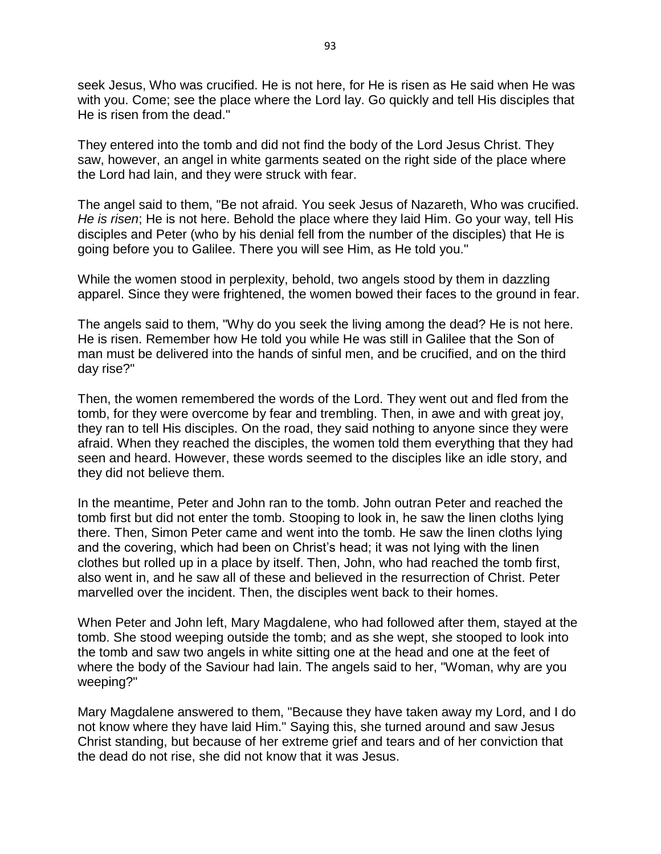seek Jesus, Who was crucified. He is not here, for He is risen as He said when He was with you. Come; see the place where the Lord lay. Go quickly and tell His disciples that He is risen from the dead."

They entered into the tomb and did not find the body of the Lord Jesus Christ. They saw, however, an angel in white garments seated on the right side of the place where the Lord had lain, and they were struck with fear.

The angel said to them, "Be not afraid. You seek Jesus of Nazareth, Who was crucified. *He is risen*; He is not here. Behold the place where they laid Him. Go your way, tell His disciples and Peter (who by his denial fell from the number of the disciples) that He is going before you to Galilee. There you will see Him, as He told you."

While the women stood in perplexity, behold, two angels stood by them in dazzling apparel. Since they were frightened, the women bowed their faces to the ground in fear.

The angels said to them, "Why do you seek the living among the dead? He is not here. He is risen. Remember how He told you while He was still in Galilee that the Son of man must be delivered into the hands of sinful men, and be crucified, and on the third day rise?"

Then, the women remembered the words of the Lord. They went out and fled from the tomb, for they were overcome by fear and trembling. Then, in awe and with great joy, they ran to tell His disciples. On the road, they said nothing to anyone since they were afraid. When they reached the disciples, the women told them everything that they had seen and heard. However, these words seemed to the disciples like an idle story, and they did not believe them.

In the meantime, Peter and John ran to the tomb. John outran Peter and reached the tomb first but did not enter the tomb. Stooping to look in, he saw the linen cloths lying there. Then, Simon Peter came and went into the tomb. He saw the linen cloths lying and the covering, which had been on Christ's head; it was not lying with the linen clothes but rolled up in a place by itself. Then, John, who had reached the tomb first, also went in, and he saw all of these and believed in the resurrection of Christ. Peter marvelled over the incident. Then, the disciples went back to their homes.

When Peter and John left, Mary Magdalene, who had followed after them, stayed at the tomb. She stood weeping outside the tomb; and as she wept, she stooped to look into the tomb and saw two angels in white sitting one at the head and one at the feet of where the body of the Saviour had lain. The angels said to her, "Woman, why are you weeping?"

Mary Magdalene answered to them, "Because they have taken away my Lord, and I do not know where they have laid Him." Saying this, she turned around and saw Jesus Christ standing, but because of her extreme grief and tears and of her conviction that the dead do not rise, she did not know that it was Jesus.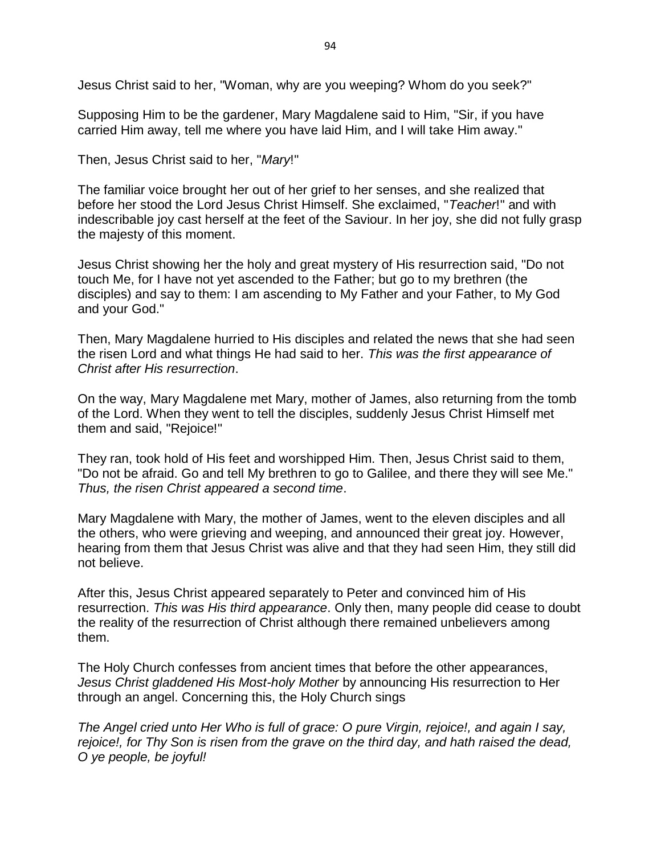Jesus Christ said to her, "Woman, why are you weeping? Whom do you seek?"

Supposing Him to be the gardener, Mary Magdalene said to Him, "Sir, if you have carried Him away, tell me where you have laid Him, and I will take Him away."

Then, Jesus Christ said to her, "*Mary*!"

The familiar voice brought her out of her grief to her senses, and she realized that before her stood the Lord Jesus Christ Himself. She exclaimed, "*Teacher*!" and with indescribable joy cast herself at the feet of the Saviour. In her joy, she did not fully grasp the majesty of this moment.

Jesus Christ showing her the holy and great mystery of His resurrection said, "Do not touch Me, for I have not yet ascended to the Father; but go to my brethren (the disciples) and say to them: I am ascending to My Father and your Father, to My God and your God."

Then, Mary Magdalene hurried to His disciples and related the news that she had seen the risen Lord and what things He had said to her. *This was the first appearance of Christ after His resurrection*.

On the way, Mary Magdalene met Mary, mother of James, also returning from the tomb of the Lord. When they went to tell the disciples, suddenly Jesus Christ Himself met them and said, "Rejoice!"

They ran, took hold of His feet and worshipped Him. Then, Jesus Christ said to them, "Do not be afraid. Go and tell My brethren to go to Galilee, and there they will see Me." *Thus, the risen Christ appeared a second time*.

Mary Magdalene with Mary, the mother of James, went to the eleven disciples and all the others, who were grieving and weeping, and announced their great joy. However, hearing from them that Jesus Christ was alive and that they had seen Him, they still did not believe.

After this, Jesus Christ appeared separately to Peter and convinced him of His resurrection. *This was His third appearance*. Only then, many people did cease to doubt the reality of the resurrection of Christ although there remained unbelievers among them.

The Holy Church confesses from ancient times that before the other appearances, *Jesus Christ gladdened His Most-holy Mother* by announcing His resurrection to Her through an angel. Concerning this, the Holy Church sings

*The Angel cried unto Her Who is full of grace: O pure Virgin, rejoice!, and again I say, rejoice!, for Thy Son is risen from the grave on the third day, and hath raised the dead, O ye people, be joyful!*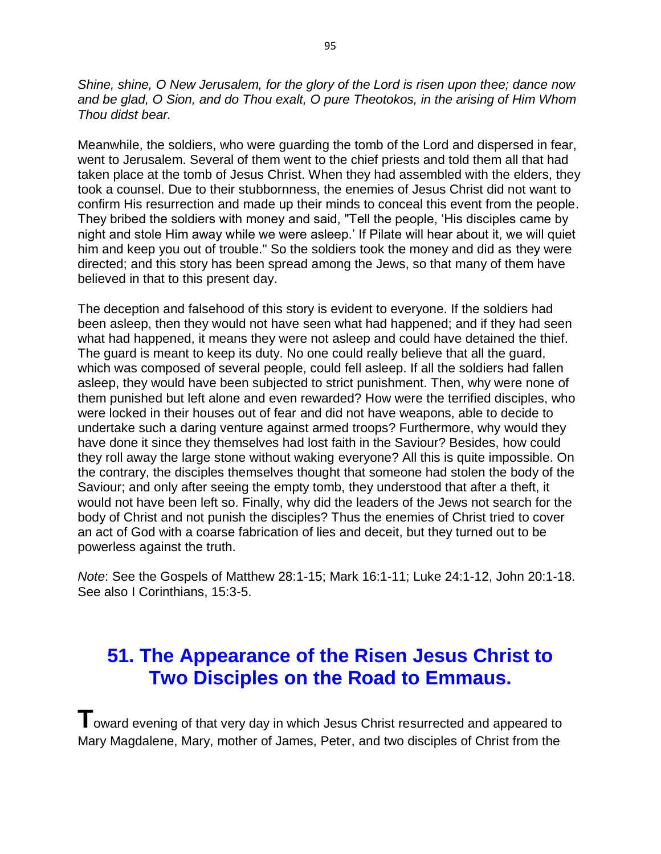*Shine, shine, O New Jerusalem, for the glory of the Lord is risen upon thee; dance now and be glad, O Sion, and do Thou exalt, O pure Theotokos, in the arising of Him Whom Thou didst bear.*

Meanwhile, the soldiers, who were guarding the tomb of the Lord and dispersed in fear, went to Jerusalem. Several of them went to the chief priests and told them all that had taken place at the tomb of Jesus Christ. When they had assembled with the elders, they took a counsel. Due to their stubbornness, the enemies of Jesus Christ did not want to confirm His resurrection and made up their minds to conceal this event from the people. They bribed the soldiers with money and said, "Tell the people, 'His disciples came by night and stole Him away while we were asleep.' If Pilate will hear about it, we will quiet him and keep you out of trouble." So the soldiers took the money and did as they were directed; and this story has been spread among the Jews, so that many of them have believed in that to this present day.

The deception and falsehood of this story is evident to everyone. If the soldiers had been asleep, then they would not have seen what had happened; and if they had seen what had happened, it means they were not asleep and could have detained the thief. The guard is meant to keep its duty. No one could really believe that all the guard, which was composed of several people, could fell asleep. If all the soldiers had fallen asleep, they would have been subjected to strict punishment. Then, why were none of them punished but left alone and even rewarded? How were the terrified disciples, who were locked in their houses out of fear and did not have weapons, able to decide to undertake such a daring venture against armed troops? Furthermore, why would they have done it since they themselves had lost faith in the Saviour? Besides, how could they roll away the large stone without waking everyone? All this is quite impossible. On the contrary, the disciples themselves thought that someone had stolen the body of the Saviour; and only after seeing the empty tomb, they understood that after a theft, it would not have been left so. Finally, why did the leaders of the Jews not search for the body of Christ and not punish the disciples? Thus the enemies of Christ tried to cover an act of God with a coarse fabrication of lies and deceit, but they turned out to be powerless against the truth.

*Note*: See the Gospels of Matthew 28:1-15; Mark 16:1-11; Luke 24:1-12, John 20:1-18. See also I Corinthians, 15:3-5.

## **51. The Appearance of the Risen Jesus Christ to Two Disciples on the Road to Emmaus.**

 $\mathbf T$ oward evening of that very day in which Jesus Christ resurrected and appeared to Mary Magdalene, Mary, mother of James, Peter, and two disciples of Christ from the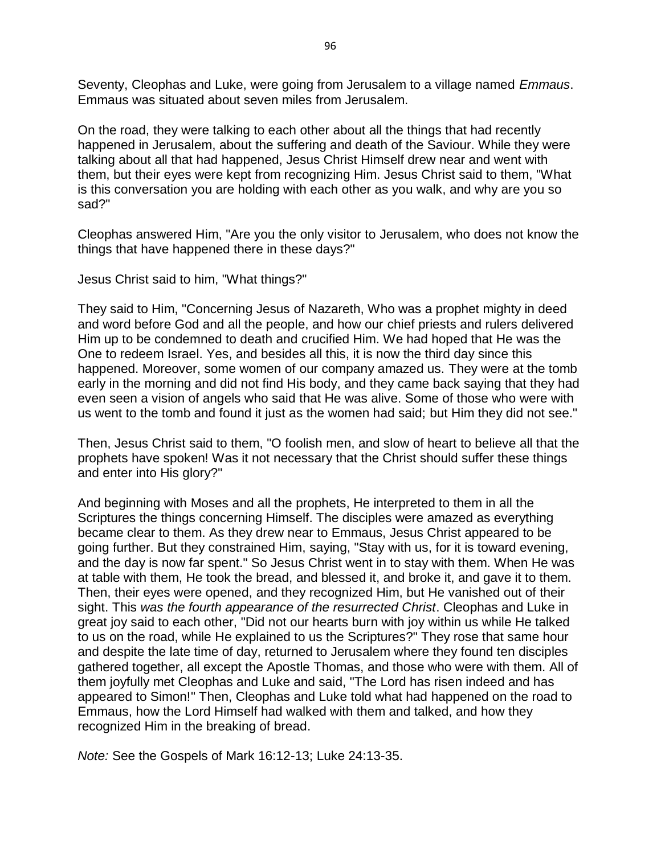Seventy, Cleophas and Luke, were going from Jerusalem to a village named *Emmaus*. Emmaus was situated about seven miles from Jerusalem.

On the road, they were talking to each other about all the things that had recently happened in Jerusalem, about the suffering and death of the Saviour. While they were talking about all that had happened, Jesus Christ Himself drew near and went with them, but their eyes were kept from recognizing Him. Jesus Christ said to them, "What is this conversation you are holding with each other as you walk, and why are you so sad?"

Cleophas answered Him, "Are you the only visitor to Jerusalem, who does not know the things that have happened there in these days?"

Jesus Christ said to him, "What things?"

They said to Him, "Concerning Jesus of Nazareth, Who was a prophet mighty in deed and word before God and all the people, and how our chief priests and rulers delivered Him up to be condemned to death and crucified Him. We had hoped that He was the One to redeem Israel. Yes, and besides all this, it is now the third day since this happened. Moreover, some women of our company amazed us. They were at the tomb early in the morning and did not find His body, and they came back saying that they had even seen a vision of angels who said that He was alive. Some of those who were with us went to the tomb and found it just as the women had said; but Him they did not see."

Then, Jesus Christ said to them, "O foolish men, and slow of heart to believe all that the prophets have spoken! Was it not necessary that the Christ should suffer these things and enter into His glory?"

And beginning with Moses and all the prophets, He interpreted to them in all the Scriptures the things concerning Himself. The disciples were amazed as everything became clear to them. As they drew near to Emmaus, Jesus Christ appeared to be going further. But they constrained Him, saying, "Stay with us, for it is toward evening, and the day is now far spent." So Jesus Christ went in to stay with them. When He was at table with them, He took the bread, and blessed it, and broke it, and gave it to them. Then, their eyes were opened, and they recognized Him, but He vanished out of their sight. This *was the fourth appearance of the resurrected Christ*. Cleophas and Luke in great joy said to each other, "Did not our hearts burn with joy within us while He talked to us on the road, while He explained to us the Scriptures?" They rose that same hour and despite the late time of day, returned to Jerusalem where they found ten disciples gathered together, all except the Apostle Thomas, and those who were with them. All of them joyfully met Cleophas and Luke and said, "The Lord has risen indeed and has appeared to Simon!" Then, Cleophas and Luke told what had happened on the road to Emmaus, how the Lord Himself had walked with them and talked, and how they recognized Him in the breaking of bread.

*Note:* See the Gospels of Mark 16:12-13; Luke 24:13-35.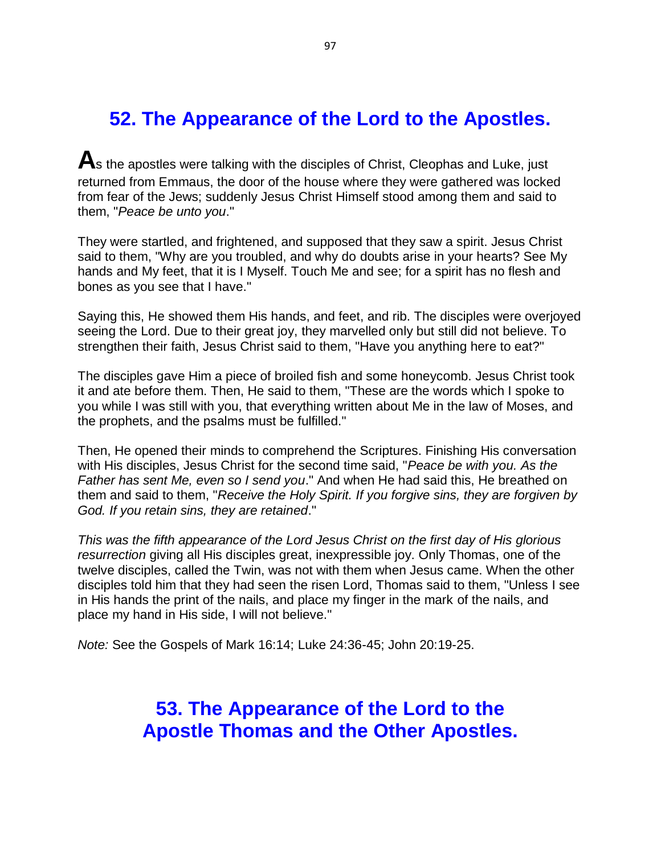## **52. The Appearance of the Lord to the Apostles.**

**A**s the apostles were talking with the disciples of Christ, Cleophas and Luke, just returned from Emmaus, the door of the house where they were gathered was locked from fear of the Jews; suddenly Jesus Christ Himself stood among them and said to them, "*Peace be unto you*."

They were startled, and frightened, and supposed that they saw a spirit. Jesus Christ said to them, "Why are you troubled, and why do doubts arise in your hearts? See My hands and My feet, that it is I Myself. Touch Me and see; for a spirit has no flesh and bones as you see that I have."

Saying this, He showed them His hands, and feet, and rib. The disciples were overjoyed seeing the Lord. Due to their great joy, they marvelled only but still did not believe. To strengthen their faith, Jesus Christ said to them, "Have you anything here to eat?"

The disciples gave Him a piece of broiled fish and some honeycomb. Jesus Christ took it and ate before them. Then, He said to them, "These are the words which I spoke to you while I was still with you, that everything written about Me in the law of Moses, and the prophets, and the psalms must be fulfilled."

Then, He opened their minds to comprehend the Scriptures. Finishing His conversation with His disciples, Jesus Christ for the second time said, "*Peace be with you. As the Father has sent Me, even so I send you*." And when He had said this, He breathed on them and said to them, "*Receive the Holy Spirit. If you forgive sins, they are forgiven by God. If you retain sins, they are retained*."

*This was the fifth appearance of the Lord Jesus Christ on the first day of His glorious resurrection* giving all His disciples great, inexpressible joy. Only Thomas, one of the twelve disciples, called the Twin, was not with them when Jesus came. When the other disciples told him that they had seen the risen Lord, Thomas said to them, "Unless I see in His hands the print of the nails, and place my finger in the mark of the nails, and place my hand in His side, I will not believe."

*Note:* See the Gospels of Mark 16:14; Luke 24:36-45; John 20:19-25.

### **53. The Appearance of the Lord to the Apostle Thomas and the Other Apostles.**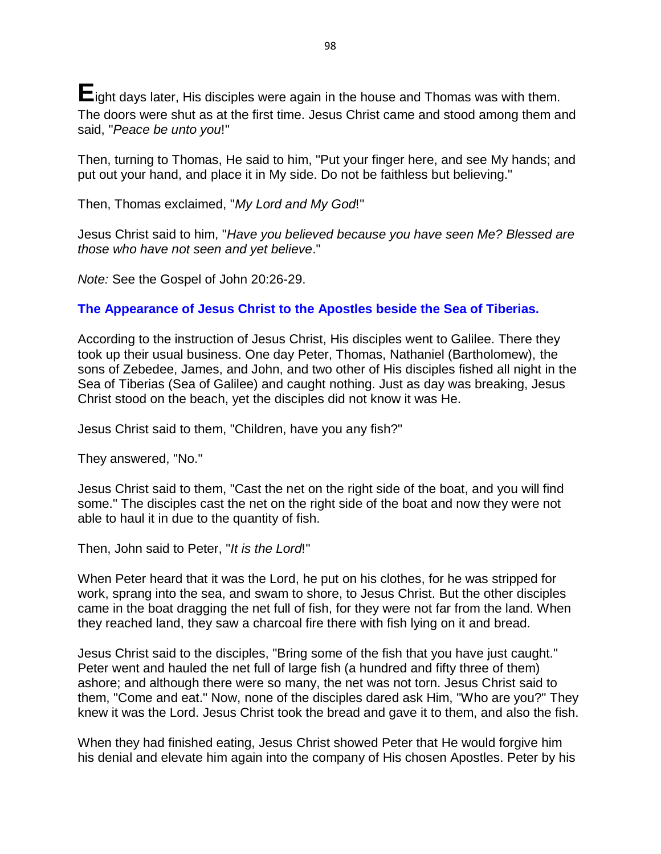**E**ight days later, His disciples were again in the house and Thomas was with them. The doors were shut as at the first time. Jesus Christ came and stood among them and said, "*Peace be unto you*!"

Then, turning to Thomas, He said to him, "Put your finger here, and see My hands; and put out your hand, and place it in My side. Do not be faithless but believing."

Then, Thomas exclaimed, "*My Lord and My God*!"

Jesus Christ said to him, "*Have you believed because you have seen Me? Blessed are those who have not seen and yet believe*."

*Note:* See the Gospel of John 20:26-29.

### **The Appearance of Jesus Christ to the Apostles beside the Sea of Tiberias.**

According to the instruction of Jesus Christ, His disciples went to Galilee. There they took up their usual business. One day Peter, Thomas, Nathaniel (Bartholomew), the sons of Zebedee, James, and John, and two other of His disciples fished all night in the Sea of Tiberias (Sea of Galilee) and caught nothing. Just as day was breaking, Jesus Christ stood on the beach, yet the disciples did not know it was He.

Jesus Christ said to them, "Children, have you any fish?"

They answered, "No."

Jesus Christ said to them, "Cast the net on the right side of the boat, and you will find some." The disciples cast the net on the right side of the boat and now they were not able to haul it in due to the quantity of fish.

Then, John said to Peter, "*It is the Lord*!"

When Peter heard that it was the Lord, he put on his clothes, for he was stripped for work, sprang into the sea, and swam to shore, to Jesus Christ. But the other disciples came in the boat dragging the net full of fish, for they were not far from the land. When they reached land, they saw a charcoal fire there with fish lying on it and bread.

Jesus Christ said to the disciples, "Bring some of the fish that you have just caught." Peter went and hauled the net full of large fish (a hundred and fifty three of them) ashore; and although there were so many, the net was not torn. Jesus Christ said to them, "Come and eat." Now, none of the disciples dared ask Him, "Who are you?" They knew it was the Lord. Jesus Christ took the bread and gave it to them, and also the fish.

When they had finished eating, Jesus Christ showed Peter that He would forgive him his denial and elevate him again into the company of His chosen Apostles. Peter by his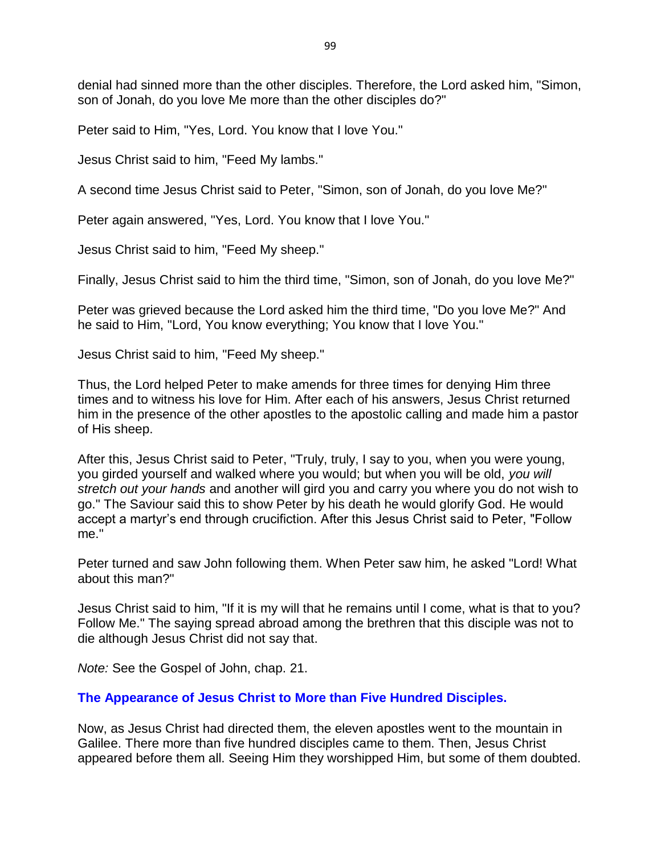denial had sinned more than the other disciples. Therefore, the Lord asked him, "Simon, son of Jonah, do you love Me more than the other disciples do?"

Peter said to Him, "Yes, Lord. You know that I love You."

Jesus Christ said to him, "Feed My lambs."

A second time Jesus Christ said to Peter, "Simon, son of Jonah, do you love Me?"

Peter again answered, "Yes, Lord. You know that I love You."

Jesus Christ said to him, "Feed My sheep."

Finally, Jesus Christ said to him the third time, "Simon, son of Jonah, do you love Me?"

Peter was grieved because the Lord asked him the third time, "Do you love Me?" And he said to Him, "Lord, You know everything; You know that I love You."

Jesus Christ said to him, "Feed My sheep."

Thus, the Lord helped Peter to make amends for three times for denying Him three times and to witness his love for Him. After each of his answers, Jesus Christ returned him in the presence of the other apostles to the apostolic calling and made him a pastor of His sheep.

After this, Jesus Christ said to Peter, "Truly, truly, I say to you, when you were young, you girded yourself and walked where you would; but when you will be old, *you will stretch out your hands* and another will gird you and carry you where you do not wish to go." The Saviour said this to show Peter by his death he would glorify God. He would accept a martyr's end through crucifiction. After this Jesus Christ said to Peter, "Follow me."

Peter turned and saw John following them. When Peter saw him, he asked "Lord! What about this man?"

Jesus Christ said to him, "If it is my will that he remains until I come, what is that to you? Follow Me." The saying spread abroad among the brethren that this disciple was not to die although Jesus Christ did not say that.

*Note:* See the Gospel of John, chap. 21.

#### **The Appearance of Jesus Christ to More than Five Hundred Disciples.**

Now, as Jesus Christ had directed them, the eleven apostles went to the mountain in Galilee. There more than five hundred disciples came to them. Then, Jesus Christ appeared before them all. Seeing Him they worshipped Him, but some of them doubted.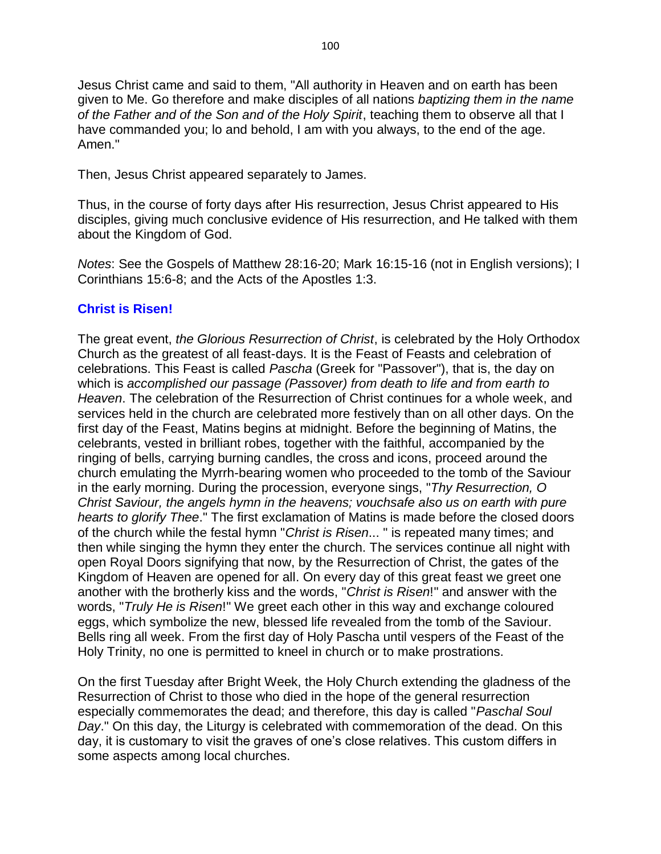Jesus Christ came and said to them, "All authority in Heaven and on earth has been given to Me. Go therefore and make disciples of all nations *baptizing them in the name of the Father and of the Son and of the Holy Spirit*, teaching them to observe all that I have commanded you; lo and behold, I am with you always, to the end of the age. Amen."

Then, Jesus Christ appeared separately to James.

Thus, in the course of forty days after His resurrection, Jesus Christ appeared to His disciples, giving much conclusive evidence of His resurrection, and He talked with them about the Kingdom of God.

*Notes*: See the Gospels of Matthew 28:16-20; Mark 16:15-16 (not in English versions); I Corinthians 15:6-8; and the Acts of the Apostles 1:3.

#### **Christ is Risen!**

The great event, *the Glorious Resurrection of Christ*, is celebrated by the Holy Orthodox Church as the greatest of all feast-days. It is the Feast of Feasts and celebration of celebrations. This Feast is called *Pascha* (Greek for "Passover"), that is, the day on which is *accomplished our passage (Passover) from death to life and from earth to Heaven*. The celebration of the Resurrection of Christ continues for a whole week, and services held in the church are celebrated more festively than on all other days. On the first day of the Feast, Matins begins at midnight. Before the beginning of Matins, the celebrants, vested in brilliant robes, together with the faithful, accompanied by the ringing of bells, carrying burning candles, the cross and icons, proceed around the church emulating the Myrrh-bearing women who proceeded to the tomb of the Saviour in the early morning. During the procession, everyone sings, "*Thy Resurrection, O Christ Saviour, the angels hymn in the heavens; vouchsafe also us on earth with pure hearts to glorify Thee*." The first exclamation of Matins is made before the closed doors of the church while the festal hymn "*Christ is Risen*... " is repeated many times; and then while singing the hymn they enter the church. The services continue all night with open Royal Doors signifying that now, by the Resurrection of Christ, the gates of the Kingdom of Heaven are opened for all. On every day of this great feast we greet one another with the brotherly kiss and the words, "*Christ is Risen*!" and answer with the words, "*Truly He is Risen*!" We greet each other in this way and exchange coloured eggs, which symbolize the new, blessed life revealed from the tomb of the Saviour. Bells ring all week. From the first day of Holy Pascha until vespers of the Feast of the Holy Trinity, no one is permitted to kneel in church or to make prostrations.

On the first Tuesday after Bright Week, the Holy Church extending the gladness of the Resurrection of Christ to those who died in the hope of the general resurrection especially commemorates the dead; and therefore, this day is called "*Paschal Soul Day*." On this day, the Liturgy is celebrated with commemoration of the dead. On this day, it is customary to visit the graves of one's close relatives. This custom differs in some aspects among local churches.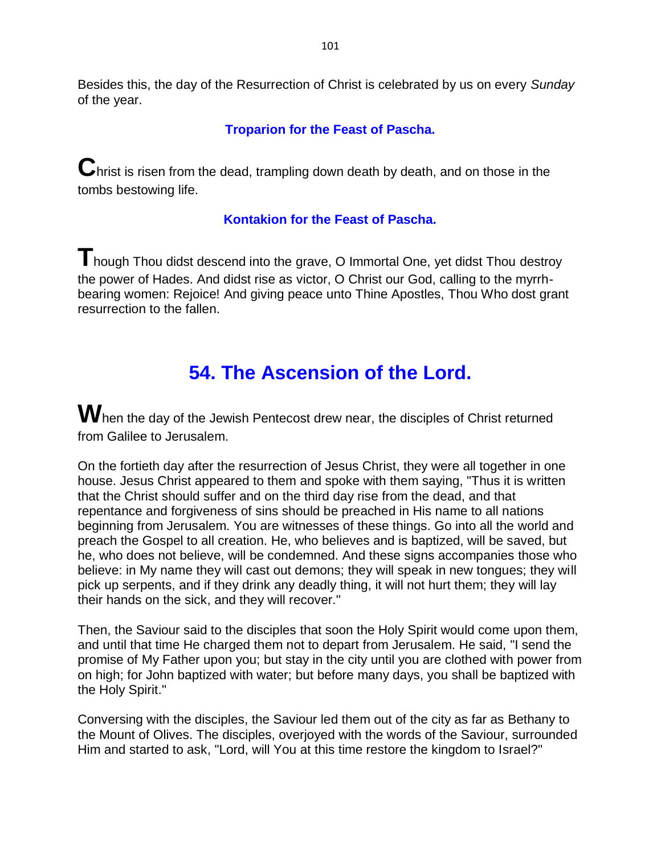Besides this, the day of the Resurrection of Christ is celebrated by us on every *Sunday* of the year.

### **Troparion for the Feast of Pascha.**

**C**hrist is risen from the dead, trampling down death by death, and on those in the tombs bestowing life.

### **Kontakion for the Feast of Pascha.**

**T**hough Thou didst descend into the grave, O Immortal One, yet didst Thou destroy the power of Hades. And didst rise as victor, O Christ our God, calling to the myrrhbearing women: Rejoice! And giving peace unto Thine Apostles, Thou Who dost grant resurrection to the fallen.

# **54. The Ascension of the Lord.**

When the day of the Jewish Pentecost drew near, the disciples of Christ returned from Galilee to Jerusalem.

On the fortieth day after the resurrection of Jesus Christ, they were all together in one house. Jesus Christ appeared to them and spoke with them saying, "Thus it is written that the Christ should suffer and on the third day rise from the dead, and that repentance and forgiveness of sins should be preached in His name to all nations beginning from Jerusalem. You are witnesses of these things. Go into all the world and preach the Gospel to all creation. He, who believes and is baptized, will be saved, but he, who does not believe, will be condemned. And these signs accompanies those who believe: in My name they will cast out demons; they will speak in new tongues; they will pick up serpents, and if they drink any deadly thing, it will not hurt them; they will lay their hands on the sick, and they will recover."

Then, the Saviour said to the disciples that soon the Holy Spirit would come upon them, and until that time He charged them not to depart from Jerusalem. He said, "I send the promise of My Father upon you; but stay in the city until you are clothed with power from on high; for John baptized with water; but before many days, you shall be baptized with the Holy Spirit."

Conversing with the disciples, the Saviour led them out of the city as far as Bethany to the Mount of Olives. The disciples, overjoyed with the words of the Saviour, surrounded Him and started to ask, "Lord, will You at this time restore the kingdom to Israel?"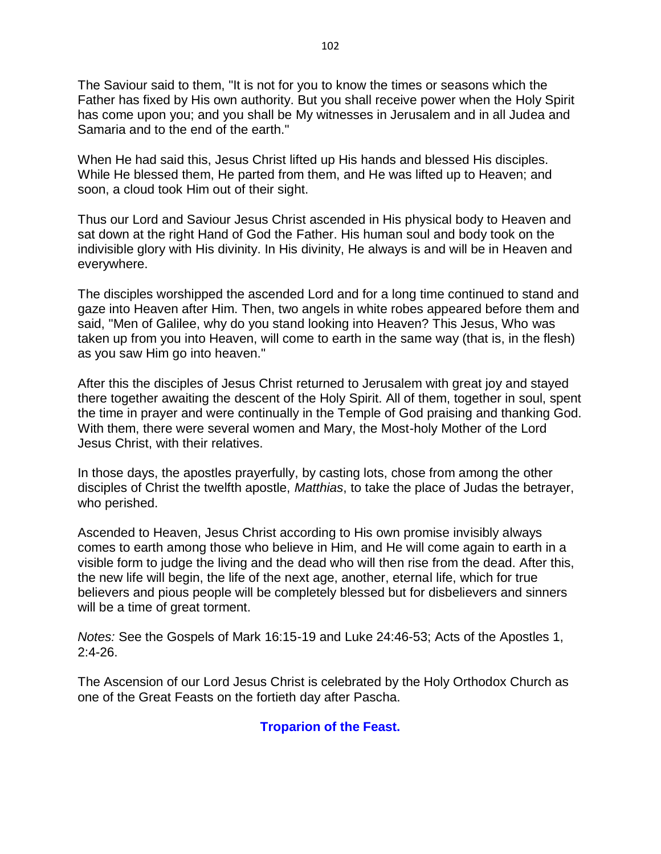The Saviour said to them, "It is not for you to know the times or seasons which the Father has fixed by His own authority. But you shall receive power when the Holy Spirit has come upon you; and you shall be My witnesses in Jerusalem and in all Judea and Samaria and to the end of the earth."

When He had said this, Jesus Christ lifted up His hands and blessed His disciples. While He blessed them, He parted from them, and He was lifted up to Heaven; and soon, a cloud took Him out of their sight.

Thus our Lord and Saviour Jesus Christ ascended in His physical body to Heaven and sat down at the right Hand of God the Father. His human soul and body took on the indivisible glory with His divinity. In His divinity, He always is and will be in Heaven and everywhere.

The disciples worshipped the ascended Lord and for a long time continued to stand and gaze into Heaven after Him. Then, two angels in white robes appeared before them and said, "Men of Galilee, why do you stand looking into Heaven? This Jesus, Who was taken up from you into Heaven, will come to earth in the same way (that is, in the flesh) as you saw Him go into heaven."

After this the disciples of Jesus Christ returned to Jerusalem with great joy and stayed there together awaiting the descent of the Holy Spirit. All of them, together in soul, spent the time in prayer and were continually in the Temple of God praising and thanking God. With them, there were several women and Mary, the Most-holy Mother of the Lord Jesus Christ, with their relatives.

In those days, the apostles prayerfully, by casting lots, chose from among the other disciples of Christ the twelfth apostle, *Matthias*, to take the place of Judas the betrayer, who perished.

Ascended to Heaven, Jesus Christ according to His own promise invisibly always comes to earth among those who believe in Him, and He will come again to earth in a visible form to judge the living and the dead who will then rise from the dead. After this, the new life will begin, the life of the next age, another, eternal life, which for true believers and pious people will be completely blessed but for disbelievers and sinners will be a time of great torment.

*Notes:* See the Gospels of Mark 16:15-19 and Luke 24:46-53; Acts of the Apostles 1, 2:4-26.

The Ascension of our Lord Jesus Christ is celebrated by the Holy Orthodox Church as one of the Great Feasts on the fortieth day after Pascha.

#### **Troparion of the Feast.**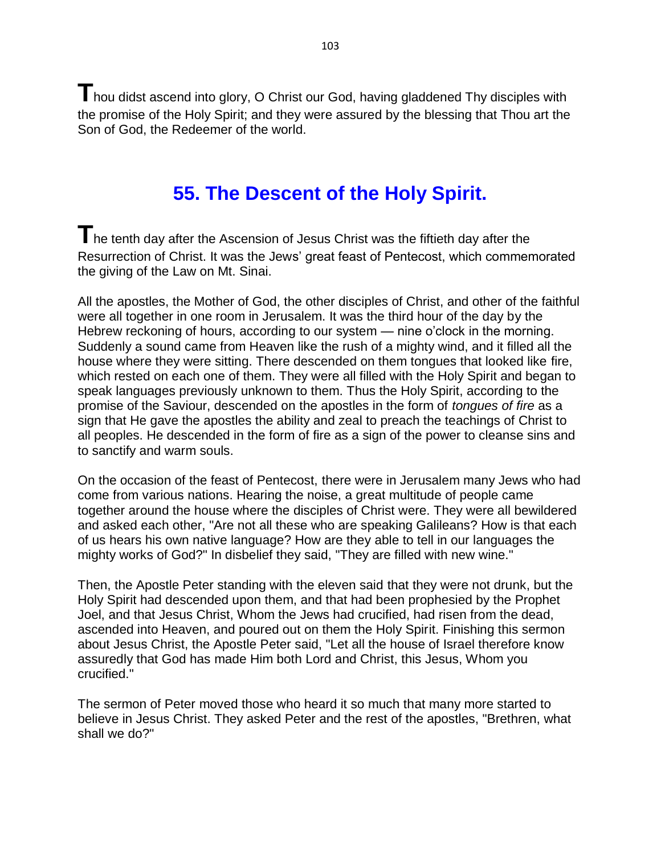**T**hou didst ascend into glory, O Christ our God, having gladdened Thy disciples with the promise of the Holy Spirit; and they were assured by the blessing that Thou art the Son of God, the Redeemer of the world.

## **55. The Descent of the Holy Spirit.**

The tenth day after the Ascension of Jesus Christ was the fiftieth day after the Resurrection of Christ. It was the Jews' great feast of Pentecost, which commemorated the giving of the Law on Mt. Sinai.

All the apostles, the Mother of God, the other disciples of Christ, and other of the faithful were all together in one room in Jerusalem. It was the third hour of the day by the Hebrew reckoning of hours, according to our system — nine o'clock in the morning. Suddenly a sound came from Heaven like the rush of a mighty wind, and it filled all the house where they were sitting. There descended on them tongues that looked like fire, which rested on each one of them. They were all filled with the Holy Spirit and began to speak languages previously unknown to them. Thus the Holy Spirit, according to the promise of the Saviour, descended on the apostles in the form of *tongues of fire* as a sign that He gave the apostles the ability and zeal to preach the teachings of Christ to all peoples. He descended in the form of fire as a sign of the power to cleanse sins and to sanctify and warm souls.

On the occasion of the feast of Pentecost, there were in Jerusalem many Jews who had come from various nations. Hearing the noise, a great multitude of people came together around the house where the disciples of Christ were. They were all bewildered and asked each other, "Are not all these who are speaking Galileans? How is that each of us hears his own native language? How are they able to tell in our languages the mighty works of God?" In disbelief they said, "They are filled with new wine."

Then, the Apostle Peter standing with the eleven said that they were not drunk, but the Holy Spirit had descended upon them, and that had been prophesied by the Prophet Joel, and that Jesus Christ, Whom the Jews had crucified, had risen from the dead, ascended into Heaven, and poured out on them the Holy Spirit. Finishing this sermon about Jesus Christ, the Apostle Peter said, "Let all the house of Israel therefore know assuredly that God has made Him both Lord and Christ, this Jesus, Whom you crucified."

The sermon of Peter moved those who heard it so much that many more started to believe in Jesus Christ. They asked Peter and the rest of the apostles, "Brethren, what shall we do?"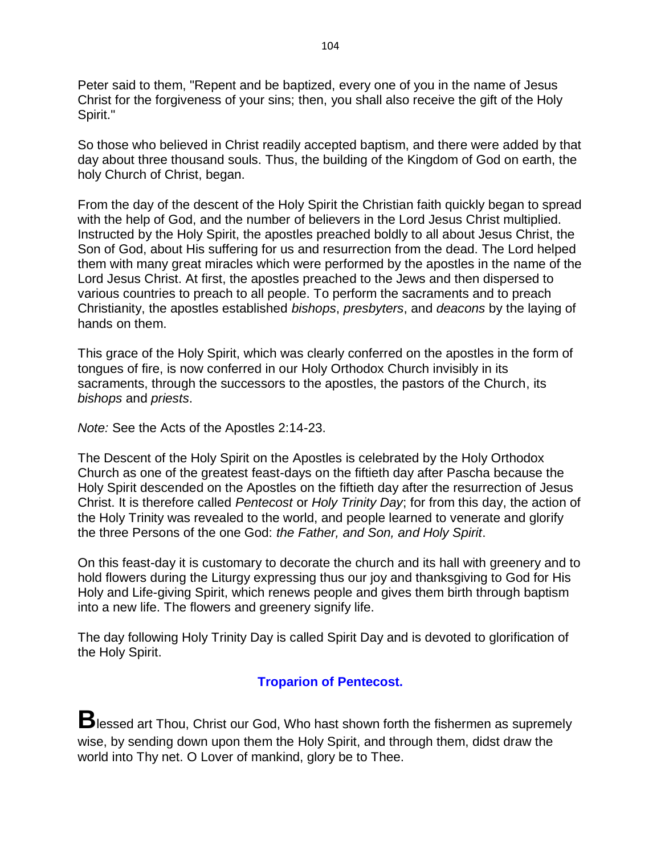Peter said to them, "Repent and be baptized, every one of you in the name of Jesus Christ for the forgiveness of your sins; then, you shall also receive the gift of the Holy Spirit."

So those who believed in Christ readily accepted baptism, and there were added by that day about three thousand souls. Thus, the building of the Kingdom of God on earth, the holy Church of Christ, began.

From the day of the descent of the Holy Spirit the Christian faith quickly began to spread with the help of God, and the number of believers in the Lord Jesus Christ multiplied. Instructed by the Holy Spirit, the apostles preached boldly to all about Jesus Christ, the Son of God, about His suffering for us and resurrection from the dead. The Lord helped them with many great miracles which were performed by the apostles in the name of the Lord Jesus Christ. At first, the apostles preached to the Jews and then dispersed to various countries to preach to all people. To perform the sacraments and to preach Christianity, the apostles established *bishops*, *presbyters*, and *deacons* by the laying of hands on them.

This grace of the Holy Spirit, which was clearly conferred on the apostles in the form of tongues of fire, is now conferred in our Holy Orthodox Church invisibly in its sacraments, through the successors to the apostles, the pastors of the Church, its *bishops* and *priests*.

*Note:* See the Acts of the Apostles 2:14-23.

The Descent of the Holy Spirit on the Apostles is celebrated by the Holy Orthodox Church as one of the greatest feast-days on the fiftieth day after Pascha because the Holy Spirit descended on the Apostles on the fiftieth day after the resurrection of Jesus Christ. It is therefore called *Pentecost* or *Holy Trinity Day*; for from this day, the action of the Holy Trinity was revealed to the world, and people learned to venerate and glorify the three Persons of the one God: *the Father, and Son, and Holy Spirit*.

On this feast-day it is customary to decorate the church and its hall with greenery and to hold flowers during the Liturgy expressing thus our joy and thanksgiving to God for His Holy and Life-giving Spirit, which renews people and gives them birth through baptism into a new life. The flowers and greenery signify life.

The day following Holy Trinity Day is called Spirit Day and is devoted to glorification of the Holy Spirit.

### **Troparion of Pentecost.**

**B**lessed art Thou, Christ our God, Who hast shown forth the fishermen as supremely wise, by sending down upon them the Holy Spirit, and through them, didst draw the world into Thy net. O Lover of mankind, glory be to Thee.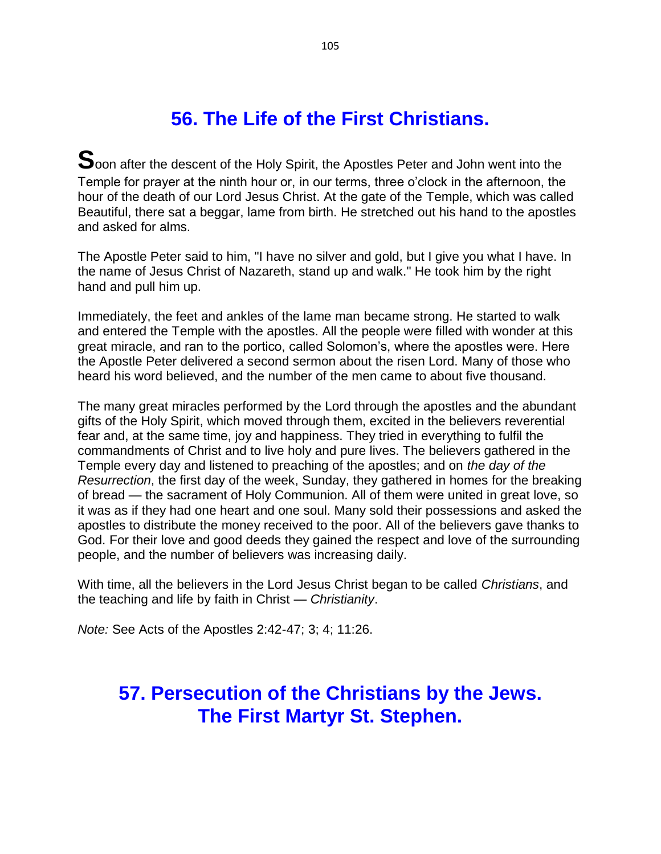# **56. The Life of the First Christians.**

Soon after the descent of the Holy Spirit, the Apostles Peter and John went into the Temple for prayer at the ninth hour or, in our terms, three o'clock in the afternoon, the hour of the death of our Lord Jesus Christ. At the gate of the Temple, which was called Beautiful, there sat a beggar, lame from birth. He stretched out his hand to the apostles and asked for alms.

The Apostle Peter said to him, "I have no silver and gold, but I give you what I have. In the name of Jesus Christ of Nazareth, stand up and walk." He took him by the right hand and pull him up.

Immediately, the feet and ankles of the lame man became strong. He started to walk and entered the Temple with the apostles. All the people were filled with wonder at this great miracle, and ran to the portico, called Solomon's, where the apostles were. Here the Apostle Peter delivered a second sermon about the risen Lord. Many of those who heard his word believed, and the number of the men came to about five thousand.

The many great miracles performed by the Lord through the apostles and the abundant gifts of the Holy Spirit, which moved through them, excited in the believers reverential fear and, at the same time, joy and happiness. They tried in everything to fulfil the commandments of Christ and to live holy and pure lives. The believers gathered in the Temple every day and listened to preaching of the apostles; and on *the day of the Resurrection*, the first day of the week, Sunday, they gathered in homes for the breaking of bread — the sacrament of Holy Communion. All of them were united in great love, so it was as if they had one heart and one soul. Many sold their possessions and asked the apostles to distribute the money received to the poor. All of the believers gave thanks to God. For their love and good deeds they gained the respect and love of the surrounding people, and the number of believers was increasing daily.

With time, all the believers in the Lord Jesus Christ began to be called *Christians*, and the teaching and life by faith in Christ — *Christianity*.

*Note:* See Acts of the Apostles 2:42-47; 3; 4; 11:26.

## **57. Persecution of the Christians by the Jews. The First Martyr St. Stephen.**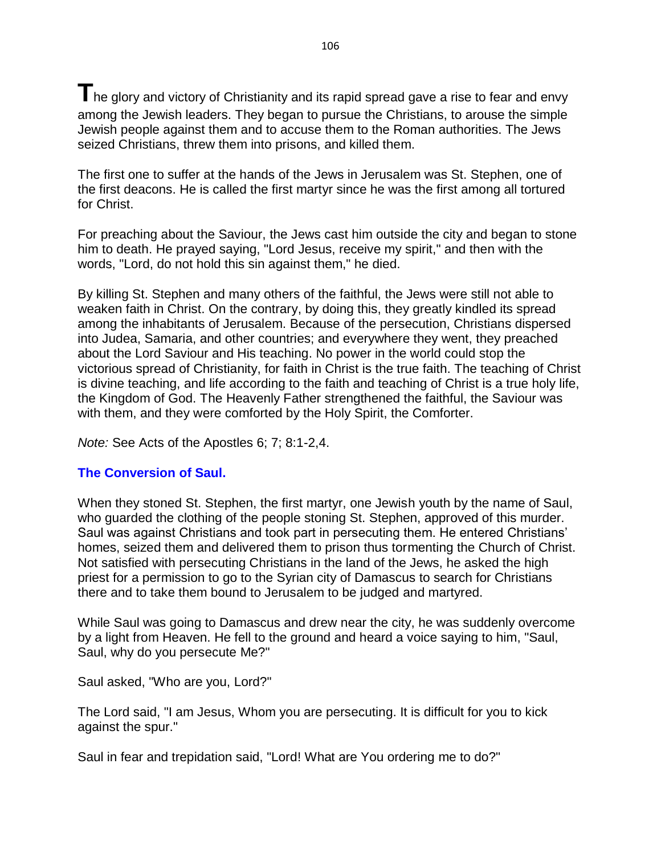The glory and victory of Christianity and its rapid spread gave a rise to fear and envy among the Jewish leaders. They began to pursue the Christians, to arouse the simple Jewish people against them and to accuse them to the Roman authorities. The Jews seized Christians, threw them into prisons, and killed them.

The first one to suffer at the hands of the Jews in Jerusalem was St. Stephen, one of the first deacons. He is called the first martyr since he was the first among all tortured for Christ.

For preaching about the Saviour, the Jews cast him outside the city and began to stone him to death. He prayed saying, "Lord Jesus, receive my spirit," and then with the words, "Lord, do not hold this sin against them," he died.

By killing St. Stephen and many others of the faithful, the Jews were still not able to weaken faith in Christ. On the contrary, by doing this, they greatly kindled its spread among the inhabitants of Jerusalem. Because of the persecution, Christians dispersed into Judea, Samaria, and other countries; and everywhere they went, they preached about the Lord Saviour and His teaching. No power in the world could stop the victorious spread of Christianity, for faith in Christ is the true faith. The teaching of Christ is divine teaching, and life according to the faith and teaching of Christ is a true holy life, the Kingdom of God. The Heavenly Father strengthened the faithful, the Saviour was with them, and they were comforted by the Holy Spirit, the Comforter.

*Note:* See Acts of the Apostles 6; 7; 8:1-2,4.

#### **The Conversion of Saul.**

When they stoned St. Stephen, the first martyr, one Jewish youth by the name of Saul, who guarded the clothing of the people stoning St. Stephen, approved of this murder. Saul was against Christians and took part in persecuting them. He entered Christians' homes, seized them and delivered them to prison thus tormenting the Church of Christ. Not satisfied with persecuting Christians in the land of the Jews, he asked the high priest for a permission to go to the Syrian city of Damascus to search for Christians there and to take them bound to Jerusalem to be judged and martyred.

While Saul was going to Damascus and drew near the city, he was suddenly overcome by a light from Heaven. He fell to the ground and heard a voice saying to him, "Saul, Saul, why do you persecute Me?"

Saul asked, "Who are you, Lord?"

The Lord said, "I am Jesus, Whom you are persecuting. It is difficult for you to kick against the spur."

Saul in fear and trepidation said, "Lord! What are You ordering me to do?"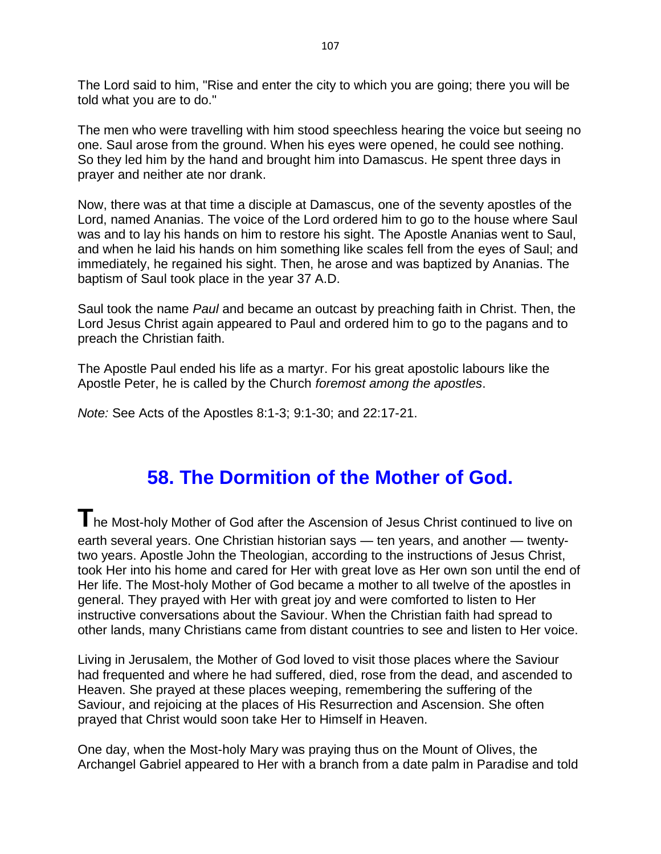The Lord said to him, "Rise and enter the city to which you are going; there you will be told what you are to do."

The men who were travelling with him stood speechless hearing the voice but seeing no one. Saul arose from the ground. When his eyes were opened, he could see nothing. So they led him by the hand and brought him into Damascus. He spent three days in prayer and neither ate nor drank.

Now, there was at that time a disciple at Damascus, one of the seventy apostles of the Lord, named Ananias. The voice of the Lord ordered him to go to the house where Saul was and to lay his hands on him to restore his sight. The Apostle Ananias went to Saul, and when he laid his hands on him something like scales fell from the eyes of Saul; and immediately, he regained his sight. Then, he arose and was baptized by Ananias. The baptism of Saul took place in the year 37 A.D.

Saul took the name *Paul* and became an outcast by preaching faith in Christ. Then, the Lord Jesus Christ again appeared to Paul and ordered him to go to the pagans and to preach the Christian faith.

The Apostle Paul ended his life as a martyr. For his great apostolic labours like the Apostle Peter, he is called by the Church *foremost among the apostles*.

*Note:* See Acts of the Apostles 8:1-3; 9:1-30; and 22:17-21.

## **58. The Dormition of the Mother of God.**

**T**he Most-holy Mother of God after the Ascension of Jesus Christ continued to live on earth several years. One Christian historian says — ten years, and another — twentytwo years. Apostle John the Theologian, according to the instructions of Jesus Christ, took Her into his home and cared for Her with great love as Her own son until the end of Her life. The Most-holy Mother of God became a mother to all twelve of the apostles in general. They prayed with Her with great joy and were comforted to listen to Her instructive conversations about the Saviour. When the Christian faith had spread to other lands, many Christians came from distant countries to see and listen to Her voice.

Living in Jerusalem, the Mother of God loved to visit those places where the Saviour had frequented and where he had suffered, died, rose from the dead, and ascended to Heaven. She prayed at these places weeping, remembering the suffering of the Saviour, and rejoicing at the places of His Resurrection and Ascension. She often prayed that Christ would soon take Her to Himself in Heaven.

One day, when the Most-holy Mary was praying thus on the Mount of Olives, the Archangel Gabriel appeared to Her with a branch from a date palm in Paradise and told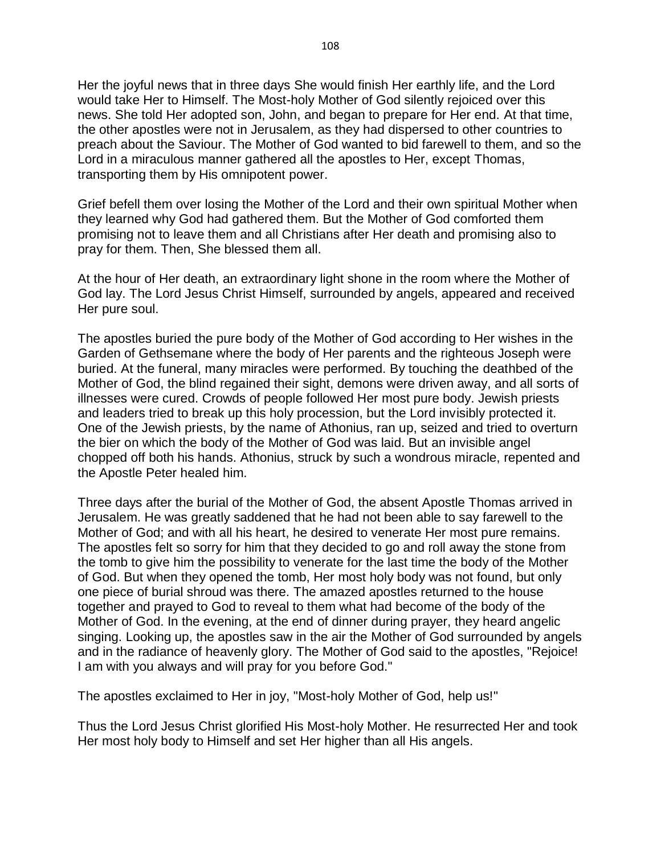Her the joyful news that in three days She would finish Her earthly life, and the Lord would take Her to Himself. The Most-holy Mother of God silently rejoiced over this news. She told Her adopted son, John, and began to prepare for Her end. At that time, the other apostles were not in Jerusalem, as they had dispersed to other countries to preach about the Saviour. The Mother of God wanted to bid farewell to them, and so the Lord in a miraculous manner gathered all the apostles to Her, except Thomas, transporting them by His omnipotent power.

Grief befell them over losing the Mother of the Lord and their own spiritual Mother when they learned why God had gathered them. But the Mother of God comforted them promising not to leave them and all Christians after Her death and promising also to pray for them. Then, She blessed them all.

At the hour of Her death, an extraordinary light shone in the room where the Mother of God lay. The Lord Jesus Christ Himself, surrounded by angels, appeared and received Her pure soul.

The apostles buried the pure body of the Mother of God according to Her wishes in the Garden of Gethsemane where the body of Her parents and the righteous Joseph were buried. At the funeral, many miracles were performed. By touching the deathbed of the Mother of God, the blind regained their sight, demons were driven away, and all sorts of illnesses were cured. Crowds of people followed Her most pure body. Jewish priests and leaders tried to break up this holy procession, but the Lord invisibly protected it. One of the Jewish priests, by the name of Athonius, ran up, seized and tried to overturn the bier on which the body of the Mother of God was laid. But an invisible angel chopped off both his hands. Athonius, struck by such a wondrous miracle, repented and the Apostle Peter healed him.

Three days after the burial of the Mother of God, the absent Apostle Thomas arrived in Jerusalem. He was greatly saddened that he had not been able to say farewell to the Mother of God; and with all his heart, he desired to venerate Her most pure remains. The apostles felt so sorry for him that they decided to go and roll away the stone from the tomb to give him the possibility to venerate for the last time the body of the Mother of God. But when they opened the tomb, Her most holy body was not found, but only one piece of burial shroud was there. The amazed apostles returned to the house together and prayed to God to reveal to them what had become of the body of the Mother of God. In the evening, at the end of dinner during prayer, they heard angelic singing. Looking up, the apostles saw in the air the Mother of God surrounded by angels and in the radiance of heavenly glory. The Mother of God said to the apostles, "Rejoice! I am with you always and will pray for you before God."

The apostles exclaimed to Her in joy, "Most-holy Mother of God, help us!"

Thus the Lord Jesus Christ glorified His Most-holy Mother. He resurrected Her and took Her most holy body to Himself and set Her higher than all His angels.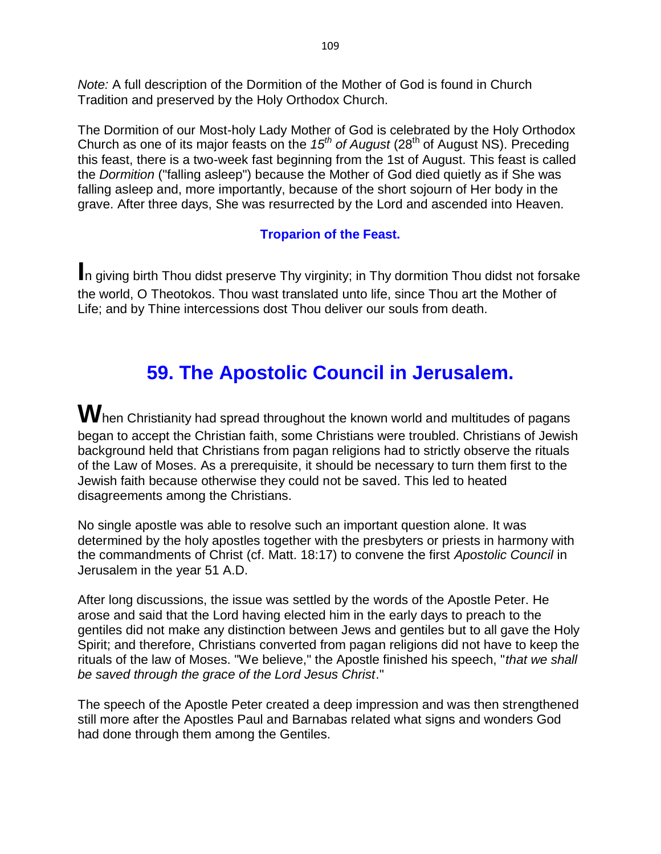*Note:* A full description of the Dormition of the Mother of God is found in Church Tradition and preserved by the Holy Orthodox Church.

The Dormition of our Most-holy Lady Mother of God is celebrated by the Holy Orthodox Church as one of its major feasts on the *15th of August* (28th of August NS). Preceding this feast, there is a two-week fast beginning from the 1st of August. This feast is called the *Dormition* ("falling asleep") because the Mother of God died quietly as if She was falling asleep and, more importantly, because of the short sojourn of Her body in the grave. After three days, She was resurrected by the Lord and ascended into Heaven.

### **Troparion of the Feast.**

**I**n giving birth Thou didst preserve Thy virginity; in Thy dormition Thou didst not forsake the world, O Theotokos. Thou wast translated unto life, since Thou art the Mother of Life; and by Thine intercessions dost Thou deliver our souls from death.

## **59. The Apostolic Council in Jerusalem.**

**W**hen Christianity had spread throughout the known world and multitudes of pagans began to accept the Christian faith, some Christians were troubled. Christians of Jewish background held that Christians from pagan religions had to strictly observe the rituals of the Law of Moses. As a prerequisite, it should be necessary to turn them first to the Jewish faith because otherwise they could not be saved. This led to heated disagreements among the Christians.

No single apostle was able to resolve such an important question alone. It was determined by the holy apostles together with the presbyters or priests in harmony with the commandments of Christ (cf. Matt. 18:17) to convene the first *Apostolic Council* in Jerusalem in the year 51 A.D.

After long discussions, the issue was settled by the words of the Apostle Peter. He arose and said that the Lord having elected him in the early days to preach to the gentiles did not make any distinction between Jews and gentiles but to all gave the Holy Spirit; and therefore, Christians converted from pagan religions did not have to keep the rituals of the law of Moses. "We believe," the Apostle finished his speech, "*that we shall be saved through the grace of the Lord Jesus Christ*."

The speech of the Apostle Peter created a deep impression and was then strengthened still more after the Apostles Paul and Barnabas related what signs and wonders God had done through them among the Gentiles.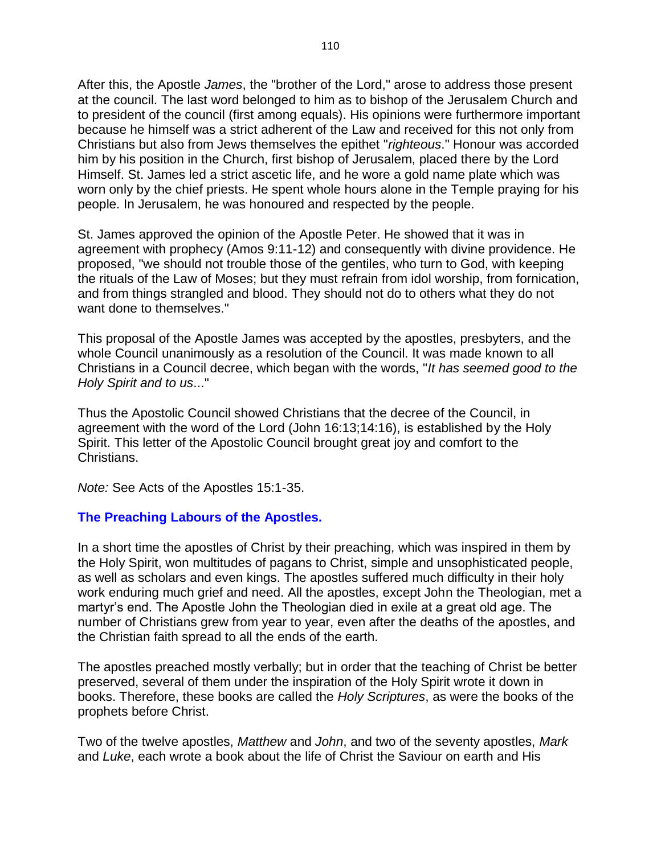After this, the Apostle *James*, the "brother of the Lord," arose to address those present at the council. The last word belonged to him as to bishop of the Jerusalem Church and to president of the council (first among equals). His opinions were furthermore important because he himself was a strict adherent of the Law and received for this not only from Christians but also from Jews themselves the epithet "*righteous*." Honour was accorded him by his position in the Church, first bishop of Jerusalem, placed there by the Lord Himself. St. James led a strict ascetic life, and he wore a gold name plate which was worn only by the chief priests. He spent whole hours alone in the Temple praying for his people. In Jerusalem, he was honoured and respected by the people.

St. James approved the opinion of the Apostle Peter. He showed that it was in agreement with prophecy (Amos 9:11-12) and consequently with divine providence. He proposed, "we should not trouble those of the gentiles, who turn to God, with keeping the rituals of the Law of Moses; but they must refrain from idol worship, from fornication, and from things strangled and blood. They should not do to others what they do not want done to themselves."

This proposal of the Apostle James was accepted by the apostles, presbyters, and the whole Council unanimously as a resolution of the Council. It was made known to all Christians in a Council decree, which began with the words, "*It has seemed good to the Holy Spirit and to us*..."

Thus the Apostolic Council showed Christians that the decree of the Council, in agreement with the word of the Lord (John 16:13;14:16), is established by the Holy Spirit. This letter of the Apostolic Council brought great joy and comfort to the Christians.

*Note:* See Acts of the Apostles 15:1-35.

### **The Preaching Labours of the Apostles.**

In a short time the apostles of Christ by their preaching, which was inspired in them by the Holy Spirit, won multitudes of pagans to Christ, simple and unsophisticated people, as well as scholars and even kings. The apostles suffered much difficulty in their holy work enduring much grief and need. All the apostles, except John the Theologian, met a martyr's end. The Apostle John the Theologian died in exile at a great old age. The number of Christians grew from year to year, even after the deaths of the apostles, and the Christian faith spread to all the ends of the earth.

The apostles preached mostly verbally; but in order that the teaching of Christ be better preserved, several of them under the inspiration of the Holy Spirit wrote it down in books. Therefore, these books are called the *Holy Scriptures*, as were the books of the prophets before Christ.

Two of the twelve apostles, *Matthew* and *John*, and two of the seventy apostles, *Mark* and *Luke*, each wrote a book about the life of Christ the Saviour on earth and His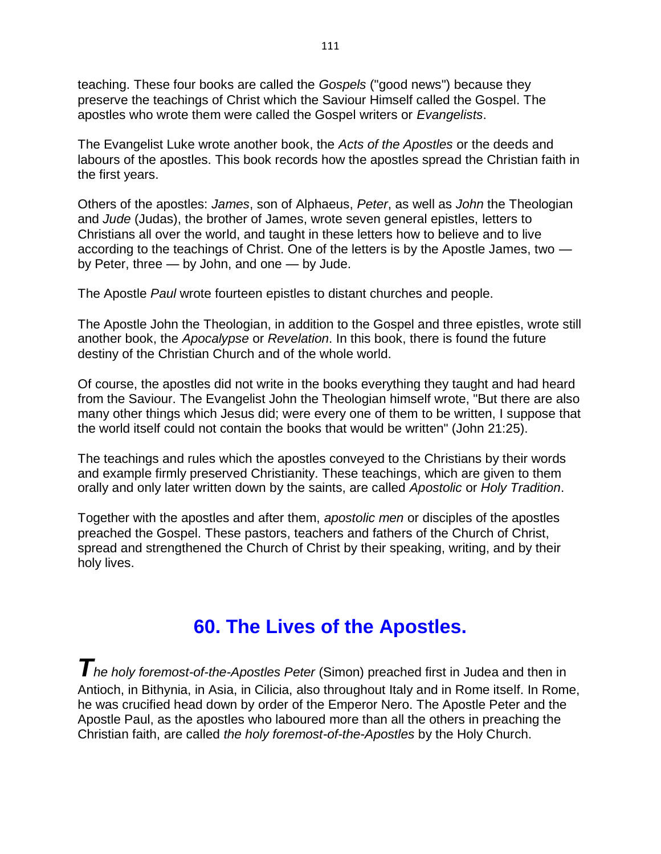teaching. These four books are called the *Gospels* ("good news") because they preserve the teachings of Christ which the Saviour Himself called the Gospel. The apostles who wrote them were called the Gospel writers or *Evangelists*.

The Evangelist Luke wrote another book, the *Acts of the Apostles* or the deeds and labours of the apostles. This book records how the apostles spread the Christian faith in the first years.

Others of the apostles: *James*, son of Alphaeus, *Peter*, as well as *John* the Theologian and *Jude* (Judas), the brother of James, wrote seven general epistles, letters to Christians all over the world, and taught in these letters how to believe and to live according to the teachings of Christ. One of the letters is by the Apostle James, two by Peter, three — by John, and one — by Jude.

The Apostle *Paul* wrote fourteen epistles to distant churches and people.

The Apostle John the Theologian, in addition to the Gospel and three epistles, wrote still another book, the *Apocalypse* or *Revelation*. In this book, there is found the future destiny of the Christian Church and of the whole world.

Of course, the apostles did not write in the books everything they taught and had heard from the Saviour. The Evangelist John the Theologian himself wrote, "But there are also many other things which Jesus did; were every one of them to be written, I suppose that the world itself could not contain the books that would be written" (John 21:25).

The teachings and rules which the apostles conveyed to the Christians by their words and example firmly preserved Christianity. These teachings, which are given to them orally and only later written down by the saints, are called *Apostolic* or *Holy Tradition*.

Together with the apostles and after them, *apostolic men* or disciples of the apostles preached the Gospel. These pastors, teachers and fathers of the Church of Christ, spread and strengthened the Church of Christ by their speaking, writing, and by their holy lives.

## **60. The Lives of the Apostles.**

*The holy foremost-of-the-Apostles Peter* (Simon) preached first in Judea and then in Antioch, in Bithynia, in Asia, in Cilicia, also throughout Italy and in Rome itself. In Rome, he was crucified head down by order of the Emperor Nero. The Apostle Peter and the Apostle Paul, as the apostles who laboured more than all the others in preaching the Christian faith, are called *the holy foremost-of-the-Apostles* by the Holy Church.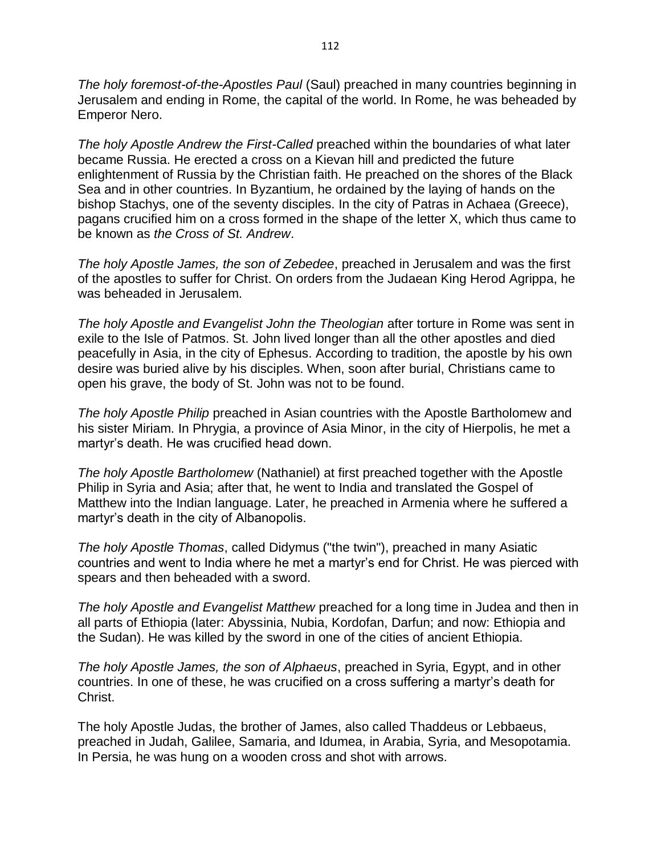*The holy foremost-of-the-Apostles Paul* (Saul) preached in many countries beginning in Jerusalem and ending in Rome, the capital of the world. In Rome, he was beheaded by Emperor Nero.

*The holy Apostle Andrew the First-Called* preached within the boundaries of what later became Russia. He erected a cross on a Kievan hill and predicted the future enlightenment of Russia by the Christian faith. He preached on the shores of the Black Sea and in other countries. In Byzantium, he ordained by the laying of hands on the bishop Stachys, one of the seventy disciples. In the city of Patras in Achaea (Greece), pagans crucified him on a cross formed in the shape of the letter X, which thus came to be known as *the Cross of St. Andrew*.

*The holy Apostle James, the son of Zebedee*, preached in Jerusalem and was the first of the apostles to suffer for Christ. On orders from the Judaean King Herod Agrippa, he was beheaded in Jerusalem.

*The holy Apostle and Evangelist John the Theologian* after torture in Rome was sent in exile to the Isle of Patmos. St. John lived longer than all the other apostles and died peacefully in Asia, in the city of Ephesus. According to tradition, the apostle by his own desire was buried alive by his disciples. When, soon after burial, Christians came to open his grave, the body of St. John was not to be found.

*The holy Apostle Philip* preached in Asian countries with the Apostle Bartholomew and his sister Miriam. In Phrygia, a province of Asia Minor, in the city of Hierpolis, he met a martyr's death. He was crucified head down.

*The holy Apostle Bartholomew* (Nathaniel) at first preached together with the Apostle Philip in Syria and Asia; after that, he went to India and translated the Gospel of Matthew into the Indian language. Later, he preached in Armenia where he suffered a martyr's death in the city of Albanopolis.

*The holy Apostle Thomas*, called Didymus ("the twin"), preached in many Asiatic countries and went to India where he met a martyr's end for Christ. He was pierced with spears and then beheaded with a sword.

*The holy Apostle and Evangelist Matthew* preached for a long time in Judea and then in all parts of Ethiopia (later: Abyssinia, Nubia, Kordofan, Darfun; and now: Ethiopia and the Sudan). He was killed by the sword in one of the cities of ancient Ethiopia.

*The holy Apostle James, the son of Alphaeus*, preached in Syria, Egypt, and in other countries. In one of these, he was crucified on a cross suffering a martyr's death for Christ.

The holy Apostle Judas, the brother of James, also called Thaddeus or Lebbaeus, preached in Judah, Galilee, Samaria, and Idumea, in Arabia, Syria, and Mesopotamia. In Persia, he was hung on a wooden cross and shot with arrows.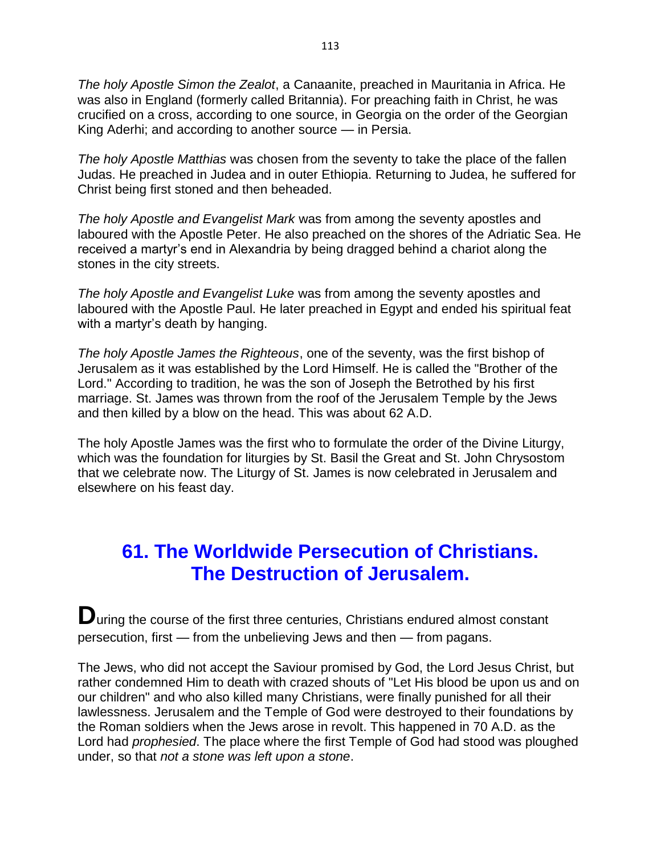*The holy Apostle Simon the Zealot*, a Canaanite, preached in Mauritania in Africa. He was also in England (formerly called Britannia). For preaching faith in Christ, he was crucified on a cross, according to one source, in Georgia on the order of the Georgian King Aderhi; and according to another source — in Persia.

*The holy Apostle Matthias* was chosen from the seventy to take the place of the fallen Judas. He preached in Judea and in outer Ethiopia. Returning to Judea, he suffered for Christ being first stoned and then beheaded.

*The holy Apostle and Evangelist Mark* was from among the seventy apostles and laboured with the Apostle Peter. He also preached on the shores of the Adriatic Sea. He received a martyr's end in Alexandria by being dragged behind a chariot along the stones in the city streets.

*The holy Apostle and Evangelist Luke* was from among the seventy apostles and laboured with the Apostle Paul. He later preached in Egypt and ended his spiritual feat with a martyr's death by hanging.

*The holy Apostle James the Righteous*, one of the seventy, was the first bishop of Jerusalem as it was established by the Lord Himself. He is called the "Brother of the Lord." According to tradition, he was the son of Joseph the Betrothed by his first marriage. St. James was thrown from the roof of the Jerusalem Temple by the Jews and then killed by a blow on the head. This was about 62 A.D.

The holy Apostle James was the first who to formulate the order of the Divine Liturgy, which was the foundation for liturgies by St. Basil the Great and St. John Chrysostom that we celebrate now. The Liturgy of St. James is now celebrated in Jerusalem and elsewhere on his feast day.

## **61. The Worldwide Persecution of Christians. The Destruction of Jerusalem.**

**D**uring the course of the first three centuries, Christians endured almost constant persecution, first — from the unbelieving Jews and then — from pagans.

The Jews, who did not accept the Saviour promised by God, the Lord Jesus Christ, but rather condemned Him to death with crazed shouts of "Let His blood be upon us and on our children" and who also killed many Christians, were finally punished for all their lawlessness. Jerusalem and the Temple of God were destroyed to their foundations by the Roman soldiers when the Jews arose in revolt. This happened in 70 A.D. as the Lord had *prophesied*. The place where the first Temple of God had stood was ploughed under, so that *not a stone was left upon a stone*.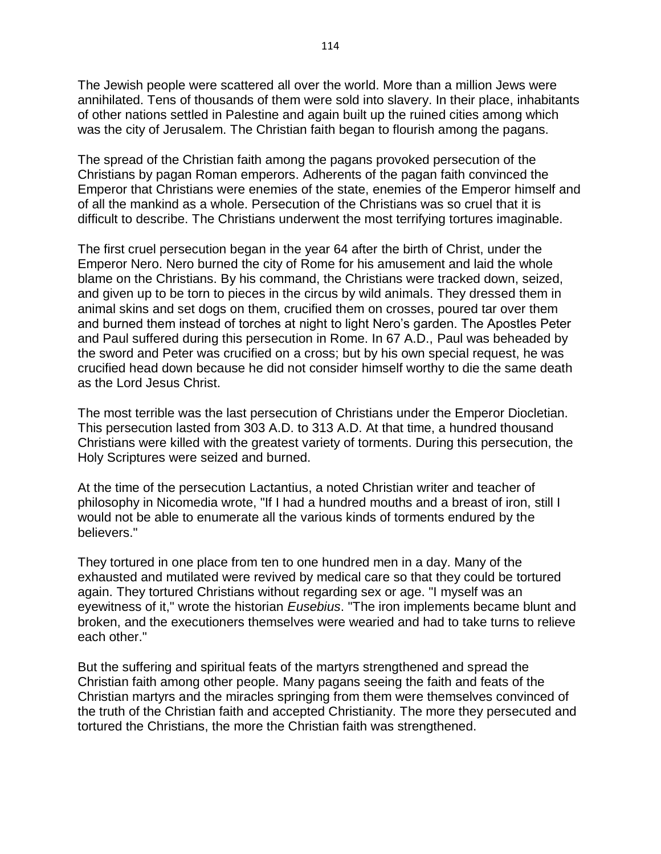The Jewish people were scattered all over the world. More than a million Jews were annihilated. Tens of thousands of them were sold into slavery. In their place, inhabitants of other nations settled in Palestine and again built up the ruined cities among which was the city of Jerusalem. The Christian faith began to flourish among the pagans.

The spread of the Christian faith among the pagans provoked persecution of the Christians by pagan Roman emperors. Adherents of the pagan faith convinced the Emperor that Christians were enemies of the state, enemies of the Emperor himself and of all the mankind as a whole. Persecution of the Christians was so cruel that it is difficult to describe. The Christians underwent the most terrifying tortures imaginable.

The first cruel persecution began in the year 64 after the birth of Christ, under the Emperor Nero. Nero burned the city of Rome for his amusement and laid the whole blame on the Christians. By his command, the Christians were tracked down, seized, and given up to be torn to pieces in the circus by wild animals. They dressed them in animal skins and set dogs on them, crucified them on crosses, poured tar over them and burned them instead of torches at night to light Nero's garden. The Apostles Peter and Paul suffered during this persecution in Rome. In 67 A.D., Paul was beheaded by the sword and Peter was crucified on a cross; but by his own special request, he was crucified head down because he did not consider himself worthy to die the same death as the Lord Jesus Christ.

The most terrible was the last persecution of Christians under the Emperor Diocletian. This persecution lasted from 303 A.D. to 313 A.D. At that time, a hundred thousand Christians were killed with the greatest variety of torments. During this persecution, the Holy Scriptures were seized and burned.

At the time of the persecution Lactantius, a noted Christian writer and teacher of philosophy in Nicomedia wrote, "If I had a hundred mouths and a breast of iron, still I would not be able to enumerate all the various kinds of torments endured by the believers."

They tortured in one place from ten to one hundred men in a day. Many of the exhausted and mutilated were revived by medical care so that they could be tortured again. They tortured Christians without regarding sex or age. "I myself was an eyewitness of it," wrote the historian *Eusebius*. "The iron implements became blunt and broken, and the executioners themselves were wearied and had to take turns to relieve each other."

But the suffering and spiritual feats of the martyrs strengthened and spread the Christian faith among other people. Many pagans seeing the faith and feats of the Christian martyrs and the miracles springing from them were themselves convinced of the truth of the Christian faith and accepted Christianity. The more they persecuted and tortured the Christians, the more the Christian faith was strengthened.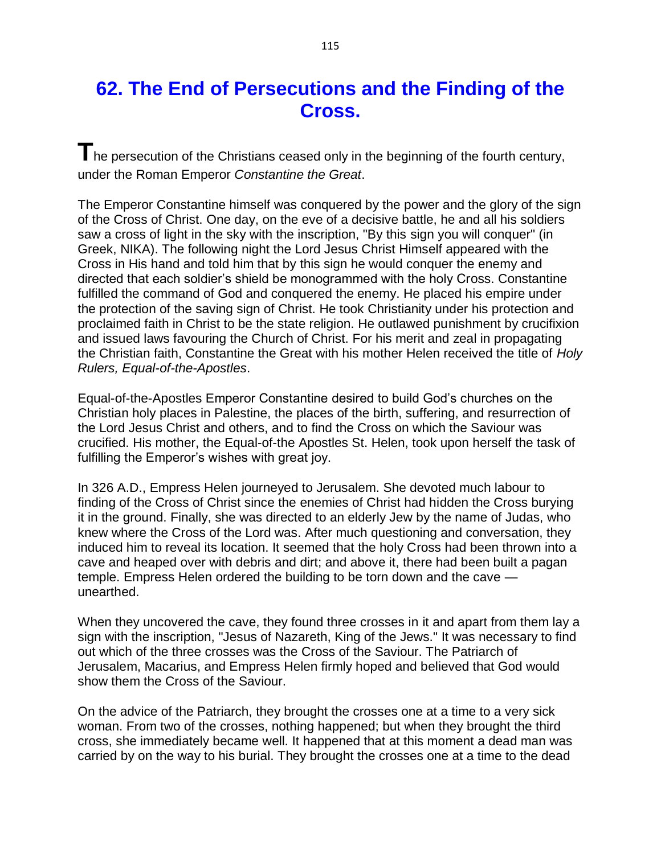## **62. The End of Persecutions and the Finding of the Cross.**

The persecution of the Christians ceased only in the beginning of the fourth century, under the Roman Emperor *Constantine the Great*.

The Emperor Constantine himself was conquered by the power and the glory of the sign of the Cross of Christ. One day, on the eve of a decisive battle, he and all his soldiers saw a cross of light in the sky with the inscription, "By this sign you will conquer" (in Greek, NIKA). The following night the Lord Jesus Christ Himself appeared with the Cross in His hand and told him that by this sign he would conquer the enemy and directed that each soldier's shield be monogrammed with the holy Cross. Constantine fulfilled the command of God and conquered the enemy. He placed his empire under the protection of the saving sign of Christ. He took Christianity under his protection and proclaimed faith in Christ to be the state religion. He outlawed punishment by crucifixion and issued laws favouring the Church of Christ. For his merit and zeal in propagating the Christian faith, Constantine the Great with his mother Helen received the title of *Holy Rulers, Equal-of-the-Apostles*.

Equal-of-the-Apostles Emperor Constantine desired to build God's churches on the Christian holy places in Palestine, the places of the birth, suffering, and resurrection of the Lord Jesus Christ and others, and to find the Cross on which the Saviour was crucified. His mother, the Equal-of-the Apostles St. Helen, took upon herself the task of fulfilling the Emperor's wishes with great joy.

In 326 A.D., Empress Helen journeyed to Jerusalem. She devoted much labour to finding of the Cross of Christ since the enemies of Christ had hidden the Cross burying it in the ground. Finally, she was directed to an elderly Jew by the name of Judas, who knew where the Cross of the Lord was. After much questioning and conversation, they induced him to reveal its location. It seemed that the holy Cross had been thrown into a cave and heaped over with debris and dirt; and above it, there had been built a pagan temple. Empress Helen ordered the building to be torn down and the cave unearthed.

When they uncovered the cave, they found three crosses in it and apart from them lay a sign with the inscription, "Jesus of Nazareth, King of the Jews." It was necessary to find out which of the three crosses was the Cross of the Saviour. The Patriarch of Jerusalem, Macarius, and Empress Helen firmly hoped and believed that God would show them the Cross of the Saviour.

On the advice of the Patriarch, they brought the crosses one at a time to a very sick woman. From two of the crosses, nothing happened; but when they brought the third cross, she immediately became well. It happened that at this moment a dead man was carried by on the way to his burial. They brought the crosses one at a time to the dead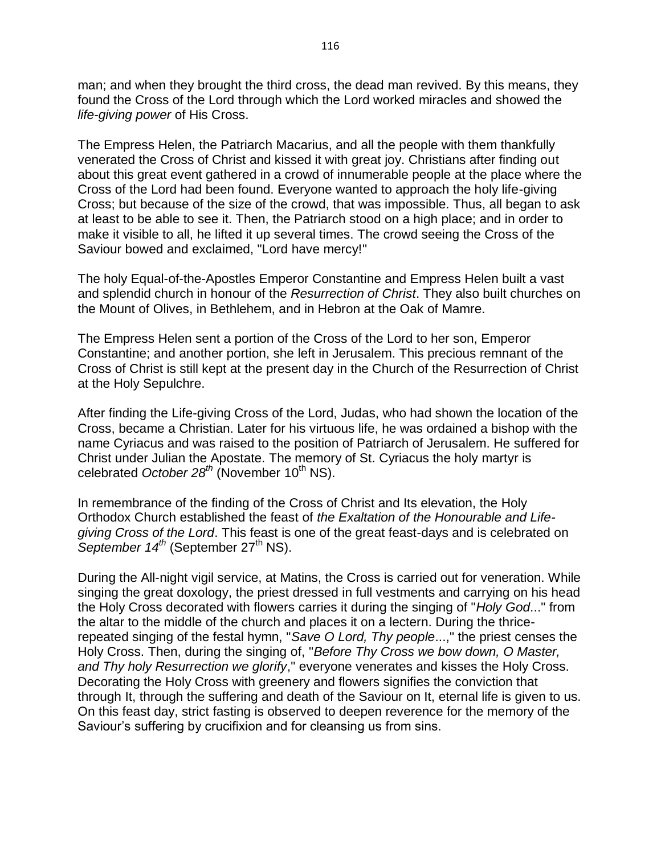man; and when they brought the third cross, the dead man revived. By this means, they found the Cross of the Lord through which the Lord worked miracles and showed the *life-giving power* of His Cross.

The Empress Helen, the Patriarch Macarius, and all the people with them thankfully venerated the Cross of Christ and kissed it with great joy. Christians after finding out about this great event gathered in a crowd of innumerable people at the place where the Cross of the Lord had been found. Everyone wanted to approach the holy life-giving Cross; but because of the size of the crowd, that was impossible. Thus, all began to ask at least to be able to see it. Then, the Patriarch stood on a high place; and in order to make it visible to all, he lifted it up several times. The crowd seeing the Cross of the Saviour bowed and exclaimed, "Lord have mercy!"

The holy Equal-of-the-Apostles Emperor Constantine and Empress Helen built a vast and splendid church in honour of the *Resurrection of Christ*. They also built churches on the Mount of Olives, in Bethlehem, and in Hebron at the Oak of Mamre.

The Empress Helen sent a portion of the Cross of the Lord to her son, Emperor Constantine; and another portion, she left in Jerusalem. This precious remnant of the Cross of Christ is still kept at the present day in the Church of the Resurrection of Christ at the Holy Sepulchre.

After finding the Life-giving Cross of the Lord, Judas, who had shown the location of the Cross, became a Christian. Later for his virtuous life, he was ordained a bishop with the name Cyriacus and was raised to the position of Patriarch of Jerusalem. He suffered for Christ under Julian the Apostate. The memory of St. Cyriacus the holy martyr is celebrated October 28<sup>th</sup> (November 10<sup>th</sup> NS).

In remembrance of the finding of the Cross of Christ and Its elevation, the Holy Orthodox Church established the feast of *the Exaltation of the Honourable and Lifegiving Cross of the Lord*. This feast is one of the great feast-days and is celebrated on September 14<sup>th</sup> (September 27<sup>th</sup> NS).

During the All-night vigil service, at Matins, the Cross is carried out for veneration. While singing the great doxology, the priest dressed in full vestments and carrying on his head the Holy Cross decorated with flowers carries it during the singing of "*Holy God*..." from the altar to the middle of the church and places it on a lectern. During the thricerepeated singing of the festal hymn, "*Save O Lord, Thy people*...," the priest censes the Holy Cross. Then, during the singing of, "*Before Thy Cross we bow down, O Master, and Thy holy Resurrection we glorify*," everyone venerates and kisses the Holy Cross. Decorating the Holy Cross with greenery and flowers signifies the conviction that through It, through the suffering and death of the Saviour on It, eternal life is given to us. On this feast day, strict fasting is observed to deepen reverence for the memory of the Saviour's suffering by crucifixion and for cleansing us from sins.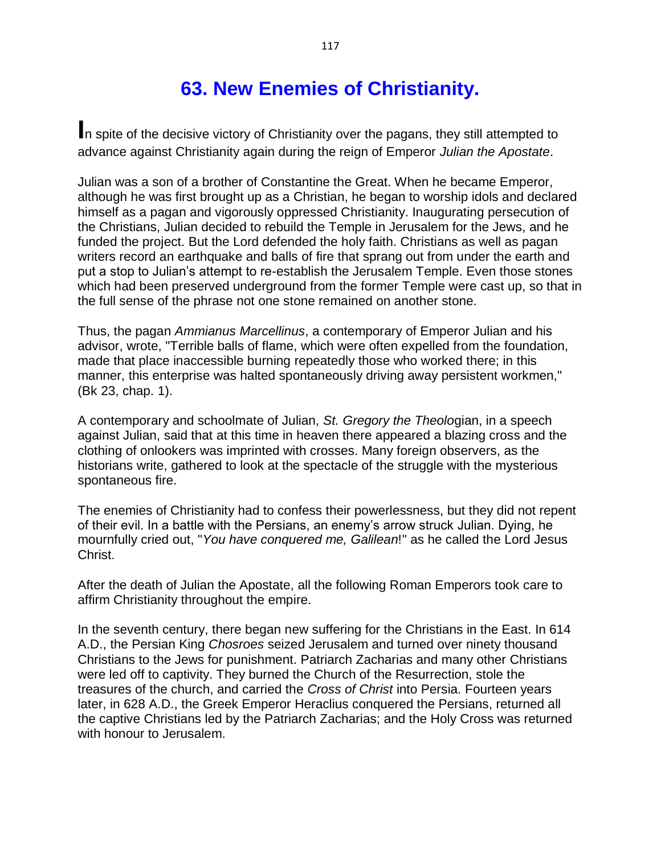# **63. New Enemies of Christianity.**

**I**n spite of the decisive victory of Christianity over the pagans, they still attempted to advance against Christianity again during the reign of Emperor *Julian the Apostate*.

Julian was a son of a brother of Constantine the Great. When he became Emperor, although he was first brought up as a Christian, he began to worship idols and declared himself as a pagan and vigorously oppressed Christianity. Inaugurating persecution of the Christians, Julian decided to rebuild the Temple in Jerusalem for the Jews, and he funded the project. But the Lord defended the holy faith. Christians as well as pagan writers record an earthquake and balls of fire that sprang out from under the earth and put a stop to Julian's attempt to re-establish the Jerusalem Temple. Even those stones which had been preserved underground from the former Temple were cast up, so that in the full sense of the phrase not one stone remained on another stone.

Thus, the pagan *Ammianus Marcellinus*, a contemporary of Emperor Julian and his advisor, wrote, "Terrible balls of flame, which were often expelled from the foundation, made that place inaccessible burning repeatedly those who worked there; in this manner, this enterprise was halted spontaneously driving away persistent workmen," (Bk 23, chap. 1).

A contemporary and schoolmate of Julian, *St. Gregory the Theolo*gian, in a speech against Julian, said that at this time in heaven there appeared a blazing cross and the clothing of onlookers was imprinted with crosses. Many foreign observers, as the historians write, gathered to look at the spectacle of the struggle with the mysterious spontaneous fire.

The enemies of Christianity had to confess their powerlessness, but they did not repent of their evil. In a battle with the Persians, an enemy's arrow struck Julian. Dying, he mournfully cried out, "*You have conquered me, Galilean*!" as he called the Lord Jesus Christ.

After the death of Julian the Apostate, all the following Roman Emperors took care to affirm Christianity throughout the empire.

In the seventh century, there began new suffering for the Christians in the East. In 614 A.D., the Persian King *Chosroes* seized Jerusalem and turned over ninety thousand Christians to the Jews for punishment. Patriarch Zacharias and many other Christians were led off to captivity. They burned the Church of the Resurrection, stole the treasures of the church, and carried the *Cross of Christ* into Persia. Fourteen years later, in 628 A.D., the Greek Emperor Heraclius conquered the Persians, returned all the captive Christians led by the Patriarch Zacharias; and the Holy Cross was returned with honour to Jerusalem.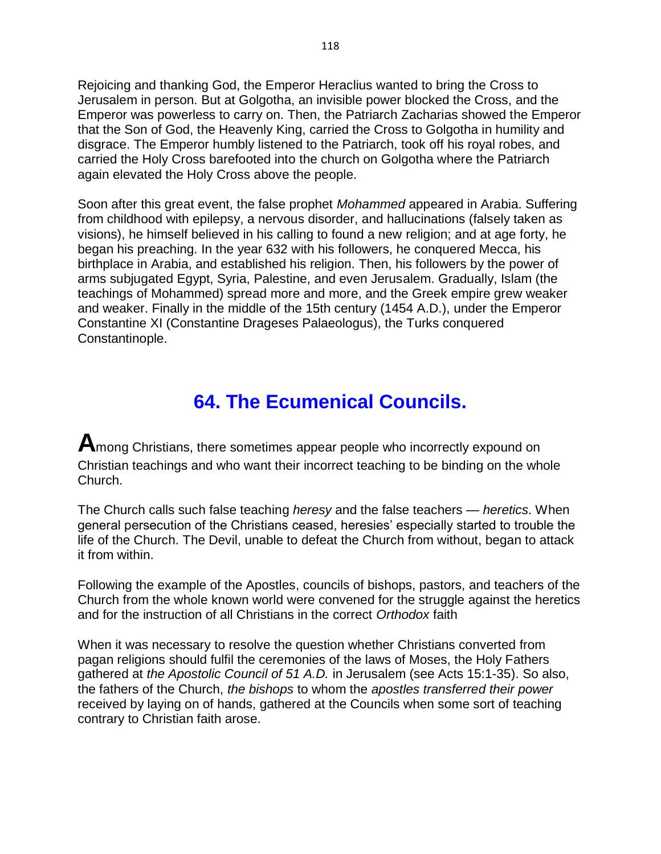Rejoicing and thanking God, the Emperor Heraclius wanted to bring the Cross to Jerusalem in person. But at Golgotha, an invisible power blocked the Cross, and the Emperor was powerless to carry on. Then, the Patriarch Zacharias showed the Emperor that the Son of God, the Heavenly King, carried the Cross to Golgotha in humility and disgrace. The Emperor humbly listened to the Patriarch, took off his royal robes, and carried the Holy Cross barefooted into the church on Golgotha where the Patriarch again elevated the Holy Cross above the people.

Soon after this great event, the false prophet *Mohammed* appeared in Arabia. Suffering from childhood with epilepsy, a nervous disorder, and hallucinations (falsely taken as visions), he himself believed in his calling to found a new religion; and at age forty, he began his preaching. In the year 632 with his followers, he conquered Mecca, his birthplace in Arabia, and established his religion. Then, his followers by the power of arms subjugated Egypt, Syria, Palestine, and even Jerusalem. Gradually, Islam (the teachings of Mohammed) spread more and more, and the Greek empire grew weaker and weaker. Finally in the middle of the 15th century (1454 A.D.), under the Emperor Constantine XI (Constantine Drageses Palaeologus), the Turks conquered Constantinople.

## **64. The Ecumenical Councils.**

**A**mong Christians, there sometimes appear people who incorrectly expound on Christian teachings and who want their incorrect teaching to be binding on the whole Church.

The Church calls such false teaching *heresy* and the false teachers — *heretics*. When general persecution of the Christians ceased, heresies' especially started to trouble the life of the Church. The Devil, unable to defeat the Church from without, began to attack it from within.

Following the example of the Apostles, councils of bishops, pastors, and teachers of the Church from the whole known world were convened for the struggle against the heretics and for the instruction of all Christians in the correct *Orthodox* faith

When it was necessary to resolve the question whether Christians converted from pagan religions should fulfil the ceremonies of the laws of Moses, the Holy Fathers gathered at *the Apostolic Council of 51 A.D.* in Jerusalem (see Acts 15:1-35). So also, the fathers of the Church, *the bishops* to whom the *apostles transferred their power* received by laying on of hands, gathered at the Councils when some sort of teaching contrary to Christian faith arose.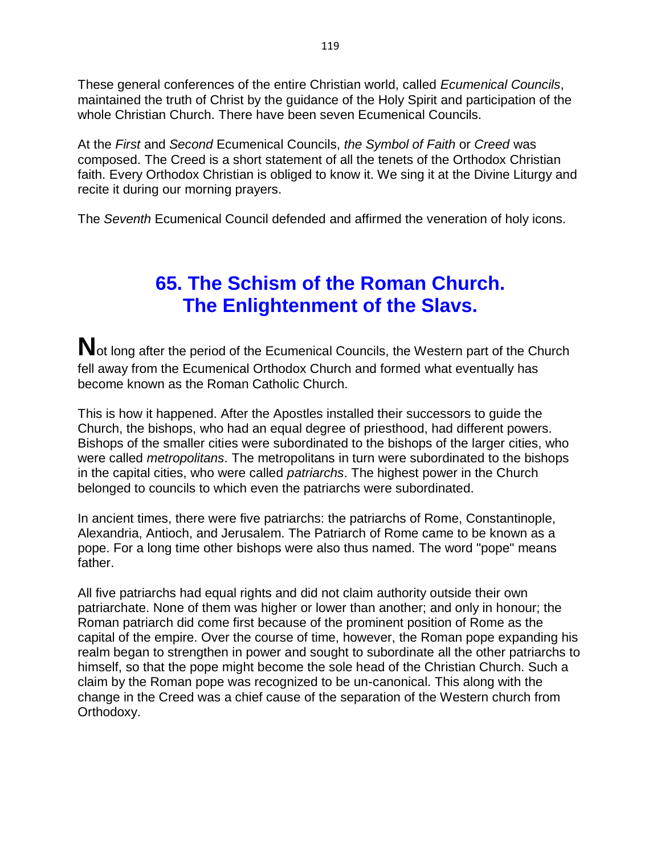These general conferences of the entire Christian world, called *Ecumenical Councils*, maintained the truth of Christ by the guidance of the Holy Spirit and participation of the whole Christian Church. There have been seven Ecumenical Councils.

At the *First* and *Second* Ecumenical Councils, *the Symbol of Faith* or *Creed* was composed. The Creed is a short statement of all the tenets of the Orthodox Christian faith. Every Orthodox Christian is obliged to know it. We sing it at the Divine Liturgy and recite it during our morning prayers.

The *Seventh* Ecumenical Council defended and affirmed the veneration of holy icons.

## **65. The Schism of the Roman Church. The Enlightenment of the Slavs.**

Not long after the period of the Ecumenical Councils, the Western part of the Church fell away from the Ecumenical Orthodox Church and formed what eventually has become known as the Roman Catholic Church.

This is how it happened. After the Apostles installed their successors to guide the Church, the bishops, who had an equal degree of priesthood, had different powers. Bishops of the smaller cities were subordinated to the bishops of the larger cities, who were called *metropolitans*. The metropolitans in turn were subordinated to the bishops in the capital cities, who were called *patriarchs*. The highest power in the Church belonged to councils to which even the patriarchs were subordinated.

In ancient times, there were five patriarchs: the patriarchs of Rome, Constantinople, Alexandria, Antioch, and Jerusalem. The Patriarch of Rome came to be known as a pope. For a long time other bishops were also thus named. The word "pope" means father.

All five patriarchs had equal rights and did not claim authority outside their own patriarchate. None of them was higher or lower than another; and only in honour; the Roman patriarch did come first because of the prominent position of Rome as the capital of the empire. Over the course of time, however, the Roman pope expanding his realm began to strengthen in power and sought to subordinate all the other patriarchs to himself, so that the pope might become the sole head of the Christian Church. Such a claim by the Roman pope was recognized to be un-canonical. This along with the change in the Creed was a chief cause of the separation of the Western church from Orthodoxy.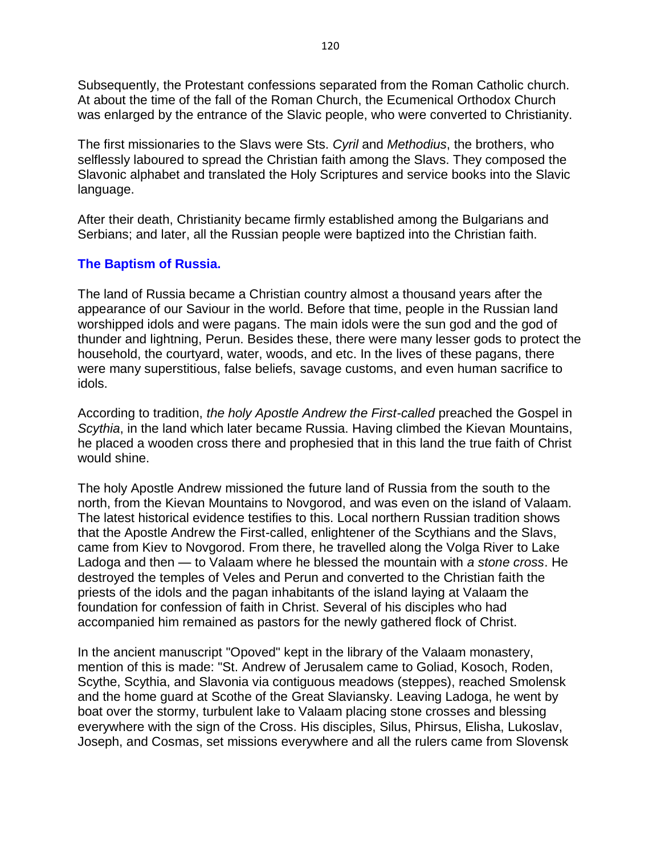Subsequently, the Protestant confessions separated from the Roman Catholic church. At about the time of the fall of the Roman Church, the Ecumenical Orthodox Church was enlarged by the entrance of the Slavic people, who were converted to Christianity.

The first missionaries to the Slavs were Sts. *Cyril* and *Methodius*, the brothers, who selflessly laboured to spread the Christian faith among the Slavs. They composed the Slavonic alphabet and translated the Holy Scriptures and service books into the Slavic language.

After their death, Christianity became firmly established among the Bulgarians and Serbians; and later, all the Russian people were baptized into the Christian faith.

### **The Baptism of Russia.**

The land of Russia became a Christian country almost a thousand years after the appearance of our Saviour in the world. Before that time, people in the Russian land worshipped idols and were pagans. The main idols were the sun god and the god of thunder and lightning, Perun. Besides these, there were many lesser gods to protect the household, the courtyard, water, woods, and etc. In the lives of these pagans, there were many superstitious, false beliefs, savage customs, and even human sacrifice to idols.

According to tradition, *the holy Apostle Andrew the First-called* preached the Gospel in *Scythia*, in the land which later became Russia. Having climbed the Kievan Mountains, he placed a wooden cross there and prophesied that in this land the true faith of Christ would shine.

The holy Apostle Andrew missioned the future land of Russia from the south to the north, from the Kievan Mountains to Novgorod, and was even on the island of Valaam. The latest historical evidence testifies to this. Local northern Russian tradition shows that the Apostle Andrew the First-called, enlightener of the Scythians and the Slavs, came from Kiev to Novgorod. From there, he travelled along the Volga River to Lake Ladoga and then — to Valaam where he blessed the mountain with *a stone cross*. He destroyed the temples of Veles and Perun and converted to the Christian faith the priests of the idols and the pagan inhabitants of the island laying at Valaam the foundation for confession of faith in Christ. Several of his disciples who had accompanied him remained as pastors for the newly gathered flock of Christ.

In the ancient manuscript "Opoved" kept in the library of the Valaam monastery, mention of this is made: "St. Andrew of Jerusalem came to Goliad, Kosoch, Roden, Scythe, Scythia, and Slavonia via contiguous meadows (steppes), reached Smolensk and the home guard at Scothe of the Great Slaviansky. Leaving Ladoga, he went by boat over the stormy, turbulent lake to Valaam placing stone crosses and blessing everywhere with the sign of the Cross. His disciples, Silus, Phirsus, Elisha, Lukoslav, Joseph, and Cosmas, set missions everywhere and all the rulers came from Slovensk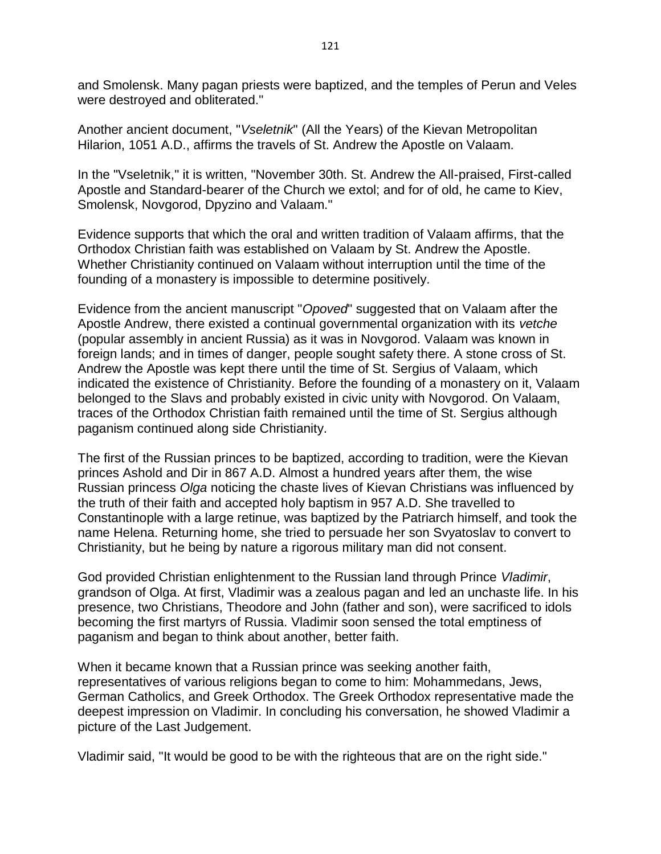and Smolensk. Many pagan priests were baptized, and the temples of Perun and Veles were destroyed and obliterated."

Another ancient document, "*Vseletnik*" (All the Years) of the Kievan Metropolitan Hilarion, 1051 A.D., affirms the travels of St. Andrew the Apostle on Valaam.

In the "Vseletnik," it is written, "November 30th. St. Andrew the All-praised, First-called Apostle and Standard-bearer of the Church we extol; and for of old, he came to Kiev, Smolensk, Novgorod, Dpyzino and Valaam."

Evidence supports that which the oral and written tradition of Valaam affirms, that the Orthodox Christian faith was established on Valaam by St. Andrew the Apostle. Whether Christianity continued on Valaam without interruption until the time of the founding of a monastery is impossible to determine positively.

Evidence from the ancient manuscript "*Opoved*" suggested that on Valaam after the Apostle Andrew, there existed a continual governmental organization with its *vetche* (popular assembly in ancient Russia) as it was in Novgorod. Valaam was known in foreign lands; and in times of danger, people sought safety there. A stone cross of St. Andrew the Apostle was kept there until the time of St. Sergius of Valaam, which indicated the existence of Christianity. Before the founding of a monastery on it, Valaam belonged to the Slavs and probably existed in civic unity with Novgorod. On Valaam, traces of the Orthodox Christian faith remained until the time of St. Sergius although paganism continued along side Christianity.

The first of the Russian princes to be baptized, according to tradition, were the Kievan princes Ashold and Dir in 867 A.D. Almost a hundred years after them, the wise Russian princess *Olga* noticing the chaste lives of Kievan Christians was influenced by the truth of their faith and accepted holy baptism in 957 A.D. She travelled to Constantinople with a large retinue, was baptized by the Patriarch himself, and took the name Helena. Returning home, she tried to persuade her son Svyatoslav to convert to Christianity, but he being by nature a rigorous military man did not consent.

God provided Christian enlightenment to the Russian land through Prince *Vladimir*, grandson of Olga. At first, Vladimir was a zealous pagan and led an unchaste life. In his presence, two Christians, Theodore and John (father and son), were sacrificed to idols becoming the first martyrs of Russia. Vladimir soon sensed the total emptiness of paganism and began to think about another, better faith.

When it became known that a Russian prince was seeking another faith, representatives of various religions began to come to him: Mohammedans, Jews, German Catholics, and Greek Orthodox. The Greek Orthodox representative made the deepest impression on Vladimir. In concluding his conversation, he showed Vladimir a picture of the Last Judgement.

Vladimir said, "It would be good to be with the righteous that are on the right side."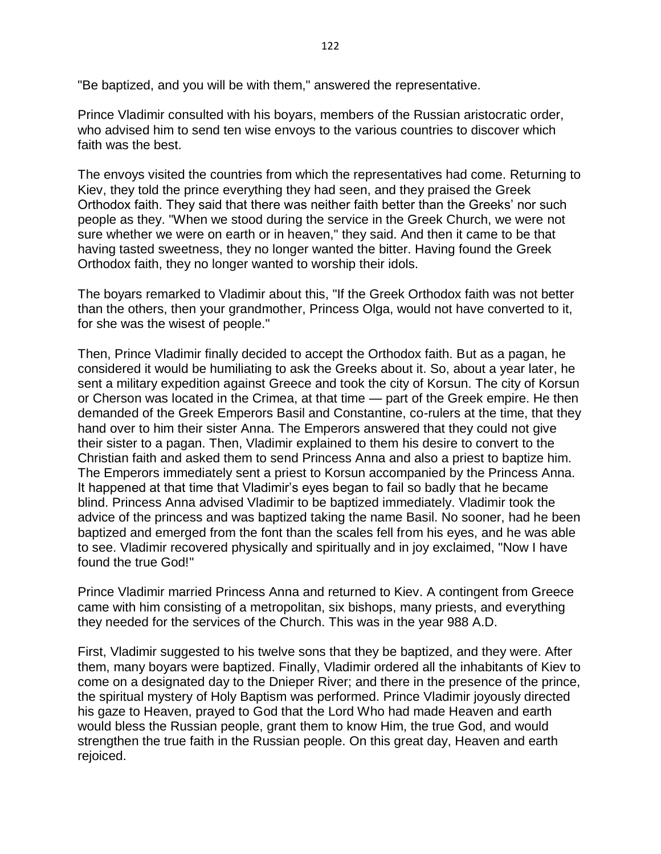"Be baptized, and you will be with them," answered the representative.

Prince Vladimir consulted with his boyars, members of the Russian aristocratic order, who advised him to send ten wise envoys to the various countries to discover which faith was the best.

The envoys visited the countries from which the representatives had come. Returning to Kiev, they told the prince everything they had seen, and they praised the Greek Orthodox faith. They said that there was neither faith better than the Greeks' nor such people as they. "When we stood during the service in the Greek Church, we were not sure whether we were on earth or in heaven," they said. And then it came to be that having tasted sweetness, they no longer wanted the bitter. Having found the Greek Orthodox faith, they no longer wanted to worship their idols.

The boyars remarked to Vladimir about this, "If the Greek Orthodox faith was not better than the others, then your grandmother, Princess Olga, would not have converted to it, for she was the wisest of people."

Then, Prince Vladimir finally decided to accept the Orthodox faith. But as a pagan, he considered it would be humiliating to ask the Greeks about it. So, about a year later, he sent a military expedition against Greece and took the city of Korsun. The city of Korsun or Cherson was located in the Crimea, at that time — part of the Greek empire. He then demanded of the Greek Emperors Basil and Constantine, co-rulers at the time, that they hand over to him their sister Anna. The Emperors answered that they could not give their sister to a pagan. Then, Vladimir explained to them his desire to convert to the Christian faith and asked them to send Princess Anna and also a priest to baptize him. The Emperors immediately sent a priest to Korsun accompanied by the Princess Anna. It happened at that time that Vladimir's eyes began to fail so badly that he became blind. Princess Anna advised Vladimir to be baptized immediately. Vladimir took the advice of the princess and was baptized taking the name Basil. No sooner, had he been baptized and emerged from the font than the scales fell from his eyes, and he was able to see. Vladimir recovered physically and spiritually and in joy exclaimed, "Now I have found the true God!"

Prince Vladimir married Princess Anna and returned to Kiev. A contingent from Greece came with him consisting of a metropolitan, six bishops, many priests, and everything they needed for the services of the Church. This was in the year 988 A.D.

First, Vladimir suggested to his twelve sons that they be baptized, and they were. After them, many boyars were baptized. Finally, Vladimir ordered all the inhabitants of Kiev to come on a designated day to the Dnieper River; and there in the presence of the prince, the spiritual mystery of Holy Baptism was performed. Prince Vladimir joyously directed his gaze to Heaven, prayed to God that the Lord Who had made Heaven and earth would bless the Russian people, grant them to know Him, the true God, and would strengthen the true faith in the Russian people. On this great day, Heaven and earth rejoiced.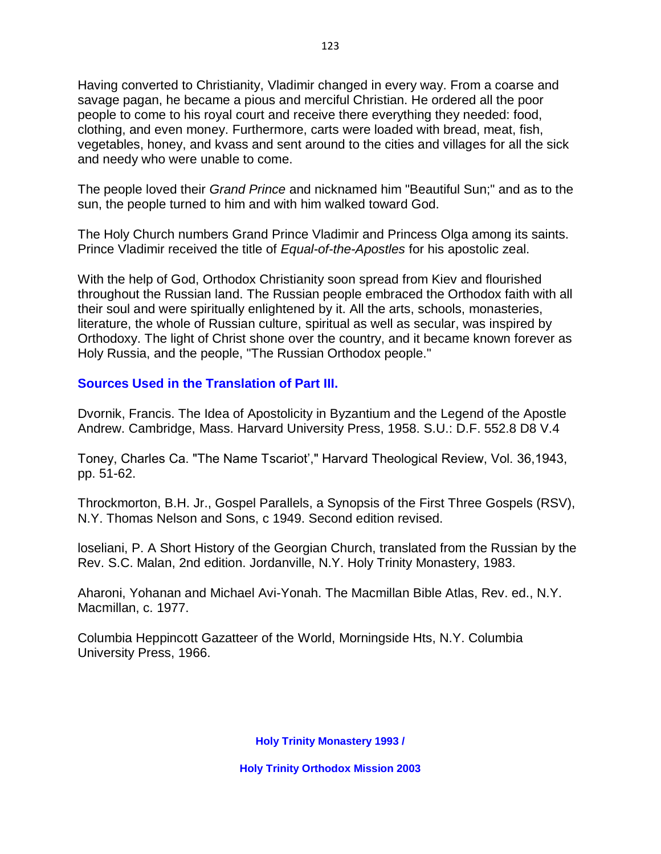Having converted to Christianity, Vladimir changed in every way. From a coarse and savage pagan, he became a pious and merciful Christian. He ordered all the poor people to come to his royal court and receive there everything they needed: food, clothing, and even money. Furthermore, carts were loaded with bread, meat, fish, vegetables, honey, and kvass and sent around to the cities and villages for all the sick and needy who were unable to come.

The people loved their *Grand Prince* and nicknamed him "Beautiful Sun;" and as to the sun, the people turned to him and with him walked toward God.

The Holy Church numbers Grand Prince Vladimir and Princess Olga among its saints. Prince Vladimir received the title of *Equal-of-the-Apostles* for his apostolic zeal.

With the help of God, Orthodox Christianity soon spread from Kiev and flourished throughout the Russian land. The Russian people embraced the Orthodox faith with all their soul and were spiritually enlightened by it. All the arts, schools, monasteries, literature, the whole of Russian culture, spiritual as well as secular, was inspired by Orthodoxy. The light of Christ shone over the country, and it became known forever as Holy Russia, and the people, "The Russian Orthodox people."

### **Sources Used in the Translation of Part III.**

Dvornik, Francis. The Idea of Apostolicity in Byzantium and the Legend of the Apostle Andrew. Cambridge, Mass. Harvard University Press, 1958. S.U.: D.F. 552.8 D8 V.4

Toney, Charles Ca. "The Name Tscariot'," Harvard Theological Review, Vol. 36,1943, pp. 51-62.

Throckmorton, B.H. Jr., Gospel Parallels, a Synopsis of the First Three Gospels (RSV), N.Y. Thomas Nelson and Sons, c 1949. Second edition revised.

loseliani, P. A Short History of the Georgian Church, translated from the Russian by the Rev. S.C. Malan, 2nd edition. Jordanville, N.Y. Holy Trinity Monastery, 1983.

Aharoni, Yohanan and Michael Avi-Yonah. The Macmillan Bible Atlas, Rev. ed., N.Y. Macmillan, c. 1977.

Columbia Heppincott Gazatteer of the World, Morningside Hts, N.Y. Columbia University Press, 1966.

**Holy Trinity Monastery 1993 /**

**Holy Trinity Orthodox Mission 2003**